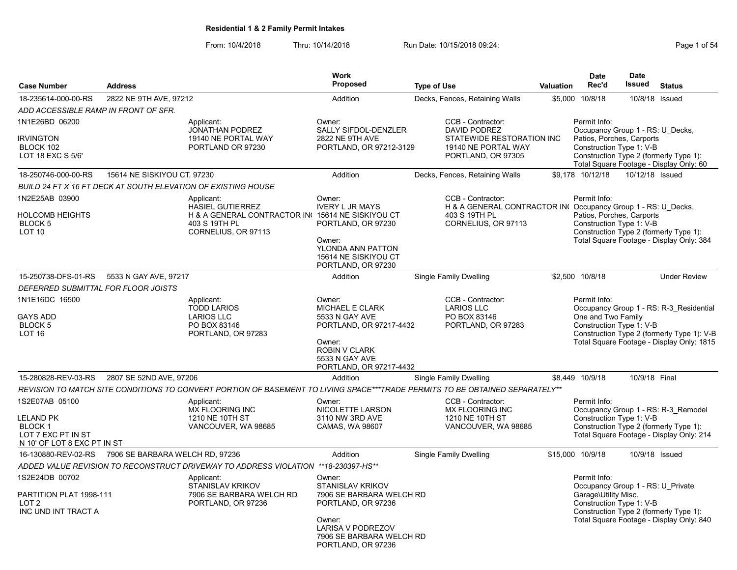| <b>Case Number</b>                                                                                 | <b>Address</b>                  |                                                                                                                                    | <b>Work</b><br>Proposed                                                                                                                                                     | <b>Type of Use</b>                |                                                                                                                    | Valuation | <b>Date</b><br>Rec'd                                                                                      | <b>Date</b><br>Issued | <b>Status</b>                                                                                                                      |
|----------------------------------------------------------------------------------------------------|---------------------------------|------------------------------------------------------------------------------------------------------------------------------------|-----------------------------------------------------------------------------------------------------------------------------------------------------------------------------|-----------------------------------|--------------------------------------------------------------------------------------------------------------------|-----------|-----------------------------------------------------------------------------------------------------------|-----------------------|------------------------------------------------------------------------------------------------------------------------------------|
| 18-235614-000-00-RS                                                                                | 2822 NE 9TH AVE, 97212          |                                                                                                                                    | Addition                                                                                                                                                                    | Decks, Fences, Retaining Walls    |                                                                                                                    |           | \$5,000 10/8/18                                                                                           |                       | 10/8/18 Issued                                                                                                                     |
| ADD ACCESSIBLE RAMP IN FRONT OF SFR.                                                               |                                 |                                                                                                                                    |                                                                                                                                                                             |                                   |                                                                                                                    |           |                                                                                                           |                       |                                                                                                                                    |
| 1N1E26BD 06200<br><b>IRVINGTON</b><br>BLOCK 102<br>LOT 18 EXC S 5/6'                               |                                 | Applicant:<br>JONATHAN PODREZ<br>19140 NE PORTAL WAY<br>PORTLAND OR 97230                                                          | Owner:<br>SALLY SIFDOL-DENZLER<br>2822 NE 9TH AVE<br>PORTLAND, OR 97212-3129                                                                                                |                                   | CCB - Contractor:<br><b>DAVID PODREZ</b><br>STATEWIDE RESTORATION INC<br>19140 NE PORTAL WAY<br>PORTLAND, OR 97305 |           | Permit Info:<br>Occupancy Group 1 - RS: U Decks,<br>Patios, Porches, Carports<br>Construction Type 1: V-B |                       | Construction Type 2 (formerly Type 1):<br>Total Square Footage - Display Only: 60                                                  |
| 18-250746-000-00-RS                                                                                | 15614 NE SISKIYOU CT, 97230     |                                                                                                                                    | Addition                                                                                                                                                                    | Decks, Fences, Retaining Walls    |                                                                                                                    |           | \$9.178 10/12/18                                                                                          | 10/12/18 Issued       |                                                                                                                                    |
|                                                                                                    |                                 | BUILD 24 FT X 16 FT DECK AT SOUTH ELEVATION OF EXISTING HOUSE                                                                      |                                                                                                                                                                             |                                   |                                                                                                                    |           |                                                                                                           |                       |                                                                                                                                    |
| 1N2E25AB 03900<br><b>HOLCOMB HEIGHTS</b><br>BLOCK 5<br>LOT 10                                      |                                 | Applicant:<br><b>HASIEL GUTIERREZ</b><br>H & A GENERAL CONTRACTOR IN( 15614 NE SISKIYOU CT<br>403 S 19TH PL<br>CORNELIUS, OR 97113 | Owner:<br><b>IVERY L JR MAYS</b><br>PORTLAND, OR 97230<br>Owner:<br>YLONDA ANN PATTON<br>15614 NE SISKIYOU CT<br>PORTLAND, OR 97230                                         | 403 S 19TH PL                     | CCB - Contractor:<br>H & A GENERAL CONTRACTOR IN Occupancy Group 1 - RS: U Decks,<br>CORNELIUS, OR 97113           |           | Permit Info:<br>Patios, Porches, Carports<br>Construction Type 1: V-B                                     |                       | Construction Type 2 (formerly Type 1):<br>Total Square Footage - Display Only: 384                                                 |
| 15-250738-DFS-01-RS                                                                                | 5533 N GAY AVE, 97217           |                                                                                                                                    | Addition                                                                                                                                                                    | <b>Single Family Dwelling</b>     |                                                                                                                    |           | \$2,500 10/8/18                                                                                           |                       | <b>Under Review</b>                                                                                                                |
| DEFERRED SUBMITTAL FOR FLOOR JOISTS                                                                |                                 |                                                                                                                                    |                                                                                                                                                                             |                                   |                                                                                                                    |           |                                                                                                           |                       |                                                                                                                                    |
| 1N1E16DC 16500<br>GAYS ADD<br>BLOCK 5<br>LOT 16                                                    |                                 | Applicant:<br><b>TODD LARIOS</b><br><b>LARIOS LLC</b><br>PO BOX 83146<br>PORTLAND, OR 97283                                        | Owner:<br>MICHAEL E CLARK<br>5533 N GAY AVE<br>PORTLAND, OR 97217-4432<br>Owner:<br><b>ROBIN V CLARK</b><br>5533 N GAY AVE<br>PORTLAND, OR 97217-4432                       | <b>LARIOS LLC</b><br>PO BOX 83146 | CCB - Contractor:<br>PORTLAND, OR 97283                                                                            |           | Permit Info:<br>One and Two Family<br>Construction Type 1: V-B                                            |                       | Occupancy Group 1 - RS: R-3_Residential<br>Construction Type 2 (formerly Type 1): V-B<br>Total Square Footage - Display Only: 1815 |
| 15-280828-REV-03-RS                                                                                | 2807 SE 52ND AVE, 97206         |                                                                                                                                    | Addition                                                                                                                                                                    | Single Family Dwelling            |                                                                                                                    |           | \$8,449 10/9/18                                                                                           | 10/9/18 Final         |                                                                                                                                    |
|                                                                                                    |                                 | REVISION TO MATCH SITE CONDITIONS TO CONVERT PORTION OF BASEMENT TO LIVING SPACE***TRADE PERMITS TO BE OBTAINED SEPARATELY**       |                                                                                                                                                                             |                                   |                                                                                                                    |           |                                                                                                           |                       |                                                                                                                                    |
| 1S2E07AB 05100<br>LELAND PK<br><b>BLOCK 1</b><br>LOT 7 EXC PT IN ST<br>N 10' OF LOT 8 EXC PT IN ST |                                 | Applicant:<br><b>MX FLOORING INC</b><br>1210 NE 10TH ST<br>VANCOUVER, WA 98685                                                     | Owner:<br>NICOLETTE LARSON<br>3110 NW 3RD AVE<br>CAMAS, WA 98607                                                                                                            |                                   | CCB - Contractor:<br><b>MX FLOORING INC</b><br>1210 NE 10TH ST<br>VANCOUVER, WA 98685                              |           | Permit Info:<br>Construction Type 1: V-B                                                                  |                       | Occupancy Group 1 - RS: R-3 Remodel<br>Construction Type 2 (formerly Type 1):<br>Total Square Footage - Display Only: 214          |
| 16-130880-REV-02-RS                                                                                | 7906 SE BARBARA WELCH RD, 97236 |                                                                                                                                    | Addition                                                                                                                                                                    | <b>Single Family Dwelling</b>     |                                                                                                                    |           | \$15,000 10/9/18                                                                                          |                       | 10/9/18 Issued                                                                                                                     |
|                                                                                                    |                                 | ADDED VALUE REVISION TO RECONSTRUCT DRIVEWAY TO ADDRESS VIOLATION                                                                  | **18-230397-HS**                                                                                                                                                            |                                   |                                                                                                                    |           |                                                                                                           |                       |                                                                                                                                    |
| 1S2E24DB 00702<br>PARTITION PLAT 1998-111<br>LOT 2<br>INC UND INT TRACT A                          |                                 | Applicant:<br><b>STANISLAV KRIKOV</b><br>7906 SE BARBARA WELCH RD<br>PORTLAND, OR 97236                                            | Owner:<br><b>STANISLAV KRIKOV</b><br>7906 SE BARBARA WELCH RD<br>PORTLAND, OR 97236<br>Owner:<br><b>LARISA V PODREZOV</b><br>7906 SE BARBARA WELCH RD<br>PORTLAND, OR 97236 |                                   |                                                                                                                    |           | Permit Info:<br>Occupancy Group 1 - RS: U Private<br>Garage\Utility Misc.<br>Construction Type 1: V-B     |                       | Construction Type 2 (formerly Type 1):<br>Total Square Footage - Display Only: 840                                                 |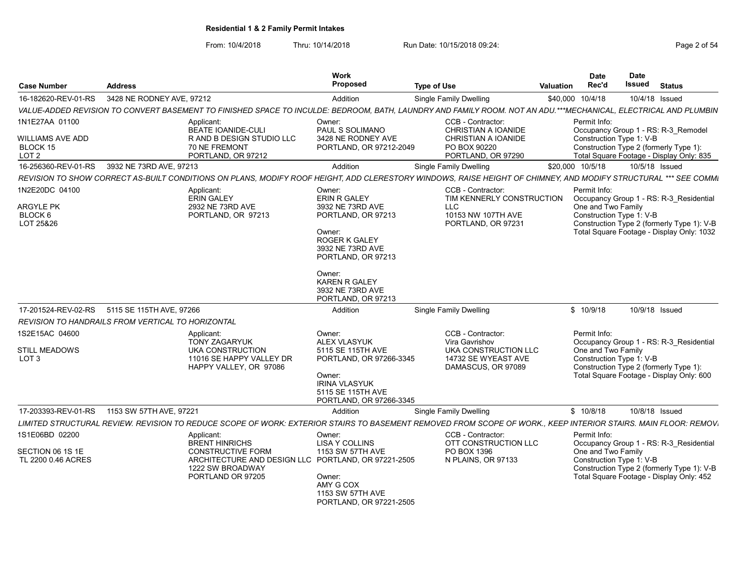| <b>Case Number</b>                                       | <b>Address</b>                                           |                                                                                                                                                                               | Work<br>Proposed                                                                                                                   | <b>Type of Use</b> |                                                                                               | Valuation | <b>Date</b><br>Rec'd                                           | <b>Date</b><br>Issued | <b>Status</b>                                                                                                                      |
|----------------------------------------------------------|----------------------------------------------------------|-------------------------------------------------------------------------------------------------------------------------------------------------------------------------------|------------------------------------------------------------------------------------------------------------------------------------|--------------------|-----------------------------------------------------------------------------------------------|-----------|----------------------------------------------------------------|-----------------------|------------------------------------------------------------------------------------------------------------------------------------|
| 16-182620-REV-01-RS                                      | 3428 NE RODNEY AVE, 97212                                |                                                                                                                                                                               | Addition                                                                                                                           |                    | <b>Single Family Dwelling</b>                                                                 |           | \$40,000 10/4/18                                               | 10/4/18 Issued        |                                                                                                                                    |
|                                                          |                                                          | VALUE-ADDED REVISION TO CONVERT BASEMENT TO FINISHED SPACE TO INCULDE: BEDROOM, BATH, LAUNDRY AND FAMILY ROOM. NOT AN ADU.***MECHANICAL, ELECTRICAL AND PLUMBIN               |                                                                                                                                    |                    |                                                                                               |           |                                                                |                       |                                                                                                                                    |
| 1N1E27AA 01100<br>WILLIAMS AVE ADD<br>BLOCK 15           |                                                          | Applicant:<br>BEATE IOANIDE-CULI<br>R AND B DESIGN STUDIO LLC<br>70 NE FREMONT                                                                                                | Owner:<br>PAUL S SOLIMANO<br>3428 NE RODNEY AVE<br>PORTLAND, OR 97212-2049                                                         |                    | CCB - Contractor:<br><b>CHRISTIAN A IOANIDE</b><br><b>CHRISTIAN A IOANIDE</b><br>PO BOX 90220 |           | Permit Info:<br>Construction Type 1: V-B                       |                       | Occupancy Group 1 - RS: R-3 Remodel<br>Construction Type 2 (formerly Type 1):                                                      |
| LOT <sub>2</sub><br>16-256360-REV-01-RS                  | 3932 NE 73RD AVE, 97213                                  | PORTLAND, OR 97212                                                                                                                                                            | Addition                                                                                                                           |                    | PORTLAND, OR 97290<br><b>Single Family Dwelling</b>                                           |           | \$20,000 10/5/18                                               | 10/5/18 Issued        | Total Square Footage - Display Only: 835                                                                                           |
|                                                          |                                                          |                                                                                                                                                                               |                                                                                                                                    |                    |                                                                                               |           |                                                                |                       |                                                                                                                                    |
| 1N2E20DC 04100                                           |                                                          | REVISION TO SHOW CORRECT AS-BUILT CONDITIONS ON PLANS, MODIFY ROOF HEIGHT, ADD CLERESTORY WINDOWS, RAISE HEIGHT OF CHIMNEY, AND MODIFY STRUCTURAL *** SEE COMMI<br>Applicant: | Owner:                                                                                                                             |                    | CCB - Contractor:                                                                             |           | Permit Info:                                                   |                       |                                                                                                                                    |
| <b>ARGYLE PK</b><br>BLOCK 6<br>LOT 25&26                 |                                                          | <b>ERIN GALEY</b><br>2932 NE 73RD AVE<br>PORTLAND, OR 97213                                                                                                                   | <b>ERIN R GALEY</b><br>3932 NE 73RD AVE<br>PORTLAND, OR 97213<br>Owner:<br>ROGER K GALEY<br>3932 NE 73RD AVE<br>PORTLAND, OR 97213 |                    | TIM KENNERLY CONSTRUCTION<br>LLC<br>10153 NW 107TH AVE<br>PORTLAND, OR 97231                  |           | One and Two Family<br>Construction Type 1: V-B                 |                       | Occupancy Group 1 - RS: R-3 Residential<br>Construction Type 2 (formerly Type 1): V-B<br>Total Square Footage - Display Only: 1032 |
|                                                          |                                                          |                                                                                                                                                                               | Owner:<br><b>KAREN R GALEY</b><br>3932 NE 73RD AVE<br>PORTLAND. OR 97213                                                           |                    |                                                                                               |           |                                                                |                       |                                                                                                                                    |
| 17-201524-REV-02-RS                                      | 5115 SE 115TH AVE, 97266                                 |                                                                                                                                                                               | Addition                                                                                                                           |                    | <b>Single Family Dwelling</b>                                                                 |           | \$10/9/18                                                      | 10/9/18 Issued        |                                                                                                                                    |
|                                                          | <b>REVISION TO HANDRAILS FROM VERTICAL TO HORIZONTAL</b> |                                                                                                                                                                               |                                                                                                                                    |                    |                                                                                               |           |                                                                |                       |                                                                                                                                    |
| 1S2E15AC 04600                                           |                                                          | Applicant:<br><b>TONY ZAGARYUK</b>                                                                                                                                            | Owner:<br><b>ALEX VLASYUK</b>                                                                                                      |                    | CCB - Contractor:<br>Vira Gavrishov                                                           |           | Permit Info:                                                   |                       | Occupancy Group 1 - RS: R-3 Residential                                                                                            |
| <b>STILL MEADOWS</b><br>LOT <sub>3</sub>                 |                                                          | UKA CONSTRUCTION<br>11016 SE HAPPY VALLEY DR<br>HAPPY VALLEY, OR 97086                                                                                                        | 5115 SE 115TH AVE<br>PORTLAND, OR 97266-3345<br>Owner:<br><b>IRINA VLASYUK</b><br>5115 SE 115TH AVE<br>PORTLAND, OR 97266-3345     |                    | UKA CONSTRUCTION LLC<br>14732 SE WYEAST AVE<br>DAMASCUS, OR 97089                             |           | One and Two Family<br>Construction Type 1: V-B                 |                       | Construction Type 2 (formerly Type 1):<br>Total Square Footage - Display Only: 600                                                 |
| 17-203393-REV-01-RS                                      | 1153 SW 57TH AVE, 97221                                  |                                                                                                                                                                               | Addition                                                                                                                           |                    | <b>Single Family Dwelling</b>                                                                 |           | \$10/8/18                                                      | 10/8/18 Issued        |                                                                                                                                    |
|                                                          |                                                          | LIMITED STRUCTURAL REVIEW. REVISION TO REDUCE SCOPE OF WORK: EXTERIOR STAIRS TO BASEMENT REMOVED FROM SCOPE OF WORK., KEEP INTERIOR STAIRS. MAIN FLOOR: REMOV                 |                                                                                                                                    |                    |                                                                                               |           |                                                                |                       |                                                                                                                                    |
| 1S1E06BD 02200<br>SECTION 06 1S 1E<br>TL 2200 0.46 ACRES |                                                          | Applicant:<br><b>BRENT HINRICHS</b><br><b>CONSTRUCTIVE FORM</b><br>ARCHITECTURE AND DESIGN LLC PORTLAND, OR 97221-2505<br>1222 SW BROADWAY<br>PORTLAND OR 97205               | Owner:<br><b>LISA Y COLLINS</b><br>1153 SW 57TH AVE<br>Owner:                                                                      |                    | CCB - Contractor:<br>OTT CONSTRUCTION LLC<br>PO BOX 1396<br>N PLAINS, OR 97133                |           | Permit Info:<br>One and Two Family<br>Construction Type 1: V-B |                       | Occupancy Group 1 - RS: R-3 Residential<br>Construction Type 2 (formerly Type 1): V-B<br>Total Square Footage - Display Only: 452  |
|                                                          |                                                          |                                                                                                                                                                               | AMY G COX<br>1153 SW 57TH AVE<br>PORTLAND, OR 97221-2505                                                                           |                    |                                                                                               |           |                                                                |                       |                                                                                                                                    |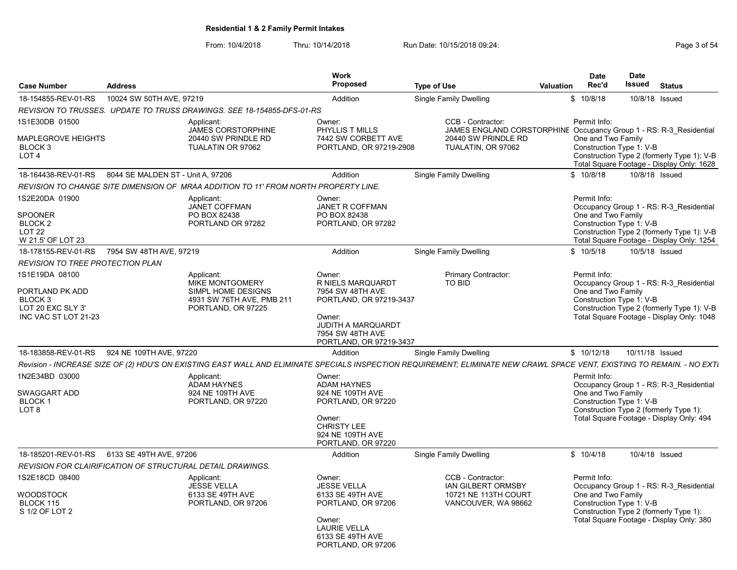| <b>Case Number</b>                                                                                                                                                                                 | <b>Address</b>                    |                                                                                                                                                                                                                                                                                                                                                                  | <b>Work</b><br><b>Proposed</b>                                                                                                                                                                                                                                                                                            | <b>Type of Use</b>                                                                                              | Valuation | <b>Date</b><br>Rec'd                                                                                                                           | <b>Date</b><br>Issued | <b>Status</b>                                                                                                                                                                                                                                                       |
|----------------------------------------------------------------------------------------------------------------------------------------------------------------------------------------------------|-----------------------------------|------------------------------------------------------------------------------------------------------------------------------------------------------------------------------------------------------------------------------------------------------------------------------------------------------------------------------------------------------------------|---------------------------------------------------------------------------------------------------------------------------------------------------------------------------------------------------------------------------------------------------------------------------------------------------------------------------|-----------------------------------------------------------------------------------------------------------------|-----------|------------------------------------------------------------------------------------------------------------------------------------------------|-----------------------|---------------------------------------------------------------------------------------------------------------------------------------------------------------------------------------------------------------------------------------------------------------------|
| 18-154855-REV-01-RS                                                                                                                                                                                | 10024 SW 50TH AVE, 97219          |                                                                                                                                                                                                                                                                                                                                                                  | Addition                                                                                                                                                                                                                                                                                                                  | <b>Single Family Dwelling</b>                                                                                   |           | \$10/8/18                                                                                                                                      | 10/8/18 Issued        |                                                                                                                                                                                                                                                                     |
|                                                                                                                                                                                                    |                                   | REVISION TO TRUSSES. UPDATE TO TRUSS DRAWINGS. SEE 18-154855-DFS-01-RS                                                                                                                                                                                                                                                                                           |                                                                                                                                                                                                                                                                                                                           |                                                                                                                 |           |                                                                                                                                                |                       |                                                                                                                                                                                                                                                                     |
| 1S1E30DB 01500                                                                                                                                                                                     |                                   | Applicant:                                                                                                                                                                                                                                                                                                                                                       | Owner:                                                                                                                                                                                                                                                                                                                    | CCB - Contractor:                                                                                               |           | Permit Info:                                                                                                                                   |                       |                                                                                                                                                                                                                                                                     |
| <b>MAPLEGROVE HEIGHTS</b><br>BLOCK 3<br>LOT <sub>4</sub>                                                                                                                                           |                                   | JAMES CORSTORPHINE<br>20440 SW PRINDLE RD<br>TUALATIN OR 97062                                                                                                                                                                                                                                                                                                   | PHYLLIS T MILLS<br>7442 SW CORBETT AVE<br>PORTLAND, OR 97219-2908                                                                                                                                                                                                                                                         | JAMES ENGLAND CORSTORPHINE Occupancy Group 1 - RS: R-3_Residential<br>20440 SW PRINDLE RD<br>TUALATIN, OR 97062 |           | One and Two Family<br>Construction Type 1: V-B                                                                                                 |                       | Construction Type 2 (formerly Type 1): V-B<br>Total Square Footage - Display Only: 1628                                                                                                                                                                             |
| 18-164438-REV-01-RS                                                                                                                                                                                | 8044 SE MALDEN ST - Unit A, 97206 |                                                                                                                                                                                                                                                                                                                                                                  | Addition                                                                                                                                                                                                                                                                                                                  | Single Family Dwelling                                                                                          |           | \$10/8/18                                                                                                                                      | 10/8/18 Issued        |                                                                                                                                                                                                                                                                     |
|                                                                                                                                                                                                    |                                   | REVISION TO CHANGE SITE DIMENSION OF MRAA ADDITION TO 11' FROM NORTH PROPERTY LINE.                                                                                                                                                                                                                                                                              |                                                                                                                                                                                                                                                                                                                           |                                                                                                                 |           |                                                                                                                                                |                       |                                                                                                                                                                                                                                                                     |
| 1S2E20DA 01900<br><b>SPOONER</b><br>BLOCK <sub>2</sub><br>LOT <sub>22</sub><br>W 21.5' OF LOT 23                                                                                                   |                                   | Applicant:<br><b>JANET COFFMAN</b><br>PO BOX 82438<br>PORTLAND OR 97282                                                                                                                                                                                                                                                                                          | Owner:<br>JANET R COFFMAN<br>PO BOX 82438<br>PORTLAND, OR 97282                                                                                                                                                                                                                                                           |                                                                                                                 |           | Permit Info:<br>One and Two Family<br>Construction Type 1: V-B                                                                                 |                       | Occupancy Group 1 - RS: R-3 Residential<br>Construction Type 2 (formerly Type 1): V-B<br>Total Square Footage - Display Only: 1254                                                                                                                                  |
| 18-178155-REV-01-RS                                                                                                                                                                                | 7954 SW 48TH AVE, 97219           |                                                                                                                                                                                                                                                                                                                                                                  | Addition                                                                                                                                                                                                                                                                                                                  | Single Family Dwelling                                                                                          |           | \$10/5/18                                                                                                                                      | 10/5/18 Issued        |                                                                                                                                                                                                                                                                     |
| <b>REVISION TO TREE PROTECTION PLAN</b>                                                                                                                                                            |                                   |                                                                                                                                                                                                                                                                                                                                                                  |                                                                                                                                                                                                                                                                                                                           |                                                                                                                 |           |                                                                                                                                                |                       |                                                                                                                                                                                                                                                                     |
| 1S1E19DA 08100<br>PORTLAND PK ADD<br>BLOCK <sub>3</sub><br>LOT 20 EXC SLY 3'<br>INC VAC ST LOT 21-23<br>18-183858-REV-01-RS<br>1N2E34BD 03000<br>SWAGGART ADD<br><b>BLOCK1</b><br>LOT <sub>8</sub> | 924 NE 109TH AVE, 97220           | Applicant:<br>MIKE MONTGOMERY<br>SIMPL HOME DESIGNS<br>4931 SW 76TH AVE, PMB 211<br>PORTLAND, OR 97225<br>Revision - INCREASE SIZE OF (2) HDU'S ON EXISTING EAST WALL AND ELIMINATE SPECIALS INSPECTION REQUIREMENT; ELIMINATE NEW CRAWL SPACE VENT, EXISTING TO REMAIN. - NO EXTI<br>Applicant:<br><b>ADAM HAYNES</b><br>924 NE 109TH AVE<br>PORTLAND, OR 97220 | Owner:<br>R NIELS MARQUARDT<br>7954 SW 48TH AVE<br>PORTLAND, OR 97219-3437<br>Owner:<br>JUDITH A MARQUARDT<br>7954 SW 48TH AVE<br>PORTLAND, OR 97219-3437<br>Addition<br>Owner:<br><b>ADAM HAYNES</b><br>924 NE 109TH AVE<br>PORTLAND, OR 97220<br>Owner:<br><b>CHRISTY LEE</b><br>924 NE 109TH AVE<br>PORTLAND, OR 97220 | Primary Contractor:<br><b>TO BID</b><br><b>Single Family Dwelling</b>                                           |           | Permit Info:<br>One and Two Family<br>Construction Type 1: V-B<br>\$10/12/18<br>Permit Info:<br>One and Two Family<br>Construction Type 1: V-B | 10/11/18 Issued       | Occupancy Group 1 - RS: R-3 Residential<br>Construction Type 2 (formerly Type 1): V-B<br>Total Square Footage - Display Only: 1048<br>Occupancy Group 1 - RS: R-3 Residential<br>Construction Type 2 (formerly Type 1):<br>Total Square Footage - Display Only: 494 |
| 18-185201-REV-01-RS                                                                                                                                                                                | 6133 SE 49TH AVE, 97206           |                                                                                                                                                                                                                                                                                                                                                                  | Addition                                                                                                                                                                                                                                                                                                                  | Single Family Dwelling                                                                                          |           | \$10/4/18                                                                                                                                      | 10/4/18 Issued        |                                                                                                                                                                                                                                                                     |
| REVISION FOR CLAIRIFICATION OF STRUCTURAL DETAIL DRAWINGS.                                                                                                                                         |                                   |                                                                                                                                                                                                                                                                                                                                                                  |                                                                                                                                                                                                                                                                                                                           |                                                                                                                 |           |                                                                                                                                                |                       |                                                                                                                                                                                                                                                                     |
| 1S2E18CD 08400<br><b>WOODSTOCK</b><br><b>BLOCK 115</b><br>S 1/2 OF LOT 2                                                                                                                           |                                   | Applicant:<br><b>JESSE VELLA</b><br>6133 SE 49TH AVE<br>PORTLAND, OR 97206                                                                                                                                                                                                                                                                                       | Owner:<br><b>JESSE VELLA</b><br>6133 SE 49TH AVE<br>PORTLAND, OR 97206<br>Owner:<br><b>LAURIE VELLA</b><br>6133 SE 49TH AVE<br>PORTLAND, OR 97206                                                                                                                                                                         | CCB - Contractor:<br><b>IAN GILBERT ORMSBY</b><br>10721 NE 113TH COURT<br>VANCOUVER, WA 98662                   |           | Permit Info:<br>One and Two Family<br>Construction Type 1: V-B                                                                                 |                       | Occupancy Group 1 - RS: R-3 Residential<br>Construction Type 2 (formerly Type 1):<br>Total Square Footage - Display Only: 380                                                                                                                                       |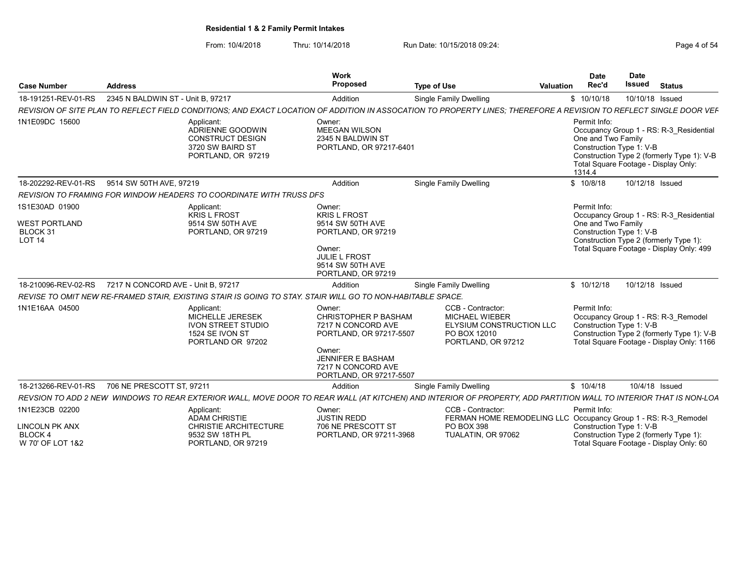| <b>Case Number</b>                                                  | <b>Address</b>                                |                                                                                                            | Work<br>Proposed                                                                                                                                                              | <b>Type of Use</b>                                                                                                                                                 | Date<br>Rec'd<br>Valuation                                               | <b>Date</b><br>Issued | <b>Status</b>                                                                                                                  |
|---------------------------------------------------------------------|-----------------------------------------------|------------------------------------------------------------------------------------------------------------|-------------------------------------------------------------------------------------------------------------------------------------------------------------------------------|--------------------------------------------------------------------------------------------------------------------------------------------------------------------|--------------------------------------------------------------------------|-----------------------|--------------------------------------------------------------------------------------------------------------------------------|
| 18-191251-REV-01-RS                                                 | 2345 N BALDWIN ST - Unit B, 97217             |                                                                                                            | Addition                                                                                                                                                                      | <b>Single Family Dwelling</b>                                                                                                                                      | \$10/10/18                                                               |                       | 10/10/18 Issued                                                                                                                |
|                                                                     |                                               |                                                                                                            |                                                                                                                                                                               | REVISION OF SITE PLAN TO REFLECT FIELD CONDITIONS; AND EXACT LOCATION OF ADDITION IN ASSOCATION TO PROPERTY LINES; THEREFORE A REVISION TO REFLECT SINGLE DOOR VEF |                                                                          |                       |                                                                                                                                |
| 1N1E09DC 15600                                                      |                                               | Applicant:<br>ADRIENNE GOODWIN<br>CONSTRUCT DESIGN<br>3720 SW BAIRD ST<br>PORTLAND, OR 97219               | Owner:<br>MEEGAN WILSON<br>2345 N BALDWIN ST<br>PORTLAND, OR 97217-6401                                                                                                       |                                                                                                                                                                    | Permit Info:<br>One and Two Family<br>Construction Type 1: V-B<br>1314.4 |                       | Occupancy Group 1 - RS: R-3_Residential<br>Construction Type 2 (formerly Type 1): V-B<br>Total Square Footage - Display Only:  |
|                                                                     | 18-202292-REV-01-RS 9514 SW 50TH AVE, 97219   |                                                                                                            | Addition                                                                                                                                                                      | <b>Single Family Dwelling</b>                                                                                                                                      | \$10/8/18                                                                |                       | 10/12/18 Issued                                                                                                                |
|                                                                     |                                               | REVISION TO FRAMING FOR WINDOW HEADERS TO COORDINATE WITH TRUSS DFS                                        |                                                                                                                                                                               |                                                                                                                                                                    |                                                                          |                       |                                                                                                                                |
| 1S1E30AD 01900<br><b>WEST PORTLAND</b><br>BLOCK 31<br><b>LOT 14</b> |                                               | Applicant:<br><b>KRIS L FROST</b><br>9514 SW 50TH AVE<br>PORTLAND, OR 97219                                | Owner:<br><b>KRIS L FROST</b><br>9514 SW 50TH AVE<br>PORTLAND, OR 97219<br>Owner:<br>JULIE L FROST<br>9514 SW 50TH AVE<br>PORTLAND, OR 97219                                  |                                                                                                                                                                    | Permit Info:<br>One and Two Family<br>Construction Type 1: V-B           |                       | Occupancy Group 1 - RS: R-3 Residential<br>Construction Type 2 (formerly Type 1)<br>Total Square Footage - Display Only: 499   |
| 18-210096-REV-02-RS                                                 | 7217 N CONCORD AVE - Unit B. 97217            |                                                                                                            | Addition                                                                                                                                                                      | <b>Single Family Dwelling</b>                                                                                                                                      | \$10/12/18                                                               |                       | 10/12/18 Issued                                                                                                                |
|                                                                     |                                               | REVISE TO OMIT NEW RE-FRAMED STAIR. EXISTING STAIR IS GOING TO STAY, STAIR WILL GO TO NON-HABITABLE SPACE. |                                                                                                                                                                               |                                                                                                                                                                    |                                                                          |                       |                                                                                                                                |
| 1N1E16AA 04500                                                      |                                               | Applicant:<br>MICHELLE JERESEK<br><b>IVON STREET STUDIO</b><br>1524 SE IVON ST<br>PORTLAND OR 97202        | Owner:<br><b>CHRISTOPHER P BASHAM</b><br>7217 N CONCORD AVE<br>PORTLAND, OR 97217-5507<br>Owner:<br><b>JENNIFER E BASHAM</b><br>7217 N CONCORD AVE<br>PORTLAND, OR 97217-5507 | CCB - Contractor:<br><b>MICHAEL WIEBER</b><br>ELYSIUM CONSTRUCTION LLC<br>PO BOX 12010<br>PORTLAND, OR 97212                                                       | Permit Info:<br>Construction Type 1: V-B                                 |                       | Occupancy Group 1 - RS: R-3 Remodel<br>Construction Type 2 (formerly Type 1): V-B<br>Total Square Footage - Display Only: 1166 |
|                                                                     | 18-213266-REV-01-RS 706 NE PRESCOTT ST, 97211 |                                                                                                            | Addition                                                                                                                                                                      | <b>Single Family Dwelling</b>                                                                                                                                      | \$10/4/18                                                                |                       | 10/4/18 Issued                                                                                                                 |
|                                                                     |                                               |                                                                                                            |                                                                                                                                                                               | REVSION TO ADD 2 NEW WINDOWS TO REAR EXTERIOR WALL, MOVE DOOR TO REAR WALL (AT KITCHEN) AND INTERIOR OF PROPERTY, ADD PARTITION WALL TO INTERIOR THAT IS NON-LOA   |                                                                          |                       |                                                                                                                                |
| 1N1E23CB 02200<br>LINCOLN PK ANX<br><b>BLOCK4</b>                   |                                               | Applicant:<br><b>ADAM CHRISTIE</b><br><b>CHRISTIE ARCHITECTURE</b><br>9532 SW 18TH PL                      | Owner:<br><b>JUSTIN REDD</b><br>706 NE PRESCOTT ST<br>PORTLAND, OR 97211-3968                                                                                                 | CCB - Contractor:<br>FERMAN HOME REMODELING LLC Occupancy Group 1 - RS: R-3 Remodel<br>PO BOX 398<br>TUALATIN, OR 97062                                            | Permit Info:<br>Construction Type 1: V-B                                 |                       | Construction Type 2 (formerly Type 1)                                                                                          |
| W 70' OF LOT 1&2                                                    |                                               | PORTLAND, OR 97219                                                                                         |                                                                                                                                                                               |                                                                                                                                                                    |                                                                          |                       | Total Square Footage - Display Only: 60                                                                                        |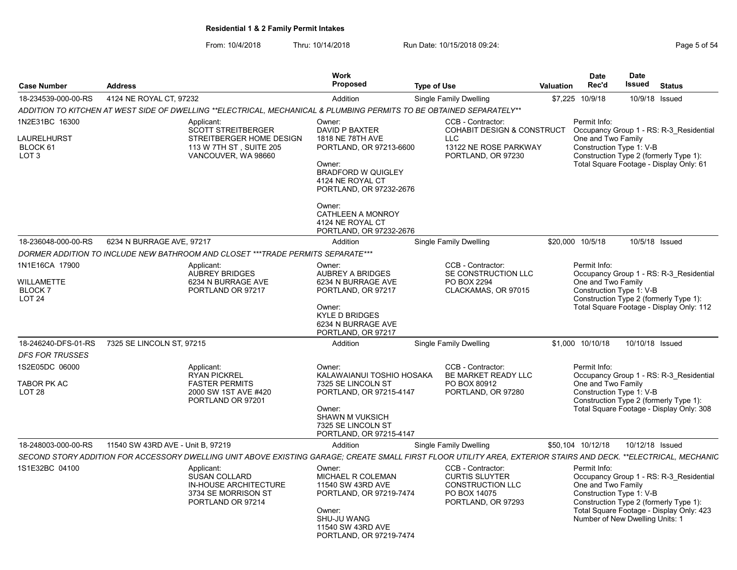|                                                               |                                   |                                                                                                                                                                  | Work<br><b>Proposed</b>                                                                                                                                       |                    |                                                                                                                         |                  | <b>Date</b><br>Rec'd                                                                              | Date<br><b>Issued</b> | <b>Status</b>                                                                                                                 |
|---------------------------------------------------------------|-----------------------------------|------------------------------------------------------------------------------------------------------------------------------------------------------------------|---------------------------------------------------------------------------------------------------------------------------------------------------------------|--------------------|-------------------------------------------------------------------------------------------------------------------------|------------------|---------------------------------------------------------------------------------------------------|-----------------------|-------------------------------------------------------------------------------------------------------------------------------|
| <b>Case Number</b>                                            | <b>Address</b>                    |                                                                                                                                                                  |                                                                                                                                                               | <b>Type of Use</b> |                                                                                                                         | <b>Valuation</b> |                                                                                                   |                       |                                                                                                                               |
| 18-234539-000-00-RS                                           | 4124 NE ROYAL CT, 97232           |                                                                                                                                                                  | Addition                                                                                                                                                      |                    | <b>Single Family Dwelling</b>                                                                                           |                  | \$7,225 10/9/18                                                                                   |                       | 10/9/18 Issued                                                                                                                |
|                                                               |                                   | ADDITION TO KITCHEN AT WEST SIDE OF DWELLING **ELECTRICAL, MECHANICAL & PLUMBING PERMITS TO BE OBTAINED SEPARATELY**                                             |                                                                                                                                                               |                    |                                                                                                                         |                  |                                                                                                   |                       |                                                                                                                               |
| 1N2E31BC 16300<br>LAURELHURST<br>BLOCK 61<br>LOT <sub>3</sub> |                                   | Applicant:<br><b>SCOTT STREITBERGER</b><br>STREITBERGER HOME DESIGN<br>113 W 7TH ST, SUITE 205<br>VANCOUVER, WA 98660                                            | Owner:<br>DAVID P BAXTER<br>1818 NE 78TH AVE<br>PORTLAND, OR 97213-6600<br>Owner:<br><b>BRADFORD W QUIGLEY</b><br>4124 NE ROYAL CT<br>PORTLAND, OR 97232-2676 |                    | CCB - Contractor:<br><b>COHABIT DESIGN &amp; CONSTRUCT</b><br><b>LLC</b><br>13122 NE ROSE PARKWAY<br>PORTLAND, OR 97230 |                  | Permit Info:<br>One and Two Family<br>Construction Type 1: V-B                                    |                       | Occupancy Group 1 - RS: R-3 Residential<br>Construction Type 2 (formerly Type 1):<br>Total Square Footage - Display Only: 61  |
|                                                               |                                   |                                                                                                                                                                  | Owner:<br>CATHLEEN A MONROY<br>4124 NE ROYAL CT<br>PORTLAND, OR 97232-2676                                                                                    |                    |                                                                                                                         |                  |                                                                                                   |                       |                                                                                                                               |
| 18-236048-000-00-RS                                           | 6234 N BURRAGE AVE, 97217         |                                                                                                                                                                  | Addition                                                                                                                                                      |                    | Single Family Dwelling                                                                                                  |                  | \$20,000 10/5/18                                                                                  |                       | 10/5/18 Issued                                                                                                                |
|                                                               |                                   | DORMER ADDITION TO INCLUDE NEW BATHROOM AND CLOSET ***TRADE PERMITS SEPARATE***                                                                                  |                                                                                                                                                               |                    |                                                                                                                         |                  |                                                                                                   |                       |                                                                                                                               |
| 1N1E16CA 17900                                                |                                   | Applicant:<br><b>AUBREY BRIDGES</b>                                                                                                                              | Owner:<br><b>AUBREY A BRIDGES</b>                                                                                                                             |                    | CCB - Contractor:<br>SE CONSTRUCTION LLC                                                                                |                  | Permit Info:                                                                                      |                       | Occupancy Group 1 - RS: R-3 Residential                                                                                       |
| <b>WILLAMETTE</b><br><b>BLOCK7</b><br>LOT <sub>24</sub>       |                                   | 6234 N BURRAGE AVE<br>PORTLAND OR 97217                                                                                                                          | 6234 N BURRAGE AVE<br>PORTLAND, OR 97217                                                                                                                      |                    | PO BOX 2294<br>CLACKAMAS, OR 97015                                                                                      |                  | One and Two Family<br>Construction Type 1: V-B                                                    |                       | Construction Type 2 (formerly Type 1):                                                                                        |
|                                                               |                                   |                                                                                                                                                                  | Owner:<br><b>KYLE D BRIDGES</b><br>6234 N BURRAGE AVE<br>PORTLAND, OR 97217                                                                                   |                    |                                                                                                                         |                  |                                                                                                   |                       | Total Square Footage - Display Only: 112                                                                                      |
| 18-246240-DFS-01-RS                                           | 7325 SE LINCOLN ST, 97215         |                                                                                                                                                                  | Addition                                                                                                                                                      |                    | Single Family Dwelling                                                                                                  |                  | \$1,000 10/10/18                                                                                  |                       | 10/10/18 Issued                                                                                                               |
| <b>DFS FOR TRUSSES</b>                                        |                                   |                                                                                                                                                                  |                                                                                                                                                               |                    |                                                                                                                         |                  |                                                                                                   |                       |                                                                                                                               |
| 1S2E05DC 06000                                                |                                   | Applicant:<br><b>RYAN PICKREL</b>                                                                                                                                | Owner:<br>KALAWAIANUI TOSHIO HOSAKA                                                                                                                           |                    | CCB - Contractor:<br>BE MARKET READY LLC                                                                                |                  | Permit Info:                                                                                      |                       | Occupancy Group 1 - RS: R-3 Residential                                                                                       |
| TABOR PK AC<br>LOT <sub>28</sub>                              |                                   | <b>FASTER PERMITS</b><br>2000 SW 1ST AVE #420<br>PORTLAND OR 97201                                                                                               | 7325 SE LINCOLN ST<br>PORTLAND, OR 97215-4147<br>Owner:<br><b>SHAWN M VUKSICH</b><br>7325 SE LINCOLN ST<br>PORTLAND, OR 97215-4147                            |                    | PO BOX 80912<br>PORTLAND, OR 97280                                                                                      |                  | One and Two Family<br>Construction Type 1: V-B                                                    |                       | Construction Type 2 (formerly Type 1):<br>Total Square Footage - Display Only: 308                                            |
| 18-248003-000-00-RS                                           | 11540 SW 43RD AVE - Unit B. 97219 |                                                                                                                                                                  | Addition                                                                                                                                                      |                    | Single Family Dwelling                                                                                                  |                  | \$50,104 10/12/18                                                                                 |                       | 10/12/18 Issued                                                                                                               |
|                                                               |                                   | SECOND STORY ADDITION FOR ACCESSORY DWELLING UNIT ABOVE EXISTING GARAGE; CREATE SMALL FIRST FLOOR UTILITY AREA, EXTERIOR STAIRS AND DECK. **ELECTRICAL, MECHANIC |                                                                                                                                                               |                    |                                                                                                                         |                  |                                                                                                   |                       |                                                                                                                               |
| 1S1E32BC 04100                                                |                                   | Applicant:<br><b>SUSAN COLLARD</b><br>IN-HOUSE ARCHITECTURE<br>3734 SE MORRISON ST<br>PORTLAND OR 97214                                                          | Owner:<br><b>MICHAEL R COLEMAN</b><br>11540 SW 43RD AVE<br>PORTLAND, OR 97219-7474<br>Owner:<br>SHU-JU WANG<br>11540 SW 43RD AVE<br>PORTLAND, OR 97219-7474   |                    | CCB - Contractor:<br><b>CURTIS SLUYTER</b><br><b>CONSTRUCTION LLC</b><br>PO BOX 14075<br>PORTLAND, OR 97293             |                  | Permit Info:<br>One and Two Family<br>Construction Type 1: V-B<br>Number of New Dwelling Units: 1 |                       | Occupancy Group 1 - RS: R-3 Residential<br>Construction Type 2 (formerly Type 1):<br>Total Square Footage - Display Only: 423 |
|                                                               |                                   |                                                                                                                                                                  |                                                                                                                                                               |                    |                                                                                                                         |                  |                                                                                                   |                       |                                                                                                                               |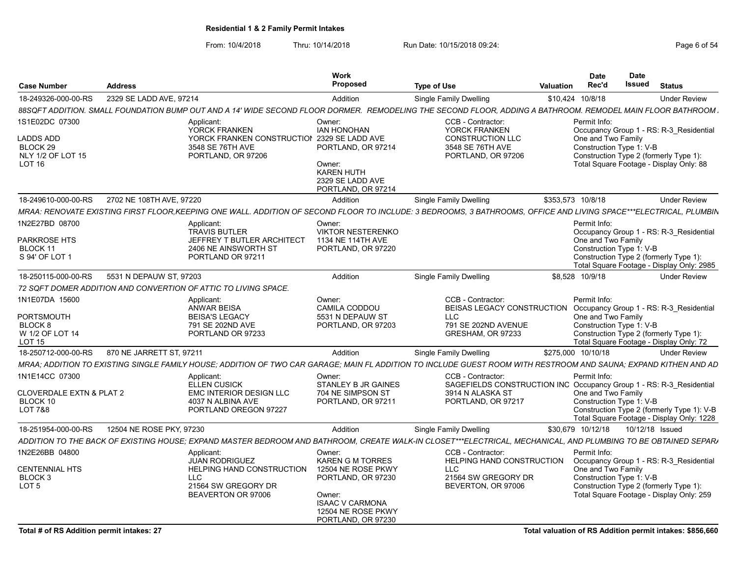|                                     |                          |                                                                 | Work                        |                                                                                                                                                                   |                    | <b>Date</b>        | Date                                   |                                            |
|-------------------------------------|--------------------------|-----------------------------------------------------------------|-----------------------------|-------------------------------------------------------------------------------------------------------------------------------------------------------------------|--------------------|--------------------|----------------------------------------|--------------------------------------------|
| <b>Case Number</b>                  | <b>Address</b>           |                                                                 | Proposed                    | <b>Type of Use</b>                                                                                                                                                | <b>Valuation</b>   | Rec'd              | Issued                                 | <b>Status</b>                              |
| 18-249326-000-00-RS                 | 2329 SE LADD AVE, 97214  |                                                                 | Addition                    | <b>Single Family Dwelling</b>                                                                                                                                     | \$10,424 10/8/18   |                    |                                        | <b>Under Review</b>                        |
|                                     |                          |                                                                 |                             | 88SQFT ADDITION. SMALL FOUNDATION BUMP OUT AND A 14' WIDE SECOND FLOOR DORMER. REMODELING THE SECOND FLOOR, ADDING A BATHROOM. REMODEL MAIN FLOOR BATHROOM        |                    |                    |                                        |                                            |
| 1S1E02DC 07300                      |                          | Applicant:                                                      | Owner:                      | CCB - Contractor:                                                                                                                                                 |                    | Permit Info:       |                                        |                                            |
|                                     |                          | <b>YORCK FRANKEN</b>                                            | <b>IAN HONOHAN</b>          | YORCK FRANKEN                                                                                                                                                     |                    |                    |                                        | Occupancy Group 1 - RS: R-3_Residential    |
| <b>LADDS ADD</b>                    |                          | YORCK FRANKEN CONSTRUCTION 2329 SE LADD AVE                     |                             | <b>CONSTRUCTION LLC</b>                                                                                                                                           |                    | One and Two Family |                                        |                                            |
| BLOCK 29                            |                          | 3548 SE 76TH AVE                                                | PORTLAND, OR 97214          | 3548 SE 76TH AVE                                                                                                                                                  |                    |                    | Construction Type 1: V-B               |                                            |
| NLY 1/2 OF LOT 15                   |                          | PORTLAND, OR 97206                                              |                             | PORTLAND, OR 97206                                                                                                                                                |                    |                    | Construction Type 2 (formerly Type 1): |                                            |
| <b>LOT 16</b>                       |                          |                                                                 | Owner:<br><b>KAREN HUTH</b> |                                                                                                                                                                   |                    |                    |                                        | Total Square Footage - Display Only: 88    |
|                                     |                          |                                                                 | 2329 SE LADD AVE            |                                                                                                                                                                   |                    |                    |                                        |                                            |
|                                     |                          |                                                                 | PORTLAND, OR 97214          |                                                                                                                                                                   |                    |                    |                                        |                                            |
|                                     | 2702 NE 108TH AVE, 97220 |                                                                 |                             |                                                                                                                                                                   |                    |                    |                                        |                                            |
| 18-249610-000-00-RS                 |                          |                                                                 | Addition                    | Single Family Dwelling                                                                                                                                            | \$353.573 10/8/18  |                    |                                        | <b>Under Review</b>                        |
|                                     |                          |                                                                 |                             | MRAA: RENOVATE EXISTING FIRST FLOOR,KEEPING ONE WALL. ADDITION OF SECOND FLOOR TO INCLUDE: 3 BEDROOMS, 3 BATHROOMS, OFFICE AND LIVING SPACE***ELECTRICAL, PLUMBIN |                    |                    |                                        |                                            |
| 1N2E27BD 08700                      |                          | Applicant:                                                      | Owner:                      |                                                                                                                                                                   |                    | Permit Info:       |                                        |                                            |
|                                     |                          | <b>TRAVIS BUTLER</b>                                            | <b>VIKTOR NESTERENKO</b>    |                                                                                                                                                                   |                    |                    |                                        | Occupancy Group 1 - RS: R-3_Residential    |
| PARKROSE HTS                        |                          | JEFFREY T BUTLER ARCHITECT                                      | 1134 NE 114TH AVE           |                                                                                                                                                                   |                    | One and Two Family |                                        |                                            |
| BLOCK 11<br>S 94' OF LOT            |                          | 2406 NE AINSWORTH ST                                            | PORTLAND, OR 97220          |                                                                                                                                                                   |                    |                    | Construction Type 1: V-B               |                                            |
|                                     |                          | PORTLAND OR 97211                                               |                             |                                                                                                                                                                   |                    |                    | Construction Type 2 (formerly Type 1): | Total Square Footage - Display Only: 2985  |
| 18-250115-000-00-RS                 | 5531 N DEPAUW ST, 97203  |                                                                 |                             |                                                                                                                                                                   | \$8.528 10/9/18    |                    |                                        |                                            |
|                                     |                          |                                                                 | Addition                    | <b>Single Family Dwelling</b>                                                                                                                                     |                    |                    |                                        | <b>Under Review</b>                        |
|                                     |                          | 72 SQFT DOMER ADDITION AND CONVERTION OF ATTIC TO LIVING SPACE. |                             |                                                                                                                                                                   |                    |                    |                                        |                                            |
| 1N1E07DA 15600                      |                          | Applicant:                                                      | Owner:                      | CCB - Contractor:                                                                                                                                                 |                    | Permit Info:       |                                        |                                            |
|                                     |                          | <b>ANWAR BEISA</b>                                              | CAMILA CODDOU               | BEISAS LEGACY CONSTRUCTION Occupancy Group 1 - RS: R-3 Residential                                                                                                |                    |                    |                                        |                                            |
| <b>PORTSMOUTH</b>                   |                          | <b>BEISA'S LEGACY</b>                                           | 5531 N DEPAUW ST            | LLC                                                                                                                                                               |                    | One and Two Family |                                        |                                            |
| BLOCK 8                             |                          | 791 SE 202ND AVE                                                | PORTLAND, OR 97203          | 791 SE 202ND AVENUE                                                                                                                                               |                    |                    | Construction Type 1: V-B               |                                            |
| W 1/2 OF LOT 14                     |                          | PORTLAND OR 97233                                               |                             | GRESHAM, OR 97233                                                                                                                                                 |                    |                    | Construction Type 2 (formerly Type 1)  |                                            |
| <b>LOT 15</b>                       |                          |                                                                 |                             |                                                                                                                                                                   |                    |                    |                                        | Total Square Footage - Display Only: 72    |
| 18-250712-000-00-RS                 | 870 NE JARRETT ST, 9721  |                                                                 | Addition                    | <b>Single Family Dwelling</b>                                                                                                                                     | \$275,000 10/10/18 |                    |                                        | <b>Under Review</b>                        |
|                                     |                          |                                                                 |                             | MRAA; ADDITION TO EXISTING SINGLE FAMILY HOUSE; ADDITION OF TWO CAR GARAGE; MAIN FL ADDITION TO INCLUDE GUEST ROOM WITH RESTROOM AND SAUNA; EXPAND KITHEN AND AD  |                    |                    |                                        |                                            |
| 1N1E14CC 07300                      |                          | Applicant:                                                      | Owner:                      | CCB - Contractor:                                                                                                                                                 |                    | Permit Info:       |                                        |                                            |
|                                     |                          | <b>ELLEN CUSICK</b>                                             | STANLEY B JR GAINES         | SAGEFIELDS CONSTRUCTION INC Occupancy Group 1 - RS: R-3 Residential                                                                                               |                    |                    |                                        |                                            |
| <b>CLOVERDALE EXTN &amp; PLAT 2</b> |                          | <b>EMC INTERIOR DESIGN LLC</b>                                  | 704 NE SIMPSON ST           | 3914 N ALASKA ST                                                                                                                                                  |                    | One and Two Family |                                        |                                            |
| BLOCK 10                            |                          | 4037 N ALBINA AVE                                               | PORTLAND, OR 97211          | PORTLAND, OR 97217                                                                                                                                                |                    |                    | Construction Type 1: V-B               |                                            |
| LOT 7&8                             |                          | PORTLAND OREGON 97227                                           |                             |                                                                                                                                                                   |                    |                    |                                        | Construction Type 2 (formerly Type 1): V-B |
|                                     |                          |                                                                 |                             |                                                                                                                                                                   |                    |                    |                                        | Total Square Footage - Display Only: 1228  |
| 18-251954-000-00-RS                 | 12504 NE ROSE PKY, 97230 |                                                                 | Addition                    | Single Family Dwelling                                                                                                                                            | \$30.679 10/12/18  |                    | 10/12/18 Issued                        |                                            |
|                                     |                          |                                                                 |                             | ADDITION TO THE BACK OF EXISTING HOUSE: EXPAND MASTER BEDROOM AND BATHROOM. CREATE WALK-IN CLOSET***ELECTRICAL. MECHANICAL. AND PLUMBING TO BE OBTAINED SEPARA    |                    |                    |                                        |                                            |
| 1N2E26BB 04800                      |                          | Applicant:                                                      | Owner:                      | CCB - Contractor:                                                                                                                                                 |                    | Permit Info:       |                                        |                                            |
|                                     |                          | <b>JUAN RODRIGUEZ</b>                                           | <b>KAREN G M TORRES</b>     | <b>HELPING HAND CONSTRUCTION</b>                                                                                                                                  |                    |                    |                                        | Occupancy Group 1 - RS: R-3 Residential    |
| <b>CENTENNIAL HTS</b>               |                          | <b>HELPING HAND CONSTRUCTION</b>                                | 12504 NE ROSE PKWY          | LLC                                                                                                                                                               |                    | One and Two Family |                                        |                                            |
| <b>BLOCK3</b>                       |                          | LLC                                                             | PORTLAND, OR 97230          | 21564 SW GREGORY DR                                                                                                                                               |                    |                    | Construction Type 1: V-B               |                                            |
| LOT <sub>5</sub>                    |                          | 21564 SW GREGORY DR                                             |                             | BEVERTON, OR 97006                                                                                                                                                |                    |                    | Construction Type 2 (formerly Type 1): |                                            |
|                                     |                          | BEAVERTON OR 97006                                              | Owner:                      |                                                                                                                                                                   |                    |                    |                                        | Total Square Footage - Display Only: 259   |
|                                     |                          |                                                                 | <b>ISAAC V CARMONA</b>      |                                                                                                                                                                   |                    |                    |                                        |                                            |
|                                     |                          |                                                                 | 12504 NE ROSE PKWY          |                                                                                                                                                                   |                    |                    |                                        |                                            |
|                                     |                          |                                                                 | PORTLAND, OR 97230          |                                                                                                                                                                   |                    |                    |                                        |                                            |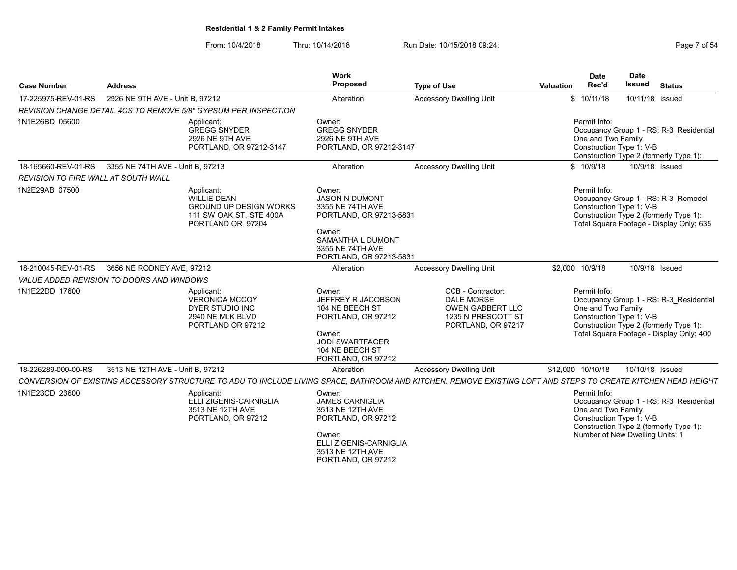From: 10/4/2018 Thru: 10/14/2018 Run Date: 10/15/2018 09:24:<br>From: 10/4/2018 Thru: 10/14/2018

| Page 7 of 54 |  |  |
|--------------|--|--|
|              |  |  |

| <b>Case Number</b>                  | <b>Address</b>                            |                                                                                                                                                               | Work<br>Proposed                                                                                                                                             | <b>Type of Use</b>                                                                                     | <b>Date</b><br>Rec'd<br>Valuation  | <b>Date</b><br><b>Issued</b><br><b>Status</b>                                                                                                             |
|-------------------------------------|-------------------------------------------|---------------------------------------------------------------------------------------------------------------------------------------------------------------|--------------------------------------------------------------------------------------------------------------------------------------------------------------|--------------------------------------------------------------------------------------------------------|------------------------------------|-----------------------------------------------------------------------------------------------------------------------------------------------------------|
| 17-225975-REV-01-RS                 | 2926 NE 9TH AVE - Unit B, 97212           |                                                                                                                                                               | Alteration                                                                                                                                                   | <b>Accessory Dwelling Unit</b>                                                                         | \$10/11/18                         | 10/11/18 Issued                                                                                                                                           |
|                                     |                                           | REVISION CHANGE DETAIL 4CS TO REMOVE 5/8" GYPSUM PER INSPECTION                                                                                               |                                                                                                                                                              |                                                                                                        |                                    |                                                                                                                                                           |
| 1N1E26BD 05600                      |                                           | Applicant:<br><b>GREGG SNYDER</b><br>2926 NE 9TH AVE<br>PORTLAND, OR 97212-3147                                                                               | Owner:<br><b>GREGG SNYDER</b><br>2926 NE 9TH AVE<br>PORTLAND, OR 97212-3147                                                                                  |                                                                                                        | Permit Info:<br>One and Two Family | Occupancy Group 1 - RS: R-3 Residential<br>Construction Type 1: V-B<br>Construction Type 2 (formerly Type 1):                                             |
| 18-165660-REV-01-RS                 | 3355 NE 74TH AVE - Unit B, 97213          |                                                                                                                                                               | Alteration                                                                                                                                                   | <b>Accessory Dwelling Unit</b>                                                                         | \$10/9/18                          | 10/9/18 Issued                                                                                                                                            |
| REVISION TO FIRE WALL AT SOUTH WALL |                                           |                                                                                                                                                               |                                                                                                                                                              |                                                                                                        |                                    |                                                                                                                                                           |
| 1N2E29AB 07500                      |                                           | Applicant:<br>WILLIE DEAN<br><b>GROUND UP DESIGN WORKS</b><br>111 SW OAK ST, STE 400A<br>PORTLAND OR 97204                                                    | Owner:<br><b>JASON N DUMONT</b><br>3355 NE 74TH AVE<br>PORTLAND, OR 97213-5831<br>Owner:<br>SAMANTHA L DUMONT<br>3355 NE 74TH AVE<br>PORTLAND, OR 97213-5831 |                                                                                                        | Permit Info:                       | Occupancy Group 1 - RS: R-3 Remodel<br>Construction Type 1: V-B<br>Construction Type 2 (formerly Type 1):<br>Total Square Footage - Display Only: 635     |
| 18-210045-REV-01-RS                 | 3656 NE RODNEY AVE, 97212                 |                                                                                                                                                               | Alteration                                                                                                                                                   | <b>Accessory Dwelling Unit</b>                                                                         | \$2,000 10/9/18                    | 10/9/18 Issued                                                                                                                                            |
|                                     | VALUE ADDED REVISION TO DOORS AND WINDOWS |                                                                                                                                                               |                                                                                                                                                              |                                                                                                        |                                    |                                                                                                                                                           |
| 1N1E22DD 17600                      |                                           | Applicant:<br>VERONICA MCCOY<br>DYER STUDIO INC<br>2940 NE MLK BLVD<br>PORTLAND OR 97212                                                                      | Owner:<br>JEFFREY R JACOBSON<br>104 NE BEECH ST<br>PORTLAND, OR 97212<br>Owner:<br><b>JODI SWARTFAGER</b><br>104 NE BEECH ST<br>PORTLAND, OR 97212           | CCB - Contractor:<br><b>DALE MORSE</b><br>OWEN GABBERT LLC<br>1235 N PRESCOTT ST<br>PORTLAND, OR 97217 | Permit Info:<br>One and Two Family | Occupancy Group 1 - RS: R-3 Residential<br>Construction Type 1: V-B<br>Construction Type 2 (formerly Type 1):<br>Total Square Footage - Display Only: 400 |
| 18-226289-000-00-RS                 | 3513 NE 12TH AVE - Unit B, 97212          |                                                                                                                                                               | Alteration                                                                                                                                                   | <b>Accessory Dwelling Unit</b>                                                                         | \$12,000 10/10/18                  | 10/10/18 Issued                                                                                                                                           |
|                                     |                                           | CONVERSION OF EXISTING ACCESSORY STRUCTURE TO ADU TO INCLUDE LIVING SPACE, BATHROOM AND KITCHEN. REMOVE EXISTING LOFT AND STEPS TO CREATE KITCHEN HEAD HEIGHT |                                                                                                                                                              |                                                                                                        |                                    |                                                                                                                                                           |
| 1N1E23CD 23600                      |                                           | Applicant:<br>ELLI ZIGENIS-CARNIGLIA<br>3513 NE 12TH AVE<br>PORTLAND, OR 97212                                                                                | Owner:<br><b>JAMES CARNIGLIA</b><br>3513 NE 12TH AVE<br>PORTLAND, OR 97212<br>Owner:<br>ELLI ZIGENIS-CARNIGLIA<br>3513 NE 12TH AVE<br>PORTLAND, OR 97212     |                                                                                                        | Permit Info:<br>One and Two Family | Occupancy Group 1 - RS: R-3 Residential<br>Construction Type 1: V-B<br>Construction Type 2 (formerly Type 1):<br>Number of New Dwelling Units: 1          |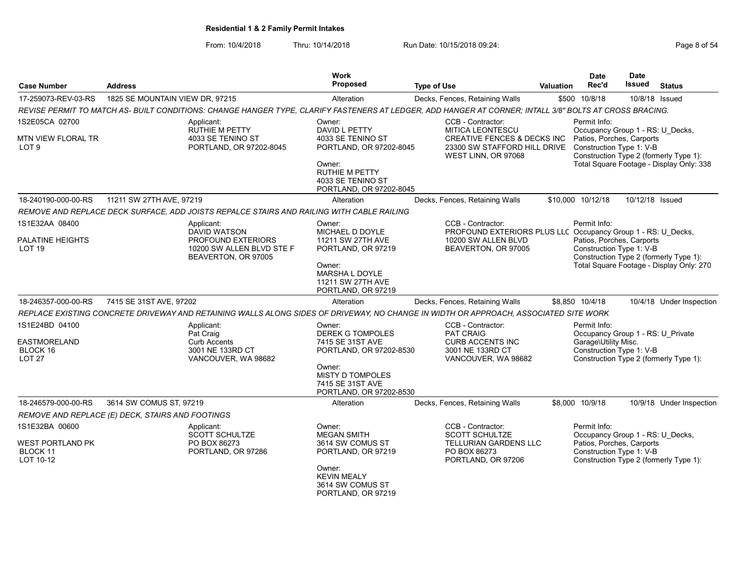| <b>Case Number</b>                            | <b>Address</b>                                                                                                                                          | <b>Work</b><br><b>Proposed</b>                                                                                        | <b>Type of Use</b>                                                                                                | Valuation | <b>Date</b><br>Rec'd                                                                      | <b>Date</b><br><b>Issued</b>           | <b>Status</b>                                                                      |
|-----------------------------------------------|---------------------------------------------------------------------------------------------------------------------------------------------------------|-----------------------------------------------------------------------------------------------------------------------|-------------------------------------------------------------------------------------------------------------------|-----------|-------------------------------------------------------------------------------------------|----------------------------------------|------------------------------------------------------------------------------------|
| 17-259073-REV-03-RS                           | 1825 SE MOUNTAIN VIEW DR, 97215                                                                                                                         | Alteration                                                                                                            | Decks, Fences, Retaining Walls                                                                                    |           | \$500 10/8/18                                                                             | 10/8/18 Issued                         |                                                                                    |
|                                               | REVISE PERMIT TO MATCH AS- BUILT CONDITIONS: CHANGE HANGER TYPE, CLARIFY FASTENERS AT LEDGER, ADD HANGER AT CORNER; INTALL 3/8" BOLTS AT CROSS BRACING. |                                                                                                                       |                                                                                                                   |           |                                                                                           |                                        |                                                                                    |
| 1S2E05CA 02700                                | Applicant:                                                                                                                                              | Owner:                                                                                                                | CCB - Contractor:                                                                                                 |           | Permit Info:                                                                              |                                        |                                                                                    |
| MTN VIEW FLORAL TR<br>LOT <sub>9</sub>        | <b>RUTHIE M PETTY</b><br>4033 SE TENINO ST<br>PORTLAND, OR 97202-8045                                                                                   | DAVID L PETTY<br>4033 SE TENINO ST<br>PORTLAND, OR 97202-8045                                                         | MITICA LEONTESCU<br><b>CREATIVE FENCES &amp; DECKS INC</b><br>23300 SW STAFFORD HILL DRIVE<br>WEST LINN, OR 97068 |           | Occupancy Group 1 - RS: U Decks,<br>Patios, Porches, Carports<br>Construction Type 1: V-B |                                        | Construction Type 2 (formerly Type 1):                                             |
|                                               |                                                                                                                                                         | Owner:<br><b>RUTHIE M PETTY</b><br>4033 SE TENINO ST<br>PORTLAND, OR 97202-8045                                       |                                                                                                                   |           |                                                                                           |                                        | Total Square Footage - Display Only: 338                                           |
| 18-240190-000-00-RS                           | 11211 SW 27TH AVE, 97219                                                                                                                                | Alteration                                                                                                            | Decks, Fences, Retaining Walls                                                                                    |           | \$10,000 10/12/18                                                                         | 10/12/18 Issued                        |                                                                                    |
|                                               | REMOVE AND REPLACE DECK SURFACE, ADD JOISTS REPALCE STAIRS AND RAILING WITH CABLE RAILING                                                               |                                                                                                                       |                                                                                                                   |           |                                                                                           |                                        |                                                                                    |
| 1S1E32AA 08400                                | Applicant:<br>DAVID WATSON                                                                                                                              | Owner:<br>MICHAEL D DOYLE                                                                                             | CCB - Contractor:<br>PROFOUND EXTERIORS PLUS LLC Occupancy Group 1 - RS: U Decks,                                 |           | Permit Info:                                                                              |                                        |                                                                                    |
| PALATINE HEIGHTS<br>LOT 19                    | PROFOUND EXTERIORS<br>10200 SW ALLEN BLVD STE F<br>BEAVERTON, OR 97005                                                                                  | 11211 SW 27TH AVE<br>PORTLAND, OR 97219<br>Owner:<br><b>MARSHA L DOYLE</b><br>11211 SW 27TH AVE<br>PORTLAND, OR 97219 | 10200 SW ALLEN BLVD<br>BEAVERTON, OR 97005                                                                        |           | Patios, Porches, Carports<br>Construction Type 1: V-B                                     |                                        | Construction Type 2 (formerly Type 1):<br>Total Square Footage - Display Only: 270 |
| 18-246357-000-00-RS                           | 7415 SE 31ST AVE, 97202                                                                                                                                 | Alteration                                                                                                            | Decks, Fences, Retaining Walls                                                                                    |           | \$8,850 10/4/18                                                                           |                                        | 10/4/18 Under Inspection                                                           |
|                                               | REPLACE EXISTING CONCRETE DRIVEWAY AND RETAINING WALLS ALONG SIDES OF DRIVEWAY, NO CHANGE IN WIDTH OR APPROACH, ASSOCIATED SITE WORK                    |                                                                                                                       |                                                                                                                   |           |                                                                                           |                                        |                                                                                    |
| 1S1E24BD 04100                                | Applicant:<br>Pat Craig                                                                                                                                 | Owner:<br><b>DEREK G TOMPOLES</b>                                                                                     | CCB - Contractor:<br><b>PAT CRAIG</b>                                                                             |           | Permit Info:<br>Occupancy Group 1 - RS: U Private                                         |                                        |                                                                                    |
| EASTMORELAND<br>BLOCK 16<br>LOT <sub>27</sub> | <b>Curb Accents</b><br>3001 NE 133RD CT<br>VANCOUVER, WA 98682                                                                                          | 7415 SE 31ST AVE<br>PORTLAND, OR 97202-8530                                                                           | <b>CURB ACCENTS INC</b><br>3001 NE 133RD CT<br>VANCOUVER, WA 98682                                                |           | Garage\Utility Misc.<br>Construction Type 1: V-B                                          |                                        | Construction Type 2 (formerly Type 1):                                             |
|                                               |                                                                                                                                                         | Owner:<br>MISTY D TOMPOLES<br>7415 SE 31ST AVE<br>PORTLAND, OR 97202-8530                                             |                                                                                                                   |           |                                                                                           |                                        |                                                                                    |
| 18-246579-000-00-RS                           | 3614 SW COMUS ST. 97219                                                                                                                                 | Alteration                                                                                                            | Decks, Fences, Retaining Walls                                                                                    |           | \$8,000 10/9/18                                                                           |                                        | 10/9/18 Under Inspection                                                           |
|                                               | REMOVE AND REPLACE (E) DECK, STAIRS AND FOOTINGS                                                                                                        |                                                                                                                       |                                                                                                                   |           |                                                                                           |                                        |                                                                                    |
| 1S1E32BA 00600                                | Applicant:<br><b>SCOTT SCHULTZE</b>                                                                                                                     | Owner:<br><b>MEGAN SMITH</b>                                                                                          | CCB - Contractor:<br><b>SCOTT SCHULTZE</b>                                                                        |           | Permit Info:<br>Occupancy Group 1 - RS: U Decks,                                          |                                        |                                                                                    |
| WEST PORTLAND PK<br>BLOCK 11<br>LOT 10-12     | PO BOX 86273<br>PORTLAND, OR 97286                                                                                                                      | 3614 SW COMUS ST<br>PORTLAND, OR 97219                                                                                | TELLURIAN GARDENS LLC<br>PO BOX 86273<br>PORTLAND, OR 97206                                                       |           | Patios, Porches, Carports<br>Construction Type 1: V-B                                     | Construction Type 2 (formerly Type 1): |                                                                                    |
|                                               |                                                                                                                                                         | Owner:<br><b>KEVIN MEALY</b><br>3614 SW COMUS ST<br>PORTLAND, OR 97219                                                |                                                                                                                   |           |                                                                                           |                                        |                                                                                    |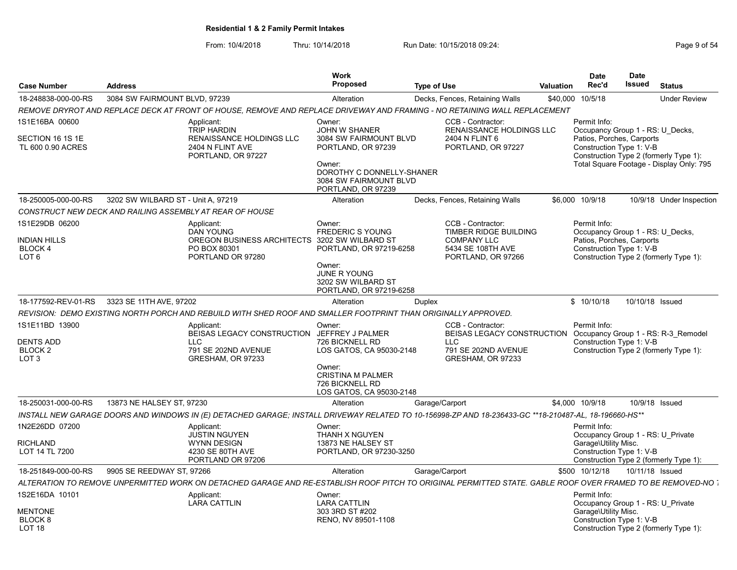| <b>Case Number</b>                                                          | <b>Address</b>                     |                                                                                                                                                             | <b>Work</b><br><b>Proposed</b>                                                                                                                                        | <b>Type of Use</b> |                                                                                                                  | Valuation | <b>Date</b><br>Rec'd                                                                                      | <b>Date</b><br><b>Issued</b> | <b>Status</b>                                                                      |
|-----------------------------------------------------------------------------|------------------------------------|-------------------------------------------------------------------------------------------------------------------------------------------------------------|-----------------------------------------------------------------------------------------------------------------------------------------------------------------------|--------------------|------------------------------------------------------------------------------------------------------------------|-----------|-----------------------------------------------------------------------------------------------------------|------------------------------|------------------------------------------------------------------------------------|
| 18-248838-000-00-RS                                                         | 3084 SW FAIRMOUNT BLVD, 97239      |                                                                                                                                                             | Alteration                                                                                                                                                            |                    | Decks, Fences, Retaining Walls                                                                                   |           | \$40,000 10/5/18                                                                                          |                              | <b>Under Review</b>                                                                |
|                                                                             |                                    | REMOVE DRYROT AND REPLACE DECK AT FRONT OF HOUSE. REMOVE AND REPLACE DRIVEWAY AND FRAMING - NO RETAINING WALL REPLACEMENT                                   |                                                                                                                                                                       |                    |                                                                                                                  |           |                                                                                                           |                              |                                                                                    |
| 1S1E16BA 00600<br>SECTION 16 1S 1E<br>TL 600 0.90 ACRES                     |                                    | Applicant:<br><b>TRIP HARDIN</b><br>RENAISSANCE HOLDINGS LLC<br>2404 N FLINT AVE<br>PORTLAND, OR 97227                                                      | Owner:<br><b>JOHN W SHANER</b><br>3084 SW FAIRMOUNT BLVD<br>PORTLAND, OR 97239<br>Owner:<br>DOROTHY C DONNELLY-SHANER<br>3084 SW FAIRMOUNT BLVD<br>PORTLAND, OR 97239 |                    | CCB - Contractor:<br><b>RENAISSANCE HOLDINGS LLC</b><br>2404 N FLINT 6<br>PORTLAND, OR 97227                     |           | Permit Info:<br>Occupancy Group 1 - RS: U Decks,<br>Patios, Porches, Carports<br>Construction Type 1: V-B |                              | Construction Type 2 (formerly Type 1):<br>Total Square Footage - Display Only: 795 |
| 18-250005-000-00-RS                                                         | 3202 SW WILBARD ST - Unit A, 97219 |                                                                                                                                                             | Alteration                                                                                                                                                            |                    | Decks, Fences, Retaining Walls                                                                                   |           | \$6,000 10/9/18                                                                                           |                              | 10/9/18 Under Inspection                                                           |
|                                                                             |                                    | CONSTRUCT NEW DECK AND RAILING ASSEMBLY AT REAR OF HOUSE                                                                                                    |                                                                                                                                                                       |                    |                                                                                                                  |           |                                                                                                           |                              |                                                                                    |
| 1S1E29DB 06200<br><b>NDIAN HILLS</b><br><b>BLOCK4</b><br>LOT 6              |                                    | Applicant:<br><b>DAN YOUNG</b><br>OREGON BUSINESS ARCHITECTS 3202 SW WILBARD ST<br>PO BOX 80301<br>PORTLAND OR 97280                                        | Owner:<br><b>FREDERIC S YOUNG</b><br>PORTLAND, OR 97219-6258<br>Owner:<br>JUNE R YOUNG<br>3202 SW WILBARD ST<br>PORTLAND, OR 97219-6258                               |                    | CCB - Contractor:<br>TIMBER RIDGE BUILDING<br><b>COMPANY LLC</b><br>5434 SE 108TH AVE<br>PORTLAND, OR 97266      |           | Permit Info:<br>Occupancy Group 1 - RS: U Decks,<br>Patios, Porches, Carports<br>Construction Type 1: V-B |                              | Construction Type 2 (formerly Type 1):                                             |
| 18-177592-REV-01-RS                                                         | 3323 SE 11TH AVE, 97202            |                                                                                                                                                             | Alteration                                                                                                                                                            | Duplex             |                                                                                                                  |           | \$10/10/18                                                                                                | 10/10/18 Issued              |                                                                                    |
|                                                                             |                                    | REVISION: DEMO EXISTING NORTH PORCH AND REBUILD WITH SHED ROOF AND SMALLER FOOTPRINT THAN ORIGINALLY APPROVED.                                              |                                                                                                                                                                       |                    |                                                                                                                  |           |                                                                                                           |                              |                                                                                    |
| 1S1E11BD 13900<br>DENTS ADD<br>BLOCK 2<br>LOT <sub>3</sub>                  |                                    | Applicant:<br>BEISAS LEGACY CONSTRUCTION JEFFREY J PALMER<br><b>LLC</b><br>791 SE 202ND AVENUE<br>GRESHAM, OR 97233                                         | Owner:<br>726 BICKNELL RD<br>LOS GATOS, CA 95030-2148<br>Owner:<br><b>CRISTINA M PALMER</b><br>726 BICKNELL RD<br>LOS GATOS, CA 95030-2148                            |                    | CCB - Contractor:<br><b>BEISAS LEGACY CONSTRUCTION</b><br><b>LLC</b><br>791 SE 202ND AVENUE<br>GRESHAM, OR 97233 |           | Permit Info:<br>Construction Type 1: V-B                                                                  |                              | Occupancy Group 1 - RS: R-3_Remodel<br>Construction Type 2 (formerly Type 1):      |
| 18-250031-000-00-RS                                                         | 13873 NE HALSEY ST, 97230          |                                                                                                                                                             | Alteration                                                                                                                                                            | Garage/Carport     |                                                                                                                  |           | \$4.000 10/9/18                                                                                           |                              | 10/9/18 Issued                                                                     |
|                                                                             |                                    | INSTALL NEW GARAGE DOORS AND WINDOWS IN (E) DETACHED GARAGE; INSTALL DRIVEWAY RELATED TO 10-156998-ZP AND 18-236433-GC **18-210487-AL, 18-196660-HS**       |                                                                                                                                                                       |                    |                                                                                                                  |           |                                                                                                           |                              |                                                                                    |
| 1N2E26DD 07200<br>RICHLAND<br>LOT 14 TL 7200                                |                                    | Applicant:<br><b>JUSTIN NGUYEN</b><br><b>WYNN DESIGN</b><br>4230 SE 80TH AVE<br>PORTLAND OR 97206                                                           | Owner:<br>THANH X NGUYEN<br>13873 NE HALSEY ST<br>PORTLAND, OR 97230-3250                                                                                             |                    |                                                                                                                  |           | Permit Info:<br>Occupancy Group 1 - RS: U Private<br>Garage\Utility Misc.<br>Construction Type 1: V-B     |                              | Construction Type 2 (formerly Type 1):                                             |
| 18-251849-000-00-RS                                                         | 9905 SE REEDWAY ST. 97266          |                                                                                                                                                             | Alteration                                                                                                                                                            | Garage/Carport     |                                                                                                                  |           | \$500 10/12/18                                                                                            | 10/11/18 Issued              |                                                                                    |
|                                                                             |                                    | ALTERATION TO REMOVE UNPERMITTED WORK ON DETACHED GARAGE AND RE-ESTABLISH ROOF PITCH TO ORIGINAL PERMITTED STATE. GABLE ROOF OVER FRAMED TO BE REMOVED-NO . |                                                                                                                                                                       |                    |                                                                                                                  |           |                                                                                                           |                              |                                                                                    |
| 1S2E16DA 10101<br><b>MENTONE</b><br>BLOCK <sub>8</sub><br>LOT <sub>18</sub> |                                    | Applicant:<br><b>LARA CATTLIN</b>                                                                                                                           | Owner:<br>LARA CATTLIN<br>303 3RD ST #202<br>RENO, NV 89501-1108                                                                                                      |                    |                                                                                                                  |           | Permit Info:<br>Occupancy Group 1 - RS: U_Private<br>Garage\Utility Misc.<br>Construction Type 1: V-B     |                              | Construction Type 2 (formerly Type 1):                                             |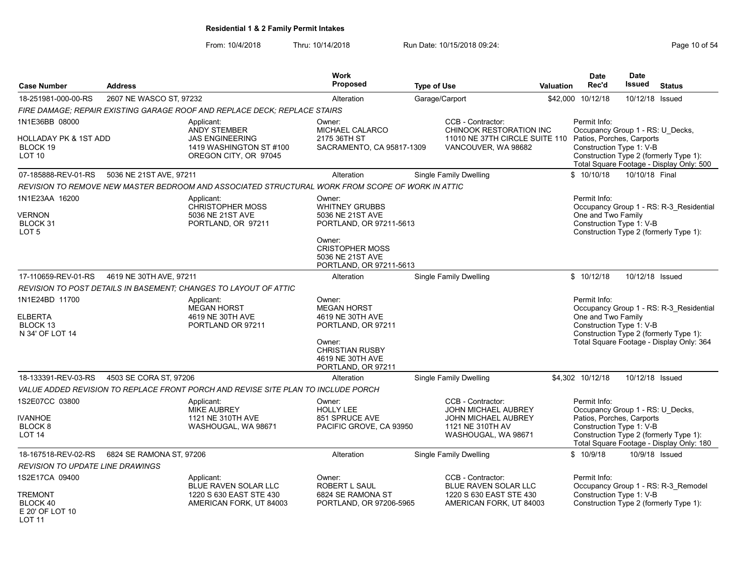From: 10/4/2018 Thru: 10/14/2018 Run Date: 10/15/2018 09:24:<br>From: 10/4/2018 Page 10 of 54

| <b>Case Number</b>                                                                   | <b>Address</b>           |                                                                                                   | <b>Work</b><br>Proposed                                                                                                                                           | <b>Type of Use</b>                                                                                                       | <b>Valuation</b> | <b>Date</b><br>Rec'd                                                                                      | <b>Date</b><br>Issued | <b>Status</b>                                                                                                                 |
|--------------------------------------------------------------------------------------|--------------------------|---------------------------------------------------------------------------------------------------|-------------------------------------------------------------------------------------------------------------------------------------------------------------------|--------------------------------------------------------------------------------------------------------------------------|------------------|-----------------------------------------------------------------------------------------------------------|-----------------------|-------------------------------------------------------------------------------------------------------------------------------|
| 18-251981-000-00-RS                                                                  | 2607 NE WASCO ST, 97232  |                                                                                                   | Alteration                                                                                                                                                        | Garage/Carport                                                                                                           | \$42.000         | 10/12/18                                                                                                  | 10/12/18 Issued       |                                                                                                                               |
|                                                                                      |                          | FIRE DAMAGE: REPAIR EXISTING GARAGE ROOF AND REPLACE DECK: REPLACE STAIRS                         |                                                                                                                                                                   |                                                                                                                          |                  |                                                                                                           |                       |                                                                                                                               |
| 1N1E36BB 08000                                                                       |                          | Applicant:                                                                                        | Owner:                                                                                                                                                            | CCB - Contractor:                                                                                                        |                  | Permit Info:                                                                                              |                       |                                                                                                                               |
| <b>HOLLADAY PK &amp; 1ST ADD</b><br>BLOCK 19<br>LOT <sub>10</sub>                    |                          | <b>ANDY STEMBER</b><br><b>JAS ENGINEERING</b><br>1419 WASHINGTON ST #100<br>OREGON CITY, OR 97045 | MICHAEL CALARCO<br>2175 36TH ST<br>SACRAMENTO, CA 95817-1309                                                                                                      | CHINOOK RESTORATION INC<br>11010 NE 37TH CIRCLE SUITE 110<br>VANCOUVER, WA 98682                                         |                  | Occupancy Group 1 - RS: U_Decks,<br>Patios, Porches, Carports<br>Construction Type 1: V-B                 |                       | Construction Type 2 (formerly Type 1):<br>Total Square Footage - Display Only: 500                                            |
| 07-185888-REV-01-RS                                                                  | 5036 NE 21ST AVE, 97211  |                                                                                                   | Alteration                                                                                                                                                        | Single Family Dwelling                                                                                                   |                  | \$10/10/18                                                                                                | 10/10/18 Final        |                                                                                                                               |
|                                                                                      |                          | REVISION TO REMOVE NEW MASTER BEDROOM AND ASSOCIATED STRUCTURAL WORK FROM SCOPE OF WORK IN ATTIC  |                                                                                                                                                                   |                                                                                                                          |                  |                                                                                                           |                       |                                                                                                                               |
| 1N1E23AA 16200<br><b>VERNON</b><br>BLOCK 31<br>LOT <sub>5</sub>                      |                          | Applicant:<br><b>CHRISTOPHER MOSS</b><br>5036 NE 21ST AVE<br>PORTLAND, OR 97211                   | Owner:<br><b>WHITNEY GRUBBS</b><br>5036 NE 21ST AVE<br>PORTLAND, OR 97211-5613<br>Owner:<br><b>CRISTOPHER MOSS</b><br>5036 NE 21ST AVE<br>PORTLAND, OR 97211-5613 |                                                                                                                          |                  | Permit Info:<br>One and Two Family<br>Construction Type 1: V-B                                            |                       | Occupancy Group 1 - RS: R-3 Residential<br>Construction Type 2 (formerly Type 1):                                             |
| 17-110659-REV-01-RS                                                                  | 4619 NE 30TH AVE, 97211  |                                                                                                   | Alteration                                                                                                                                                        | Single Family Dwelling                                                                                                   |                  | \$10/12/18                                                                                                | 10/12/18 Issued       |                                                                                                                               |
|                                                                                      |                          | REVISION TO POST DETAILS IN BASEMENT: CHANGES TO LAYOUT OF ATTIC                                  |                                                                                                                                                                   |                                                                                                                          |                  |                                                                                                           |                       |                                                                                                                               |
| 1N1E24BD 11700<br><b>ELBERTA</b><br>BLOCK <sub>13</sub><br>N 34' OF LOT 14           |                          | Applicant:<br><b>MEGAN HORST</b><br>4619 NE 30TH AVE<br>PORTLAND OR 97211                         | Owner:<br><b>MEGAN HORST</b><br>4619 NE 30TH AVE<br>PORTLAND, OR 97211<br>Owner:<br><b>CHRISTIAN RUSBY</b><br>4619 NE 30TH AVE<br>PORTLAND, OR 97211              |                                                                                                                          |                  | Permit Info:<br>One and Two Family<br>Construction Type 1: V-B                                            |                       | Occupancy Group 1 - RS: R-3 Residential<br>Construction Type 2 (formerly Type 1):<br>Total Square Footage - Display Only: 364 |
| 18-133391-REV-03-RS                                                                  | 4503 SE CORA ST, 97206   |                                                                                                   | Alteration                                                                                                                                                        | <b>Single Family Dwelling</b>                                                                                            |                  | \$4,302 10/12/18                                                                                          | 10/12/18 Issued       |                                                                                                                               |
|                                                                                      |                          | VALUE ADDED REVISION TO REPLACE FRONT PORCH AND REVISE SITE PLAN TO INCLUDE PORCH                 |                                                                                                                                                                   |                                                                                                                          |                  |                                                                                                           |                       |                                                                                                                               |
| 1S2E07CC 03800<br><b>IVANHOE</b><br>BLOCK <sub>8</sub><br><b>LOT 14</b>              |                          | Applicant:<br><b>MIKE AUBREY</b><br>1121 NE 310TH AVE<br>WASHOUGAL, WA 98671                      | Owner:<br><b>HOLLY LEE</b><br>851 SPRUCE AVE<br>PACIFIC GROVE, CA 93950                                                                                           | CCB - Contractor:<br><b>JOHN MICHAEL AUBREY</b><br><b>JOHN MICHAEL AUBREY</b><br>1121 NE 310TH AV<br>WASHOUGAL, WA 98671 |                  | Permit Info:<br>Occupancy Group 1 - RS: U Decks,<br>Patios, Porches, Carports<br>Construction Type 1: V-B |                       | Construction Type 2 (formerly Type 1):<br>Total Square Footage - Display Only: 180                                            |
| 18-167518-REV-02-RS                                                                  | 6824 SE RAMONA ST, 97206 |                                                                                                   | Alteration                                                                                                                                                        | <b>Single Family Dwelling</b>                                                                                            |                  | \$10/9/18                                                                                                 |                       | 10/9/18 Issued                                                                                                                |
| <b>REVISION TO UPDATE LINE DRAWINGS</b>                                              |                          |                                                                                                   |                                                                                                                                                                   |                                                                                                                          |                  |                                                                                                           |                       |                                                                                                                               |
| 1S2E17CA 09400<br><b>TREMONT</b><br>BLOCK 40<br>E 20' OF LOT 10<br>LOT <sub>11</sub> |                          | Applicant:<br>BLUE RAVEN SOLAR LLC<br>1220 S 630 EAST STE 430<br>AMERICAN FORK, UT 84003          | Owner:<br>ROBERT L SAUL<br>6824 SE RAMONA ST<br>PORTLAND, OR 97206-5965                                                                                           | CCB - Contractor:<br>BLUE RAVEN SOLAR LLC<br>1220 S 630 EAST STE 430<br>AMERICAN FORK, UT 84003                          |                  | Permit Info:<br>Construction Type 1: V-B                                                                  |                       | Occupancy Group 1 - RS: R-3 Remodel<br>Construction Type 2 (formerly Type 1):                                                 |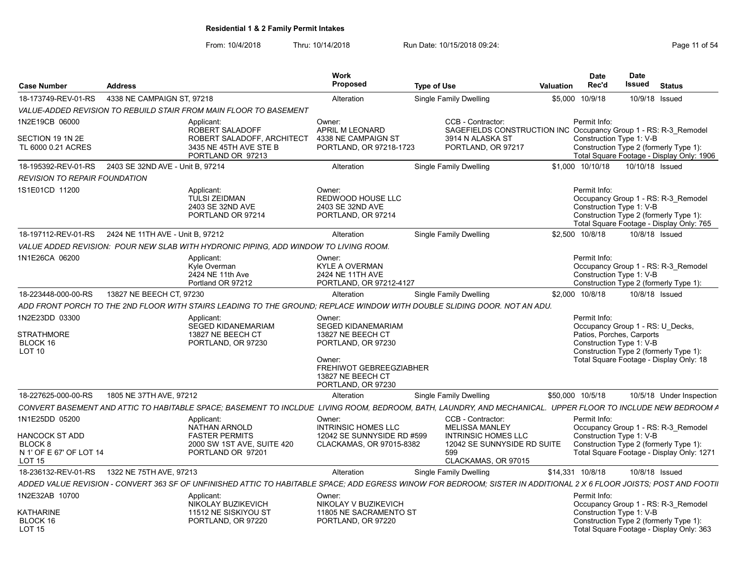| <b>Case Number</b>                                                                      | <b>Address</b>                                        |                                                                                                                                                                      | Work<br>Proposed                                                                                                                                               | <b>Type of Use</b>                                                                                                                    | Valuation        | <b>Date</b><br>Rec'd | <b>Date</b><br>Issued<br>Status                                                                                                                                                |                          |
|-----------------------------------------------------------------------------------------|-------------------------------------------------------|----------------------------------------------------------------------------------------------------------------------------------------------------------------------|----------------------------------------------------------------------------------------------------------------------------------------------------------------|---------------------------------------------------------------------------------------------------------------------------------------|------------------|----------------------|--------------------------------------------------------------------------------------------------------------------------------------------------------------------------------|--------------------------|
| 18-173749-REV-01-RS                                                                     | 4338 NE CAMPAIGN ST. 97218                            |                                                                                                                                                                      | Alteration                                                                                                                                                     | Single Family Dwelling                                                                                                                |                  | \$5,000 10/9/18      | 10/9/18 Issued                                                                                                                                                                 |                          |
|                                                                                         |                                                       | VALUE-ADDED REVISION TO REBUILD STAIR FROM MAIN FLOOR TO BASEMENT                                                                                                    |                                                                                                                                                                |                                                                                                                                       |                  |                      |                                                                                                                                                                                |                          |
| 1N2E19CB 06000<br>SECTION 19 1N 2E<br>TL 6000 0.21 ACRES                                |                                                       | Applicant:<br>ROBERT SALADOFF<br>ROBERT SALADOFF, ARCHITECT<br>3435 NE 45TH AVE STE B<br>PORTLAND OR 97213                                                           | Owner:<br>APRIL M LEONARD<br>4338 NE CAMPAIGN ST<br>PORTLAND, OR 97218-1723                                                                                    | CCB - Contractor:<br>SAGEFIELDS CONSTRUCTION INC Occupancy Group 1 - RS: R-3 Remodel<br>3914 N ALASKA ST<br>PORTLAND, OR 97217        |                  | Permit Info:         | Construction Type 1: V-B<br>Construction Type 2 (formerly Type 1):<br>Total Square Footage - Display Only: 1906                                                                |                          |
|                                                                                         | 18-195392-REV-01-RS 2403 SE 32ND AVE - Unit B. 97214  |                                                                                                                                                                      | Alteration                                                                                                                                                     | <b>Single Family Dwelling</b>                                                                                                         |                  | \$1,000 10/10/18     | 10/10/18 Issued                                                                                                                                                                |                          |
| <b>REVISION TO REPAIR FOUNDATION</b>                                                    |                                                       |                                                                                                                                                                      |                                                                                                                                                                |                                                                                                                                       |                  |                      |                                                                                                                                                                                |                          |
| 1S1E01CD 11200                                                                          |                                                       | Applicant:<br><b>TULSI ZEIDMAN</b><br>2403 SE 32ND AVE<br>PORTLAND OR 97214                                                                                          | Owner:<br><b>REDWOOD HOUSE LLC</b><br>2403 SE 32ND AVE<br>PORTLAND, OR 97214                                                                                   |                                                                                                                                       |                  | Permit Info:         | Occupancy Group 1 - RS: R-3 Remodel<br>Construction Type 1: V-B<br>Construction Type 2 (formerly Type 1):<br>Total Square Footage - Display Only: 765                          |                          |
|                                                                                         | 18-197112-REV-01-RS  2424 NE 11TH AVE - Unit B, 97212 |                                                                                                                                                                      | Alteration                                                                                                                                                     | Single Family Dwelling                                                                                                                |                  | \$2,500 10/8/18      | 10/8/18 Issued                                                                                                                                                                 |                          |
|                                                                                         |                                                       | VALUE ADDED REVISION: POUR NEW SLAB WITH HYDRONIC PIPING, ADD WINDOW TO LIVING ROOM.                                                                                 |                                                                                                                                                                |                                                                                                                                       |                  |                      |                                                                                                                                                                                |                          |
| 1N1E26CA 06200                                                                          |                                                       | Applicant:<br>Kyle Overman<br>2424 NE 11th Ave<br>Portland OR 97212                                                                                                  | Owner:<br>KYLE A OVERMAN<br>2424 NE 11TH AVE<br>PORTLAND, OR 97212-4127                                                                                        |                                                                                                                                       |                  | Permit Info:         | Occupancy Group 1 - RS: R-3 Remodel<br>Construction Type 1: V-B<br>Construction Type 2 (formerly Type 1):                                                                      |                          |
| 18-223448-000-00-RS                                                                     | 13827 NE BEECH CT. 97230                              |                                                                                                                                                                      | Alteration                                                                                                                                                     | Single Family Dwelling                                                                                                                |                  | \$2,000 10/8/18      | 10/8/18 Issued                                                                                                                                                                 |                          |
|                                                                                         |                                                       | ADD FRONT PORCH TO THE 2ND FLOOR WITH STAIRS LEADING TO THE GROUND: REPLACE WINDOW WITH DOUBLE SLIDING DOOR. NOT AN ADU.                                             |                                                                                                                                                                |                                                                                                                                       |                  |                      |                                                                                                                                                                                |                          |
| 1N2E23DD 03300<br><b>STRATHMORE</b><br>BLOCK 16<br><b>LOT 10</b><br>18-227625-000-00-RS | 1805 NE 37TH AVE, 97212                               | Applicant:<br><b>SEGED KIDANEMARIAM</b><br>13827 NE BEECH CT<br>PORTLAND, OR 97230                                                                                   | Owner:<br><b>SEGED KIDANEMARIAM</b><br>13827 NE BEECH CT<br>PORTLAND, OR 97230<br>Owner:<br>FREHIWOT GEBREEGZIABHER<br>13827 NE BEECH CT<br>PORTLAND, OR 97230 |                                                                                                                                       | \$50,000 10/5/18 | Permit Info:         | Occupancy Group 1 - RS: U Decks,<br>Patios, Porches, Carports<br>Construction Type 1: V-B<br>Construction Type 2 (formerly Type 1):<br>Total Square Footage - Display Only: 18 |                          |
|                                                                                         |                                                       |                                                                                                                                                                      | Alteration                                                                                                                                                     | <b>Single Family Dwelling</b>                                                                                                         |                  |                      |                                                                                                                                                                                | 10/5/18 Under Inspection |
|                                                                                         |                                                       | CONVERT BASEMENT AND ATTIC TO HABITABLE SPACE: BASEMENT TO INCLDUE LIVING ROOM. BEDROOM. BATH. LAUNDRY, AND MECHANICAL. UPPER FLOOR TO INCLUDE NEW BEDROOM A         |                                                                                                                                                                |                                                                                                                                       |                  |                      |                                                                                                                                                                                |                          |
| 1N1E25DD 05200<br>HANCOCK ST ADD<br>BLOCK 8<br>N 1' OF E 67' OF LOT 14<br><b>LOT 15</b> |                                                       | Applicant:<br><b>NATHAN ARNOLD</b><br><b>FASTER PERMITS</b><br>2000 SW 1ST AVE, SUITE 420<br>PORTLAND OR 97201                                                       | Owner:<br><b>INTRINSIC HOMES LLC</b><br>12042 SE SUNNYSIDE RD #599<br>CLACKAMAS, OR 97015-8382                                                                 | CCB - Contractor:<br><b>MELISSA MANLEY</b><br><b>INTRINSIC HOMES LLC</b><br>12042 SE SUNNYSIDE RD SUITE<br>599<br>CLACKAMAS, OR 97015 |                  | Permit Info:         | Occupancy Group 1 - RS: R-3 Remodel<br>Construction Type 1: V-B<br>Construction Type 2 (formerly Type 1):<br>Total Square Footage - Display Only: 1271                         |                          |
|                                                                                         |                                                       |                                                                                                                                                                      | Alteration                                                                                                                                                     | <b>Single Family Dwelling</b>                                                                                                         | \$14,331 10/8/18 |                      | 10/8/18 Issued                                                                                                                                                                 |                          |
|                                                                                         |                                                       | ADDED VALUE REVISION - CONVERT 363 SF OF UNFINISHED ATTIC TO HABITABLE SPACE; ADD EGRESS WINOW FOR BEDROOM; SISTER IN ADDITIONAL 2 X 6 FLOOR JOISTS; POST AND FOOTII |                                                                                                                                                                |                                                                                                                                       |                  |                      |                                                                                                                                                                                |                          |
| 1N2E32AB 10700<br><b>KATHARINE</b><br>BLOCK 16<br>LOT <sub>15</sub>                     |                                                       | Applicant:<br>NIKOLAY BUZIKEVICH<br>11512 NE SISKIYOU ST<br>PORTLAND, OR 97220                                                                                       | Owner:<br>NIKOLAY V BUZIKEVICH<br>11805 NE SACRAMENTO ST<br>PORTLAND, OR 97220                                                                                 |                                                                                                                                       |                  | Permit Info:         | Occupancy Group 1 - RS: R-3 Remodel<br>Construction Type 1: V-B<br>Construction Type 2 (formerly Type 1):<br>Total Square Footage - Display Only: 363                          |                          |
|                                                                                         |                                                       |                                                                                                                                                                      |                                                                                                                                                                |                                                                                                                                       |                  |                      |                                                                                                                                                                                |                          |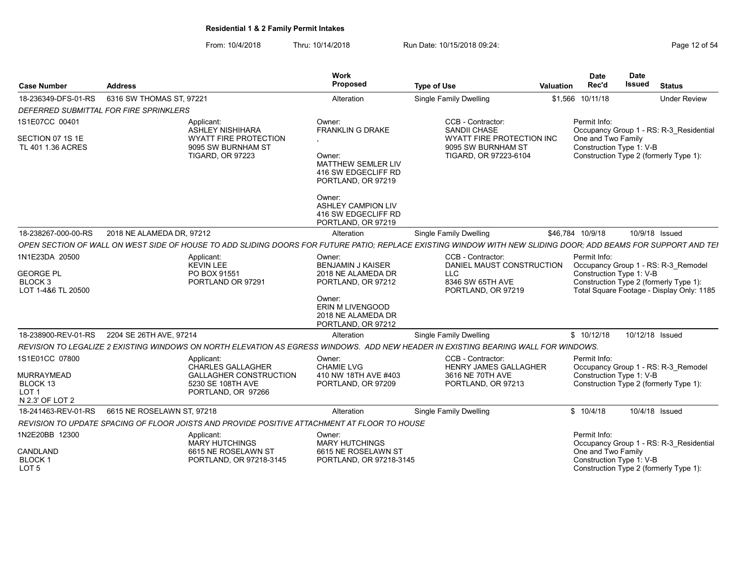| <b>Case Number</b>                       | <b>Address</b>                              |                                                                                              | <b>Work</b><br>Proposed                                                          | <b>Type of Use</b>                                                                                                                                             | Valuation | <b>Date</b><br>Rec'd                     | <b>Date</b><br>Issued | <b>Status</b>                                                                       |
|------------------------------------------|---------------------------------------------|----------------------------------------------------------------------------------------------|----------------------------------------------------------------------------------|----------------------------------------------------------------------------------------------------------------------------------------------------------------|-----------|------------------------------------------|-----------------------|-------------------------------------------------------------------------------------|
| 18-236349-DFS-01-RS                      | 6316 SW THOMAS ST, 97221                    |                                                                                              | Alteration                                                                       | Single Family Dwelling                                                                                                                                         |           | \$1,566 10/11/18                         |                       | <b>Under Review</b>                                                                 |
|                                          | DEFERRED SUBMITTAL FOR FIRE SPRINKLERS      |                                                                                              |                                                                                  |                                                                                                                                                                |           |                                          |                       |                                                                                     |
| 1S1E07CC 00401<br>SECTION 07 1S 1E       |                                             | Applicant:<br><b>ASHLEY NISHIHARA</b><br><b>WYATT FIRE PROTECTION</b>                        | Owner:<br><b>FRANKLIN G DRAKE</b>                                                | CCB - Contractor:<br>SANDII CHASE<br>WYATT FIRE PROTECTION INC                                                                                                 |           | Permit Info:<br>One and Two Family       |                       | Occupancy Group 1 - RS: R-3 Residential                                             |
| TL 401 1.36 ACRES                        |                                             | 9095 SW BURNHAM ST<br><b>TIGARD, OR 97223</b>                                                | Owner:<br>MATTHEW SEMLER LIV<br>416 SW EDGECLIFF RD<br>PORTLAND, OR 97219        | 9095 SW BURNHAM ST<br>TIGARD, OR 97223-6104                                                                                                                    |           | Construction Type 1: V-B                 |                       | Construction Type 2 (formerly Type 1):                                              |
|                                          |                                             |                                                                                              | Owner:<br><b>ASHLEY CAMPION LIV</b><br>416 SW EDGECLIFF RD<br>PORTLAND, OR 97219 |                                                                                                                                                                |           |                                          |                       |                                                                                     |
| 18-238267-000-00-RS                      | 2018 NE ALAMEDA DR, 97212                   |                                                                                              | Alteration                                                                       | Single Family Dwelling                                                                                                                                         |           | \$46,784 10/9/18                         |                       | 10/9/18 Issued                                                                      |
|                                          |                                             |                                                                                              |                                                                                  | OPEN SECTION OF WALL ON WEST SIDE OF HOUSE TO ADD SLIDING DOORS FOR FUTURE PATIO: REPLACE EXISTING WINDOW WITH NEW SLIDING DOOR: ADD BEAMS FOR SUPPORT AND TEI |           |                                          |                       |                                                                                     |
| 1N1E23DA 20500<br><b>GEORGE PL</b>       |                                             | Applicant:<br><b>KEVIN LEE</b><br>PO BOX 91551                                               | Owner:<br><b>BENJAMIN J KAISER</b><br>2018 NE ALAMEDA DR                         | CCB - Contractor:<br>DANIEL MAUST CONSTRUCTION<br><b>LLC</b>                                                                                                   |           | Permit Info:<br>Construction Type 1: V-B |                       | Occupancy Group 1 - RS: R-3 Remodel                                                 |
| BLOCK <sub>3</sub><br>LOT 1-4&6 TL 20500 |                                             | PORTLAND OR 97291                                                                            | PORTLAND, OR 97212                                                               | 8346 SW 65TH AVE<br>PORTLAND, OR 97219                                                                                                                         |           |                                          |                       | Construction Type 2 (formerly Type 1):<br>Total Square Footage - Display Only: 1185 |
|                                          |                                             |                                                                                              | Owner:<br><b>ERIN M LIVENGOOD</b><br>2018 NE ALAMEDA DR<br>PORTLAND, OR 97212    |                                                                                                                                                                |           |                                          |                       |                                                                                     |
|                                          | 18-238900-REV-01-RS 2204 SE 26TH AVE, 97214 |                                                                                              | Alteration                                                                       | <b>Single Family Dwelling</b>                                                                                                                                  |           | \$10/12/18                               |                       | 10/12/18 Issued                                                                     |
|                                          |                                             |                                                                                              |                                                                                  | REVISION TO LEGALIZE 2 EXISTING WINDOWS ON NORTH ELEVATION AS EGRESS WINDOWS. ADD NEW HEADER IN EXISTING BEARING WALL FOR WINDOWS.                             |           |                                          |                       |                                                                                     |
| 1S1E01CC 07800                           |                                             | Applicant:<br><b>CHARLES GALLAGHER</b>                                                       | Owner:<br><b>CHAMIE LVG</b>                                                      | CCB - Contractor:<br><b>HENRY JAMES GALLAGHER</b>                                                                                                              |           | Permit Info:                             |                       | Occupancy Group 1 - RS: R-3 Remodel                                                 |
| <b>MURRAYMEAD</b>                        |                                             | <b>GALLAGHER CONSTRUCTION</b>                                                                | 410 NW 18TH AVE #403                                                             | 3616 NE 70TH AVE                                                                                                                                               |           | Construction Type 1: V-B                 |                       |                                                                                     |
| BLOCK 13<br>LOT <sub>1</sub>             |                                             | 5230 SE 108TH AVE<br>PORTLAND, OR 97266                                                      | PORTLAND, OR 97209                                                               | PORTLAND, OR 97213                                                                                                                                             |           |                                          |                       | Construction Type 2 (formerly Type 1):                                              |
| N 2.3' OF LOT 2                          |                                             |                                                                                              |                                                                                  |                                                                                                                                                                |           |                                          |                       |                                                                                     |
| 18-241463-REV-01-RS                      | 6615 NE ROSELAWN ST. 97218                  |                                                                                              | Alteration                                                                       | Single Family Dwelling                                                                                                                                         |           | \$10/4/18                                |                       | 10/4/18 Issued                                                                      |
|                                          |                                             | REVISION TO UPDATE SPACING OF FLOOR JOISTS AND PROVIDE POSITIVE ATTACHMENT AT FLOOR TO HOUSE |                                                                                  |                                                                                                                                                                |           |                                          |                       |                                                                                     |
| 1N2E20BB 12300                           |                                             | Applicant:<br>MARY HUTCHINGS                                                                 | Owner:<br><b>MARY HUTCHINGS</b>                                                  |                                                                                                                                                                |           | Permit Info:                             |                       | Occupancy Group 1 - RS: R-3_Residential                                             |
| CANDLAND                                 |                                             | 6615 NE ROSELAWN ST                                                                          | 6615 NE ROSELAWN ST                                                              |                                                                                                                                                                |           | One and Two Family                       |                       |                                                                                     |
| BLOCK <sub>1</sub><br>LOT <sub>5</sub>   |                                             | PORTLAND, OR 97218-3145                                                                      | PORTLAND, OR 97218-3145                                                          |                                                                                                                                                                |           | Construction Type 1: V-B                 |                       | Construction Type 2 (formerly Type 1):                                              |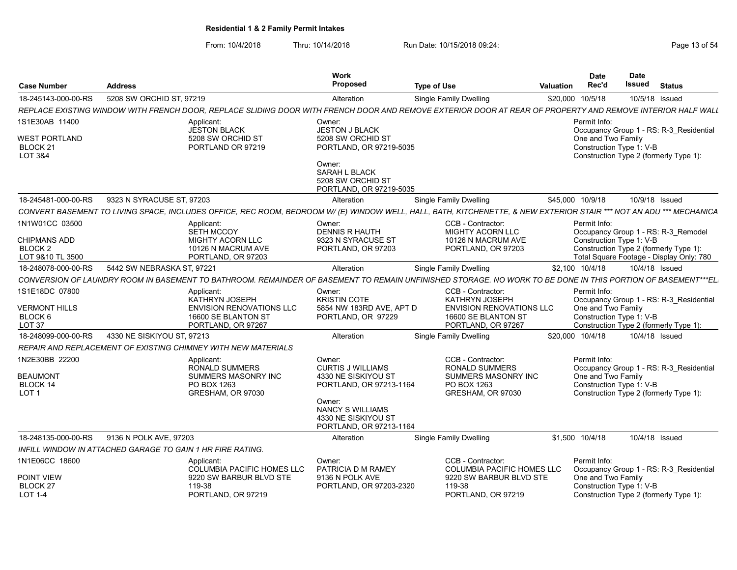From: 10/4/2018 Thru: 10/14/2018 Run Date: 10/15/2018 09:24:<br>From: 10/4/2018 Page 13 of 54

|                                           |                                                            |                                                                                                                                                                    | Work                                                                                |                                                              |                  | <b>Date</b>                                    | <b>Date</b>   |                                          |
|-------------------------------------------|------------------------------------------------------------|--------------------------------------------------------------------------------------------------------------------------------------------------------------------|-------------------------------------------------------------------------------------|--------------------------------------------------------------|------------------|------------------------------------------------|---------------|------------------------------------------|
| <b>Case Number</b>                        | <b>Address</b>                                             |                                                                                                                                                                    | <b>Proposed</b>                                                                     | <b>Type of Use</b>                                           | <b>Valuation</b> | Rec'd                                          | <b>Issued</b> | <b>Status</b>                            |
| 18-245143-000-00-RS                       | 5208 SW ORCHID ST, 97219                                   |                                                                                                                                                                    | Alteration                                                                          | Single Family Dwelling                                       | \$20,000         | 10/5/18                                        |               | 10/5/18 Issued                           |
|                                           |                                                            | REPLACE EXISTING WINDOW WITH FRENCH DOOR, REPLACE SLIDING DOOR WITH FRENCH DOOR AND REMOVE EXTERIOR DOOR AT REAR OF PROPERTY AND REMOVE INTERIOR HALF WALL         |                                                                                     |                                                              |                  |                                                |               |                                          |
| 1S1E30AB 11400                            |                                                            | Applicant:<br><b>JESTON BLACK</b>                                                                                                                                  | Owner:                                                                              |                                                              |                  | Permit Info:                                   |               |                                          |
| <b>WEST PORTLAND</b>                      |                                                            | 5208 SW ORCHID ST                                                                                                                                                  | <b>JESTON J BLACK</b><br>5208 SW ORCHID ST                                          |                                                              |                  | One and Two Family                             |               | Occupancy Group 1 - RS: R-3 Residential  |
| BLOCK <sub>21</sub><br><b>LOT 3&amp;4</b> |                                                            | PORTLAND OR 97219                                                                                                                                                  | PORTLAND, OR 97219-5035                                                             |                                                              |                  | Construction Type 1: V-B                       |               | Construction Type 2 (formerly Type 1):   |
|                                           |                                                            |                                                                                                                                                                    | Owner:<br><b>SARAH L BLACK</b><br>5208 SW ORCHID ST<br>PORTLAND, OR 97219-5035      |                                                              |                  |                                                |               |                                          |
| 18-245481-000-00-RS                       | 9323 N SYRACUSE ST, 97203                                  |                                                                                                                                                                    | Alteration                                                                          | <b>Single Family Dwelling</b>                                |                  | \$45,000 10/9/18                               |               | 10/9/18 Issued                           |
|                                           |                                                            | CONVERT BASEMENT TO LIVING SPACE, INCLUDES OFFICE, REC ROOM, BEDROOM W/(E) WINDOW WELL, HALL, BATH, KITCHENETTE, & NEW EXTERIOR STAIR *** NOT AN ADU *** MECHANICA |                                                                                     |                                                              |                  |                                                |               |                                          |
| 1N1W01CC 03500                            |                                                            | Applicant:                                                                                                                                                         | Owner:                                                                              | CCB - Contractor:                                            |                  | Permit Info:                                   |               |                                          |
| <b>CHIPMANS ADD</b>                       |                                                            | <b>SETH MCCOY</b><br><b>MIGHTY ACORN LLC</b>                                                                                                                       | <b>DENNIS R HAUTH</b><br>9323 N SYRACUSE ST                                         | <b>MIGHTY ACORN LLC</b><br>10126 N MACRUM AVE                |                  | Construction Type 1: V-B                       |               | Occupancy Group 1 - RS: R-3_Remodel      |
| BLOCK <sub>2</sub>                        |                                                            | 10126 N MACRUM AVE                                                                                                                                                 | PORTLAND, OR 97203                                                                  | PORTLAND, OR 97203                                           |                  |                                                |               | Construction Type 2 (formerly Type 1):   |
| LOT 9&10 TL 3500                          |                                                            | PORTLAND, OR 97203                                                                                                                                                 |                                                                                     |                                                              |                  |                                                |               | Total Square Footage - Display Only: 780 |
| 18-248078-000-00-RS                       | 5442 SW NEBRASKA ST. 97221                                 |                                                                                                                                                                    | Alteration                                                                          | <b>Single Family Dwelling</b>                                |                  | \$2,100 10/4/18                                |               | 10/4/18 Issued                           |
|                                           |                                                            | CONVERSION OF LAUNDRY ROOM IN BASEMENT TO BATHROOM. REMAINDER OF BASEMENT TO REMAIN UNFINISHED STORAGE. NO WORK TO BE DONE IN THIS PORTION OF BASEMENT***EL        |                                                                                     |                                                              |                  |                                                |               |                                          |
| 1S1E18DC 07800                            |                                                            | Applicant:<br>KATHRYN JOSEPH                                                                                                                                       | Owner:<br><b>KRISTIN COTE</b>                                                       | CCB - Contractor:<br>KATHRYN JOSEPH                          |                  | Permit Info:                                   |               | Occupancy Group 1 - RS: R-3_Residential  |
| <b>VERMONT HILLS</b><br>BLOCK 6           |                                                            | <b>ENVISION RENOVATIONS LLC</b><br>16600 SE BLANTON ST                                                                                                             | 5854 NW 183RD AVE, APT D<br>PORTLAND, OR 97229                                      | <b>ENVISION RENOVATIONS LLC</b><br>16600 SE BLANTON ST       |                  | One and Two Family<br>Construction Type 1: V-B |               |                                          |
| LOT 37                                    |                                                            | PORTLAND, OR 97267                                                                                                                                                 |                                                                                     | PORTLAND, OR 97267                                           |                  |                                                |               | Construction Type 2 (formerly Type 1):   |
| 18-248099-000-00-RS                       | 4330 NE SISKIYOU ST. 97213                                 |                                                                                                                                                                    | Alteration                                                                          | Single Family Dwelling                                       |                  | \$20,000 10/4/18                               |               | 10/4/18 Issued                           |
|                                           |                                                            | REPAIR AND REPLACEMENT OF EXISTING CHIMNEY WITH NEW MATERIALS                                                                                                      |                                                                                     |                                                              |                  |                                                |               |                                          |
| 1N2E30BB 22200                            |                                                            | Applicant:                                                                                                                                                         | Owner:                                                                              | CCB - Contractor:                                            |                  | Permit Info:                                   |               |                                          |
| <b>BEAUMONT</b>                           |                                                            | <b>RONALD SUMMERS</b><br>SUMMERS MASONRY INC                                                                                                                       | <b>CURTIS J WILLIAMS</b><br>4330 NE SISKIYOU ST                                     | <b>RONALD SUMMERS</b><br>SUMMERS MASONRY INC                 |                  | One and Two Family                             |               | Occupancy Group 1 - RS: R-3 Residential  |
| <b>BLOCK 14</b>                           |                                                            | PO BOX 1263                                                                                                                                                        | PORTLAND, OR 97213-1164                                                             | PO BOX 1263                                                  |                  | Construction Type 1: V-B                       |               |                                          |
| LOT <sub>1</sub>                          |                                                            | GRESHAM, OR 97030                                                                                                                                                  |                                                                                     | GRESHAM, OR 97030                                            |                  |                                                |               | Construction Type 2 (formerly Type 1):   |
|                                           |                                                            |                                                                                                                                                                    | Owner:<br><b>NANCY S WILLIAMS</b><br>4330 NE SISKIYOU ST<br>PORTLAND, OR 97213-1164 |                                                              |                  |                                                |               |                                          |
| 18-248135-000-00-RS                       | 9136 N POLK AVE, 97203                                     |                                                                                                                                                                    | Alteration                                                                          | <b>Single Family Dwelling</b>                                |                  | \$1,500 10/4/18                                |               | 10/4/18 Issued                           |
|                                           | INFILL WINDOW IN ATTACHED GARAGE TO GAIN 1 HR FIRE RATING. |                                                                                                                                                                    |                                                                                     |                                                              |                  |                                                |               |                                          |
| 1N1E06CC 18600                            |                                                            | Applicant:                                                                                                                                                         | Owner:                                                                              | CCB - Contractor:                                            |                  | Permit Info:                                   |               |                                          |
| POINT VIEW                                |                                                            | <b>COLUMBIA PACIFIC HOMES LLC</b><br>9220 SW BARBUR BLVD STE                                                                                                       | PATRICIA D M RAMEY<br>9136 N POLK AVE                                               | <b>COLUMBIA PACIFIC HOMES LLC</b><br>9220 SW BARBUR BLVD STE |                  | One and Two Family                             |               | Occupancy Group 1 - RS: R-3 Residential  |
| BLOCK <sub>27</sub>                       |                                                            | 119-38                                                                                                                                                             | PORTLAND, OR 97203-2320                                                             | 119-38                                                       |                  | Construction Type 1: V-B                       |               |                                          |
| $LOT 1-4$                                 |                                                            | PORTLAND, OR 97219                                                                                                                                                 |                                                                                     | PORTLAND, OR 97219                                           |                  |                                                |               | Construction Type 2 (formerly Type 1):   |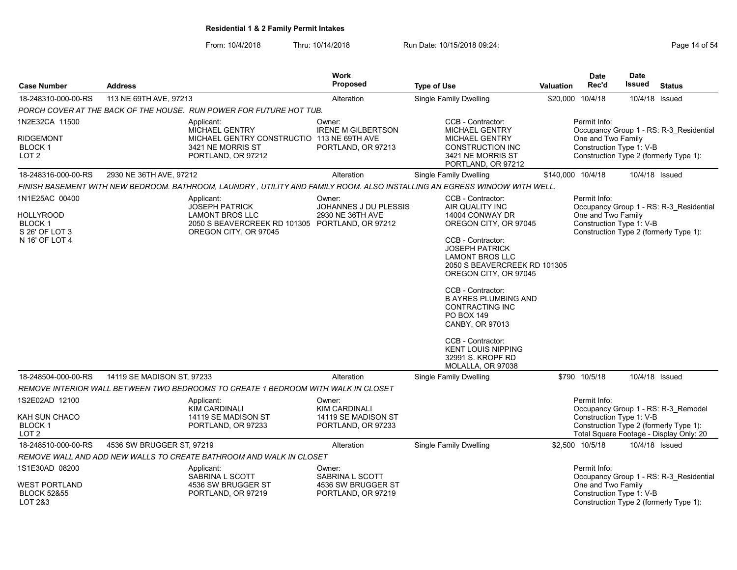From: 10/4/2018 Thru: 10/14/2018 Run Date: 10/15/2018 09:24:<br>From: 10/4/2018 Page 14 of 54

|                                                                                  |                            |                                                                                                                                    | <b>Work</b>                                                |                                                                                                                                                                                                                                                                                                                                                                                                                |                  | <b>Date</b>                                                    | <b>Date</b>    |                                                                                   |
|----------------------------------------------------------------------------------|----------------------------|------------------------------------------------------------------------------------------------------------------------------------|------------------------------------------------------------|----------------------------------------------------------------------------------------------------------------------------------------------------------------------------------------------------------------------------------------------------------------------------------------------------------------------------------------------------------------------------------------------------------------|------------------|----------------------------------------------------------------|----------------|-----------------------------------------------------------------------------------|
| <b>Case Number</b>                                                               | <b>Address</b>             |                                                                                                                                    | <b>Proposed</b>                                            | <b>Type of Use</b>                                                                                                                                                                                                                                                                                                                                                                                             | <b>Valuation</b> | Rec'd                                                          | <b>Issued</b>  | <b>Status</b>                                                                     |
| 18-248310-000-00-RS                                                              | 113 NE 69TH AVE, 97213     |                                                                                                                                    | Alteration                                                 | <b>Single Family Dwelling</b>                                                                                                                                                                                                                                                                                                                                                                                  |                  | \$20,000 10/4/18                                               | 10/4/18 Issued |                                                                                   |
|                                                                                  |                            | PORCH COVER AT THE BACK OF THE HOUSE.  RUN POWER FOR FUTURE HOT TUB.                                                               |                                                            |                                                                                                                                                                                                                                                                                                                                                                                                                |                  |                                                                |                |                                                                                   |
| 1N2E32CA 11500                                                                   |                            | Applicant:<br><b>MICHAEL GENTRY</b>                                                                                                | Owner:<br><b>IRENE M GILBERTSON</b>                        | CCB - Contractor:<br><b>MICHAEL GENTRY</b>                                                                                                                                                                                                                                                                                                                                                                     |                  | Permit Info:                                                   |                | Occupancy Group 1 - RS: R-3 Residential                                           |
| <b>RIDGEMONT</b><br><b>BLOCK1</b><br>LOT <sub>2</sub>                            |                            | MICHAEL GENTRY CONSTRUCTIO 113 NE 69TH AVE<br>3421 NE MORRIS ST<br>PORTLAND, OR 97212                                              | PORTLAND, OR 97213                                         | <b>MICHAEL GENTRY</b><br><b>CONSTRUCTION INC</b><br>3421 NE MORRIS ST<br>PORTLAND, OR 97212                                                                                                                                                                                                                                                                                                                    |                  | One and Two Family<br>Construction Type 1: V-B                 |                | Construction Type 2 (formerly Type 1):                                            |
| 18-248316-000-00-RS                                                              | 2930 NE 36TH AVE, 97212    |                                                                                                                                    | Alteration                                                 | Single Family Dwelling                                                                                                                                                                                                                                                                                                                                                                                         |                  | \$140,000 10/4/18                                              | 10/4/18 Issued |                                                                                   |
|                                                                                  |                            | FINISH BASEMENT WITH NEW BEDROOM. BATHROOM, LAUNDRY , UTILITY AND FAMILY ROOM. ALSO INSTALLING AN EGRESS WINDOW WITH WELL.         |                                                            |                                                                                                                                                                                                                                                                                                                                                                                                                |                  |                                                                |                |                                                                                   |
| 1N1E25AC 00400<br>HOLLYROOD<br><b>BLOCK1</b><br>S 26' OF LOT 3<br>N 16' OF LOT 4 |                            | Applicant:<br><b>JOSEPH PATRICK</b><br>LAMONT BROS LLC<br>2050 S BEAVERCREEK RD 101305 PORTLAND, OR 97212<br>OREGON CITY, OR 97045 | Owner:<br><b>JOHANNES J DU PLESSIS</b><br>2930 NE 36TH AVE | CCB - Contractor:<br>AIR QUALITY INC<br>14004 CONWAY DR<br>OREGON CITY, OR 97045<br>CCB - Contractor:<br><b>JOSEPH PATRICK</b><br><b>LAMONT BROS LLC</b><br>2050 S BEAVERCREEK RD 101305<br>OREGON CITY, OR 97045<br>CCB - Contractor:<br><b>B AYRES PLUMBING AND</b><br><b>CONTRACTING INC</b><br>PO BOX 149<br><b>CANBY, OR 97013</b><br>CCB - Contractor:<br><b>KENT LOUIS NIPPING</b><br>32991 S. KROPF RD |                  | Permit Info:<br>One and Two Family<br>Construction Type 1: V-B |                | Occupancy Group 1 - RS: R-3 Residential<br>Construction Type 2 (formerly Type 1): |
|                                                                                  |                            |                                                                                                                                    |                                                            | MOLALLA, OR 97038                                                                                                                                                                                                                                                                                                                                                                                              |                  |                                                                |                |                                                                                   |
| 18-248504-000-00-RS                                                              | 14119 SE MADISON ST, 97233 |                                                                                                                                    | Alteration                                                 | Single Family Dwelling                                                                                                                                                                                                                                                                                                                                                                                         |                  | \$790 10/5/18                                                  | 10/4/18 Issued |                                                                                   |
|                                                                                  |                            | REMOVE INTERIOR WALL BETWEEN TWO BEDROOMS TO CREATE 1 BEDROOM WITH WALK IN CLOSET                                                  |                                                            |                                                                                                                                                                                                                                                                                                                                                                                                                |                  |                                                                |                |                                                                                   |
| 1S2E02AD 12100<br>KAH SUN CHACO                                                  |                            | Applicant:<br><b>KIM CARDINALI</b><br>14119 SE MADISON ST                                                                          | Owner:<br><b>KIM CARDINALI</b><br>14119 SE MADISON ST      |                                                                                                                                                                                                                                                                                                                                                                                                                |                  | Permit Info:<br>Construction Type 1: V-B                       |                | Occupancy Group 1 - RS: R-3 Remodel                                               |
| BLOCK <sub>1</sub><br>LOT <sub>2</sub>                                           |                            | PORTLAND, OR 97233                                                                                                                 | PORTLAND, OR 97233                                         |                                                                                                                                                                                                                                                                                                                                                                                                                |                  |                                                                |                | Construction Type 2 (formerly Type 1):<br>Total Square Footage - Display Only: 20 |
| 18-248510-000-00-RS                                                              | 4536 SW BRUGGER ST, 97219  |                                                                                                                                    | Alteration                                                 | Single Family Dwelling                                                                                                                                                                                                                                                                                                                                                                                         |                  | \$2,500 10/5/18                                                | 10/4/18 Issued |                                                                                   |
|                                                                                  |                            | REMOVE WALL AND ADD NEW WALLS TO CREATE BATHROOM AND WALK IN CLOSET                                                                |                                                            |                                                                                                                                                                                                                                                                                                                                                                                                                |                  |                                                                |                |                                                                                   |
| 1S1E30AD 08200                                                                   |                            | Applicant:<br>SABRINA L SCOTT                                                                                                      | Owner:<br>SABRINA L SCOTT                                  |                                                                                                                                                                                                                                                                                                                                                                                                                |                  | Permit Info:                                                   |                | Occupancy Group 1 - RS: R-3 Residential                                           |
| <b>WEST PORTLAND</b><br><b>BLOCK 52&amp;55</b><br>LOT 2&3                        |                            | 4536 SW BRUGGER ST<br>PORTLAND, OR 97219                                                                                           | 4536 SW BRUGGER ST<br>PORTLAND, OR 97219                   |                                                                                                                                                                                                                                                                                                                                                                                                                |                  | One and Two Family<br>Construction Type 1: V-B                 |                | Construction Type 2 (formerly Type 1):                                            |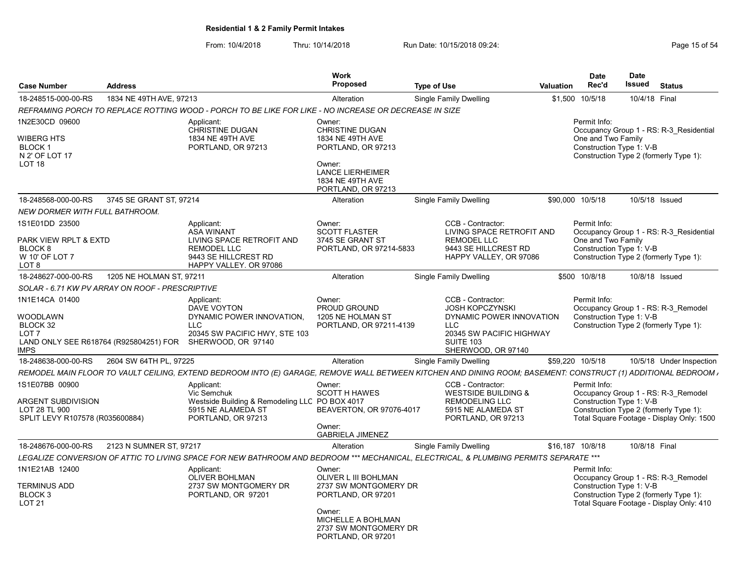From: 10/4/2018 Thru: 10/14/2018 Run Date: 10/15/2018 09:24:<br>From: 10/4/2018 Page 15 of 54

| <b>Case Number</b>                                                                                                 | <b>Address</b>           |                                                                                                                                                                | Work<br>Proposed                                                                                                                                             | <b>Type of Use</b>                                                                                                                                          | Valuation | <b>Date</b><br>Rec'd               | <b>Date</b><br>Issued    | <b>Status</b>                                                                                                              |
|--------------------------------------------------------------------------------------------------------------------|--------------------------|----------------------------------------------------------------------------------------------------------------------------------------------------------------|--------------------------------------------------------------------------------------------------------------------------------------------------------------|-------------------------------------------------------------------------------------------------------------------------------------------------------------|-----------|------------------------------------|--------------------------|----------------------------------------------------------------------------------------------------------------------------|
| 18-248515-000-00-RS                                                                                                | 1834 NE 49TH AVE, 97213  |                                                                                                                                                                | Alteration                                                                                                                                                   | <b>Single Family Dwelling</b>                                                                                                                               | \$1,500   | 10/5/18                            | 10/4/18 Final            |                                                                                                                            |
|                                                                                                                    |                          | REFRAMING PORCH TO REPLACE ROTTING WOOD - PORCH TO BE LIKE FOR LIKE - NO INCREASE OR DECREASE IN SIZE                                                          |                                                                                                                                                              |                                                                                                                                                             |           |                                    |                          |                                                                                                                            |
| 1N2E30CD 09600<br>WIBERG HTS<br><b>BLOCK1</b><br>N 2' OF LOT 17<br>LOT <sub>18</sub>                               |                          | Applicant:<br><b>CHRISTINE DUGAN</b><br>1834 NE 49TH AVE<br>PORTLAND, OR 97213                                                                                 | Owner:<br><b>CHRISTINE DUGAN</b><br>1834 NE 49TH AVE<br>PORTLAND, OR 97213<br>Owner:<br><b>LANCE LIERHEIMER</b><br>1834 NE 49TH AVE<br>PORTLAND, OR 97213    |                                                                                                                                                             |           | Permit Info:<br>One and Two Family | Construction Type 1: V-B | Occupancy Group 1 - RS: R-3 Residential<br>Construction Type 2 (formerly Type 1):                                          |
| 18-248568-000-00-RS                                                                                                | 3745 SE GRANT ST. 97214  |                                                                                                                                                                | Alteration                                                                                                                                                   | Single Family Dwelling                                                                                                                                      |           | \$90,000 10/5/18                   |                          | 10/5/18 Issued                                                                                                             |
| NEW DORMER WITH FULL BATHROOM.                                                                                     |                          |                                                                                                                                                                |                                                                                                                                                              |                                                                                                                                                             |           |                                    |                          |                                                                                                                            |
| 1S1E01DD 23500<br>PARK VIEW RPLT & EXTD<br>BLOCK 8<br>W 10' OF LOT 7<br>LOT 8                                      |                          | Applicant:<br><b>ASA WINANT</b><br>LIVING SPACE RETROFIT AND<br><b>REMODEL LLC</b><br>9443 SE HILLCREST RD<br>HAPPY VALLEY. OR 97086                           | Owner:<br><b>SCOTT FLASTER</b><br>3745 SE GRANT ST<br>PORTLAND, OR 97214-5833                                                                                | CCB - Contractor:<br>LIVING SPACE RETROFIT AND<br><b>REMODEL LLC</b><br>9443 SE HILLCREST RD<br>HAPPY VALLEY, OR 97086                                      |           | Permit Info:<br>One and Two Family | Construction Type 1: V-B | Occupancy Group 1 - RS: R-3 Residential<br>Construction Type 2 (formerly Type 1):                                          |
| 18-248627-000-00-RS                                                                                                | 1205 NE HOLMAN ST. 97211 |                                                                                                                                                                | Alteration                                                                                                                                                   | <b>Single Family Dwelling</b>                                                                                                                               |           | \$500 10/8/18                      |                          | 10/8/18 Issued                                                                                                             |
| SOLAR - 6.71 KW PV ARRAY ON ROOF - PRESCRIPTIVE                                                                    |                          |                                                                                                                                                                |                                                                                                                                                              |                                                                                                                                                             |           |                                    |                          |                                                                                                                            |
| 1N1E14CA 01400<br>WOODLAWN<br>BLOCK 32<br>LOT <sub>7</sub><br>LAND ONLY SEE R618764 (R925804251) FOR<br><b>MPS</b> |                          | Applicant:<br>DAVE VOYTON<br>DYNAMIC POWER INNOVATION.<br><b>LLC</b><br>20345 SW PACIFIC HWY, STE 103<br>SHERWOOD, OR 97140                                    | Owner:<br>PROUD GROUND<br>1205 NE HOLMAN ST<br>PORTLAND, OR 97211-4139                                                                                       | CCB - Contractor:<br><b>JOSH KOPCZYNSKI</b><br>DYNAMIC POWER INNOVATION<br><b>LLC</b><br>20345 SW PACIFIC HIGHWAY<br><b>SUITE 103</b><br>SHERWOOD, OR 97140 |           | Permit Info:                       | Construction Type 1: V-B | Occupancy Group 1 - RS: R-3 Remodel<br>Construction Type 2 (formerly Type 1):                                              |
| 18-248638-000-00-RS                                                                                                | 2604 SW 64TH PL, 97225   |                                                                                                                                                                | Alteration                                                                                                                                                   | Single Family Dwelling                                                                                                                                      |           | \$59,220 10/5/18                   |                          | 10/5/18 Under Inspection                                                                                                   |
|                                                                                                                    |                          | REMODEL MAIN FLOOR TO VAULT CEILING, EXTEND BEDROOM INTO (E) GARAGE, REMOVE WALL BETWEEN KITCHEN AND DINING ROOM; BASEMENT: CONSTRUCT (1) ADDITIONAL BEDROOM , |                                                                                                                                                              |                                                                                                                                                             |           |                                    |                          |                                                                                                                            |
| 1S1E07BB 00900<br>ARGENT SUBDIVISION<br>LOT 28 TL 900<br>SPLIT LEVY R107578 (R035600884)                           |                          | Applicant:<br>Vic Semchuk<br>Westside Building & Remodeling LLC PO BOX 4017<br>5915 NE ALAMEDA ST<br>PORTLAND, OR 97213                                        | Owner:<br><b>SCOTT H HAWES</b><br>BEAVERTON, OR 97076-4017<br>Owner:<br><b>GABRIELA JIMENEZ</b>                                                              | CCB - Contractor:<br><b>WESTSIDE BUILDING &amp;</b><br><b>REMODELING LLC</b><br>5915 NE ALAMEDA ST<br>PORTLAND, OR 97213                                    |           | Permit Info:                       | Construction Type 1: V-B | Occupancy Group 1 - RS: R-3 Remodel<br>Construction Type 2 (formerly Type 1):<br>Total Square Footage - Display Only: 1500 |
| 18-248676-000-00-RS                                                                                                | 2123 N SUMNER ST, 97217  |                                                                                                                                                                | Alteration                                                                                                                                                   | Single Family Dwelling                                                                                                                                      |           | \$16,187 10/8/18                   | 10/8/18 Final            |                                                                                                                            |
|                                                                                                                    |                          | LEGALIZE CONVERSION OF ATTIC TO LIVING SPACE FOR NEW BATHROOM AND BEDROOM *** MECHANICAL, ELECTRICAL, & PLUMBING PERMITS SEPARATE ***                          |                                                                                                                                                              |                                                                                                                                                             |           |                                    |                          |                                                                                                                            |
| 1N1E21AB 12400<br><b>TERMINUS ADD</b><br>BLOCK <sub>3</sub><br>LOT 21                                              |                          | Applicant:<br><b>OLIVER BOHLMAN</b><br>2737 SW MONTGOMERY DR<br>PORTLAND, OR 97201                                                                             | Owner:<br>OLIVER L III BOHLMAN<br>2737 SW MONTGOMERY DR<br>PORTLAND, OR 97201<br>Owner:<br>MICHELLE A BOHLMAN<br>2737 SW MONTGOMERY DR<br>PORTLAND, OR 97201 |                                                                                                                                                             |           | Permit Info:                       | Construction Type 1: V-B | Occupancy Group 1 - RS: R-3 Remodel<br>Construction Type 2 (formerly Type 1):<br>Total Square Footage - Display Only: 410  |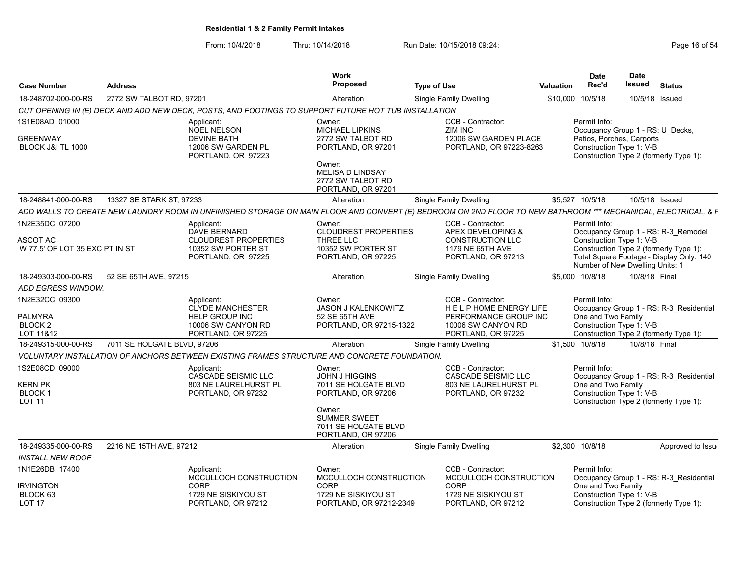From: 10/4/2018 Thru: 10/14/2018 Run Date: 10/15/2018 09:24:<br>From: 10/4/2018 Page 16 of 54

| <b>Case Number</b>                                                  | <b>Address</b>              |                                                                                                            | <b>Work</b><br><b>Proposed</b>                                                                    | <b>Type of Use</b>                                                                                                                                            | <b>Valuation</b> | <b>Date</b><br>Rec'd                                           | <b>Date</b><br>Issued | <b>Status</b>                                                                      |
|---------------------------------------------------------------------|-----------------------------|------------------------------------------------------------------------------------------------------------|---------------------------------------------------------------------------------------------------|---------------------------------------------------------------------------------------------------------------------------------------------------------------|------------------|----------------------------------------------------------------|-----------------------|------------------------------------------------------------------------------------|
| 18-248702-000-00-RS                                                 | 2772 SW TALBOT RD, 97201    |                                                                                                            | Alteration                                                                                        | Single Family Dwelling                                                                                                                                        |                  | \$10,000 10/5/18                                               | 10/5/18 Issued        |                                                                                    |
|                                                                     |                             | CUT OPENING IN (E) DECK AND ADD NEW DECK, POSTS, AND FOOTINGS TO SUPPORT FUTURE HOT TUB INSTALLATION       |                                                                                                   |                                                                                                                                                               |                  |                                                                |                       |                                                                                    |
| 1S1E08AD 01000                                                      |                             | Applicant:<br><b>NOEL NELSON</b>                                                                           | Owner:<br><b>MICHAEL LIPKINS</b>                                                                  | CCB - Contractor:<br>ZIM INC                                                                                                                                  |                  | Permit Info:<br>Occupancy Group 1 - RS: U Decks,               |                       |                                                                                    |
| <b>GREENWAY</b><br>BLOCK J&I TL 1000                                |                             | <b>DEVINE BATH</b><br>12006 SW GARDEN PL<br>PORTLAND, OR 97223                                             | 2772 SW TALBOT RD<br>PORTLAND, OR 97201<br>Owner:<br><b>MELISA D LINDSAY</b><br>2772 SW TALBOT RD | 12006 SW GARDEN PLACE<br>PORTLAND, OR 97223-8263                                                                                                              |                  | Patios, Porches, Carports<br>Construction Type 1: V-B          |                       | Construction Type 2 (formerly Type 1):                                             |
|                                                                     |                             |                                                                                                            | PORTLAND, OR 97201                                                                                |                                                                                                                                                               |                  |                                                                |                       |                                                                                    |
| 18-248841-000-00-RS                                                 | 13327 SE STARK ST, 97233    |                                                                                                            | Alteration                                                                                        | <b>Single Family Dwelling</b>                                                                                                                                 |                  | \$5,527 10/5/18                                                | 10/5/18 Issued        |                                                                                    |
|                                                                     |                             |                                                                                                            |                                                                                                   | ADD WALLS TO CREATE NEW LAUNDRY ROOM IN UNFINISHED STORAGE ON MAIN FLOOR AND CONVERT (E) BEDROOM ON 2ND FLOOR TO NEW BATHROOM *** MECHANICAL, ELECTRICAL, & F |                  |                                                                |                       |                                                                                    |
| 1N2E35DC 07200<br>ASCOT AC                                          |                             | Applicant:<br><b>DAVE BERNARD</b><br><b>CLOUDREST PROPERTIES</b>                                           | Owner:<br><b>CLOUDREST PROPERTIES</b><br>THREE LLC                                                | CCB - Contractor:<br>APEX DEVELOPING &<br>CONSTRUCTION LLC                                                                                                    |                  | Permit Info:<br>Construction Type 1: V-B                       |                       | Occupancy Group 1 - RS: R-3 Remodel                                                |
| W 77.5' OF LOT 35 EXC PT IN ST                                      |                             | 10352 SW PORTER ST<br>PORTLAND, OR 97225                                                                   | 10352 SW PORTER ST<br>PORTLAND, OR 97225                                                          | 1179 NE 65TH AVE<br>PORTLAND, OR 97213                                                                                                                        |                  | Number of New Dwelling Units: 1                                |                       | Construction Type 2 (formerly Type 1):<br>Total Square Footage - Display Only: 140 |
| 18-249303-000-00-RS                                                 | 52 SE 65TH AVE, 97215       |                                                                                                            | Alteration                                                                                        | <b>Single Family Dwelling</b>                                                                                                                                 |                  | \$5,000 10/8/18                                                | 10/8/18 Final         |                                                                                    |
| ADD EGRESS WINDOW.                                                  |                             |                                                                                                            |                                                                                                   |                                                                                                                                                               |                  |                                                                |                       |                                                                                    |
| 1N2E32CC 09300<br><b>PALMYRA</b><br>BLOCK <sub>2</sub><br>LOT 11&12 |                             | Applicant:<br><b>CLYDE MANCHESTER</b><br><b>HELP GROUP INC</b><br>10006 SW CANYON RD<br>PORTLAND, OR 97225 | Owner:<br>JASON J KALENKOWITZ<br>52 SE 65TH AVE<br>PORTLAND, OR 97215-1322                        | CCB - Contractor:<br>HELP HOME ENERGY LIFE<br>PERFORMANCE GROUP INC<br>10006 SW CANYON RD<br>PORTLAND, OR 97225                                               |                  | Permit Info:<br>One and Two Family<br>Construction Type 1: V-B |                       | Occupancy Group 1 - RS: R-3 Residential<br>Construction Type 2 (formerly Type 1):  |
| 18-249315-000-00-RS                                                 | 7011 SE HOLGATE BLVD, 97206 |                                                                                                            | Alteration                                                                                        | Single Family Dwelling                                                                                                                                        |                  | \$1,500 10/8/18                                                | 10/8/18 Final         |                                                                                    |
|                                                                     |                             | VOLUNTARY INSTALLATION OF ANCHORS BETWEEN EXISTING FRAMES STRUCTURE AND CONCRETE FOUNDATION.               |                                                                                                   |                                                                                                                                                               |                  |                                                                |                       |                                                                                    |
| 1S2E08CD 09000<br><b>KERN PK</b><br><b>BLOCK1</b><br><b>LOT 11</b>  |                             | Applicant:<br><b>CASCADE SEISMIC LLC</b><br>803 NE LAURELHURST PL<br>PORTLAND, OR 97232                    | Owner:<br>JOHN J HIGGINS<br>7011 SE HOLGATE BLVD<br>PORTLAND, OR 97206                            | CCB - Contractor:<br><b>CASCADE SEISMIC LLC</b><br>803 NE LAURELHURST PL<br>PORTLAND, OR 97232                                                                |                  | Permit Info:<br>One and Two Family<br>Construction Type 1: V-B |                       | Occupancy Group 1 - RS: R-3 Residential<br>Construction Type 2 (formerly Type 1):  |
|                                                                     |                             |                                                                                                            | Owner:<br><b>SUMMER SWEET</b><br>7011 SE HOLGATE BLVD<br>PORTLAND, OR 97206                       |                                                                                                                                                               |                  |                                                                |                       |                                                                                    |
| 18-249335-000-00-RS                                                 | 2216 NE 15TH AVE, 97212     |                                                                                                            | Alteration                                                                                        | <b>Single Family Dwelling</b>                                                                                                                                 |                  | \$2,300 10/8/18                                                |                       | Approved to Issue                                                                  |
| INSTALL NEW ROOF                                                    |                             |                                                                                                            |                                                                                                   |                                                                                                                                                               |                  |                                                                |                       |                                                                                    |
| 1N1E26DB 17400                                                      |                             | Applicant:<br>MCCULLOCH CONSTRUCTION                                                                       | Owner:<br>MCCULLOCH CONSTRUCTION                                                                  | CCB - Contractor:<br>MCCULLOCH CONSTRUCTION                                                                                                                   |                  | Permit Info:                                                   |                       | Occupancy Group 1 - RS: R-3_Residential                                            |
| <b>IRVINGTON</b><br>BLOCK 63<br>LOT 17                              |                             | <b>CORP</b><br>1729 NE SISKIYOU ST<br>PORTLAND, OR 97212                                                   | <b>CORP</b><br>1729 NE SISKIYOU ST<br>PORTLAND, OR 97212-2349                                     | <b>CORP</b><br>1729 NE SISKIYOU ST<br>PORTLAND, OR 97212                                                                                                      |                  | One and Two Family<br>Construction Type 1: V-B                 |                       | Construction Type 2 (formerly Type 1):                                             |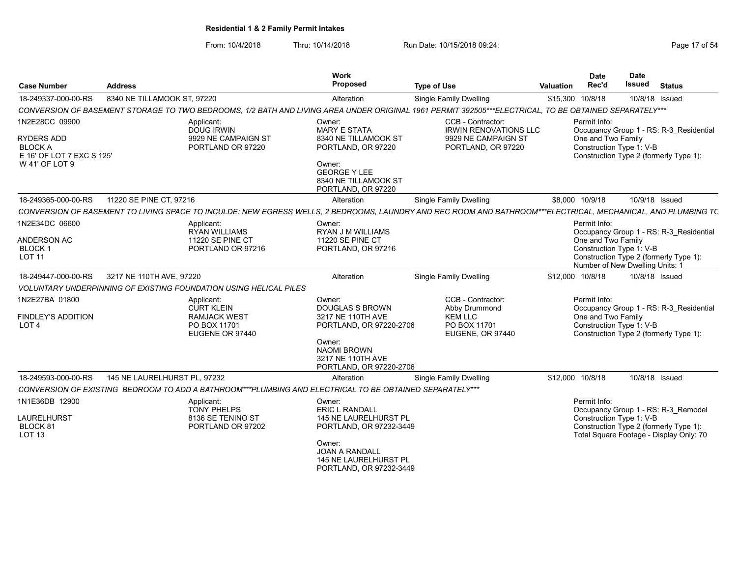From: 10/4/2018 Thru: 10/14/2018 Run Date: 10/15/2018 09:24:<br>From: 10/4/2018 Page 17 of 54

| <b>Case Number</b>                                        | <b>Address</b>                                                                                                                                               | <b>Work</b><br>Proposed                                                             | <b>Type of Use</b>                                 | <b>Valuation</b> | <b>Date</b><br>Rec'd                                                              | <b>Date</b><br>Issued | <b>Status</b>                                                                     |
|-----------------------------------------------------------|--------------------------------------------------------------------------------------------------------------------------------------------------------------|-------------------------------------------------------------------------------------|----------------------------------------------------|------------------|-----------------------------------------------------------------------------------|-----------------------|-----------------------------------------------------------------------------------|
| 18-249337-000-00-RS                                       | 8340 NE TILLAMOOK ST, 97220                                                                                                                                  | Alteration                                                                          | <b>Single Family Dwelling</b>                      | \$15,300 10/8/18 |                                                                                   |                       | 10/8/18 Issued                                                                    |
|                                                           | CONVERSION OF BASEMENT STORAGE TO TWO BEDROOMS, 1/2 BATH AND LIVING AREA UNDER ORIGINAL 1961 PERMIT 392505***ELECTRICAL, TO BE OBTAINED SEPARATELY***        |                                                                                     |                                                    |                  |                                                                                   |                       |                                                                                   |
| 1N2E28CC 09900                                            | Applicant:<br><b>DOUG IRWIN</b>                                                                                                                              | Owner:<br><b>MARY E STATA</b>                                                       | CCB - Contractor:<br><b>IRWIN RENOVATIONS LLC</b>  |                  | Permit Info:                                                                      |                       | Occupancy Group 1 - RS: R-3 Residential                                           |
| RYDERS ADD<br><b>BLOCK A</b><br>E 16' OF LOT 7 EXC S 125' | 9929 NE CAMPAIGN ST<br>PORTLAND OR 97220                                                                                                                     | 8340 NE TILLAMOOK ST<br>PORTLAND, OR 97220                                          | 9929 NE CAMPAIGN ST<br>PORTLAND, OR 97220          |                  | One and Two Family<br>Construction Type 1: V-B                                    |                       | Construction Type 2 (formerly Type 1):                                            |
| W 41' OF LOT 9                                            |                                                                                                                                                              | Owner:<br><b>GEORGE Y LEE</b><br>8340 NE TILLAMOOK ST<br>PORTLAND, OR 97220         |                                                    |                  |                                                                                   |                       |                                                                                   |
| 18-249365-000-00-RS                                       | 11220 SE PINE CT, 97216                                                                                                                                      | Alteration                                                                          | <b>Single Family Dwelling</b>                      |                  | \$8,000 10/9/18                                                                   |                       | 10/9/18 Issued                                                                    |
|                                                           | CONVERSION OF BASEMENT TO LIVING SPACE TO INCULDE: NEW EGRESS WELLS, 2 BEDROOMS, LAUNDRY AND REC ROOM AND BATHROOM***ELECTRICAL, MECHANICAL, AND PLUMBING TC |                                                                                     |                                                    |                  |                                                                                   |                       |                                                                                   |
| 1N2E34DC 06600                                            | Applicant:<br><b>RYAN WILLIAMS</b>                                                                                                                           | Owner:<br><b>RYAN J M WILLIAMS</b>                                                  |                                                    |                  | Permit Info:                                                                      |                       | Occupancy Group 1 - RS: R-3 Residential                                           |
| ANDERSON AC<br><b>BLOCK1</b><br><b>LOT 11</b>             | 11220 SE PINE CT<br>PORTLAND OR 97216                                                                                                                        | 11220 SE PINE CT<br>PORTLAND, OR 97216                                              |                                                    |                  | One and Two Family<br>Construction Type 1: V-B<br>Number of New Dwelling Units: 1 |                       | Construction Type 2 (formerly Type 1):                                            |
| 18-249447-000-00-RS                                       | 3217 NE 110TH AVE, 97220                                                                                                                                     | Alteration                                                                          | <b>Single Family Dwelling</b>                      | \$12,000 10/8/18 |                                                                                   |                       | 10/8/18 Issued                                                                    |
|                                                           | <b>VOLUNTARY UNDERPINNING OF EXISTING FOUNDATION USING HELICAL PILES</b>                                                                                     |                                                                                     |                                                    |                  |                                                                                   |                       |                                                                                   |
| 1N2E27BA 01800                                            | Applicant:<br><b>CURT KLEIN</b>                                                                                                                              | Owner:<br><b>DOUGLAS S BROWN</b>                                                    | CCB - Contractor:<br>Abby Drummond                 |                  | Permit Info:                                                                      |                       | Occupancy Group 1 - RS: R-3 Residential                                           |
| <b>FINDLEY'S ADDITION</b><br>LOT <sub>4</sub>             | <b>RAMJACK WEST</b><br>PO BOX 11701<br>EUGENE OR 97440                                                                                                       | 3217 NE 110TH AVE<br>PORTLAND, OR 97220-2706<br>Owner:                              | <b>KEM LLC</b><br>PO BOX 11701<br>EUGENE, OR 97440 |                  | One and Two Family<br>Construction Type 1: V-B                                    |                       | Construction Type 2 (formerly Type 1):                                            |
|                                                           |                                                                                                                                                              | <b>NAOMI BROWN</b><br>3217 NE 110TH AVE<br>PORTLAND, OR 97220-2706                  |                                                    |                  |                                                                                   |                       |                                                                                   |
| 18-249593-000-00-RS                                       | 145 NE LAURELHURST PL, 97232                                                                                                                                 | Alteration                                                                          | Single Family Dwelling                             | \$12,000 10/8/18 |                                                                                   |                       | 10/8/18 Issued                                                                    |
|                                                           | CONVERSION OF EXISTING BEDROOM TO ADD A BATHROOM***PLUMBING AND ELECTRICAL TO BE OBTAINED SEPARATELY***                                                      |                                                                                     |                                                    |                  |                                                                                   |                       |                                                                                   |
| 1N1E36DB 12900                                            | Applicant:<br><b>TONY PHELPS</b>                                                                                                                             | Owner:<br><b>ERIC L RANDALL</b>                                                     |                                                    |                  | Permit Info:                                                                      |                       | Occupancy Group 1 - RS: R-3 Remodel                                               |
| LAURELHURST<br>BLOCK <sub>81</sub><br><b>LOT 13</b>       | 8136 SE TENINO ST<br>PORTLAND OR 97202                                                                                                                       | 145 NE LAURELHURST PL<br>PORTLAND, OR 97232-3449                                    |                                                    |                  | Construction Type 1: V-B                                                          |                       | Construction Type 2 (formerly Type 1):<br>Total Square Footage - Display Only: 70 |
|                                                           |                                                                                                                                                              | Owner:<br><b>JOAN A RANDALL</b><br>145 NE LAURELHURST PL<br>PORTLAND, OR 97232-3449 |                                                    |                  |                                                                                   |                       |                                                                                   |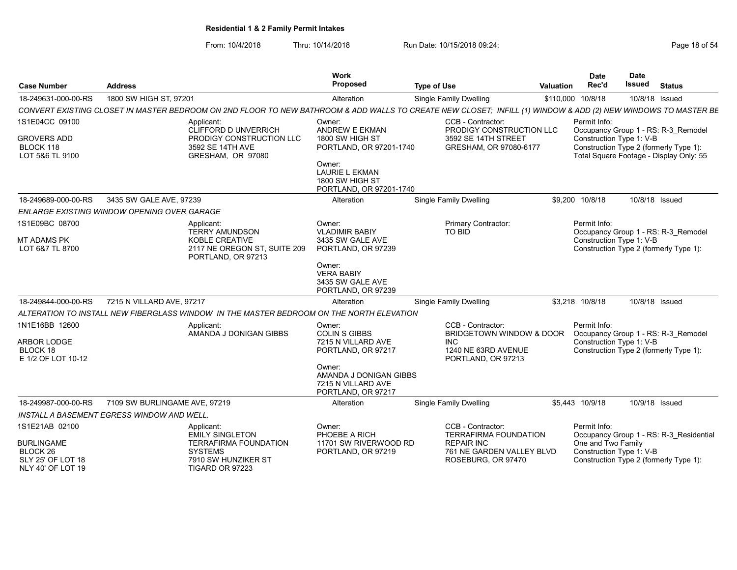From: 10/4/2018 Thru: 10/14/2018 Run Date: 10/15/2018 09:24:<br>From: 10/4/2018 Page 18 of 54

| <b>Case Number</b>                                                                 | <b>Address</b>                              |                                                                                                                                                               | <b>Work</b><br><b>Proposed</b>                                               | <b>Type of Use</b> |                                                                      | <b>Valuation</b> | <b>Date</b><br>Rec'd                           | <b>Date</b><br><b>Issued</b> | <b>Status</b>                                                                     |
|------------------------------------------------------------------------------------|---------------------------------------------|---------------------------------------------------------------------------------------------------------------------------------------------------------------|------------------------------------------------------------------------------|--------------------|----------------------------------------------------------------------|------------------|------------------------------------------------|------------------------------|-----------------------------------------------------------------------------------|
| 18-249631-000-00-RS                                                                | 1800 SW HIGH ST, 97201                      |                                                                                                                                                               | Alteration                                                                   |                    | Single Family Dwelling                                               | \$110,000        | 10/8/18                                        | 10/8/18 Issued               |                                                                                   |
|                                                                                    |                                             | CONVERT EXISTING CLOSET IN MASTER BEDROOM ON 2ND FLOOR TO NEW BATHROOM & ADD WALLS TO CREATE NEW CLOSET; INFILL (1) WINDOW & ADD (2) NEW WINDOWS TO MASTER BE |                                                                              |                    |                                                                      |                  |                                                |                              |                                                                                   |
| 1S1E04CC 09100                                                                     |                                             | Applicant:<br>CLIFFORD D UNVERRICH                                                                                                                            | Owner:<br><b>ANDREW E EKMAN</b>                                              |                    | CCB - Contractor:<br>PRODIGY CONSTRUCTION LLC                        |                  | Permit Info:                                   |                              | Occupancy Group 1 - RS: R-3 Remodel                                               |
| <b>GROVERS ADD</b><br>BLOCK 118<br>LOT 5&6 TL 9100                                 |                                             | PRODIGY CONSTRUCTION LLC<br>3592 SE 14TH AVE<br>GRESHAM, OR 97080                                                                                             | 1800 SW HIGH ST<br>PORTLAND, OR 97201-1740<br>Owner:                         |                    | 3592 SE 14TH STREET<br>GRESHAM, OR 97080-6177                        |                  | Construction Type 1: V-B                       |                              | Construction Type 2 (formerly Type 1):<br>Total Square Footage - Display Only: 55 |
|                                                                                    |                                             |                                                                                                                                                               | <b>LAURIE L EKMAN</b><br>1800 SW HIGH ST<br>PORTLAND, OR 97201-1740          |                    |                                                                      |                  |                                                |                              |                                                                                   |
| 18-249689-000-00-RS                                                                | 3435 SW GALE AVE, 97239                     |                                                                                                                                                               | Alteration                                                                   |                    | <b>Single Family Dwelling</b>                                        |                  | \$9.200 10/8/18                                | 10/8/18 Issued               |                                                                                   |
|                                                                                    | ENLARGE EXISTING WINDOW OPENING OVER GARAGE |                                                                                                                                                               |                                                                              |                    |                                                                      |                  |                                                |                              |                                                                                   |
| 1S1E09BC 08700                                                                     |                                             | Applicant:<br><b>TERRY AMUNDSON</b>                                                                                                                           | Owner:<br><b>VLADIMIR BABIY</b>                                              |                    | Primary Contractor:<br>TO BID                                        |                  | Permit Info:                                   |                              | Occupancy Group 1 - RS: R-3 Remodel                                               |
| <b>MT ADAMS PK</b><br>LOT 6&7 TL 8700                                              |                                             | <b>KOBLE CREATIVE</b><br>2117 NE OREGON ST, SUITE 209<br>PORTLAND, OR 97213                                                                                   | 3435 SW GALE AVE<br>PORTLAND, OR 97239                                       |                    |                                                                      |                  | Construction Type 1: V-B                       |                              | Construction Type 2 (formerly Type 1):                                            |
|                                                                                    |                                             |                                                                                                                                                               | Owner:<br><b>VERA BABIY</b><br>3435 SW GALE AVE<br>PORTLAND, OR 97239        |                    |                                                                      |                  |                                                |                              |                                                                                   |
| 18-249844-000-00-RS                                                                | 7215 N VILLARD AVE, 97217                   |                                                                                                                                                               | Alteration                                                                   |                    | Single Family Dwelling                                               |                  | \$3,218 10/8/18                                | 10/8/18 Issued               |                                                                                   |
|                                                                                    |                                             | ALTERATION TO INSTALL NEW FIBERGLASS WINDOW IN THE MASTER BEDROOM ON THE NORTH ELEVATION                                                                      |                                                                              |                    |                                                                      |                  |                                                |                              |                                                                                   |
| 1N1E16BB 12600                                                                     |                                             | Applicant:<br>AMANDA J DONIGAN GIBBS                                                                                                                          | Owner:<br><b>COLIN S GIBBS</b>                                               |                    | CCB - Contractor:<br><b>BRIDGETOWN WINDOW &amp; DOOR</b>             |                  | Permit Info:                                   |                              | Occupancy Group 1 - RS: R-3 Remodel                                               |
| ARBOR LODGE<br>BLOCK 18<br>E 1/2 OF LOT 10-12                                      |                                             |                                                                                                                                                               | 7215 N VILLARD AVE<br>PORTLAND, OR 97217                                     |                    | <b>INC</b><br>1240 NE 63RD AVENUE<br>PORTLAND, OR 97213              |                  | Construction Type 1: V-B                       |                              | Construction Type 2 (formerly Type 1):                                            |
|                                                                                    |                                             |                                                                                                                                                               | Owner:<br>AMANDA J DONIGAN GIBBS<br>7215 N VILLARD AVE<br>PORTLAND, OR 97217 |                    |                                                                      |                  |                                                |                              |                                                                                   |
| 18-249987-000-00-RS                                                                | 7109 SW BURLINGAME AVE, 97219               |                                                                                                                                                               | Alteration                                                                   |                    | Single Family Dwelling                                               |                  | \$5,443 10/9/18                                | 10/9/18 Issued               |                                                                                   |
|                                                                                    | INSTALL A BASEMENT EGRESS WINDOW AND WELL.  |                                                                                                                                                               |                                                                              |                    |                                                                      |                  |                                                |                              |                                                                                   |
| 1S1E21AB 02100                                                                     |                                             | Applicant:<br><b>EMILY SINGLETON</b>                                                                                                                          | Owner:<br>PHOEBE A RICH                                                      |                    | CCB - Contractor:<br><b>TERRAFIRMA FOUNDATION</b>                    |                  | Permit Info:                                   |                              | Occupancy Group 1 - RS: R-3 Residential                                           |
| <b>BURLINGAME</b><br>BLOCK <sub>26</sub><br>SLY 25' OF LOT 18<br>NLY 40' OF LOT 19 |                                             | <b>TERRAFIRMA FOUNDATION</b><br><b>SYSTEMS</b><br>7910 SW HUNZIKER ST<br>TIGARD OR 97223                                                                      | 11701 SW RIVERWOOD RD<br>PORTLAND, OR 97219                                  |                    | <b>REPAIR INC</b><br>761 NE GARDEN VALLEY BLVD<br>ROSEBURG, OR 97470 |                  | One and Two Family<br>Construction Type 1: V-B |                              | Construction Type 2 (formerly Type 1):                                            |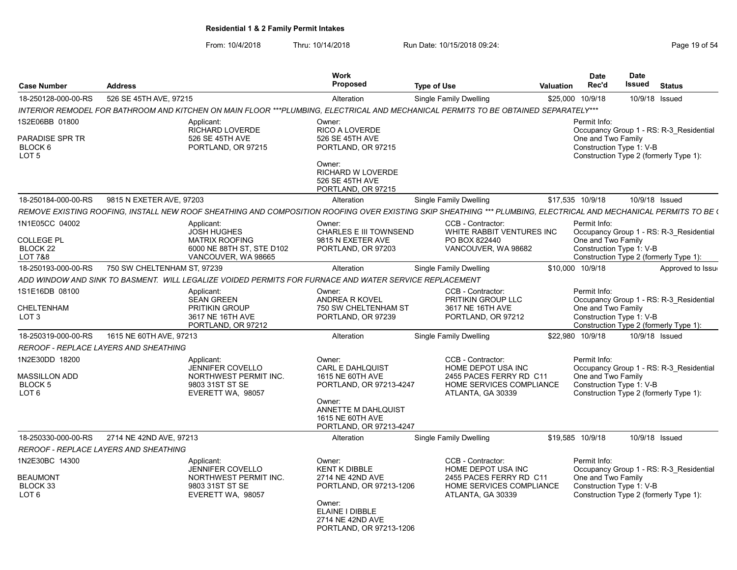From: 10/4/2018 Thru: 10/14/2018 Run Date: 10/15/2018 09:24:<br>From: 10/4/2018 Page 19 of 54

| <b>Case Number</b>                                                                 | <b>Address</b>                               |                                                                                                                                                                  | <b>Work</b><br><b>Proposed</b>                                                                                                                                   | <b>Type of Use</b>                                                                                                  | <b>Valuation</b> | <b>Date</b><br>Rec'd                                           | Date<br>Issued | <b>Status</b>                                                                     |
|------------------------------------------------------------------------------------|----------------------------------------------|------------------------------------------------------------------------------------------------------------------------------------------------------------------|------------------------------------------------------------------------------------------------------------------------------------------------------------------|---------------------------------------------------------------------------------------------------------------------|------------------|----------------------------------------------------------------|----------------|-----------------------------------------------------------------------------------|
| 18-250128-000-00-RS                                                                | 526 SE 45TH AVE, 97215                       |                                                                                                                                                                  | Alteration                                                                                                                                                       | <b>Single Family Dwelling</b>                                                                                       |                  | \$25,000 10/9/18                                               |                | 10/9/18 Issued                                                                    |
|                                                                                    |                                              | INTERIOR REMODEL FOR BATHROOM AND KITCHEN ON MAIN FLOOR ***PLUMBING. ELECTRICAL AND MECHANICAL PERMITS TO BE OBTAINED SEPARATELY***                              |                                                                                                                                                                  |                                                                                                                     |                  |                                                                |                |                                                                                   |
| 1S2E06BB 01800<br><b>PARADISE SPR TR</b><br>BLOCK <sub>6</sub><br>LOT <sub>5</sub> |                                              | Applicant:<br><b>RICHARD LOVERDE</b><br>526 SE 45TH AVE<br>PORTLAND, OR 97215                                                                                    | Owner:<br><b>RICO A LOVERDE</b><br>526 SE 45TH AVE<br>PORTLAND, OR 97215<br>Owner:<br><b>RICHARD W LOVERDE</b><br>526 SE 45TH AVE<br>PORTLAND, OR 97215          |                                                                                                                     |                  | Permit Info:<br>One and Two Family<br>Construction Type 1: V-B |                | Occupancy Group 1 - RS: R-3 Residential<br>Construction Type 2 (formerly Type 1): |
| 18-250184-000-00-RS                                                                | 9815 N EXETER AVE, 97203                     |                                                                                                                                                                  | Alteration                                                                                                                                                       | <b>Single Family Dwelling</b>                                                                                       |                  | \$17,535 10/9/18                                               |                | 10/9/18 Issued                                                                    |
|                                                                                    |                                              | REMOVE EXISTING ROOFING. INSTALL NEW ROOF SHEATHING AND COMPOSITION ROOFING OVER EXISTING SKIP SHEATHING *** PLUMBING. ELECTRICAL AND MECHANICAL PERMITS TO BE ( |                                                                                                                                                                  |                                                                                                                     |                  |                                                                |                |                                                                                   |
| 1N1E05CC 04002<br><b>COLLEGE PL</b><br>BLOCK <sub>22</sub><br><b>LOT 7&amp;8</b>   |                                              | Applicant:<br><b>JOSH HUGHES</b><br><b>MATRIX ROOFING</b><br>6000 NE 88TH ST, STE D102<br>VANCOUVER, WA 98665                                                    | Owner:<br><b>CHARLES E III TOWNSEND</b><br>9815 N EXETER AVE<br>PORTLAND, OR 97203                                                                               | CCB - Contractor:<br>WHITE RABBIT VENTURES INC<br>PO BOX 822440<br>VANCOUVER, WA 98682                              |                  | Permit Info:<br>One and Two Family<br>Construction Type 1: V-B |                | Occupancy Group 1 - RS: R-3 Residential<br>Construction Type 2 (formerly Type 1): |
| 18-250193-000-00-RS                                                                | 750 SW CHELTENHAM ST, 97239                  |                                                                                                                                                                  | Alteration                                                                                                                                                       | <b>Single Family Dwelling</b>                                                                                       |                  | \$10,000 10/9/18                                               |                | Approved to Issue                                                                 |
|                                                                                    |                                              | ADD WINDOW AND SINK TO BASMENT.  WILL LEGALIZE VOIDED PERMITS FOR FURNACE AND WATER SERVICE REPLACEMENT                                                          |                                                                                                                                                                  |                                                                                                                     |                  |                                                                |                |                                                                                   |
| 1S1E16DB 08100<br><b>CHELTENHAM</b><br>LOT <sub>3</sub>                            |                                              | Applicant:<br><b>SEAN GREEN</b><br>PRITIKIN GROUP<br>3617 NE 16TH AVE<br>PORTLAND, OR 97212                                                                      | Owner:<br>ANDREA R KOVEL<br>750 SW CHELTENHAM ST<br>PORTLAND, OR 97239                                                                                           | CCB - Contractor:<br>PRITIKIN GROUP LLC<br>3617 NE 16TH AVE<br>PORTLAND, OR 97212                                   |                  | Permit Info:<br>One and Two Family<br>Construction Type 1: V-B |                | Occupancy Group 1 - RS: R-3 Residential<br>Construction Type 2 (formerly Type 1): |
| 18-250319-000-00-RS                                                                | 1615 NE 60TH AVE, 97213                      |                                                                                                                                                                  | Alteration                                                                                                                                                       | Single Family Dwelling                                                                                              |                  | \$22.980 10/9/18                                               |                | 10/9/18 Issued                                                                    |
|                                                                                    | <b>REROOF - REPLACE LAYERS AND SHEATHING</b> |                                                                                                                                                                  |                                                                                                                                                                  |                                                                                                                     |                  |                                                                |                |                                                                                   |
| 1N2E30DD 18200<br>MASSILLON ADD<br><b>BLOCK 5</b><br>LOT <sub>6</sub>              |                                              | Applicant:<br><b>JENNIFER COVELLO</b><br>NORTHWEST PERMIT INC.<br>9803 31ST ST SE<br>EVERETT WA, 98057                                                           | Owner:<br><b>CARL E DAHLQUIST</b><br>1615 NE 60TH AVE<br>PORTLAND, OR 97213-4247<br>Owner:<br>ANNETTE M DAHLQUIST<br>1615 NE 60TH AVE<br>PORTLAND, OR 97213-4247 | CCB - Contractor:<br>HOME DEPOT USA INC<br>2455 PACES FERRY RD C11<br>HOME SERVICES COMPLIANCE<br>ATLANTA, GA 30339 |                  | Permit Info:<br>One and Two Family<br>Construction Type 1: V-B |                | Occupancy Group 1 - RS: R-3 Residential<br>Construction Type 2 (formerly Type 1): |
| 18-250330-000-00-RS                                                                | 2714 NE 42ND AVE, 97213                      |                                                                                                                                                                  | Alteration                                                                                                                                                       | <b>Single Family Dwelling</b>                                                                                       |                  | \$19,585 10/9/18                                               |                | 10/9/18 Issued                                                                    |
|                                                                                    | REROOF - REPLACE LAYERS AND SHEATHING        |                                                                                                                                                                  |                                                                                                                                                                  |                                                                                                                     |                  |                                                                |                |                                                                                   |
| 1N2E30BC 14300<br><b>BEAUMONT</b><br>BLOCK 33<br>LOT <sub>6</sub>                  |                                              | Applicant:<br>JENNIFER COVELLO<br>NORTHWEST PERMIT INC.<br>9803 31ST ST SE<br>EVERETT WA, 98057                                                                  | Owner:<br><b>KENT K DIBBLE</b><br>2714 NE 42ND AVE<br>PORTLAND, OR 97213-1206<br>Owner:<br>ELAINE I DIBBLE<br>2714 NE 42ND AVE<br>PORTLAND, OR 97213-1206        | CCB - Contractor:<br>HOME DEPOT USA INC<br>2455 PACES FERRY RD C11<br>HOME SERVICES COMPLIANCE<br>ATLANTA, GA 30339 |                  | Permit Info:<br>One and Two Family<br>Construction Type 1: V-B |                | Occupancy Group 1 - RS: R-3 Residential<br>Construction Type 2 (formerly Type 1): |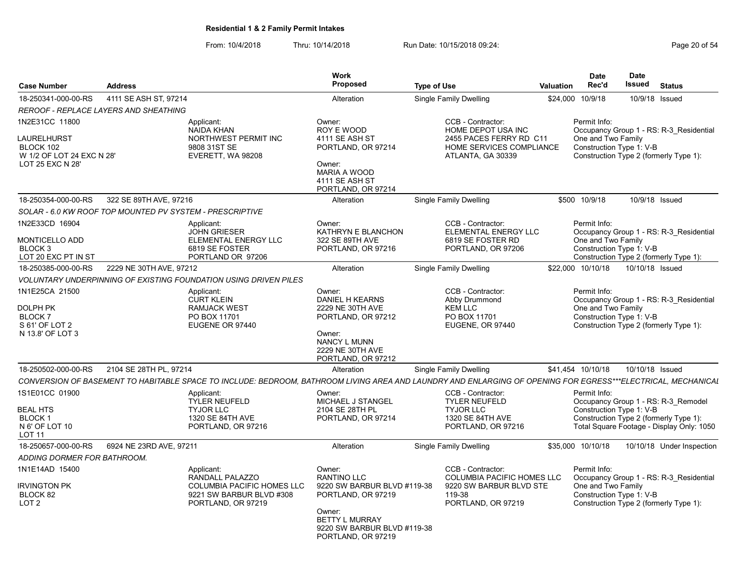From: 10/4/2018 Thru: 10/14/2018 Run Date: 10/15/2018 09:24:<br>From: 10/4/2018 Page 20 of 54

| <b>Case Number</b>                                                                          | <b>Address</b>                                           |                                                                                                                      | <b>Work</b><br>Proposed                                                                                                                                                   | <b>Type of Use</b>                                                                                                                                           | <b>Valuation</b> | <b>Date</b><br>Rec'd                                           | <b>Date</b><br><b>Issued</b> | <b>Status</b>                                                                                                              |
|---------------------------------------------------------------------------------------------|----------------------------------------------------------|----------------------------------------------------------------------------------------------------------------------|---------------------------------------------------------------------------------------------------------------------------------------------------------------------------|--------------------------------------------------------------------------------------------------------------------------------------------------------------|------------------|----------------------------------------------------------------|------------------------------|----------------------------------------------------------------------------------------------------------------------------|
| 18-250341-000-00-RS                                                                         | 4111 SE ASH ST, 97214                                    |                                                                                                                      | Alteration                                                                                                                                                                | Single Family Dwelling                                                                                                                                       | \$24,000         | 10/9/18                                                        | 10/9/18                      | Issued                                                                                                                     |
|                                                                                             | <b>REROOF - REPLACE LAYERS AND SHEATHING</b>             |                                                                                                                      |                                                                                                                                                                           |                                                                                                                                                              |                  |                                                                |                              |                                                                                                                            |
| 1N2E31CC 11800<br>LAURELHURST<br>BLOCK 102<br>W 1/2 OF LOT 24 EXC N 28'<br>LOT 25 EXC N 28' |                                                          | Applicant:<br><b>NAIDA KHAN</b><br>NORTHWEST PERMIT INC<br>9808 31ST SE<br>EVERETT, WA 98208                         | Owner:<br>ROY E WOOD<br>4111 SE ASH ST<br>PORTLAND, OR 97214<br>Owner:<br><b>MARIA A WOOD</b><br>4111 SE ASH ST<br>PORTLAND, OR 97214                                     | CCB - Contractor:<br>HOME DEPOT USA INC<br>2455 PACES FERRY RD C11<br>HOME SERVICES COMPLIANCE<br>ATLANTA, GA 30339                                          |                  | Permit Info:<br>One and Two Family<br>Construction Type 1: V-B |                              | Occupancy Group 1 - RS: R-3 Residential<br>Construction Type 2 (formerly Type 1):                                          |
| 18-250354-000-00-RS                                                                         | 322 SE 89TH AVE, 97216                                   |                                                                                                                      | Alteration                                                                                                                                                                | Single Family Dwelling                                                                                                                                       | \$500            | 10/9/18                                                        |                              | 10/9/18 Issued                                                                                                             |
|                                                                                             | SOLAR - 6.0 KW ROOF TOP MOUNTED PV SYSTEM - PRESCRIPTIVE |                                                                                                                      |                                                                                                                                                                           |                                                                                                                                                              |                  |                                                                |                              |                                                                                                                            |
| 1N2E33CD 16904<br><b>MONTICELLO ADD</b><br>BLOCK 3<br>LOT 20 EXC PT IN ST                   |                                                          | Applicant:<br><b>JOHN GRIESER</b><br>ELEMENTAL ENERGY LLC<br>6819 SE FOSTER<br>PORTLAND OR 97206                     | Owner:<br>KATHRYN E BLANCHON<br>322 SE 89TH AVE<br>PORTLAND, OR 97216                                                                                                     | CCB - Contractor:<br>ELEMENTAL ENERGY LLC<br>6819 SE FOSTER RD<br>PORTLAND, OR 97206                                                                         |                  | Permit Info:<br>One and Two Family<br>Construction Type 1: V-B |                              | Occupancy Group 1 - RS: R-3 Residential<br>Construction Type 2 (formerly Type 1):                                          |
| 18-250385-000-00-RS                                                                         | 2229 NE 30TH AVE, 97212                                  |                                                                                                                      | Alteration                                                                                                                                                                | Single Family Dwelling                                                                                                                                       |                  | \$22,000 10/10/18                                              | 10/10/18 Issued              |                                                                                                                            |
|                                                                                             |                                                          | VOLUNTARY UNDERPINNING OF EXISTING FOUNDATION USING DRIVEN PILES                                                     |                                                                                                                                                                           |                                                                                                                                                              |                  |                                                                |                              |                                                                                                                            |
| 1N1E25CA 21500<br>DOLPH PK<br>BLOCK <sub>7</sub><br>S 61' OF LOT 2<br>N 13.8' OF LOT 3      |                                                          | Applicant:<br><b>CURT KLEIN</b><br><b>RAMJACK WEST</b><br>PO BOX 11701<br>EUGENE OR 97440                            | Owner:<br><b>DANIEL H KEARNS</b><br>2229 NE 30TH AVE<br>PORTLAND, OR 97212<br>Owner:<br>NANCY L MUNN<br>2229 NE 30TH AVE<br>PORTLAND, OR 97212                            | CCB - Contractor:<br>Abby Drummond<br><b>KEM LLC</b><br>PO BOX 11701<br>EUGENE, OR 97440                                                                     |                  | Permit Info:<br>One and Two Family<br>Construction Type 1: V-B |                              | Occupancy Group 1 - RS: R-3 Residential<br>Construction Type 2 (formerly Type 1):                                          |
| 18-250502-000-00-RS                                                                         | 2104 SE 28TH PL, 97214                                   |                                                                                                                      | Alteration                                                                                                                                                                | Single Family Dwelling                                                                                                                                       |                  | \$41,454 10/10/18                                              | 10/10/18 Issued              |                                                                                                                            |
|                                                                                             |                                                          |                                                                                                                      |                                                                                                                                                                           | CONVERSION OF BASEMENT TO HABITABLE SPACE TO INCLUDE: BEDROOM, BATHROOM LIVING AREA AND LAUNDRY AND ENLARGING OF OPENING FOR EGRESS***ELECTRICAL, MECHANICAL |                  |                                                                |                              |                                                                                                                            |
| 1S1E01CC 01900<br><b>BEAL HTS</b><br><b>BLOCK1</b><br>N 6' OF LOT 10<br>LOT 11              |                                                          | Applicant:<br>TYLER NEUFELD<br><b>TYJOR LLC</b><br>1320 SE 84TH AVE<br>PORTLAND, OR 97216                            | Owner:<br>MICHAEL J STANGEL<br>2104 SE 28TH PL<br>PORTLAND, OR 97214                                                                                                      | CCB - Contractor:<br><b>TYLER NEUFELD</b><br><b>TYJOR LLC</b><br>1320 SE 84TH AVE<br>PORTLAND, OR 97216                                                      |                  | Permit Info:<br>Construction Type 1: V-B                       |                              | Occupancy Group 1 - RS: R-3 Remodel<br>Construction Type 2 (formerly Type 1):<br>Total Square Footage - Display Only: 1050 |
| 18-250657-000-00-RS                                                                         | 6924 NE 23RD AVE, 97211                                  |                                                                                                                      | Alteration                                                                                                                                                                | <b>Single Family Dwelling</b>                                                                                                                                |                  | \$35,000 10/10/18                                              |                              | 10/10/18 Under Inspection                                                                                                  |
| ADDING DORMER FOR BATHROOM.                                                                 |                                                          |                                                                                                                      |                                                                                                                                                                           |                                                                                                                                                              |                  |                                                                |                              |                                                                                                                            |
| 1N1E14AD 15400<br><b>IRVINGTON PK</b><br>BLOCK 82<br>LOT <sub>2</sub>                       |                                                          | Applicant:<br>RANDALL PALAZZO<br><b>COLUMBIA PACIFIC HOMES LLC</b><br>9221 SW BARBUR BLVD #308<br>PORTLAND, OR 97219 | Owner:<br><b>RANTINO LLC</b><br>9220 SW BARBUR BLVD #119-38<br>PORTLAND, OR 97219<br>Owner:<br><b>BETTY L MURRAY</b><br>9220 SW BARBUR BLVD #119-38<br>PORTLAND, OR 97219 | CCB - Contractor:<br><b>COLUMBIA PACIFIC HOMES LLC</b><br>9220 SW BARBUR BLVD STE<br>119-38<br>PORTLAND, OR 97219                                            |                  | Permit Info:<br>One and Two Family<br>Construction Type 1: V-B |                              | Occupancy Group 1 - RS: R-3 Residential<br>Construction Type 2 (formerly Type 1):                                          |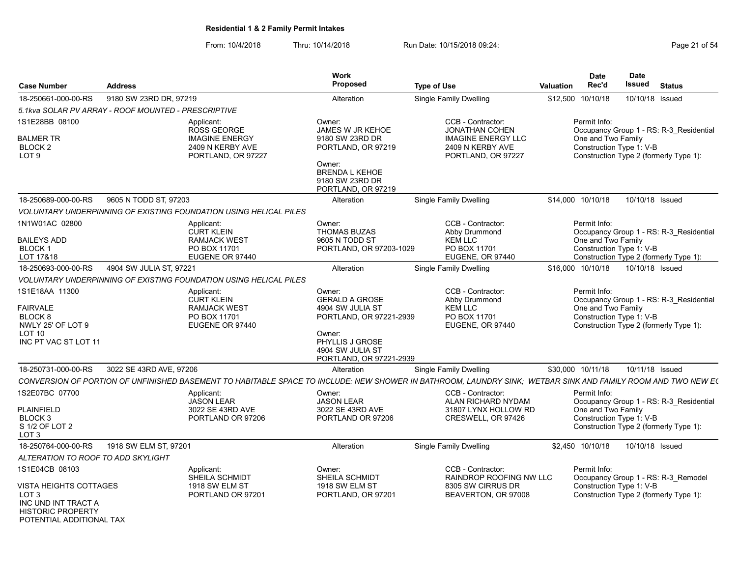POTENTIAL ADDITIONAL TAX

|                                                                                                                        |                                                                                                                                                              | Work<br>Proposed                                                                                                                                                  |                                                                                                                   |                  | <b>Date</b>                        | Date                     |                                                                                   |
|------------------------------------------------------------------------------------------------------------------------|--------------------------------------------------------------------------------------------------------------------------------------------------------------|-------------------------------------------------------------------------------------------------------------------------------------------------------------------|-------------------------------------------------------------------------------------------------------------------|------------------|------------------------------------|--------------------------|-----------------------------------------------------------------------------------|
| <b>Case Number</b>                                                                                                     | <b>Address</b>                                                                                                                                               |                                                                                                                                                                   | <b>Type of Use</b>                                                                                                | <b>Valuation</b> | Rec'd                              | Issued                   | <b>Status</b>                                                                     |
| 18-250661-000-00-RS                                                                                                    | 9180 SW 23RD DR, 97219                                                                                                                                       | Alteration                                                                                                                                                        | <b>Single Family Dwelling</b>                                                                                     |                  | \$12,500 10/10/18                  |                          | 10/10/18 Issued                                                                   |
|                                                                                                                        | 5.1kva SOLAR PV ARRAY - ROOF MOUNTED - PRESCRIPTIVE                                                                                                          |                                                                                                                                                                   |                                                                                                                   |                  |                                    |                          |                                                                                   |
| 1S1E28BB 08100<br><b>BALMER TR</b><br>BLOCK <sub>2</sub><br>LOT <sub>9</sub>                                           | Applicant:<br>ROSS GEORGE<br><b>IMAGINE ENERGY</b><br>2409 N KERBY AVE<br>PORTLAND, OR 97227                                                                 | Owner:<br>JAMES W JR KEHOE<br>9180 SW 23RD DR<br>PORTLAND, OR 97219<br>Owner:<br><b>BRENDA L KEHOE</b><br>9180 SW 23RD DR<br>PORTLAND, OR 97219                   | CCB - Contractor:<br><b>JONATHAN COHEN</b><br><b>IMAGINE ENERGY LLC</b><br>2409 N KERBY AVE<br>PORTLAND, OR 97227 |                  | Permit Info:<br>One and Two Family | Construction Type 1: V-B | Occupancy Group 1 - RS: R-3 Residential<br>Construction Type 2 (formerly Type 1): |
| 18-250689-000-00-RS                                                                                                    | 9605 N TODD ST, 97203                                                                                                                                        | Alteration                                                                                                                                                        | Single Family Dwelling                                                                                            |                  | \$14,000 10/10/18                  | 10/10/18 Issued          |                                                                                   |
|                                                                                                                        | <b>VOLUNTARY UNDERPINNING OF EXISTING FOUNDATION USING HELICAL PILES</b>                                                                                     |                                                                                                                                                                   |                                                                                                                   |                  |                                    |                          |                                                                                   |
| 1N1W01AC 02800<br><b>BAILEYS ADD</b><br>BLOCK <sub>1</sub><br>LOT 17&18                                                | Applicant:<br><b>CURT KLEIN</b><br><b>RAMJACK WEST</b><br>PO BOX 11701<br>EUGENE OR 97440                                                                    | Owner:<br><b>THOMAS BUZAS</b><br>9605 N TODD ST<br>PORTLAND, OR 97203-1029                                                                                        | CCB - Contractor:<br>Abby Drummond<br><b>KEM LLC</b><br>PO BOX 11701<br>EUGENE, OR 97440                          |                  | Permit Info:<br>One and Two Family | Construction Type 1: V-B | Occupancy Group 1 - RS: R-3 Residential<br>Construction Type 2 (formerly Type 1): |
| 18-250693-000-00-RS                                                                                                    | 4904 SW JULIA ST, 97221                                                                                                                                      | Alteration                                                                                                                                                        | Single Family Dwelling                                                                                            |                  | \$16,000 10/10/18                  | 10/10/18 Issued          |                                                                                   |
|                                                                                                                        | VOLUNTARY UNDERPINNING OF EXISTING FOUNDATION USING HELICAL PILES                                                                                            |                                                                                                                                                                   |                                                                                                                   |                  |                                    |                          |                                                                                   |
| 1S1E18AA 11300<br><b>FAIRVALE</b><br>BLOCK <sub>8</sub><br>NWLY 25' OF LOT 9<br>LOT 10<br>INC PT VAC ST LOT 11         | Applicant:<br><b>CURT KLEIN</b><br><b>RAMJACK WEST</b><br>PO BOX 11701<br>EUGENE OR 97440                                                                    | Owner:<br><b>GERALD A GROSE</b><br>4904 SW JULIA ST<br>PORTLAND, OR 97221-2939<br>Owner:<br><b>PHYLLIS J GROSE</b><br>4904 SW JULIA ST<br>PORTLAND, OR 97221-2939 | CCB - Contractor:<br>Abby Drummond<br><b>KEM LLC</b><br>PO BOX 11701<br>EUGENE, OR 97440                          |                  | Permit Info:<br>One and Two Family | Construction Type 1: V-B | Occupancy Group 1 - RS: R-3 Residential<br>Construction Type 2 (formerly Type 1): |
| 18-250731-000-00-RS                                                                                                    | 3022 SE 43RD AVE, 97206                                                                                                                                      | Alteration                                                                                                                                                        | Single Family Dwelling                                                                                            |                  | \$30,000 10/11/18                  |                          | 10/11/18 Issued                                                                   |
|                                                                                                                        | CONVERSION OF PORTION OF UNFINISHED BASEMENT TO HABITABLE SPACE TO INCLUDE: NEW SHOWER IN BATHROOM, LAUNDRY SINK; WETBAR SINK AND FAMILY ROOM AND TWO NEW E( |                                                                                                                                                                   |                                                                                                                   |                  |                                    |                          |                                                                                   |
| 1S2E07BC 07700<br><b>PLAINFIELD</b><br>BLOCK <sub>3</sub><br>S 1/2 OF LOT 2<br>LOT <sub>3</sub>                        | Applicant:<br><b>JASON LEAR</b><br>3022 SE 43RD AVE<br>PORTLAND OR 97206                                                                                     | Owner:<br><b>JASON LEAR</b><br>3022 SE 43RD AVE<br>PORTLAND OR 97206                                                                                              | CCB - Contractor:<br>ALAN RICHARD NYDAM<br>31807 LYNX HOLLOW RD<br>CRESWELL, OR 97426                             |                  | Permit Info:<br>One and Two Family | Construction Type 1: V-B | Occupancy Group 1 - RS: R-3 Residential<br>Construction Type 2 (formerly Type 1): |
| 18-250764-000-00-RS                                                                                                    | 1918 SW ELM ST, 97201                                                                                                                                        | Alteration                                                                                                                                                        | Single Family Dwelling                                                                                            |                  | \$2,450 10/10/18                   | 10/10/18 Issued          |                                                                                   |
| ALTERATION TO ROOF TO ADD SKYLIGHT                                                                                     |                                                                                                                                                              |                                                                                                                                                                   |                                                                                                                   |                  |                                    |                          |                                                                                   |
| 1S1E04CB 08103<br><b>VISTA HEIGHTS COTTAGES</b><br>LOT <sub>3</sub><br>INC UND INT TRACT A<br><b>HISTORIC PROPERTY</b> | Applicant:<br><b>SHEILA SCHMIDT</b><br>1918 SW ELM ST<br>PORTLAND OR 97201                                                                                   | Owner:<br>SHEILA SCHMIDT<br>1918 SW ELM ST<br>PORTLAND, OR 97201                                                                                                  | CCB - Contractor:<br>RAINDROP ROOFING NW LLC<br>8305 SW CIRRUS DR<br>BEAVERTON, OR 97008                          |                  | Permit Info:                       | Construction Type 1: V-B | Occupancy Group 1 - RS: R-3 Remodel<br>Construction Type 2 (formerly Type 1):     |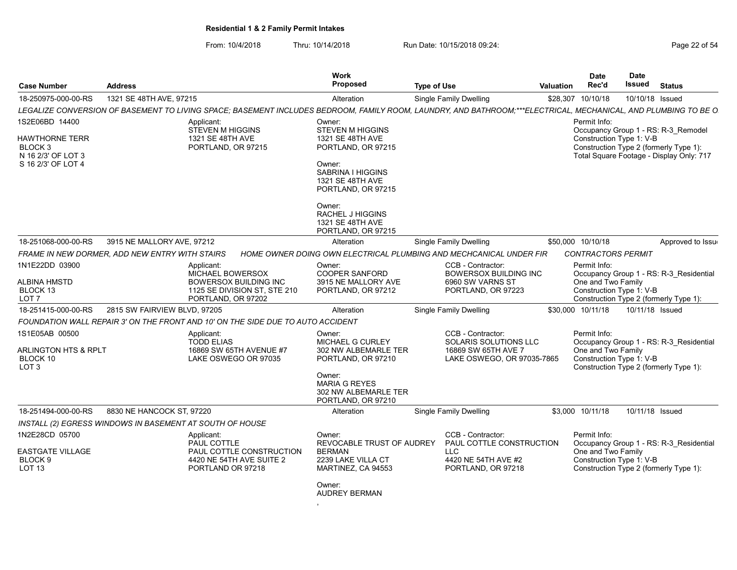From: 10/4/2018 Thru: 10/14/2018 Run Date: 10/15/2018 09:24:<br>From: 10/4/2018 Page 22 of 54

| <b>Case Number</b>                                                                      | <b>Address</b>               |                                                                                                                                                                | Work<br><b>Proposed</b>                                                                                                                                        | <b>Type of Use</b> |                                                                                                          | <b>Valuation</b> | <b>Date</b><br>Rec'd                                           | Date<br><b>Issued</b> | <b>Status</b>                                                                                                             |
|-----------------------------------------------------------------------------------------|------------------------------|----------------------------------------------------------------------------------------------------------------------------------------------------------------|----------------------------------------------------------------------------------------------------------------------------------------------------------------|--------------------|----------------------------------------------------------------------------------------------------------|------------------|----------------------------------------------------------------|-----------------------|---------------------------------------------------------------------------------------------------------------------------|
| 18-250975-000-00-RS                                                                     | 1321 SE 48TH AVE, 97215      |                                                                                                                                                                | Alteration                                                                                                                                                     |                    | <b>Single Family Dwelling</b>                                                                            | \$28,307         | 10/10/18                                                       | 10/10/18 Issued       |                                                                                                                           |
|                                                                                         |                              | LEGALIZE CONVERSION OF BASEMENT TO LIVING SPACE; BASEMENT INCLUDES BEDROOM, FAMILY ROOM, LAUNDRY, AND BATHROOM;***ELECTRICAL, MECHANICAL, AND PLUMBING TO BE O |                                                                                                                                                                |                    |                                                                                                          |                  |                                                                |                       |                                                                                                                           |
| 1S2E06BD 14400<br>HAWTHORNE TERR<br>BLOCK 3<br>N 16 2/3' OF LOT 3<br>S 16 2/3' OF LOT 4 |                              | Applicant:<br><b>STEVEN M HIGGINS</b><br>1321 SE 48TH AVE<br>PORTLAND, OR 97215                                                                                | Owner:<br><b>STEVEN M HIGGINS</b><br>1321 SE 48TH AVE<br>PORTLAND, OR 97215<br>Owner:<br>SABRINA I HIGGINS<br>1321 SE 48TH AVE<br>PORTLAND, OR 97215<br>Owner: |                    |                                                                                                          |                  | Permit Info:<br>Construction Type 1: V-B                       |                       | Occupancy Group 1 - RS: R-3 Remodel<br>Construction Type 2 (formerly Type 1):<br>Total Square Footage - Display Only: 717 |
|                                                                                         |                              |                                                                                                                                                                | <b>RACHEL J HIGGINS</b><br>1321 SE 48TH AVE<br>PORTLAND, OR 97215                                                                                              |                    |                                                                                                          |                  |                                                                |                       |                                                                                                                           |
| 18-251068-000-00-RS                                                                     | 3915 NE MALLORY AVE, 97212   |                                                                                                                                                                | Alteration                                                                                                                                                     |                    | <b>Single Family Dwelling</b>                                                                            |                  | \$50,000 10/10/18                                              |                       | Approved to Issue                                                                                                         |
| FRAME IN NEW DORMER. ADD NEW ENTRY WITH STAIRS                                          |                              |                                                                                                                                                                | HOME OWNER DOING OWN ELECTRICAL PLUMBING AND MECHCANICAL UNDER FIR                                                                                             |                    |                                                                                                          |                  | <b>CONTRACTORS PERMIT</b>                                      |                       |                                                                                                                           |
| 1N1E22DD 03900<br>ALBINA HMSTD<br>BLOCK 13<br>LOT 7                                     |                              | Applicant:<br>MICHAEL BOWERSOX<br><b>BOWERSOX BUILDING INC</b><br>1125 SE DIVISION ST, STE 210<br>PORTLAND, OR 97202                                           | Owner:<br><b>COOPER SANFORD</b><br>3915 NE MALLORY AVE<br>PORTLAND, OR 97212                                                                                   |                    | CCB - Contractor:<br><b>BOWERSOX BUILDING INC</b><br>6960 SW VARNS ST<br>PORTLAND, OR 97223              |                  | Permit Info:<br>One and Two Family<br>Construction Type 1: V-B |                       | Occupancy Group 1 - RS: R-3_Residential<br>Construction Type 2 (formerly Type 1):                                         |
| 18-251415-000-00-RS                                                                     | 2815 SW FAIRVIEW BLVD, 97205 |                                                                                                                                                                | Alteration                                                                                                                                                     |                    | Single Family Dwelling                                                                                   |                  | \$30,000 10/11/18                                              | 10/11/18 Issued       |                                                                                                                           |
|                                                                                         |                              | FOUNDATION WALL REPAIR 3' ON THE FRONT AND 10' ON THE SIDE DUE TO AUTO ACCIDENT                                                                                |                                                                                                                                                                |                    |                                                                                                          |                  |                                                                |                       |                                                                                                                           |
| 1S1E05AB 00500<br><b>ARLINGTON HTS &amp; RPLT</b><br>BLOCK 10<br>LOT <sub>3</sub>       |                              | Applicant:<br><b>TODD ELIAS</b><br>16869 SW 65TH AVENUE #7<br>LAKE OSWEGO OR 97035                                                                             | Owner:<br>MICHAEL G CURLEY<br>302 NW ALBEMARLE TER<br>PORTLAND, OR 97210<br>Owner:<br><b>MARIA G REYES</b>                                                     |                    | CCB - Contractor:<br>SOLARIS SOLUTIONS LLC<br>16869 SW 65TH AVE 7<br>LAKE OSWEGO, OR 97035-7865          |                  | Permit Info:<br>One and Two Family<br>Construction Type 1: V-B |                       | Occupancy Group 1 - RS: R-3 Residential<br>Construction Type 2 (formerly Type 1):                                         |
|                                                                                         |                              |                                                                                                                                                                | 302 NW ALBEMARLE TER<br>PORTLAND, OR 97210                                                                                                                     |                    |                                                                                                          |                  |                                                                |                       |                                                                                                                           |
| 18-251494-000-00-RS                                                                     | 8830 NE HANCOCK ST, 97220    |                                                                                                                                                                | Alteration                                                                                                                                                     |                    | <b>Single Family Dwelling</b>                                                                            |                  | \$3,000 10/11/18                                               | 10/11/18 Issued       |                                                                                                                           |
| INSTALL (2) EGRESS WINDOWS IN BASEMENT AT SOUTH OF HOUSE                                |                              |                                                                                                                                                                |                                                                                                                                                                |                    |                                                                                                          |                  |                                                                |                       |                                                                                                                           |
| 1N2E28CD 05700<br><b>EASTGATE VILLAGE</b><br>BLOCK <sub>9</sub><br><b>LOT 13</b>        |                              | Applicant:<br>PAUL COTTLE<br>PAUL COTTLE CONSTRUCTION<br>4420 NE 54TH AVE SUITE 2<br>PORTLAND OR 97218                                                         | Owner:<br>REVOCABLE TRUST OF AUDREY<br><b>BERMAN</b><br>2239 LAKE VILLA CT<br>MARTINEZ, CA 94553                                                               |                    | CCB - Contractor:<br>PAUL COTTLE CONSTRUCTION<br><b>LLC</b><br>4420 NE 54TH AVE #2<br>PORTLAND, OR 97218 |                  | Permit Info:<br>One and Two Family<br>Construction Type 1: V-B |                       | Occupancy Group 1 - RS: R-3 Residential<br>Construction Type 2 (formerly Type 1):                                         |
|                                                                                         |                              |                                                                                                                                                                | Owner:                                                                                                                                                         |                    |                                                                                                          |                  |                                                                |                       |                                                                                                                           |

AUDREY BERMAN

,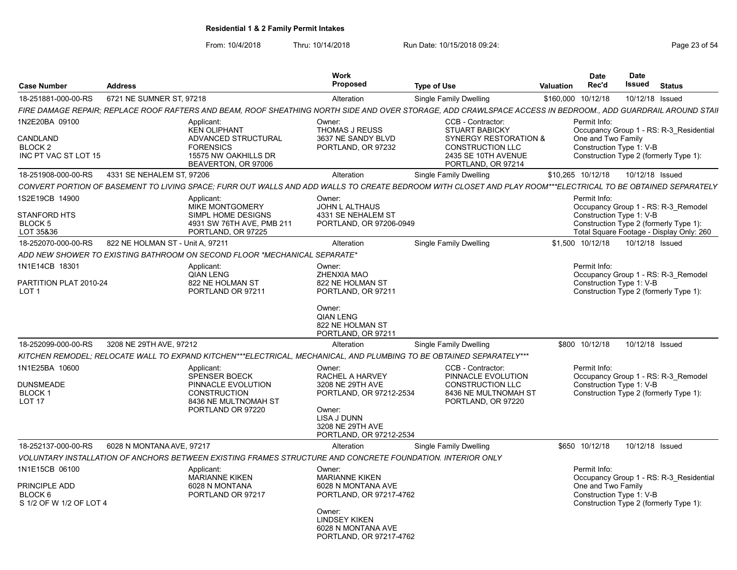From: 10/4/2018 Thru: 10/14/2018 Run Date: 10/15/2018 09:24:<br>From: 10/4/2018 Page 23 of 54

| <b>Case Number</b>                                                                                    | <b>Address</b>                   |                                                                                                                             | Work<br><b>Proposed</b>                                                                                                                                                            | <b>Type of Use</b>                                                                                                                                                                               | Valuation | <b>Date</b><br>Rec'd                                                       | <b>Date</b><br>Issued | <b>Status</b>                                                                                                             |
|-------------------------------------------------------------------------------------------------------|----------------------------------|-----------------------------------------------------------------------------------------------------------------------------|------------------------------------------------------------------------------------------------------------------------------------------------------------------------------------|--------------------------------------------------------------------------------------------------------------------------------------------------------------------------------------------------|-----------|----------------------------------------------------------------------------|-----------------------|---------------------------------------------------------------------------------------------------------------------------|
| 18-251881-000-00-RS                                                                                   | 6721 NE SUMNER ST. 97218         |                                                                                                                             | Alteration                                                                                                                                                                         | Single Family Dwelling                                                                                                                                                                           | \$160,000 | 10/12/18                                                                   | 10/12/18 Issued       |                                                                                                                           |
|                                                                                                       |                                  |                                                                                                                             |                                                                                                                                                                                    | FIRE DAMAGE REPAIR: REPLACE ROOF RAFTERS AND BEAM. ROOF SHEATHING NORTH SIDE AND OVER STORAGE. ADD CRAWLSPACE ACCESS IN BEDROOM., ADD GUARDRAIL AROUND STAII                                     |           |                                                                            |                       |                                                                                                                           |
| 1N2E20BA 09100<br>CANDLAND<br>BLOCK <sub>2</sub><br>INC PT VAC ST LOT 15                              |                                  | Applicant:<br><b>KEN OLIPHANT</b><br>ADVANCED STRUCTURAL<br><b>FORENSICS</b><br>15575 NW OAKHILLS DR<br>BEAVERTON, OR 97006 | Owner:<br>THOMAS J REUSS<br>3637 NE SANDY BLVD<br>PORTLAND, OR 97232                                                                                                               | CCB - Contractor:<br><b>STUART BABICKY</b><br><b>SYNERGY RESTORATION &amp;</b><br><b>CONSTRUCTION LLC</b><br>2435 SE 10TH AVENUE<br>PORTLAND, OR 97214                                           |           | Permit Info:<br>One and Two Family<br>Construction Type 1: V-B             |                       | Occupancy Group 1 - RS: R-3 Residential<br>Construction Type 2 (formerly Type 1):                                         |
| 18-251908-000-00-RS                                                                                   | 4331 SE NEHALEM ST, 97206        |                                                                                                                             | Alteration                                                                                                                                                                         | Single Family Dwelling                                                                                                                                                                           |           | \$10,265 10/12/18                                                          | 10/12/18 Issued       |                                                                                                                           |
|                                                                                                       |                                  |                                                                                                                             |                                                                                                                                                                                    | CONVERT PORTION OF BASEMENT TO LIVING SPACE; FURR OUT WALLS AND ADD WALLS TO CREATE BEDROOM WITH CLOSET AND PLAY ROOM***ELECTRICAL TO BE OBTAINED SEPARATELY                                     |           |                                                                            |                       |                                                                                                                           |
| 1S2E19CB 14900<br><b>STANFORD HTS</b><br>BLOCK 5<br>LOT 35&36                                         |                                  | Applicant:<br><b>MIKE MONTGOMERY</b><br>SIMPL HOME DESIGNS<br>4931 SW 76TH AVE, PMB 211<br>PORTLAND, OR 97225               | Owner:<br><b>JOHN L ALTHAUS</b><br>4331 SE NEHALEM ST<br>PORTLAND, OR 97206-0949                                                                                                   |                                                                                                                                                                                                  |           | Permit Info:<br>Construction Type 1: V-B                                   |                       | Occupancy Group 1 - RS: R-3 Remodel<br>Construction Type 2 (formerly Type 1):<br>Total Square Footage - Display Only: 260 |
| 18-252070-000-00-RS                                                                                   | 822 NE HOLMAN ST - Unit A. 97211 |                                                                                                                             | Alteration                                                                                                                                                                         | Single Family Dwelling                                                                                                                                                                           |           | \$1.500 10/12/18                                                           | 10/12/18 Issued       |                                                                                                                           |
|                                                                                                       |                                  | ADD NEW SHOWER TO EXISTING BATHROOM ON SECOND FLOOR *MECHANICAL SEPARATE*                                                   |                                                                                                                                                                                    |                                                                                                                                                                                                  |           |                                                                            |                       |                                                                                                                           |
| 1N1E14CB 18301<br>PARTITION PLAT 2010-24<br>LOT <sub>1</sub><br>18-252099-000-00-RS<br>1N1E25BA 10600 | 3208 NE 29TH AVE, 97212          | Applicant:<br><b>QIAN LENG</b><br>822 NE HOLMAN ST<br>PORTLAND OR 97211<br>Applicant:<br><b>SPENSER BOECK</b>               | Owner:<br>ZHENXIA MAO<br>822 NE HOLMAN ST<br>PORTLAND, OR 97211<br>Owner:<br><b>QIAN LENG</b><br>822 NE HOLMAN ST<br>PORTLAND, OR 97211<br>Alteration<br>Owner:<br>RACHEL A HARVEY | <b>Single Family Dwelling</b><br>KITCHEN REMODEL: RELOCATE WALL TO EXPAND KITCHEN***ELECTRICAL. MECHANICAL. AND PLUMBING TO BE OBTAINED SEPARATELY***<br>CCB - Contractor:<br>PINNACLE EVOLUTION |           | Permit Info:<br>Construction Type 1: V-B<br>\$800 10/12/18<br>Permit Info: | 10/12/18 Issued       | Occupancy Group 1 - RS: R-3 Remodel<br>Construction Type 2 (formerly Type 1):<br>Occupancy Group 1 - RS: R-3 Remodel      |
| DUNSMEADE<br><b>BLOCK1</b><br>LOT <sub>17</sub>                                                       |                                  | PINNACLE EVOLUTION<br><b>CONSTRUCTION</b><br>8436 NE MULTNOMAH ST<br>PORTLAND OR 97220                                      | 3208 NE 29TH AVE<br>PORTLAND, OR 97212-2534<br>Owner:<br>LISA J DUNN<br>3208 NE 29TH AVE<br>PORTLAND, OR 97212-2534                                                                | <b>CONSTRUCTION LLC</b><br>8436 NE MULTNOMAH ST<br>PORTLAND, OR 97220                                                                                                                            |           | Construction Type 1: V-B                                                   |                       | Construction Type 2 (formerly Type 1):                                                                                    |
| 18-252137-000-00-RS                                                                                   | 6028 N MONTANA AVE, 97217        |                                                                                                                             | Alteration                                                                                                                                                                         | <b>Single Family Dwelling</b>                                                                                                                                                                    |           | \$650 10/12/18                                                             | 10/12/18 Issued       |                                                                                                                           |
|                                                                                                       |                                  | VOLUNTARY INSTALLATION OF ANCHORS BETWEEN EXISTING FRAMES STRUCTURE AND CONCRETE FOUNDATION. INTERIOR ONLY                  |                                                                                                                                                                                    |                                                                                                                                                                                                  |           |                                                                            |                       |                                                                                                                           |
| 1N1E15CB 06100<br>PRINCIPLE ADD<br>BLOCK 6<br>S 1/2 OF W 1/2 OF LOT 4                                 |                                  | Applicant:<br><b>MARIANNE KIKEN</b><br>6028 N MONTANA<br>PORTLAND OR 97217                                                  | Owner:<br><b>MARIANNE KIKEN</b><br>6028 N MONTANA AVE<br>PORTLAND, OR 97217-4762<br>Owner:<br><b>LINDSEY KIKEN</b><br>6028 N MONTANA AVE<br>PORTLAND, OR 97217-4762                |                                                                                                                                                                                                  |           | Permit Info:<br>One and Two Family<br>Construction Type 1: V-B             |                       | Occupancy Group 1 - RS: R-3 Residential<br>Construction Type 2 (formerly Type 1):                                         |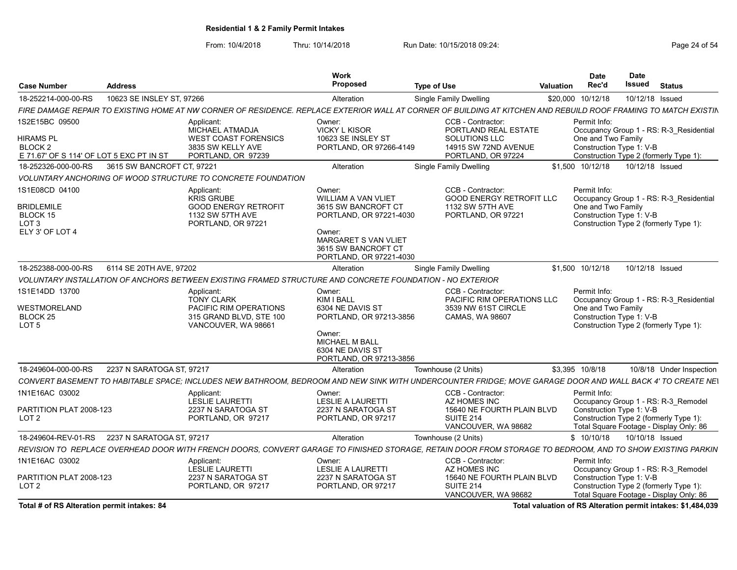From: 10/4/2018 Thru: 10/14/2018 Run Date: 10/15/2018 09:24:<br>From: 10/4/2018 Thru: 10/14/2018 Run Date: 10/15/2018 09:24:

| <b>Case Number</b>                                                                            | <b>Address</b>             |                                                                                                                    | Work<br><b>Proposed</b>                                                                                                                                                           | <b>Type of Use</b>                                                                                                                                              | Valuation | Date<br>Rec'd                                                  | <b>Date</b><br>Issued | <b>Status</b>                                                                                                            |
|-----------------------------------------------------------------------------------------------|----------------------------|--------------------------------------------------------------------------------------------------------------------|-----------------------------------------------------------------------------------------------------------------------------------------------------------------------------------|-----------------------------------------------------------------------------------------------------------------------------------------------------------------|-----------|----------------------------------------------------------------|-----------------------|--------------------------------------------------------------------------------------------------------------------------|
| 18-252214-000-00-RS                                                                           | 10623 SE INSLEY ST. 97266  |                                                                                                                    | Alteration                                                                                                                                                                        | <b>Single Family Dwelling</b>                                                                                                                                   |           | \$20,000 10/12/18                                              |                       | 10/12/18 Issued                                                                                                          |
|                                                                                               |                            |                                                                                                                    |                                                                                                                                                                                   | FIRE DAMAGE REPAIR TO EXISTING HOME AT NW CORNER OF RESIDENCE. REPLACE EXTERIOR WALL AT CORNER OF BUILDING AT KITCHEN AND REBUILD ROOF FRAMING TO MATCH EXISTIN |           |                                                                |                       |                                                                                                                          |
| IS2E15BC 09500<br>HIRAMS PL<br>BLOCK <sub>2</sub><br>E 71.67' OF S 114' OF LOT 5 EXC PT IN ST |                            | Applicant:<br><b>MICHAEL ATMADJA</b><br><b>WEST COAST FORENSICS</b><br>3835 SW KELLY AVE<br>PORTLAND, OR 97239     | Owner:<br><b>VICKY L KISOR</b><br>10623 SE INSLEY ST<br>PORTLAND, OR 97266-4149                                                                                                   | CCB - Contractor:<br>PORTLAND REAL ESTATE<br><b>SOLUTIONS LLC</b><br>14915 SW 72ND AVENUE<br>PORTLAND, OR 97224                                                 |           | Permit Info:<br>One and Two Family<br>Construction Type 1: V-B |                       | Occupancy Group 1 - RS: R-3 Residential<br>Construction Type 2 (formerly Type 1):                                        |
| 18-252326-000-00-RS                                                                           | 3615 SW BANCROFT CT. 97221 |                                                                                                                    | Alteration                                                                                                                                                                        | <b>Single Family Dwelling</b>                                                                                                                                   |           | \$1.500 10/12/18                                               |                       | 10/12/18 Issued                                                                                                          |
|                                                                                               |                            | VOLUNTARY ANCHORING OF WOOD STRUCTURE TO CONCRETE FOUNDATION                                                       |                                                                                                                                                                                   |                                                                                                                                                                 |           |                                                                |                       |                                                                                                                          |
| 1S1E08CD 04100<br><b>BRIDLEMILE</b><br>BLOCK 15<br>LOT 3<br>ELY 3' OF LOT 4                   |                            | Applicant:<br><b>KRIS GRUBE</b><br><b>GOOD ENERGY RETROFIT</b><br>1132 SW 57TH AVE<br>PORTLAND, OR 97221           | Owner:<br><b>WILLIAM A VAN VLIET</b><br>3615 SW BANCROFT CT<br>PORTLAND, OR 97221-4030<br>Owner:<br><b>MARGARET S VAN VLIET</b><br>3615 SW BANCROFT CT<br>PORTLAND, OR 97221-4030 | CCB - Contractor:<br><b>GOOD ENERGY RETROFIT LLC</b><br>1132 SW 57TH AVE<br>PORTLAND, OR 97221                                                                  |           | Permit Info:<br>One and Two Family<br>Construction Type 1: V-B |                       | Occupancy Group 1 - RS: R-3 Residential<br>Construction Type 2 (formerly Type 1):                                        |
| 18-252388-000-00-RS                                                                           | 6114 SE 20TH AVE, 97202    |                                                                                                                    | <b>Alteration</b>                                                                                                                                                                 | Single Family Dwelling                                                                                                                                          |           | \$1.500 10/12/18                                               |                       | 10/12/18 Issued                                                                                                          |
|                                                                                               |                            | VOLUNTARY INSTALLATION OF ANCHORS BETWEEN EXISTING FRAMED STRUCTURE AND CONCRETE FOUNDATION - NO EXTERIOR          |                                                                                                                                                                                   |                                                                                                                                                                 |           |                                                                |                       |                                                                                                                          |
| 1S1E14DD 13700<br>WESTMORELAND<br>BLOCK <sub>25</sub><br>LOT <sub>5</sub>                     |                            | Applicant:<br><b>TONY CLARK</b><br><b>PACIFIC RIM OPERATIONS</b><br>315 GRAND BLVD, STE 100<br>VANCOUVER, WA 98661 | Owner:<br>KIM I BALL<br>6304 NE DAVIS ST<br>PORTLAND, OR 97213-3856<br>Owner:<br><b>MICHAEL M BALL</b><br>6304 NE DAVIS ST<br>PORTLAND, OR 97213-3856                             | CCB - Contractor:<br>PACIFIC RIM OPERATIONS LLC<br>3539 NW 61ST CIRCLE<br><b>CAMAS, WA 98607</b>                                                                |           | Permit Info:<br>One and Two Family<br>Construction Type 1: V-B |                       | Occupancy Group 1 - RS: R-3 Residential<br>Construction Type 2 (formerly Type 1):                                        |
| 18-249604-000-00-RS                                                                           | 2237 N SARATOGA ST, 97217  |                                                                                                                    | Alteration                                                                                                                                                                        | Townhouse (2 Units)                                                                                                                                             |           | \$3,395 10/8/18                                                |                       | 10/8/18 Under Inspection                                                                                                 |
|                                                                                               |                            |                                                                                                                    |                                                                                                                                                                                   | CONVERT BASEMENT TO HABITABLE SPACE; INCLUDES NEW BATHROOM, BEDROOM AND NEW SINK WITH UNDERCOUNTER FRIDGE; MOVE GARAGE DOOR AND WALL BACK 4' TO CREATE NEI      |           |                                                                |                       |                                                                                                                          |
| 1N1E16AC 03002<br>PARTITION PLAT 2008-123<br>LOT <sub>2</sub>                                 |                            | Applicant:<br><b>LESLIE LAURETTI</b><br>2237 N SARATOGA ST<br>PORTLAND, OR 97217                                   | Owner:<br><b>LESLIE A LAURETTI</b><br>2237 N SARATOGA ST<br>PORTLAND, OR 97217                                                                                                    | CCB - Contractor:<br>AZ HOMES INC<br>15640 NE FOURTH PLAIN BLVD<br>SUITE 214<br>VANCOUVER, WA 98682                                                             |           | Permit Info:<br>Construction Type 1: V-B                       |                       | Occupancy Group 1 - RS: R-3 Remodel<br>Construction Type 2 (formerly Type 1):<br>Total Square Footage - Display Only: 86 |
| 18-249604-REV-01-RS                                                                           | 2237 N SARATOGA ST. 97217  |                                                                                                                    | Alteration                                                                                                                                                                        | Townhouse (2 Units)                                                                                                                                             |           | \$10/10/18                                                     |                       | 10/10/18 Issued                                                                                                          |
|                                                                                               |                            |                                                                                                                    |                                                                                                                                                                                   | REVISION TO  REPLACE OVERHEAD DOOR WITH FRENCH DOORS. CONVERT GARAGE TO FINISHED STORAGE. RETAIN DOOR FROM STORAGE TO BEDROOM. AND TO SHOW EXISTING PARKIN      |           |                                                                |                       |                                                                                                                          |
| 1N1E16AC 03002<br>PARTITION PLAT 2008-123<br>LOT <sub>2</sub>                                 |                            | Applicant:<br><b>LESLIE LAURETTI</b><br>2237 N SARATOGA ST<br>PORTLAND, OR 97217                                   | Owner:<br>LESLIE A LAURETTI<br>2237 N SARATOGA ST<br>PORTLAND, OR 97217                                                                                                           | CCB - Contractor:<br>AZ HOMES INC<br>15640 NE FOURTH PLAIN BLVD<br><b>SUITE 214</b><br>VANCOUVER, WA 98682                                                      |           | Permit Info:<br>Construction Type 1: V-B                       |                       | Occupancy Group 1 - RS: R-3 Remodel<br>Construction Type 2 (formerly Type 1):<br>Total Square Footage - Display Only: 86 |

Total # of RS Alteration permit intakes: 84 Total valuation of RS Alteration permit intakes: \$1,484,039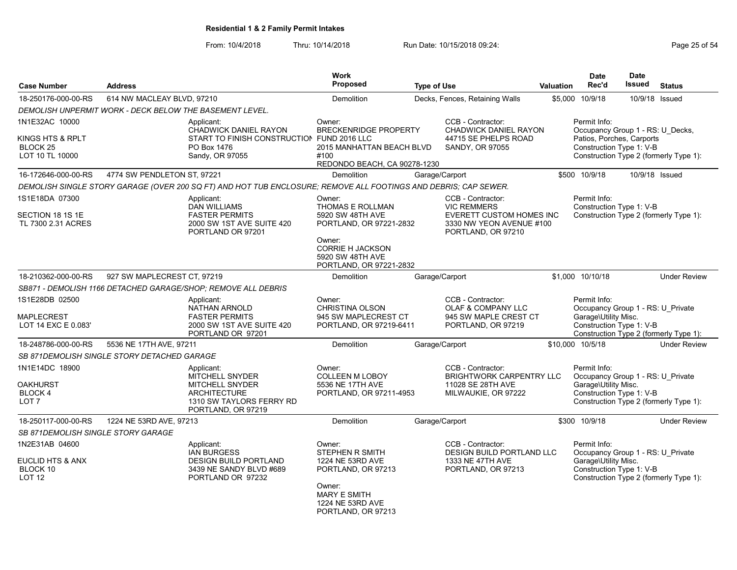From: 10/4/2018 Thru: 10/14/2018 Run Date: 10/15/2018 09:24:<br>From: 10/4/2018 Page 25 of 54

| <b>Case Number</b>                                               | <b>Address</b>                                                                                                |                                                                                                                                  | Work<br>Proposed                                                                                                                                                                         | <b>Type of Use</b> |                                                                                                 | Valuation                                                                                                                                       | <b>Date</b><br>Rec'd                                                                                                                            | <b>Date</b><br>Issued | <b>Status</b>                          |  |
|------------------------------------------------------------------|---------------------------------------------------------------------------------------------------------------|----------------------------------------------------------------------------------------------------------------------------------|------------------------------------------------------------------------------------------------------------------------------------------------------------------------------------------|--------------------|-------------------------------------------------------------------------------------------------|-------------------------------------------------------------------------------------------------------------------------------------------------|-------------------------------------------------------------------------------------------------------------------------------------------------|-----------------------|----------------------------------------|--|
| 18-250176-000-00-RS                                              | 614 NW MACLEAY BLVD, 97210                                                                                    |                                                                                                                                  | Demolition                                                                                                                                                                               |                    | Decks, Fences, Retaining Walls                                                                  | \$5,000                                                                                                                                         | 10/9/18                                                                                                                                         |                       | 10/9/18 Issued                         |  |
|                                                                  | DEMOLISH UNPERMIT WORK - DECK BELOW THE BASEMENT LEVEL.                                                       |                                                                                                                                  |                                                                                                                                                                                          |                    |                                                                                                 |                                                                                                                                                 |                                                                                                                                                 |                       |                                        |  |
| 1N1E32AC 10000                                                   |                                                                                                               | Applicant:                                                                                                                       | Owner:                                                                                                                                                                                   |                    | CCB - Contractor:                                                                               |                                                                                                                                                 | Permit Info:                                                                                                                                    |                       |                                        |  |
| KINGS HTS & RPLT<br>BLOCK <sub>25</sub><br>LOT 10 TL 10000       |                                                                                                               | <b>CHADWICK DANIEL RAYON</b><br>START TO FINISH CONSTRUCTION FUND 2016 LLC<br>PO Box 1476<br>Sandy, OR 97055                     | <b>BRECKENRIDGE PROPERTY</b><br>2015 MANHATTAN BEACH BLVD<br>#100<br>REDONDO BEACH, CA 90278-1230                                                                                        |                    | <b>CHADWICK DANIEL RAYON</b><br>44715 SE PHELPS ROAD<br>SANDY, OR 97055                         |                                                                                                                                                 | Occupancy Group 1 - RS: U_Decks,<br>Patios, Porches, Carports<br>Construction Type 1: V-B<br>Construction Type 2 (formerly Type 1):             |                       |                                        |  |
| 16-172646-000-00-RS                                              | 4774 SW PENDLETON ST, 97221                                                                                   |                                                                                                                                  | <b>Demolition</b>                                                                                                                                                                        |                    | Garage/Carport                                                                                  |                                                                                                                                                 | \$500 10/9/18                                                                                                                                   |                       | 10/9/18 Issued                         |  |
|                                                                  |                                                                                                               | DEMOLISH SINGLE STORY GARAGE (OVER 200 SQ FT) AND HOT TUB ENCLOSURE; REMOVE ALL FOOTINGS AND DEBRIS; CAP SEWER.                  |                                                                                                                                                                                          |                    |                                                                                                 |                                                                                                                                                 |                                                                                                                                                 |                       |                                        |  |
| 1S1E18DA 07300                                                   |                                                                                                               | Applicant:<br><b>DAN WILLIAMS</b><br><b>FASTER PERMITS</b>                                                                       | Owner:<br>THOMAS E ROLLMAN                                                                                                                                                               |                    | CCB - Contractor:<br><b>VIC REMMERS</b>                                                         |                                                                                                                                                 | Permit Info:<br>Construction Type 1: V-B                                                                                                        |                       | Construction Type 2 (formerly Type 1): |  |
| SECTION 18 1S 1E<br>TL 7300 2.31 ACRES                           |                                                                                                               | 2000 SW 1ST AVE SUITE 420<br>PORTLAND OR 97201                                                                                   | 5920 SW 48TH AVE<br><b>EVERETT CUSTOM HOMES INC</b><br>PORTLAND, OR 97221-2832<br>3330 NW YEON AVENUE #100<br>PORTLAND, OR 97210                                                         |                    |                                                                                                 |                                                                                                                                                 |                                                                                                                                                 |                       |                                        |  |
|                                                                  |                                                                                                               |                                                                                                                                  | Owner:<br><b>CORRIE H JACKSON</b><br>5920 SW 48TH AVE<br>PORTLAND, OR 97221-2832                                                                                                         |                    |                                                                                                 |                                                                                                                                                 |                                                                                                                                                 |                       |                                        |  |
| 18-210362-000-00-RS                                              | 927 SW MAPLECREST CT, 97219                                                                                   |                                                                                                                                  | Demolition                                                                                                                                                                               |                    | Garage/Carport                                                                                  |                                                                                                                                                 | \$1,000 10/10/18                                                                                                                                |                       | <b>Under Review</b>                    |  |
|                                                                  |                                                                                                               | SB871 - DEMOLISH 1166 DETACHED GARAGE/SHOP; REMOVE ALL DEBRIS                                                                    |                                                                                                                                                                                          |                    |                                                                                                 |                                                                                                                                                 |                                                                                                                                                 |                       |                                        |  |
| 1S1E28DB 02500<br>MAPLECREST<br>LOT 14 EXC E 0.083'              | Applicant:<br><b>NATHAN ARNOLD</b><br><b>FASTER PERMITS</b><br>2000 SW 1ST AVE SUITE 420<br>PORTLAND OR 97201 |                                                                                                                                  | CCB - Contractor:<br>Owner:<br><b>CHRISTINA OLSON</b><br><b>OLAF &amp; COMPANY LLC</b><br>945 SW MAPLECREST CT<br>945 SW MAPLE CREST CT<br>PORTLAND, OR 97219-6411<br>PORTLAND, OR 97219 |                    |                                                                                                 | Permit Info:<br>Occupancy Group 1 - RS: U Private<br>Garage\Utility Misc.<br>Construction Type 1: V-B<br>Construction Type 2 (formerly Type 1): |                                                                                                                                                 |                       |                                        |  |
| 18-248786-000-00-RS                                              | 5536 NE 17TH AVE, 97211                                                                                       |                                                                                                                                  | <b>Demolition</b>                                                                                                                                                                        |                    | Garage/Carport                                                                                  |                                                                                                                                                 | \$10,000 10/5/18                                                                                                                                |                       | <b>Under Review</b>                    |  |
|                                                                  | SB 871DEMOLISH SINGLE STORY DETACHED GARAGE                                                                   |                                                                                                                                  |                                                                                                                                                                                          |                    |                                                                                                 |                                                                                                                                                 |                                                                                                                                                 |                       |                                        |  |
| 1N1E14DC 18900<br><b>OAKHURST</b><br>BLOCK 4<br>LOT <sub>7</sub> |                                                                                                               | Applicant:<br>MITCHELL SNYDER<br><b>MITCHELL SNYDER</b><br><b>ARCHITECTURE</b><br>1310 SW TAYLORS FERRY RD<br>PORTLAND, OR 97219 | CCB - Contractor:<br>Owner:<br><b>COLLEEN M LOBOY</b><br>5536 NE 17TH AVE<br>11028 SE 28TH AVE<br>PORTLAND, OR 97211-4953<br>MILWAUKIE, OR 97222                                         |                    | <b>BRIGHTWORK CARPENTRY LLC</b>                                                                 |                                                                                                                                                 | Permit Info:<br>Occupancy Group 1 - RS: U Private<br>Garage\Utility Misc.<br>Construction Type 1: V-B<br>Construction Type 2 (formerly Type 1): |                       |                                        |  |
| 18-250117-000-00-RS                                              | 1224 NE 53RD AVE, 97213                                                                                       |                                                                                                                                  | Demolition                                                                                                                                                                               |                    | Garage/Carport                                                                                  |                                                                                                                                                 | \$300 10/9/18                                                                                                                                   |                       | <b>Under Review</b>                    |  |
| SB 871DEMOLISH SINGLE STORY GARAGE                               |                                                                                                               |                                                                                                                                  |                                                                                                                                                                                          |                    |                                                                                                 |                                                                                                                                                 |                                                                                                                                                 |                       |                                        |  |
| 1N2E31AB 04600<br>EUCLID HTS & ANX<br>BLOCK 10<br><b>LOT 12</b>  |                                                                                                               | Applicant:<br>IAN BURGESS<br><b>DESIGN BUILD PORTLAND</b><br>3439 NE SANDY BLVD #689<br>PORTLAND OR 97232                        | Owner:<br>STEPHEN R SMITH<br>1224 NE 53RD AVE<br>PORTLAND, OR 97213<br>Owner:<br><b>MARY E SMITH</b><br>1224 NE 53RD AVE<br>PORTLAND, OR 97213                                           |                    | CCB - Contractor:<br><b>DESIGN BUILD PORTLAND LLC</b><br>1333 NE 47TH AVE<br>PORTLAND, OR 97213 |                                                                                                                                                 | Permit Info:<br>Occupancy Group 1 - RS: U Private<br>Garage\Utility Misc.<br>Construction Type 1: V-B                                           |                       | Construction Type 2 (formerly Type 1): |  |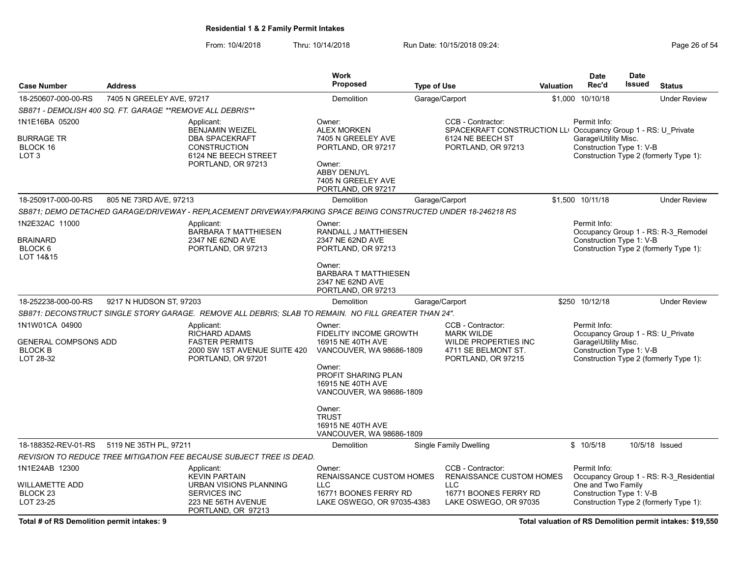From: 10/4/2018 Thru: 10/14/2018 Run Date: 10/15/2018 09:24:<br>From: 10/4/2018 Thru: 10/14/2018 Run Date: 10/15/2018 09:24:

|                                                                       |                                                            |                                                                                                                                    | <b>Work</b>                                                                                                                                                                          |                                                                                                                            |                  | Date                                                                                                  | Date          |                                                                                   |
|-----------------------------------------------------------------------|------------------------------------------------------------|------------------------------------------------------------------------------------------------------------------------------------|--------------------------------------------------------------------------------------------------------------------------------------------------------------------------------------|----------------------------------------------------------------------------------------------------------------------------|------------------|-------------------------------------------------------------------------------------------------------|---------------|-----------------------------------------------------------------------------------|
| <b>Case Number</b>                                                    | <b>Address</b>                                             |                                                                                                                                    | <b>Proposed</b>                                                                                                                                                                      | <b>Type of Use</b>                                                                                                         | <b>Valuation</b> | Rec'd                                                                                                 | <b>Issued</b> | <b>Status</b>                                                                     |
| 18-250607-000-00-RS                                                   | 7405 N GREELEY AVE, 97217                                  |                                                                                                                                    | Demolition                                                                                                                                                                           | Garage/Carport                                                                                                             |                  | \$1,000 10/10/18                                                                                      |               | <b>Under Review</b>                                                               |
|                                                                       | SB871 - DEMOLISH 400 SQ. FT. GARAGE ** REMOVE ALL DEBRIS** |                                                                                                                                    |                                                                                                                                                                                      |                                                                                                                            |                  |                                                                                                       |               |                                                                                   |
| 1N1E16BA 05200<br>BURRAGE TR<br>BLOCK 16<br>LOT <sub>3</sub>          |                                                            | Applicant:<br><b>BENJAMIN WEIZEL</b><br><b>DBA SPACEKRAFT</b><br><b>CONSTRUCTION</b><br>6124 NE BEECH STREET<br>PORTLAND, OR 97213 | Owner:<br><b>ALEX MORKEN</b><br>7405 N GREELEY AVE<br>PORTLAND, OR 97217<br>Owner:<br><b>ABBY DENUYL</b><br>7405 N GREELEY AVE<br>PORTLAND, OR 97217                                 | CCB - Contractor:<br>SPACEKRAFT CONSTRUCTION LLOCCupancy Group 1 - RS: U Private<br>6124 NE BEECH ST<br>PORTLAND, OR 97213 |                  | Permit Info:<br>Garage\Utility Misc.<br>Construction Type 1: V-B                                      |               | Construction Type 2 (formerly Type 1):                                            |
| 18-250917-000-00-RS                                                   | 805 NE 73RD AVE, 97213                                     |                                                                                                                                    | Demolition                                                                                                                                                                           | Garage/Carport                                                                                                             |                  | \$1,500 10/11/18                                                                                      |               | <b>Under Review</b>                                                               |
|                                                                       |                                                            | SB871; DEMO DETACHED GARAGE/DRIVEWAY - REPLACEMENT DRIVEWAY/PARKING SPACE BEING CONSTRUCTED UNDER 18-246218 RS                     |                                                                                                                                                                                      |                                                                                                                            |                  |                                                                                                       |               |                                                                                   |
| 1N2E32AC 11000<br>BRAINARD<br>BLOCK 6<br>LOT 14&15                    |                                                            | Applicant:<br><b>BARBARA T MATTHIESEN</b><br>2347 NE 62ND AVE<br>PORTLAND, OR 97213                                                | Owner:<br>RANDALL J MATTHIESEN<br>2347 NE 62ND AVE<br>PORTLAND, OR 97213                                                                                                             |                                                                                                                            |                  | Permit Info:<br>Construction Type 1: V-B                                                              |               | Occupancy Group 1 - RS: R-3 Remodel<br>Construction Type 2 (formerly Type 1):     |
|                                                                       |                                                            |                                                                                                                                    | Owner:<br><b>BARBARA T MATTHIESEN</b><br>2347 NE 62ND AVE<br>PORTLAND, OR 97213                                                                                                      |                                                                                                                            |                  |                                                                                                       |               |                                                                                   |
| 18-252238-000-00-RS                                                   | 9217 N HUDSON ST, 97203                                    |                                                                                                                                    | Demolition                                                                                                                                                                           | Garage/Carport                                                                                                             |                  | \$250 10/12/18                                                                                        |               | <b>Under Review</b>                                                               |
|                                                                       |                                                            | SB871: DECONSTRUCT SINGLE STORY GARAGE. REMOVE ALL DEBRIS; SLAB TO REMAIN. NO FILL GREATER THAN 24".                               |                                                                                                                                                                                      |                                                                                                                            |                  |                                                                                                       |               |                                                                                   |
| 1N1W01CA 04900<br>GENERAL COMPSONS ADD<br><b>BLOCK B</b><br>LOT 28-32 |                                                            | Applicant:<br>RICHARD ADAMS<br><b>FASTER PERMITS</b><br>2000 SW 1ST AVENUE SUITE 420<br>PORTLAND, OR 97201                         | Owner:<br><b>FIDELITY INCOME GROWTH</b><br>16915 NE 40TH AVE<br>VANCOUVER, WA 98686-1809<br>Owner:<br>PROFIT SHARING PLAN<br>16915 NE 40TH AVE<br>VANCOUVER, WA 98686-1809<br>Owner: | CCB - Contractor:<br><b>MARK WILDE</b><br>WILDE PROPERTIES INC<br>4711 SE BELMONT ST.<br>PORTLAND, OR 97215                |                  | Permit Info:<br>Occupancy Group 1 - RS: U Private<br>Garage\Utility Misc.<br>Construction Type 1: V-B |               | Construction Type 2 (formerly Type 1):                                            |
|                                                                       |                                                            |                                                                                                                                    | <b>TRUST</b><br>16915 NE 40TH AVE<br>VANCOUVER, WA 98686-1809                                                                                                                        |                                                                                                                            |                  |                                                                                                       |               |                                                                                   |
| 18-188352-REV-01-RS                                                   | 5119 NE 35TH PL, 97211                                     |                                                                                                                                    | Demolition                                                                                                                                                                           | <b>Single Family Dwelling</b>                                                                                              |                  | \$10/5/18                                                                                             |               | 10/5/18 Issued                                                                    |
|                                                                       |                                                            | REVISION TO REDUCE TREE MITIGATION FEE BECAUSE SUBJECT TREE IS DEAD.                                                               |                                                                                                                                                                                      |                                                                                                                            |                  |                                                                                                       |               |                                                                                   |
| 1N1E24AB 12300<br>WILLAMETTE ADD<br>BLOCK <sub>23</sub><br>LOT 23-25  |                                                            | Applicant:<br><b>KEVIN PARTAIN</b><br>URBAN VISIONS PLANNING<br>SERVICES INC<br>223 NE 56TH AVENUE<br>PORTLAND, OR 97213           | Owner:<br><b>RENAISSANCE CUSTOM HOMES</b><br><b>LLC</b><br>16771 BOONES FERRY RD<br>LAKE OSWEGO, OR 97035-4383                                                                       | CCB - Contractor:<br><b>RENAISSANCE CUSTOM HOMES</b><br>LLC.<br>16771 BOONES FERRY RD<br>LAKE OSWEGO, OR 97035             |                  | Permit Info:<br>One and Two Family<br>Construction Type 1: V-B                                        |               | Occupancy Group 1 - RS: R-3 Residential<br>Construction Type 2 (formerly Type 1): |

Total # of RS Demolition permit intakes: 9 **Total valuation of RS Demolition permit intakes:** \$19,550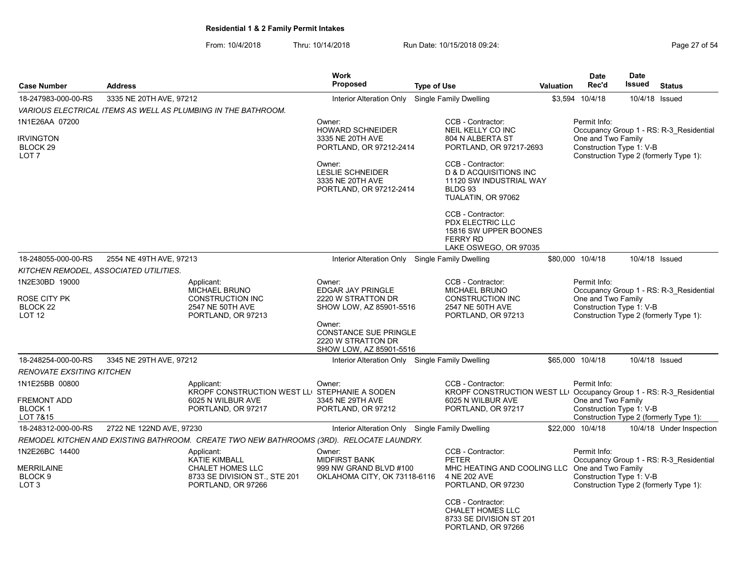From: 10/4/2018 Thru: 10/14/2018 Run Date: 10/15/2018 09:24:<br>From: 10/4/2018 Page 27 of 54

|                                                      |                                                                                          |                                                                                          | <b>Work</b>                                                                             |                                                                                                            |                  | <b>Date</b>                                                                              | <b>Date</b>   |                                                                                   |
|------------------------------------------------------|------------------------------------------------------------------------------------------|------------------------------------------------------------------------------------------|-----------------------------------------------------------------------------------------|------------------------------------------------------------------------------------------------------------|------------------|------------------------------------------------------------------------------------------|---------------|-----------------------------------------------------------------------------------|
| <b>Case Number</b>                                   | <b>Address</b>                                                                           |                                                                                          | Proposed                                                                                | <b>Type of Use</b>                                                                                         | <b>Valuation</b> | Rec'd                                                                                    | <b>Issued</b> | <b>Status</b>                                                                     |
| 18-247983-000-00-RS                                  | 3335 NE 20TH AVE, 97212                                                                  |                                                                                          | Interior Alteration Only                                                                | <b>Single Family Dwelling</b>                                                                              |                  | \$3,594 10/4/18                                                                          |               | 10/4/18 Issued                                                                    |
|                                                      |                                                                                          | VARIOUS ELECTRICAL ITEMS AS WELL AS PLUMBING IN THE BATHROOM.                            |                                                                                         |                                                                                                            |                  |                                                                                          |               |                                                                                   |
| 1N1E26AA 07200                                       |                                                                                          |                                                                                          | Owner:<br><b>HOWARD SCHNEIDER</b>                                                       | CCB - Contractor:<br>NEIL KELLY CO INC                                                                     |                  | Permit Info:                                                                             |               | Occupancy Group 1 - RS: R-3 Residential                                           |
| IRVINGTON<br>BLOCK <sub>29</sub><br>LOT 7            |                                                                                          |                                                                                          | 3335 NE 20TH AVE<br>PORTLAND, OR 97212-2414                                             | 804 N ALBERTA ST<br>PORTLAND, OR 97217-2693                                                                |                  | One and Two Family<br>Construction Type 1: V-B                                           |               | Construction Type 2 (formerly Type 1):                                            |
|                                                      |                                                                                          |                                                                                          | Owner:<br><b>LESLIE SCHNEIDER</b><br>3335 NE 20TH AVE<br>PORTLAND, OR 97212-2414        | CCB - Contractor:<br>D & D ACQUISITIONS INC<br>11120 SW INDUSTRIAL WAY<br>BLDG 93<br>TUALATIN, OR 97062    |                  |                                                                                          |               |                                                                                   |
|                                                      |                                                                                          |                                                                                          |                                                                                         | CCB - Contractor:<br>PDX ELECTRIC LLC<br>15816 SW UPPER BOONES<br><b>FERRY RD</b><br>LAKE OSWEGO, OR 97035 |                  |                                                                                          |               |                                                                                   |
| 18-248055-000-00-RS                                  | 2554 NE 49TH AVE, 97213                                                                  |                                                                                          | Interior Alteration Only Single Family Dwelling                                         |                                                                                                            |                  | \$80,000 10/4/18                                                                         |               | 10/4/18 Issued                                                                    |
| KITCHEN REMODEL, ASSOCIATED UTILITIES.               |                                                                                          |                                                                                          |                                                                                         |                                                                                                            |                  |                                                                                          |               |                                                                                   |
| 1N2E30BD 19000                                       |                                                                                          | Applicant:<br><b>MICHAEL BRUNO</b>                                                       | Owner:<br>EDGAR JAY PRINGLE                                                             | CCB - Contractor:<br><b>MICHAEL BRUNO</b>                                                                  |                  | Permit Info:                                                                             |               | Occupancy Group 1 - RS: R-3 Residential                                           |
| ROSE CITY PK<br>BLOCK <sub>22</sub><br><b>LOT 12</b> |                                                                                          | <b>CONSTRUCTION INC</b><br>2547 NE 50TH AVE<br>PORTLAND, OR 97213                        | 2220 W STRATTON DR<br>SHOW LOW, AZ 85901-5516                                           | <b>CONSTRUCTION INC</b><br>2547 NE 50TH AVE<br>PORTLAND, OR 97213                                          |                  | One and Two Family<br>Construction Type 1: V-B<br>Construction Type 2 (formerly Type 1): |               |                                                                                   |
|                                                      |                                                                                          |                                                                                          | Owner:<br><b>CONSTANCE SUE PRINGLE</b><br>2220 W STRATTON DR<br>SHOW LOW, AZ 85901-5516 |                                                                                                            |                  |                                                                                          |               |                                                                                   |
| 18-248254-000-00-RS                                  | 3345 NE 29TH AVE, 97212                                                                  |                                                                                          | Interior Alteration Only Single Family Dwelling                                         |                                                                                                            |                  | \$65,000 10/4/18                                                                         |               | 10/4/18 Issued                                                                    |
| RENOVATE EXSITING KITCHEN                            |                                                                                          |                                                                                          |                                                                                         |                                                                                                            |                  |                                                                                          |               |                                                                                   |
| 1N1E25BB 00800                                       |                                                                                          | Applicant:<br>KROPF CONSTRUCTION WEST LLI STEPHANIE A SODEN                              | Owner:                                                                                  | CCB - Contractor:<br>KROPF CONSTRUCTION WEST LLI Occupancy Group 1 - RS: R-3 Residential                   |                  | Permit Info:                                                                             |               |                                                                                   |
| FREMONT ADD<br><b>BLOCK1</b><br>LOT 7&15             |                                                                                          | 6025 N WILBUR AVE<br>PORTLAND, OR 97217                                                  | 3345 NE 29TH AVE<br>PORTLAND, OR 97212                                                  | 6025 N WILBUR AVE<br>PORTLAND, OR 97217                                                                    |                  | One and Two Family<br>Construction Type 1: V-B                                           |               | Construction Type 2 (formerly Type 1):                                            |
| 18-248312-000-00-RS                                  | 2722 NE 122ND AVE, 97230                                                                 |                                                                                          | Interior Alteration Only Single Family Dwelling                                         |                                                                                                            |                  | \$22,000 10/4/18                                                                         |               | 10/4/18 Under Inspection                                                          |
|                                                      |                                                                                          | REMODEL KITCHEN AND EXISTING BATHROOM. CREATE TWO NEW BATHROOMS (3RD). RELOCATE LAUNDRY. |                                                                                         |                                                                                                            |                  |                                                                                          |               |                                                                                   |
| 1N2E26BC 14400                                       |                                                                                          | Applicant:                                                                               | Owner:                                                                                  | CCB - Contractor:                                                                                          |                  | Permit Info:                                                                             |               |                                                                                   |
| MERRILAINE<br>BLOCK 9<br>LOT <sub>3</sub>            | KATIE KIMBALL<br>CHALET HOMES LLC<br>8733 SE DIVISION ST., STE 201<br>PORTLAND, OR 97266 |                                                                                          | <b>MIDFIRST BANK</b><br>999 NW GRAND BLVD #100<br>OKLAHOMA CITY, OK 73118-6116          | <b>PETER</b><br>MHC HEATING AND COOLING LLC<br>4 NE 202 AVE<br>PORTLAND, OR 97230                          |                  | One and Two Family<br>Construction Type 1: V-B                                           |               | Occupancy Group 1 - RS: R-3 Residential<br>Construction Type 2 (formerly Type 1): |
|                                                      |                                                                                          |                                                                                          |                                                                                         | CCB - Contractor:<br>CHALET HOMES LLC<br>8733 SE DIVISION ST 201<br>PORTLAND, OR 97266                     |                  |                                                                                          |               |                                                                                   |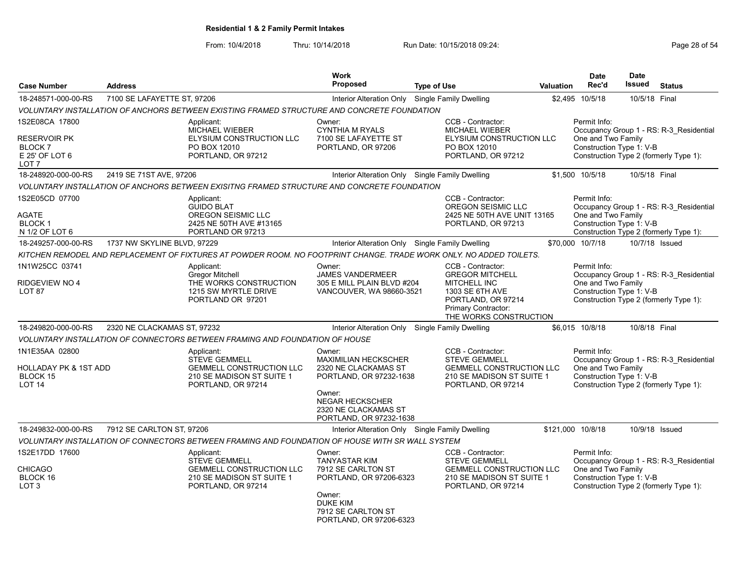From: 10/4/2018 Thru: 10/14/2018 Run Date: 10/15/2018 09:24:<br>From: 10/4/2018 Page 28 of 54

| <b>Case Number</b>                                                            | <b>Address</b>              |                                                                                                                     | <b>Work</b><br><b>Proposed</b>                                                                                          | <b>Type of Use</b>                                                               |                                                                                                            | Valuation                                                          | <b>Date</b><br>Rec'd                                           | <b>Date</b><br>Issued | <b>Status</b>                                                                     |
|-------------------------------------------------------------------------------|-----------------------------|---------------------------------------------------------------------------------------------------------------------|-------------------------------------------------------------------------------------------------------------------------|----------------------------------------------------------------------------------|------------------------------------------------------------------------------------------------------------|--------------------------------------------------------------------|----------------------------------------------------------------|-----------------------|-----------------------------------------------------------------------------------|
|                                                                               |                             |                                                                                                                     |                                                                                                                         |                                                                                  |                                                                                                            |                                                                    |                                                                |                       |                                                                                   |
| 18-248571-000-00-RS                                                           | 7100 SE LAFAYETTE ST, 97206 |                                                                                                                     | Interior Alteration Only Single Family Dwelling                                                                         |                                                                                  |                                                                                                            |                                                                    | \$2,495 10/5/18                                                | 10/5/18 Final         |                                                                                   |
|                                                                               |                             | VOLUNTARY INSTALLATION OF ANCHORS BETWEEN EXISTING FRAMED STRUCTURE AND CONCRETE FOUNDATION                         |                                                                                                                         |                                                                                  | CCB - Contractor:                                                                                          |                                                                    |                                                                |                       |                                                                                   |
| 1S2E08CA 17800<br><b>RESERVOIR PK</b><br>BLOCK <sub>7</sub><br>E 25' OF LOT 6 |                             | Applicant:<br><b>MICHAEL WIEBER</b><br>ELYSIUM CONSTRUCTION LLC<br>PO BOX 12010<br>PORTLAND, OR 97212               | Owner:<br><b>CYNTHIA M RYALS</b><br>7100 SE LAFAYETTE ST<br>PORTLAND, OR 97206                                          | MICHAEL WIEBER<br>ELYSIUM CONSTRUCTION LLC<br>PO BOX 12010<br>PORTLAND, OR 97212 |                                                                                                            | Permit Info:<br>One and Two Family<br>Construction Type 1: V-B     |                                                                |                       | Occupancy Group 1 - RS: R-3 Residential<br>Construction Type 2 (formerly Type 1): |
| LOT <sub>7</sub>                                                              |                             |                                                                                                                     |                                                                                                                         |                                                                                  |                                                                                                            |                                                                    |                                                                |                       |                                                                                   |
| 18-248920-000-00-RS                                                           | 2419 SE 71ST AVE, 97206     |                                                                                                                     | Interior Alteration Only Single Family Dwelling                                                                         |                                                                                  |                                                                                                            |                                                                    | \$1,500 10/5/18                                                | 10/5/18 Final         |                                                                                   |
|                                                                               |                             | VOLUNTARY INSTALLATION OF ANCHORS BETWEEN EXISITNG FRAMED STRUCTURE AND CONCRETE FOUNDATION                         |                                                                                                                         |                                                                                  |                                                                                                            |                                                                    |                                                                |                       |                                                                                   |
| 1S2E05CD 07700<br>AGATE<br><b>BLOCK1</b><br>N 1/2 OF LOT 6                    |                             | Applicant:<br><b>GUIDO BLAT</b><br>OREGON SEISMIC LLC<br>2425 NE 50TH AVE #13165<br>PORTLAND OR 97213               |                                                                                                                         |                                                                                  | CCB - Contractor:<br>OREGON SEISMIC LLC<br>2425 NE 50TH AVE UNIT 13165<br>PORTLAND, OR 97213               |                                                                    | Permit Info:<br>One and Two Family<br>Construction Type 1: V-B |                       | Occupancy Group 1 - RS: R-3 Residential<br>Construction Type 2 (formerly Type 1): |
| 18-249257-000-00-RS                                                           | 1737 NW SKYLINE BLVD, 97229 |                                                                                                                     | Interior Alteration Only Single Family Dwelling                                                                         |                                                                                  |                                                                                                            |                                                                    | \$70,000 10/7/18                                               | 10/7/18 Issued        |                                                                                   |
|                                                                               |                             | KITCHEN REMODEL AND REPLACEMENT OF FIXTURES AT POWDER ROOM. NO FOOTPRINT CHANGE. TRADE WORK ONLY. NO ADDED TOILETS. |                                                                                                                         |                                                                                  |                                                                                                            |                                                                    |                                                                |                       |                                                                                   |
| 1N1W25CC 03741<br>RIDGEVIEW NO 4                                              |                             | Applicant:<br><b>Gregor Mitchell</b><br>THE WORKS CONSTRUCTION                                                      | Owner:<br><b>JAMES VANDERMEER</b>                                                                                       |                                                                                  | CCB - Contractor:<br><b>GREGOR MITCHELL</b>                                                                |                                                                    | Permit Info:<br>One and Two Family                             |                       | Occupancy Group 1 - RS: R-3 Residential                                           |
| LOT <sub>87</sub>                                                             |                             | 1215 SW MYRTLE DRIVE<br>PORTLAND OR 97201                                                                           | 305 E MILL PLAIN BLVD #204<br>MITCHELL INC<br>VANCOUVER, WA 98660-3521<br>1303 SE 6TH AVE<br><b>Primary Contractor:</b> |                                                                                  | PORTLAND, OR 97214<br>THE WORKS CONSTRUCTION                                                               | Construction Type 1: V-B<br>Construction Type 2 (formerly Type 1): |                                                                |                       |                                                                                   |
| 18-249820-000-00-RS                                                           | 2320 NE CLACKAMAS ST, 97232 |                                                                                                                     | Interior Alteration Only Single Family Dwelling                                                                         |                                                                                  |                                                                                                            |                                                                    | \$6,015 10/8/18                                                | 10/8/18 Final         |                                                                                   |
|                                                                               |                             | VOLUNTARY INSTALLATION OF CONNECTORS BETWEEN FRAMING AND FOUNDATION OF HOUSE                                        |                                                                                                                         |                                                                                  |                                                                                                            |                                                                    |                                                                |                       |                                                                                   |
| 1N1E35AA 02800                                                                |                             | Applicant:                                                                                                          | Owner:                                                                                                                  |                                                                                  | CCB - Contractor:                                                                                          |                                                                    | Permit Info:                                                   |                       |                                                                                   |
| HOLLADAY PK & 1ST ADD<br><b>BLOCK 15</b><br><b>LOT 14</b>                     |                             | <b>STEVE GEMMELL</b><br><b>GEMMELL CONSTRUCTION LLC</b><br>210 SE MADISON ST SUITE 1<br>PORTLAND, OR 97214          | <b>MAXIMILIAN HECKSCHER</b><br>2320 NE CLACKAMAS ST<br>PORTLAND, OR 97232-1638                                          |                                                                                  | <b>STEVE GEMMELL</b><br><b>GEMMELL CONSTRUCTION LLC</b><br>210 SE MADISON ST SUITE 1<br>PORTLAND, OR 97214 |                                                                    | One and Two Family<br>Construction Type 1: V-B                 |                       | Occupancy Group 1 - RS: R-3 Residential<br>Construction Type 2 (formerly Type 1): |
|                                                                               |                             |                                                                                                                     | Owner:<br><b>NEGAR HECKSCHER</b><br>2320 NE CLACKAMAS ST<br>PORTLAND, OR 97232-1638                                     |                                                                                  |                                                                                                            |                                                                    |                                                                |                       |                                                                                   |
| 18-249832-000-00-RS                                                           | 7912 SE CARLTON ST, 97206   |                                                                                                                     | Interior Alteration Only Single Family Dwelling                                                                         |                                                                                  |                                                                                                            |                                                                    | \$121,000 10/8/18                                              |                       | 10/9/18 Issued                                                                    |
|                                                                               |                             | VOLUNTARY INSTALLATION OF CONNECTORS BETWEEN FRAMING AND FOUNDATION OF HOUSE WITH SR WALL SYSTEM                    |                                                                                                                         |                                                                                  |                                                                                                            |                                                                    |                                                                |                       |                                                                                   |
| 1S2E17DD 17600<br>CHICAGO<br>BLOCK 16                                         |                             | Applicant:<br><b>STEVE GEMMELL</b><br><b>GEMMELL CONSTRUCTION LLC</b><br>210 SE MADISON ST SUITE 1                  | Owner:<br><b>TANYASTAR KIM</b><br>7912 SE CARLTON ST<br>PORTLAND, OR 97206-6323                                         |                                                                                  | CCB - Contractor:<br><b>STEVE GEMMELL</b><br><b>GEMMELL CONSTRUCTION LLC</b><br>210 SE MADISON ST SUITE 1  |                                                                    | Permit Info:<br>One and Two Family<br>Construction Type 1: V-B |                       | Occupancy Group 1 - RS: R-3 Residential                                           |
| LOT <sub>3</sub>                                                              |                             | PORTLAND, OR 97214                                                                                                  | Owner:<br><b>DUKE KIM</b><br>7912 SE CARLTON ST<br>PORTLAND, OR 97206-6323                                              |                                                                                  | PORTLAND, OR 97214                                                                                         |                                                                    |                                                                |                       | Construction Type 2 (formerly Type 1):                                            |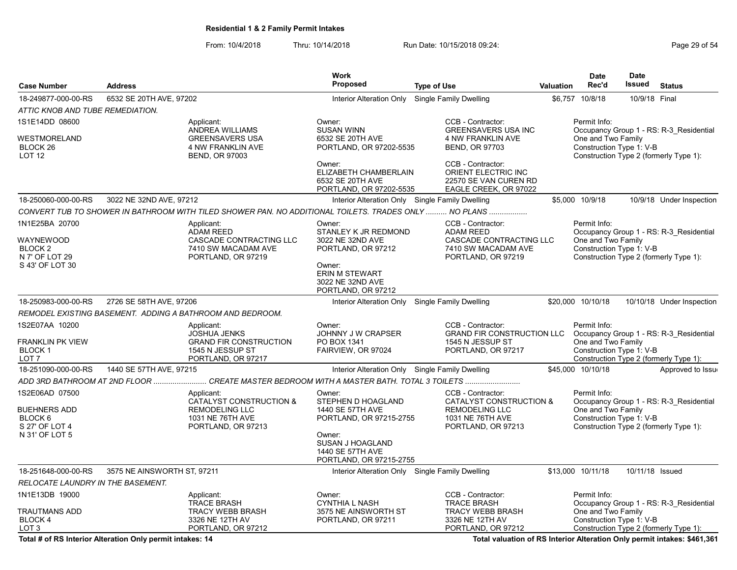From: 10/4/2018 Thru: 10/14/2018 Run Date: 10/15/2018 09:24:<br>From: 10/4/2018 Thru: 10/14/2018 Run Date: 10/15/2018 09:24:

|                                                                                                 |                                                                                                       |                                                                                                              | Work                                                                                                                                                     |                                                                                                                 |                  | <b>Date</b>                                                    | <b>Date</b>     |                                                                                   |
|-------------------------------------------------------------------------------------------------|-------------------------------------------------------------------------------------------------------|--------------------------------------------------------------------------------------------------------------|----------------------------------------------------------------------------------------------------------------------------------------------------------|-----------------------------------------------------------------------------------------------------------------|------------------|----------------------------------------------------------------|-----------------|-----------------------------------------------------------------------------------|
| <b>Case Number</b>                                                                              | <b>Address</b>                                                                                        |                                                                                                              | Proposed                                                                                                                                                 | <b>Type of Use</b>                                                                                              | <b>Valuation</b> | Rec'd                                                          | <b>Issued</b>   | <b>Status</b>                                                                     |
| 18-249877-000-00-RS                                                                             | 6532 SE 20TH AVE, 97202                                                                               |                                                                                                              | Interior Alteration Only Single Family Dwelling                                                                                                          |                                                                                                                 |                  | \$6,757 10/8/18                                                | 10/9/18 Final   |                                                                                   |
| ATTIC KNOB AND TUBE REMEDIATION.                                                                |                                                                                                       |                                                                                                              |                                                                                                                                                          |                                                                                                                 |                  |                                                                |                 |                                                                                   |
| 1S1E14DD 08600<br>WESTMORELAND<br>BLOCK 26<br>LOT <sub>12</sub>                                 | Applicant:<br>ANDREA WILLIAMS<br><b>GREENSAVERS USA</b><br>4 NW FRANKLIN AVE<br><b>BEND, OR 97003</b> |                                                                                                              | Owner:<br><b>SUSAN WINN</b><br>6532 SE 20TH AVE<br>PORTLAND, OR 97202-5535                                                                               | CCB - Contractor:<br><b>GREENSAVERS USA INC</b><br>4 NW FRANKLIN AVE<br><b>BEND, OR 97703</b>                   |                  | Permit Info:<br>One and Two Family<br>Construction Type 1: V-B |                 | Occupancy Group 1 - RS: R-3 Residential<br>Construction Type 2 (formerly Type 1): |
|                                                                                                 |                                                                                                       |                                                                                                              | Owner:<br>ELIZABETH CHAMBERLAIN<br>6532 SE 20TH AVE<br>PORTLAND, OR 97202-5535                                                                           | CCB - Contractor:<br>ORIENT ELECTRIC INC<br>22570 SE VAN CUREN RD<br>EAGLE CREEK, OR 97022                      |                  |                                                                |                 |                                                                                   |
| 18-250060-000-00-RS                                                                             | 3022 NE 32ND AVE, 97212                                                                               |                                                                                                              | Interior Alteration Only Single Family Dwelling                                                                                                          |                                                                                                                 |                  | \$5,000 10/9/18                                                |                 | 10/9/18 Under Inspection                                                          |
|                                                                                                 |                                                                                                       | CONVERT TUB TO SHOWER IN BATHROOM WITH TILED SHOWER PAN. NO ADDITIONAL TOILETS. TRADES ONLY  NO PLANS        |                                                                                                                                                          |                                                                                                                 |                  |                                                                |                 |                                                                                   |
| 1N1E25BA 20700<br>WAYNEWOOD<br>BLOCK <sub>2</sub><br>N 7' OF LOT 29<br>S 43' OF LOT 30          |                                                                                                       | Applicant:<br><b>ADAM REED</b><br>CASCADE CONTRACTING LLC<br>7410 SW MACADAM AVE<br>PORTLAND, OR 97219       | Owner:<br>STANLEY K JR REDMOND<br>3022 NE 32ND AVE<br>PORTLAND, OR 97212<br>Owner:<br><b>ERIN M STEWART</b><br>3022 NE 32ND AVE<br>PORTLAND, OR 97212    | CCB - Contractor:<br><b>ADAM REED</b><br>CASCADE CONTRACTING LLC<br>7410 SW MACADAM AVE<br>PORTLAND, OR 97219   |                  | Permit Info:<br>One and Two Family<br>Construction Type 1: V-B |                 | Occupancy Group 1 - RS: R-3_Residential<br>Construction Type 2 (formerly Type 1): |
| 18-250983-000-00-RS                                                                             | 2726 SE 58TH AVE, 97206                                                                               |                                                                                                              | Interior Alteration Only Single Family Dwelling                                                                                                          |                                                                                                                 |                  | \$20,000 10/10/18                                              |                 | 10/10/18 Under Inspection                                                         |
|                                                                                                 |                                                                                                       | REMODEL EXISTING BASEMENT. ADDING A BATHROOM AND BEDROOM.                                                    |                                                                                                                                                          |                                                                                                                 |                  |                                                                |                 |                                                                                   |
| 1S2E07AA 10200<br>FRANKLIN PK VIEW<br>BLOCK 1<br>LOT <sub>7</sub>                               |                                                                                                       | Applicant:<br><b>JOSHUA JENKS</b><br><b>GRAND FIR CONSTRUCTION</b><br>1545 N JESSUP ST<br>PORTLAND, OR 97217 | Owner:<br>JOHNNY J W CRAPSER<br>PO BOX 1341<br>FAIRVIEW, OR 97024                                                                                        | CCB - Contractor:<br><b>GRAND FIR CONSTRUCTION LLC</b><br>1545 N JESSUP ST<br>PORTLAND, OR 97217                |                  | Permit Info:<br>One and Two Family<br>Construction Type 1: V-B |                 | Occupancy Group 1 - RS: R-3 Residential<br>Construction Type 2 (formerly Type 1): |
| 18-251090-000-00-RS                                                                             | 1440 SE 57TH AVE, 97215                                                                               |                                                                                                              | Interior Alteration Only Single Family Dwelling                                                                                                          |                                                                                                                 |                  | \$45,000 10/10/18                                              |                 | Approved to Issue                                                                 |
|                                                                                                 |                                                                                                       | ADD 3RD BATHROOM AT 2ND FLOOR  CREATE MASTER BEDROOM WITH A MASTER BATH. TOTAL 3 TOILETS                     |                                                                                                                                                          |                                                                                                                 |                  |                                                                |                 |                                                                                   |
| 1S2E06AD 07500<br><b>BUEHNERS ADD</b><br>BLOCK <sub>6</sub><br>S 27' OF LOT 4<br>N 31' OF LOT 5 |                                                                                                       | Applicant:<br>CATALYST CONSTRUCTION &<br><b>REMODELING LLC</b><br>1031 NE 76TH AVE<br>PORTLAND, OR 97213     | Owner:<br>STEPHEN D HOAGLAND<br>1440 SE 57TH AVE<br>PORTLAND, OR 97215-2755<br>Owner:<br>SUSAN J HOAGLAND<br>1440 SE 57TH AVE<br>PORTLAND, OR 97215-2755 | CCB - Contractor:<br>CATALYST CONSTRUCTION &<br><b>REMODELING LLC</b><br>1031 NE 76TH AVE<br>PORTLAND, OR 97213 |                  | Permit Info:<br>One and Two Family<br>Construction Type 1: V-B |                 | Occupancy Group 1 - RS: R-3 Residential<br>Construction Type 2 (formerly Type 1): |
| 18-251648-000-00-RS                                                                             | 3575 NE AINSWORTH ST, 97211                                                                           |                                                                                                              | Interior Alteration Only Single Family Dwelling                                                                                                          |                                                                                                                 |                  | \$13,000 10/11/18                                              | 10/11/18 Issued |                                                                                   |
| RELOCATE LAUNDRY IN THE BASEMENT.                                                               |                                                                                                       |                                                                                                              |                                                                                                                                                          |                                                                                                                 |                  |                                                                |                 |                                                                                   |
| 1N1E13DB 19000<br>TRAUTMANS ADD<br>BLOCK 4<br>LOT <sub>3</sub>                                  |                                                                                                       | Applicant:<br><b>TRACE BRASH</b><br><b>TRACY WEBB BRASH</b><br>3326 NE 12TH AV<br>PORTLAND, OR 97212         | Owner:<br><b>CYNTHIA L NASH</b><br>3575 NE AINSWORTH ST<br>PORTLAND, OR 97211                                                                            | CCB - Contractor:<br><b>TRACE BRASH</b><br><b>TRACY WEBB BRASH</b><br>3326 NE 12TH AV<br>PORTLAND, OR 97212     |                  | Permit Info:<br>One and Two Family<br>Construction Type 1: V-B |                 | Occupancy Group 1 - RS: R-3_Residential<br>Construction Type 2 (formerly Type 1): |

Total # of RS Interior Alteration Only permit intakes: 14 Total valuation of RS Interior Alteration Only permit intakes: \$461,361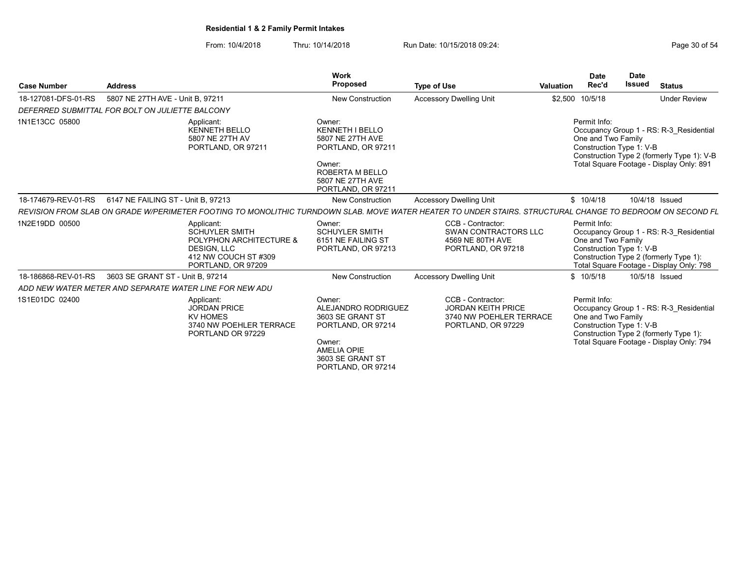From: 10/4/2018 Thru: 10/14/2018 Run Date: 10/15/2018 09:24:<br>From: 10/4/2018 Page 30 of 54

| <b>Case Number</b>  | <b>Address</b>                                  |                                                                                                                             | <b>Work</b><br><b>Proposed</b>                                                                                                                    | <b>Type of Use</b>                                                                                                                                        | <b>Valuation</b> | Date<br>Rec'd                                                  | <b>Date</b><br><b>Issued</b> | <b>Status</b>                                                                                                                     |
|---------------------|-------------------------------------------------|-----------------------------------------------------------------------------------------------------------------------------|---------------------------------------------------------------------------------------------------------------------------------------------------|-----------------------------------------------------------------------------------------------------------------------------------------------------------|------------------|----------------------------------------------------------------|------------------------------|-----------------------------------------------------------------------------------------------------------------------------------|
| 18-127081-DFS-01-RS | 5807 NE 27TH AVE - Unit B, 97211                |                                                                                                                             | <b>New Construction</b>                                                                                                                           | <b>Accessory Dwelling Unit</b>                                                                                                                            | \$2,500 10/5/18  |                                                                |                              | <b>Under Review</b>                                                                                                               |
|                     | DEFERRED SUBMITTAL FOR BOLT ON JULIETTE BALCONY |                                                                                                                             |                                                                                                                                                   |                                                                                                                                                           |                  |                                                                |                              |                                                                                                                                   |
| 1N1E13CC 05800      |                                                 | Applicant:<br><b>KENNETH BELLO</b><br>5807 NE 27TH AV<br>PORTLAND, OR 97211                                                 | Owner:<br><b>KENNETH I BELLO</b><br>5807 NE 27TH AVE<br>PORTLAND, OR 97211<br>Owner:<br>ROBERTA M BELLO<br>5807 NE 27TH AVE<br>PORTLAND, OR 97211 |                                                                                                                                                           |                  | Permit Info:<br>One and Two Family<br>Construction Type 1: V-B |                              | Occupancy Group 1 - RS: R-3 Residential<br>Construction Type 2 (formerly Type 1): V-B<br>Total Square Footage - Display Only: 891 |
| 18-174679-REV-01-RS | 6147 NE FAILING ST - Unit B. 97213              |                                                                                                                             | New Construction                                                                                                                                  | <b>Accessory Dwelling Unit</b>                                                                                                                            |                  | \$10/4/18                                                      |                              | 10/4/18 Issued                                                                                                                    |
|                     |                                                 |                                                                                                                             |                                                                                                                                                   | REVISION FROM SLAB ON GRADE W/PERIMETER FOOTING TO MONOLITHIC TURNDOWN SLAB. MOVE WATER HEATER TO UNDER STAIRS. STRUCTURAL CHANGE TO BEDROOM ON SECOND FL |                  |                                                                |                              |                                                                                                                                   |
| 1N2E19DD 00500      |                                                 | Applicant:<br><b>SCHUYLER SMITH</b><br>POLYPHON ARCHITECTURE &<br>DESIGN, LLC<br>412 NW COUCH ST #309<br>PORTLAND, OR 97209 | Owner:<br><b>SCHUYLER SMITH</b><br>6151 NE FAILING ST<br>PORTLAND, OR 97213                                                                       | CCB - Contractor:<br><b>SWAN CONTRACTORS LLC</b><br>4569 NE 80TH AVE<br>PORTLAND, OR 97218                                                                |                  | Permit Info:<br>One and Two Family<br>Construction Type 1: V-B |                              | Occupancy Group 1 - RS: R-3_Residential<br>Construction Type 2 (formerly Type 1):<br>Total Square Footage - Display Only: 798     |
| 18-186868-REV-01-RS | 3603 SE GRANT ST - Unit B. 97214                |                                                                                                                             | <b>New Construction</b>                                                                                                                           | <b>Accessory Dwelling Unit</b>                                                                                                                            |                  | \$10/5/18                                                      |                              | 10/5/18 Issued                                                                                                                    |
|                     |                                                 | ADD NEW WATER METER AND SEPARATE WATER LINE FOR NEW ADU                                                                     |                                                                                                                                                   |                                                                                                                                                           |                  |                                                                |                              |                                                                                                                                   |
| 1S1E01DC 02400      |                                                 | Applicant:<br><b>JORDAN PRICE</b><br><b>KV HOMES</b><br>3740 NW POEHLER TERRACE<br>PORTLAND OR 97229                        | Owner:<br>ALEJANDRO RODRIGUEZ<br>3603 SE GRANT ST<br>PORTLAND, OR 97214<br>Owner:<br><b>AMELIA OPIE</b><br>3603 SE GRANT ST<br>PORTLAND, OR 97214 | CCB - Contractor:<br><b>JORDAN KEITH PRICE</b><br>3740 NW POEHLER TERRACE<br>PORTLAND, OR 97229                                                           |                  | Permit Info:<br>One and Two Family<br>Construction Type 1: V-B |                              | Occupancy Group 1 - RS: R-3 Residential<br>Construction Type 2 (formerly Type 1):<br>Total Square Footage - Display Only: 794     |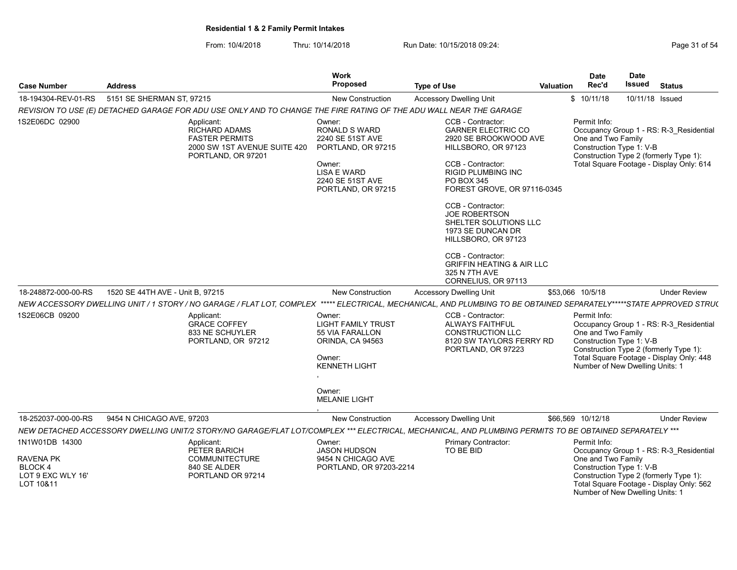| <b>Case Number</b>                                                             | <b>Address</b>                   |                                                                                                                                                                     | <b>Work</b><br>Proposed                                                                                                                        | <b>Type of Use</b>                                                                                                                                                                                                                                                                                                                          | <b>Valuation</b> | <b>Date</b><br>Rec'd                                                                              | <b>Date</b><br>Issued | <b>Status</b>                                                                                                                 |
|--------------------------------------------------------------------------------|----------------------------------|---------------------------------------------------------------------------------------------------------------------------------------------------------------------|------------------------------------------------------------------------------------------------------------------------------------------------|---------------------------------------------------------------------------------------------------------------------------------------------------------------------------------------------------------------------------------------------------------------------------------------------------------------------------------------------|------------------|---------------------------------------------------------------------------------------------------|-----------------------|-------------------------------------------------------------------------------------------------------------------------------|
| 18-194304-REV-01-RS                                                            | 5151 SE SHERMAN ST, 97215        |                                                                                                                                                                     | <b>New Construction</b>                                                                                                                        | <b>Accessory Dwelling Unit</b>                                                                                                                                                                                                                                                                                                              |                  | \$10/11/18                                                                                        | 10/11/18 Issued       |                                                                                                                               |
|                                                                                |                                  | REVISION TO USE (E) DETACHED GARAGE FOR ADU USE ONLY AND TO CHANGE THE FIRE RATING OF THE ADU WALL NEAR THE GARAGE                                                  |                                                                                                                                                |                                                                                                                                                                                                                                                                                                                                             |                  |                                                                                                   |                       |                                                                                                                               |
| 1S2E06DC 02900                                                                 |                                  | Applicant:<br><b>RICHARD ADAMS</b><br><b>FASTER PERMITS</b><br>2000 SW 1ST AVENUE SUITE 420<br>PORTLAND, OR 97201                                                   | Owner:<br>RONALD S WARD<br>2240 SE 51ST AVE<br>PORTLAND, OR 97215<br>Owner:<br><b>LISA E WARD</b><br>2240 SE 51ST AVE<br>PORTLAND, OR 97215    | CCB - Contractor:<br><b>GARNER ELECTRIC CO</b><br>2920 SE BROOKWOOD AVE<br>HILLSBORO, OR 97123<br>CCB - Contractor:<br><b>RIGID PLUMBING INC</b><br><b>PO BOX 345</b><br>FOREST GROVE, OR 97116-0345<br>CCB - Contractor:<br><b>JOE ROBERTSON</b><br>SHELTER SOLUTIONS LLC<br>1973 SE DUNCAN DR<br>HILLSBORO, OR 97123<br>CCB - Contractor: |                  | Permit Info:<br>One and Two Family<br>Construction Type 1: V-B                                    |                       | Occupancy Group 1 - RS: R-3 Residential<br>Construction Type 2 (formerly Type 1):<br>Total Square Footage - Display Only: 614 |
|                                                                                |                                  |                                                                                                                                                                     |                                                                                                                                                | <b>GRIFFIN HEATING &amp; AIR LLC</b><br>325 N 7TH AVE<br>CORNELIUS, OR 97113                                                                                                                                                                                                                                                                |                  |                                                                                                   |                       |                                                                                                                               |
| 18-248872-000-00-RS                                                            | 1520 SE 44TH AVE - Unit B, 97215 |                                                                                                                                                                     | <b>New Construction</b>                                                                                                                        | <b>Accessory Dwelling Unit</b>                                                                                                                                                                                                                                                                                                              |                  | \$53,066 10/5/18                                                                                  |                       | <b>Under Review</b>                                                                                                           |
|                                                                                |                                  | NEW ACCESSORY DWELLING UNIT / 1 STORY / NO GARAGE / FLAT LOT, COMPLEX ***** ELECTRICAL, MECHANICAL, AND PLUMBING TO BE OBTAINED SEPARATELY*****STATE APPROVED STRU( |                                                                                                                                                |                                                                                                                                                                                                                                                                                                                                             |                  |                                                                                                   |                       |                                                                                                                               |
| 1S2E06CB 09200                                                                 |                                  | Applicant:<br><b>GRACE COFFEY</b><br>833 NE SCHUYLER<br>PORTLAND, OR 97212                                                                                          | Owner:<br><b>LIGHT FAMILY TRUST</b><br>55 VIA FARALLON<br>ORINDA, CA 94563<br>Owner:<br><b>KENNETH LIGHT</b><br>Owner:<br><b>MELANIE LIGHT</b> | CCB - Contractor:<br><b>ALWAYS FAITHFUL</b><br><b>CONSTRUCTION LLC</b><br>8120 SW TAYLORS FERRY RD<br>PORTLAND, OR 97223                                                                                                                                                                                                                    |                  | Permit Info:<br>One and Two Family<br>Construction Type 1: V-B<br>Number of New Dwelling Units: 1 |                       | Occupancy Group 1 - RS: R-3 Residential<br>Construction Type 2 (formerly Type 1):<br>Total Square Footage - Display Only: 448 |
| 18-252037-000-00-RS                                                            | 9454 N CHICAGO AVE, 97203        |                                                                                                                                                                     | New Construction                                                                                                                               | <b>Accessory Dwelling Unit</b>                                                                                                                                                                                                                                                                                                              |                  | \$66,569 10/12/18                                                                                 |                       | <b>Under Review</b>                                                                                                           |
|                                                                                |                                  | NEW DETACHED ACCESSORY DWELLING UNIT/2 STORY/NO GARAGE/FLAT LOT/COMPLEX *** ELECTRICAL, MECHANICAL, AND PLUMBING PERMITS TO BE OBTAINED SEPARATELY ***              |                                                                                                                                                |                                                                                                                                                                                                                                                                                                                                             |                  |                                                                                                   |                       |                                                                                                                               |
| 1N1W01DB 14300<br>RAVENA PK<br><b>BLOCK4</b><br>LOT 9 EXC WLY 16'<br>LOT 10&11 |                                  | Applicant:<br>PETER BARICH<br><b>COMMUNITECTURE</b><br>840 SE ALDER<br>PORTLAND OR 97214                                                                            | Owner:<br><b>JASON HUDSON</b><br>9454 N CHICAGO AVE<br>PORTLAND, OR 97203-2214                                                                 | Primary Contractor:<br>TO BE BID                                                                                                                                                                                                                                                                                                            |                  | Permit Info:<br>One and Two Family<br>Construction Type 1: V-B<br>Number of New Dwelling Units: 1 |                       | Occupancy Group 1 - RS: R-3_Residential<br>Construction Type 2 (formerly Type 1):<br>Total Square Footage - Display Only: 562 |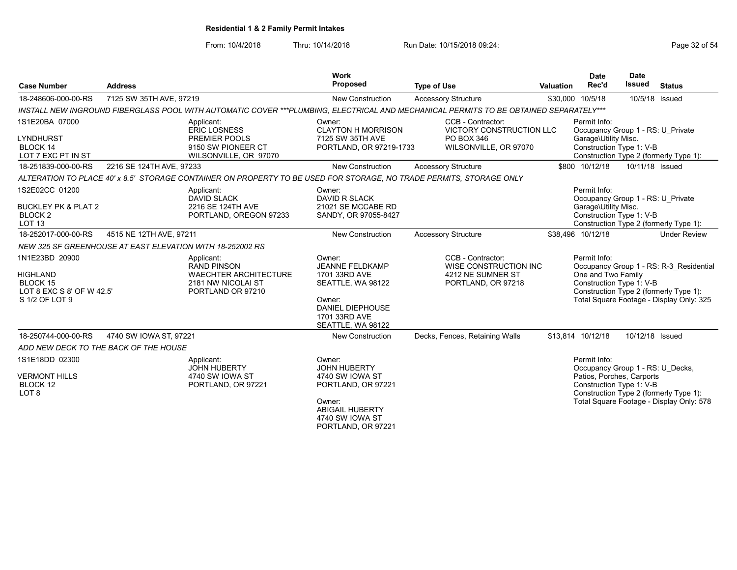| <b>Case Number</b>                                                                      | <b>Address</b>                                                                                                                                                                                        |                                                                                                                                       | <b>Work</b><br><b>Proposed</b>                                                                                                                      | <b>Type of Use</b>                                                                           | Valuation | <b>Date</b><br>Rec'd                                                                                                                                                                            | <b>Date</b><br><b>Issued</b> | <b>Status</b>                                                                      |
|-----------------------------------------------------------------------------------------|-------------------------------------------------------------------------------------------------------------------------------------------------------------------------------------------------------|---------------------------------------------------------------------------------------------------------------------------------------|-----------------------------------------------------------------------------------------------------------------------------------------------------|----------------------------------------------------------------------------------------------|-----------|-------------------------------------------------------------------------------------------------------------------------------------------------------------------------------------------------|------------------------------|------------------------------------------------------------------------------------|
| 18-248606-000-00-RS                                                                     | 7125 SW 35TH AVE, 97219                                                                                                                                                                               |                                                                                                                                       | <b>New Construction</b>                                                                                                                             | <b>Accessory Structure</b>                                                                   |           | \$30,000 10/5/18                                                                                                                                                                                | 10/5/18 Issued               |                                                                                    |
|                                                                                         |                                                                                                                                                                                                       | INSTALL NEW INGROUND FIBERGLASS POOL WITH AUTOMATIC COVER ***PLUMBING, ELECTRICAL AND MECHANICAL PERMITS TO BE OBTAINED SEPARATELY*** |                                                                                                                                                     |                                                                                              |           |                                                                                                                                                                                                 |                              |                                                                                    |
| 1S1E20BA 07000<br><b>LYNDHURST</b><br><b>BLOCK 14</b><br>LOT 7 EXC PT IN ST             |                                                                                                                                                                                                       | Applicant:<br><b>ERIC LOSNESS</b><br>PREMIER POOLS<br>9150 SW PIONEER CT<br>WILSONVILLE, OR 97070                                     | Owner:<br><b>CLAYTON H MORRISON</b><br>7125 SW 35TH AVE<br>PORTLAND, OR 97219-1733                                                                  | CCB - Contractor:<br>VICTORY CONSTRUCTION LLC<br>PO BOX 346<br>WILSONVILLE, OR 97070         |           | Permit Info:<br>Occupancy Group 1 - RS: U Private<br>Garage\Utility Misc.<br>Construction Type 1: V-B                                                                                           |                              | Construction Type 2 (formerly Type 1):                                             |
| 18-251839-000-00-RS                                                                     | 2216 SE 124TH AVE, 97233                                                                                                                                                                              |                                                                                                                                       | <b>New Construction</b>                                                                                                                             | <b>Accessory Structure</b>                                                                   |           | \$800 10/12/18                                                                                                                                                                                  | 10/11/18 Issued              |                                                                                    |
|                                                                                         |                                                                                                                                                                                                       | ALTERATION TO PLACE 40' x 8.5' STORAGE CONTAINER ON PROPERTY TO BE USED FOR STORAGE, NO TRADE PERMITS, STORAGE ONLY                   |                                                                                                                                                     |                                                                                              |           |                                                                                                                                                                                                 |                              |                                                                                    |
| 1S2E02CC 01200<br><b>BUCKLEY PK &amp; PLAT 2</b><br>BLOCK <sub>2</sub><br><b>LOT 13</b> |                                                                                                                                                                                                       | Applicant:<br><b>DAVID SLACK</b><br>2216 SE 124TH AVE<br>PORTLAND, OREGON 97233                                                       | Owner:<br><b>DAVID R SLACK</b><br>21021 SE MCCABE RD<br>SANDY, OR 97055-8427                                                                        |                                                                                              |           | Permit Info:<br>Occupancy Group 1 - RS: U Private<br>Garage\Utility Misc.<br>Construction Type 1: V-B                                                                                           |                              | Construction Type 2 (formerly Type 1):                                             |
| 18-252017-000-00-RS                                                                     | 4515 NE 12TH AVE, 97211                                                                                                                                                                               |                                                                                                                                       | <b>New Construction</b>                                                                                                                             | <b>Accessory Structure</b>                                                                   |           | \$38,496 10/12/18                                                                                                                                                                               |                              | <b>Under Review</b>                                                                |
|                                                                                         |                                                                                                                                                                                                       |                                                                                                                                       |                                                                                                                                                     |                                                                                              |           |                                                                                                                                                                                                 |                              |                                                                                    |
| 1N1E23BD 20900<br><b>HIGHLAND</b><br>BLOCK 15<br>S 1/2 OF LOT 9                         | NEW 325 SF GREENHOUSE AT EAST ELEVATION WITH 18-252002 RS<br>Applicant:<br><b>RAND PINSON</b><br><b>WAECHTER ARCHITECTURE</b><br>2181 NW NICOLAI ST<br>LOT 8 EXC S 8' OF W 42.5'<br>PORTLAND OR 97210 |                                                                                                                                       | Owner:<br>JEANNE FELDKAMP<br>1701 33RD AVE<br>SEATTLE, WA 98122<br>Owner:<br><b>DANIEL DIEPHOUSE</b><br>1701 33RD AVE<br>SEATTLE, WA 98122          | CCB - Contractor:<br><b>WISE CONSTRUCTION INC</b><br>4212 NE SUMNER ST<br>PORTLAND, OR 97218 |           | Permit Info:<br>Occupancy Group 1 - RS: R-3 Residential<br>One and Two Family<br>Construction Type 1: V-B<br>Construction Type 2 (formerly Type 1):<br>Total Square Footage - Display Only: 325 |                              |                                                                                    |
| 18-250744-000-00-RS                                                                     | 4740 SW IOWA ST, 97221                                                                                                                                                                                |                                                                                                                                       | <b>New Construction</b>                                                                                                                             | Decks, Fences, Retaining Walls                                                               |           | \$13,814 10/12/18                                                                                                                                                                               | 10/12/18 Issued              |                                                                                    |
|                                                                                         | ADD NEW DECK TO THE BACK OF THE HOUSE                                                                                                                                                                 |                                                                                                                                       |                                                                                                                                                     |                                                                                              |           |                                                                                                                                                                                                 |                              |                                                                                    |
| 1S1E18DD 02300<br><b>VERMONT HILLS</b><br>BLOCK 12<br>LOT <sub>8</sub>                  |                                                                                                                                                                                                       | Applicant:<br><b>JOHN HUBERTY</b><br>4740 SW IOWA ST<br>PORTLAND, OR 97221                                                            | Owner:<br><b>JOHN HUBERTY</b><br>4740 SW IOWA ST<br>PORTLAND, OR 97221<br>Owner:<br><b>ABIGAIL HUBERTY</b><br>4740 SW IOWA ST<br>PORTLAND, OR 97221 |                                                                                              |           | Permit Info:<br>Occupancy Group 1 - RS: U Decks,<br>Patios, Porches, Carports<br>Construction Type 1: V-B                                                                                       |                              | Construction Type 2 (formerly Type 1):<br>Total Square Footage - Display Only: 578 |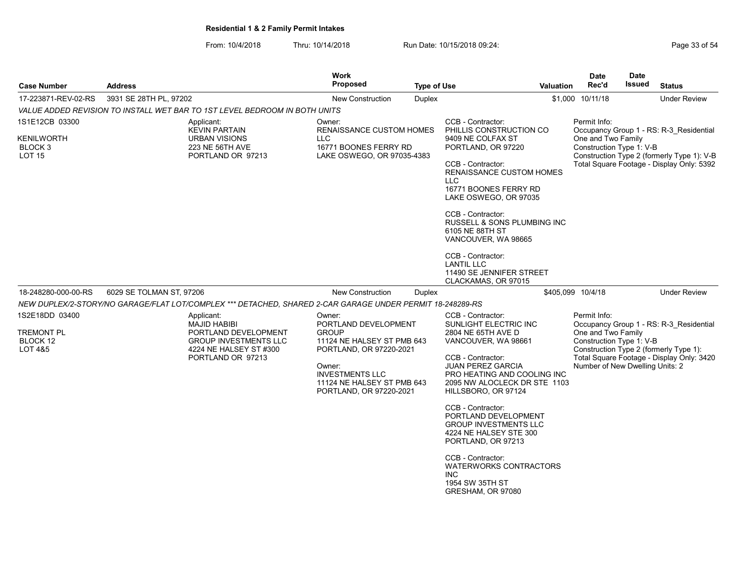From: 10/4/2018 Thru: 10/14/2018 Run Date: 10/15/2018 09:24:<br>From: 10/4/2018 Page 33 of 54

| <b>Case Number</b>                                                    | <b>Address</b>                                                                                                                           | <b>Work</b><br><b>Proposed</b>                                                                                                                                                                       | <b>Type of Use</b>                                                                                                                                                                                                                                                                                                                                          | <b>Valuation</b>  | <b>Date</b><br>Rec'd                                                                              | <b>Date</b><br><b>Issued</b>               | <b>Status</b>                                                                                                                  |  |  |  |
|-----------------------------------------------------------------------|------------------------------------------------------------------------------------------------------------------------------------------|------------------------------------------------------------------------------------------------------------------------------------------------------------------------------------------------------|-------------------------------------------------------------------------------------------------------------------------------------------------------------------------------------------------------------------------------------------------------------------------------------------------------------------------------------------------------------|-------------------|---------------------------------------------------------------------------------------------------|--------------------------------------------|--------------------------------------------------------------------------------------------------------------------------------|--|--|--|
| 17-223871-REV-02-RS                                                   | 3931 SE 28TH PL, 97202                                                                                                                   | <b>New Construction</b>                                                                                                                                                                              | <b>Duplex</b>                                                                                                                                                                                                                                                                                                                                               |                   | \$1,000 10/11/18                                                                                  |                                            | <b>Under Review</b>                                                                                                            |  |  |  |
|                                                                       | VALUE ADDED REVISION TO INSTALL WET BAR TO 1ST LEVEL BEDROOM IN BOTH UNITS                                                               |                                                                                                                                                                                                      |                                                                                                                                                                                                                                                                                                                                                             |                   |                                                                                                   |                                            |                                                                                                                                |  |  |  |
| 1S1E12CB 03300                                                        | Applicant:<br><b>KEVIN PARTAIN</b>                                                                                                       | Owner:<br><b>RENAISSANCE CUSTOM HOMES</b>                                                                                                                                                            | CCB - Contractor:<br>PHILLIS CONSTRUCTION CO                                                                                                                                                                                                                                                                                                                |                   | Permit Info:                                                                                      |                                            | Occupancy Group 1 - RS: R-3 Residential                                                                                        |  |  |  |
| KENILWORTH<br>BLOCK <sub>3</sub><br><b>LOT 15</b>                     | <b>URBAN VISIONS</b><br>223 NE 56TH AVE<br>PORTLAND OR 97213                                                                             | <b>LLC</b><br>16771 BOONES FERRY RD<br>LAKE OSWEGO, OR 97035-4383                                                                                                                                    | 9409 NE COLFAX ST<br>PORTLAND, OR 97220                                                                                                                                                                                                                                                                                                                     |                   | One and Two Family<br>Construction Type 1: V-B                                                    | Construction Type 2 (formerly Type 1): V-B |                                                                                                                                |  |  |  |
|                                                                       |                                                                                                                                          |                                                                                                                                                                                                      | CCB - Contractor:<br><b>RENAISSANCE CUSTOM HOMES</b><br><b>LLC</b><br>16771 BOONES FERRY RD<br>LAKE OSWEGO, OR 97035                                                                                                                                                                                                                                        |                   |                                                                                                   | Total Square Footage - Display Only: 5392  |                                                                                                                                |  |  |  |
|                                                                       |                                                                                                                                          |                                                                                                                                                                                                      | CCB - Contractor:<br>RUSSELL & SONS PLUMBING INC<br>6105 NE 88TH ST<br>VANCOUVER, WA 98665                                                                                                                                                                                                                                                                  |                   |                                                                                                   |                                            |                                                                                                                                |  |  |  |
|                                                                       |                                                                                                                                          |                                                                                                                                                                                                      | CCB - Contractor:<br><b>LANTIL LLC</b><br>11490 SE JENNIFER STREET<br>CLACKAMAS, OR 97015                                                                                                                                                                                                                                                                   |                   |                                                                                                   |                                            |                                                                                                                                |  |  |  |
| 18-248280-000-00-RS                                                   | 6029 SE TOLMAN ST, 97206                                                                                                                 | <b>New Construction</b>                                                                                                                                                                              | Duplex                                                                                                                                                                                                                                                                                                                                                      | \$405,099 10/4/18 |                                                                                                   |                                            | <b>Under Review</b>                                                                                                            |  |  |  |
|                                                                       | NEW DUPLEX/2-STORY/NO GARAGE/FLAT LOT/COMPLEX *** DETACHED, SHARED 2-CAR GARAGE UNDER PERMIT 18-248289-RS                                |                                                                                                                                                                                                      |                                                                                                                                                                                                                                                                                                                                                             |                   |                                                                                                   |                                            |                                                                                                                                |  |  |  |
| 1S2E18DD 03400<br><b>TREMONT PL</b><br>BLOCK 12<br><b>LOT 4&amp;5</b> | Applicant:<br><b>MAJID HABIBI</b><br>PORTLAND DEVELOPMENT<br><b>GROUP INVESTMENTS LLC</b><br>4224 NE HALSEY ST #300<br>PORTLAND OR 97213 | Owner:<br>PORTLAND DEVELOPMENT<br><b>GROUP</b><br>11124 NE HALSEY ST PMB 643<br>PORTLAND, OR 97220-2021<br>Owner:<br><b>INVESTMENTS LLC</b><br>11124 NE HALSEY ST PMB 643<br>PORTLAND, OR 97220-2021 | CCB - Contractor:<br>SUNLIGHT ELECTRIC INC<br>2804 NE 65TH AVE D<br>VANCOUVER, WA 98661<br>CCB - Contractor:<br><b>JUAN PEREZ GARCIA</b><br>PRO HEATING AND COOLING INC<br>2095 NW ALOCLECK DR STE 1103<br>HILLSBORO, OR 97124<br>CCB - Contractor:<br>PORTLAND DEVELOPMENT<br><b>GROUP INVESTMENTS LLC</b><br>4224 NE HALSEY STE 300<br>PORTLAND, OR 97213 |                   | Permit Info:<br>One and Two Family<br>Construction Type 1: V-B<br>Number of New Dwelling Units: 2 |                                            | Occupancy Group 1 - RS: R-3 Residential<br>Construction Type 2 (formerly Type 1):<br>Total Square Footage - Display Only: 3420 |  |  |  |
|                                                                       |                                                                                                                                          |                                                                                                                                                                                                      | CCB - Contractor:<br><b>WATERWORKS CONTRACTORS</b><br><b>INC</b><br>1954 SW 35TH ST<br>GRESHAM, OR 97080                                                                                                                                                                                                                                                    |                   |                                                                                                   |                                            |                                                                                                                                |  |  |  |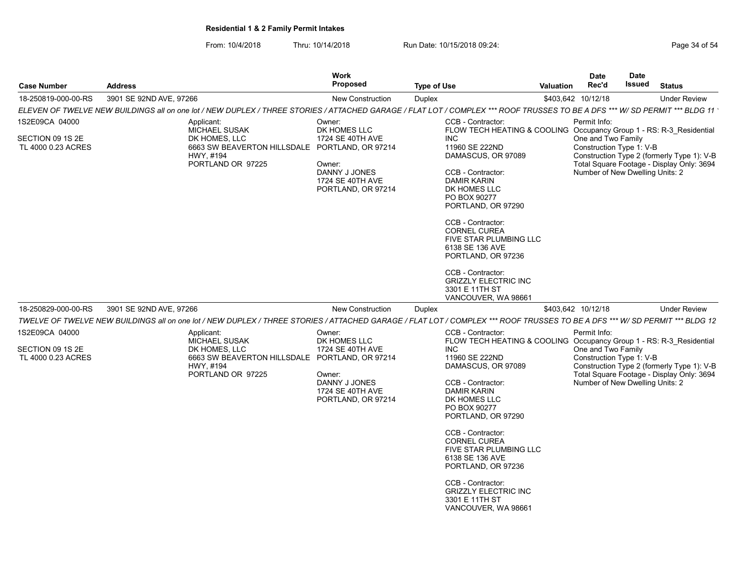| <b>Case Number</b>                                       | <b>Address</b>                                                                                                                                                              | Work<br>Proposed                                                                                                | <b>Type of Use</b>                                                                                                                                                                                                                                                                                                                                                                                                                                          | Valuation | Date<br>Rec'd                                                                                     | <b>Date</b><br>Issued | <b>Status</b>                                                                           |
|----------------------------------------------------------|-----------------------------------------------------------------------------------------------------------------------------------------------------------------------------|-----------------------------------------------------------------------------------------------------------------|-------------------------------------------------------------------------------------------------------------------------------------------------------------------------------------------------------------------------------------------------------------------------------------------------------------------------------------------------------------------------------------------------------------------------------------------------------------|-----------|---------------------------------------------------------------------------------------------------|-----------------------|-----------------------------------------------------------------------------------------|
| 18-250819-000-00-RS                                      | 3901 SE 92ND AVE, 97266                                                                                                                                                     | <b>New Construction</b>                                                                                         | Duplex                                                                                                                                                                                                                                                                                                                                                                                                                                                      |           | \$403,642 10/12/18                                                                                |                       | <b>Under Review</b>                                                                     |
|                                                          | ELEVEN OF TWELVE NEW BUILDINGS all on one lot / NEW DUPLEX / THREE STORIES / ATTACHED GARAGE / FLAT LOT / COMPLEX *** ROOF TRUSSES TO BE A DFS *** W/ SD PERMIT *** BLDG 11 |                                                                                                                 |                                                                                                                                                                                                                                                                                                                                                                                                                                                             |           |                                                                                                   |                       |                                                                                         |
| 1S2E09CA 04000<br>SECTION 09 1S 2E<br>TL 4000 0.23 ACRES | Applicant:<br><b>MICHAEL SUSAK</b><br>DK HOMES, LLC<br>6663 SW BEAVERTON HILLSDALE PORTLAND, OR 97214<br>HWY, #194<br>PORTLAND OR 97225                                     | Owner:<br>DK HOMES LLC<br>1724 SE 40TH AVE<br>Owner:<br>DANNY J JONES<br>1724 SE 40TH AVE<br>PORTLAND, OR 97214 | CCB - Contractor:<br>FLOW TECH HEATING & COOLING Occupancy Group 1 - RS: R-3 Residential<br><b>INC</b><br>11960 SE 222ND<br>DAMASCUS, OR 97089<br>CCB - Contractor:<br><b>DAMIR KARIN</b><br>DK HOMES LLC<br>PO BOX 90277<br>PORTLAND, OR 97290<br>CCB - Contractor:<br><b>CORNEL CUREA</b><br>FIVE STAR PLUMBING LLC<br>6138 SE 136 AVE<br>PORTLAND, OR 97236<br>CCB - Contractor:<br><b>GRIZZLY ELECTRIC INC</b><br>3301 E 11TH ST                        |           | Permit Info:<br>One and Two Family<br>Construction Type 1: V-B<br>Number of New Dwelling Units: 2 |                       | Construction Type 2 (formerly Type 1): V-B<br>Total Square Footage - Display Only: 3694 |
| 18-250829-000-00-RS                                      | 3901 SE 92ND AVE, 97266                                                                                                                                                     | <b>New Construction</b>                                                                                         | VANCOUVER, WA 98661<br><b>Duplex</b>                                                                                                                                                                                                                                                                                                                                                                                                                        |           | \$403,642 10/12/18                                                                                |                       | <b>Under Review</b>                                                                     |
|                                                          | TWELVE OF TWELVE NEW BUILDINGS all on one lot / NEW DUPLEX / THREE STORIES / ATTACHED GARAGE / FLAT LOT / COMPLEX *** ROOF TRUSSES TO BE A DFS *** W/ SD PERMIT *** BLDG 12 |                                                                                                                 |                                                                                                                                                                                                                                                                                                                                                                                                                                                             |           |                                                                                                   |                       |                                                                                         |
| 1S2E09CA 04000<br>SECTION 09 1S 2E<br>TL 4000 0.23 ACRES | Applicant:<br><b>MICHAEL SUSAK</b><br>DK HOMES, LLC<br>6663 SW BEAVERTON HILLSDALE PORTLAND, OR 97214<br>HWY, #194<br>PORTLAND OR 97225                                     | Owner:<br>DK HOMES LLC<br>1724 SE 40TH AVE<br>Owner:<br>DANNY J JONES<br>1724 SE 40TH AVE<br>PORTLAND, OR 97214 | CCB - Contractor:<br>FLOW TECH HEATING & COOLING Occupancy Group 1 - RS: R-3 Residential<br><b>INC</b><br>11960 SE 222ND<br>DAMASCUS, OR 97089<br>CCB - Contractor:<br><b>DAMIR KARIN</b><br>DK HOMES LLC<br>PO BOX 90277<br>PORTLAND, OR 97290<br>CCB - Contractor:<br><b>CORNEL CUREA</b><br>FIVE STAR PLUMBING LLC<br>6138 SE 136 AVE<br>PORTLAND, OR 97236<br>CCB - Contractor:<br><b>GRIZZLY ELECTRIC INC</b><br>3301 E 11TH ST<br>VANCOUVER, WA 98661 |           | Permit Info:<br>One and Two Family<br>Construction Type 1: V-B<br>Number of New Dwelling Units: 2 |                       | Construction Type 2 (formerly Type 1): V-B<br>Total Square Footage - Display Only: 3694 |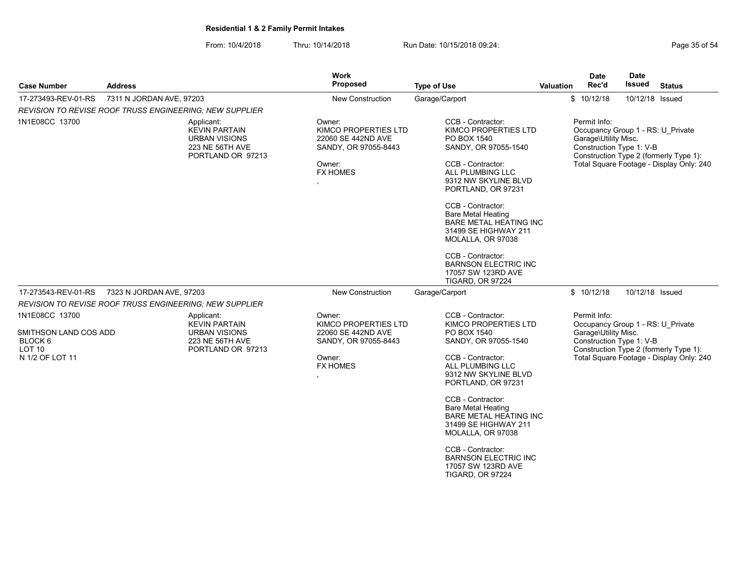| <b>Case Number</b>                                                                                                                                                              | <b>Address</b>                                                 | Work<br>Proposed                                                                                          |                                                                                                                                                                                                                                                                                                                                                                                                              | <b>Type of Use</b>                                                                                                                                                                                                                                                                                                                                                                                           | <b>Valuation</b>                                                                                      | <b>Date</b><br>Rec'd                                                                                  | <b>Date</b><br><b>Issued</b>                                                       | <b>Status</b>                                                                      |
|---------------------------------------------------------------------------------------------------------------------------------------------------------------------------------|----------------------------------------------------------------|-----------------------------------------------------------------------------------------------------------|--------------------------------------------------------------------------------------------------------------------------------------------------------------------------------------------------------------------------------------------------------------------------------------------------------------------------------------------------------------------------------------------------------------|--------------------------------------------------------------------------------------------------------------------------------------------------------------------------------------------------------------------------------------------------------------------------------------------------------------------------------------------------------------------------------------------------------------|-------------------------------------------------------------------------------------------------------|-------------------------------------------------------------------------------------------------------|------------------------------------------------------------------------------------|------------------------------------------------------------------------------------|
| 17-273493-REV-01-RS                                                                                                                                                             | 7311 N JORDAN AVE, 97203<br>Garage/Carport<br>New Construction |                                                                                                           |                                                                                                                                                                                                                                                                                                                                                                                                              |                                                                                                                                                                                                                                                                                                                                                                                                              |                                                                                                       | \$10/12/18                                                                                            | 10/12/18 Issued                                                                    |                                                                                    |
|                                                                                                                                                                                 |                                                                |                                                                                                           |                                                                                                                                                                                                                                                                                                                                                                                                              |                                                                                                                                                                                                                                                                                                                                                                                                              |                                                                                                       |                                                                                                       |                                                                                    |                                                                                    |
| REVISION TO REVISE ROOF TRUSS ENGINEERING; NEW SUPPLIER<br>1N1E08CC 13700<br>Applicant:<br><b>KEVIN PARTAIN</b><br><b>URBAN VISIONS</b><br>223 NE 56TH AVE<br>PORTLAND OR 97213 |                                                                | Owner:<br>KIMCO PROPERTIES LTD<br>22060 SE 442ND AVE<br>SANDY, OR 97055-8443<br>Owner:<br><b>FX HOMES</b> | CCB - Contractor:<br>KIMCO PROPERTIES LTD<br>PO BOX 1540<br>SANDY, OR 97055-1540<br>CCB - Contractor:<br>ALL PLUMBING LLC<br>9312 NW SKYLINE BLVD<br>PORTLAND, OR 97231<br>CCB - Contractor:<br><b>Bare Metal Heating</b><br><b>BARE METAL HEATING INC</b><br>31499 SE HIGHWAY 211<br>MOLALLA, OR 97038<br>CCB - Contractor:<br><b>BARNSON ELECTRIC INC</b><br>17057 SW 123RD AVE<br><b>TIGARD, OR 97224</b> |                                                                                                                                                                                                                                                                                                                                                                                                              | Permit Info:<br>Occupancy Group 1 - RS: U Private<br>Garage\Utility Misc.<br>Construction Type 1: V-B |                                                                                                       | Construction Type 2 (formerly Type 1):<br>Total Square Footage - Display Only: 240 |                                                                                    |
| 17-273543-REV-01-RS                                                                                                                                                             | 7323 N JORDAN AVE, 97203                                       |                                                                                                           | New Construction                                                                                                                                                                                                                                                                                                                                                                                             | Garage/Carport                                                                                                                                                                                                                                                                                                                                                                                               |                                                                                                       | \$10/12/18                                                                                            | 10/12/18 Issued                                                                    |                                                                                    |
|                                                                                                                                                                                 | REVISION TO REVISE ROOF TRUSS ENGINEERING; NEW SUPPLIER        |                                                                                                           |                                                                                                                                                                                                                                                                                                                                                                                                              |                                                                                                                                                                                                                                                                                                                                                                                                              |                                                                                                       |                                                                                                       |                                                                                    |                                                                                    |
| 1N1E08CC 13700<br>SMITHSON LAND COS ADD<br>BLOCK 6<br>LOT <sub>10</sub><br>N 1/2 OF LOT 11                                                                                      |                                                                | Applicant:<br><b>KEVIN PARTAIN</b><br><b>URBAN VISIONS</b><br>223 NE 56TH AVE<br>PORTLAND OR 97213        | Owner:<br>KIMCO PROPERTIES LTD<br>22060 SE 442ND AVE<br>SANDY, OR 97055-8443<br>Owner:<br><b>FX HOMES</b>                                                                                                                                                                                                                                                                                                    | CCB - Contractor:<br>KIMCO PROPERTIES LTD<br>PO BOX 1540<br>SANDY, OR 97055-1540<br>CCB - Contractor:<br>ALL PLUMBING LLC<br>9312 NW SKYLINE BLVD<br>PORTLAND, OR 97231<br>CCB - Contractor:<br><b>Bare Metal Heating</b><br><b>BARE METAL HEATING INC</b><br>31499 SE HIGHWAY 211<br>MOLALLA, OR 97038<br>CCB - Contractor:<br><b>BARNSON ELECTRIC INC</b><br>17057 SW 123RD AVE<br><b>TIGARD, OR 97224</b> |                                                                                                       | Permit Info:<br>Occupancy Group 1 - RS: U Private<br>Garage\Utility Misc.<br>Construction Type 1: V-B |                                                                                    | Construction Type 2 (formerly Type 1):<br>Total Square Footage - Display Only: 240 |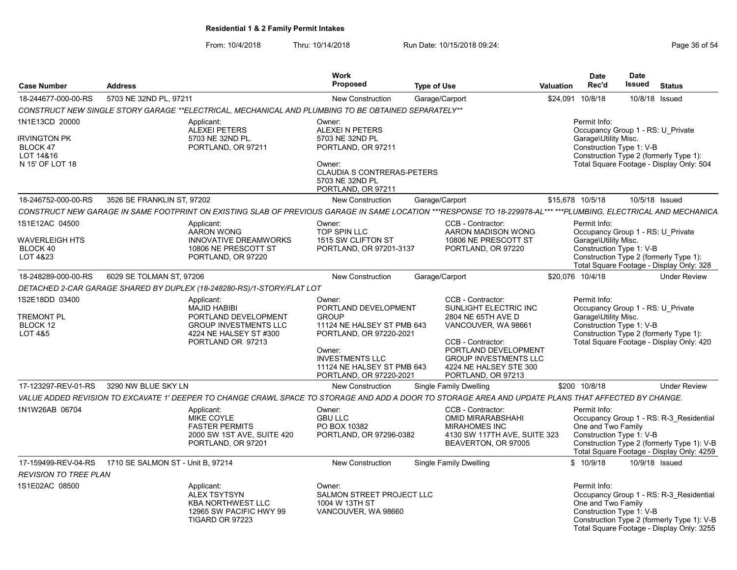From: 10/4/2018 Thru: 10/14/2018 Run Date: 10/15/2018 09:24:<br>From: 10/4/2018 Page 36 of 54

| <b>Case Number</b>                                                                       | <b>Address</b>                                                                                                                                                    | <b>Work</b><br>Proposed                                                                                                                                                                              | <b>Type of Use</b>                                                                                                                                                                                                   | <b>Valuation</b> | <b>Date</b><br>Rec'd                                                                                  | Date<br>Issued | <b>Status</b>                                                                                                                      |
|------------------------------------------------------------------------------------------|-------------------------------------------------------------------------------------------------------------------------------------------------------------------|------------------------------------------------------------------------------------------------------------------------------------------------------------------------------------------------------|----------------------------------------------------------------------------------------------------------------------------------------------------------------------------------------------------------------------|------------------|-------------------------------------------------------------------------------------------------------|----------------|------------------------------------------------------------------------------------------------------------------------------------|
| 18-244677-000-00-RS                                                                      | 5703 NE 32ND PL, 97211                                                                                                                                            | <b>New Construction</b>                                                                                                                                                                              | Garage/Carport                                                                                                                                                                                                       |                  | \$24,091 10/8/18                                                                                      |                | 10/8/18 Issued                                                                                                                     |
|                                                                                          | "CONSTRUCT NEW SINGLE STORY GARAGE **ELECTRICAL, MECHANICAL AND PLUMBING TO BE OBTAINED SEPARATELY                                                                |                                                                                                                                                                                                      |                                                                                                                                                                                                                      |                  |                                                                                                       |                |                                                                                                                                    |
| 1N1E13CD 20000<br><b>IRVINGTON PK</b><br><b>BLOCK 47</b><br>LOT 14&16<br>N 15' OF LOT 18 | Applicant:<br><b>ALEXEI PETERS</b><br>5703 NE 32ND PL.<br>PORTLAND, OR 97211                                                                                      | Owner:<br>ALEXEI N PETERS<br>5703 NE 32ND PL<br>PORTLAND, OR 97211<br>Owner:<br><b>CLAUDIA S CONTRERAS-PETERS</b><br>5703 NE 32ND PL<br>PORTLAND, OR 97211                                           |                                                                                                                                                                                                                      |                  | Permit Info:<br>Occupancy Group 1 - RS: U Private<br>Garage\Utility Misc.<br>Construction Type 1: V-B |                | Construction Type 2 (formerly Type 1):<br>Total Square Footage - Display Only: 504                                                 |
| 18-246752-000-00-RS                                                                      | 3526 SE FRANKLIN ST, 97202                                                                                                                                        | <b>New Construction</b>                                                                                                                                                                              | Garage/Carport                                                                                                                                                                                                       |                  | \$15,678 10/5/18                                                                                      |                | 10/5/18 Issued                                                                                                                     |
|                                                                                          | CONSTRUCT NEW GARAGE IN SAME FOOTPRINT ON EXISTING SLAB OF PREVIOUS GARAGE IN SAME LOCATION ***RESPONSE TO 18-229978-AL*** ***PLUMBING, ELECTRICAL AND MECHANICA. |                                                                                                                                                                                                      |                                                                                                                                                                                                                      |                  |                                                                                                       |                |                                                                                                                                    |
| 1S1E12AC 04500<br>WAVERLEIGH HTS<br>BLOCK 40<br>LOT 4&23                                 | Applicant:<br><b>AARON WONG</b><br><b>INNOVATIVE DREAMWORKS</b><br>10806 NE PRESCOTT ST<br>PORTLAND, OR 97220                                                     | Owner:<br><b>TOP SPIN LLC</b><br>1515 SW CLIFTON ST<br>PORTLAND, OR 97201-3137                                                                                                                       | CCB - Contractor:<br>AARON MADISON WONG<br>10806 NE PRESCOTT ST<br>PORTLAND, OR 97220                                                                                                                                |                  | Permit Info:<br>Occupancy Group 1 - RS: U Private<br>Garage\Utility Misc.<br>Construction Type 1: V-B |                | Construction Type 2 (formerly Type 1):<br>Total Square Footage - Display Only: 328                                                 |
| 18-248289-000-00-RS                                                                      | 6029 SE TOLMAN ST. 97206                                                                                                                                          | <b>New Construction</b>                                                                                                                                                                              | Garage/Carport                                                                                                                                                                                                       |                  | \$20.076 10/4/18                                                                                      |                | <b>Under Review</b>                                                                                                                |
|                                                                                          | DETACHED 2-CAR GARAGE SHARED BY DUPLEX (18-248280-RS)/1-STORY/FLAT LOT                                                                                            |                                                                                                                                                                                                      |                                                                                                                                                                                                                      |                  |                                                                                                       |                |                                                                                                                                    |
| 1S2E18DD 03400<br><b>TREMONT PL</b><br>BLOCK 12<br>LOT 4&5                               | Applicant:<br><b>MAJID HABIBI</b><br>PORTLAND DEVELOPMENT<br><b>GROUP INVESTMENTS LLC</b><br>4224 NE HALSEY ST #300<br>PORTLAND OR 97213                          | Owner:<br>PORTLAND DEVELOPMENT<br><b>GROUP</b><br>11124 NE HALSEY ST PMB 643<br>PORTLAND, OR 97220-2021<br>Owner:<br><b>INVESTMENTS LLC</b><br>11124 NE HALSEY ST PMB 643<br>PORTLAND, OR 97220-2021 | CCB - Contractor:<br>SUNLIGHT ELECTRIC INC<br>2804 NE 65TH AVE D<br>VANCOUVER, WA 98661<br>CCB - Contractor:<br>PORTLAND DEVELOPMENT<br><b>GROUP INVESTMENTS LLC</b><br>4224 NE HALSEY STE 300<br>PORTLAND, OR 97213 |                  | Permit Info:<br>Occupancy Group 1 - RS: U Private<br>Garage\Utility Misc.<br>Construction Type 1: V-B |                | Construction Type 2 (formerly Type 1):<br>Total Square Footage - Display Only: 420                                                 |
| 17-123297-REV-01-RS                                                                      | 3290 NW BLUE SKY LN                                                                                                                                               | <b>New Construction</b>                                                                                                                                                                              | <b>Single Family Dwelling</b>                                                                                                                                                                                        |                  | \$200 10/8/18                                                                                         |                | <b>Under Review</b>                                                                                                                |
|                                                                                          | VALUE ADDED REVISION TO EXCAVATE 1' DEEPER TO CHANGE CRAWL SPACE TO STORAGE AND ADD A DOOR TO STORAGE AREA AND UPDATE PLANS THAT AFFECTED BY CHANGE.              |                                                                                                                                                                                                      |                                                                                                                                                                                                                      |                  |                                                                                                       |                |                                                                                                                                    |
| 1N1W26AB 06704                                                                           | Applicant:<br><b>MIKE COYLE</b><br><b>FASTER PERMITS</b><br>2000 SW 1ST AVE, SUITE 420<br>PORTLAND, OR 97201                                                      | Owner:<br><b>GBU LLC</b><br>PO BOX 10382<br>PORTLAND, OR 97296-0382                                                                                                                                  | CCB - Contractor:<br><b>OMID MIRARABSHAHI</b><br><b>MIRAHOMES INC</b><br>4130 SW 117TH AVE, SUITE 323<br>BEAVERTON, OR 97005                                                                                         |                  | Permit Info:<br>One and Two Family<br>Construction Type 1: V-B                                        |                | Occupancy Group 1 - RS: R-3_Residential<br>Construction Type 2 (formerly Type 1): V-B<br>Total Square Footage - Display Only: 4259 |
| 17-159499-REV-04-RS<br><b>REVISION TO TREE PLAN</b>                                      | 1710 SE SALMON ST - Unit B, 97214                                                                                                                                 | <b>New Construction</b>                                                                                                                                                                              | Single Family Dwelling                                                                                                                                                                                               |                  | \$10/9/18                                                                                             |                | 10/9/18 Issued                                                                                                                     |
| 1S1E02AC 08500                                                                           | Applicant:<br><b>ALEX TSYTSYN</b><br><b>KBA NORTHWEST LLC</b><br>12965 SW PACIFIC HWY 99<br>TIGARD OR 97223                                                       | Owner:<br>SALMON STREET PROJECT LLC<br>1004 W 13TH ST<br>VANCOUVER, WA 98660                                                                                                                         |                                                                                                                                                                                                                      |                  | Permit Info:<br>One and Two Family<br>Construction Type 1: V-B                                        |                | Occupancy Group 1 - RS: R-3 Residential<br>Construction Type 2 (formerly Type 1): V-B<br>Total Square Footage - Display Only: 3255 |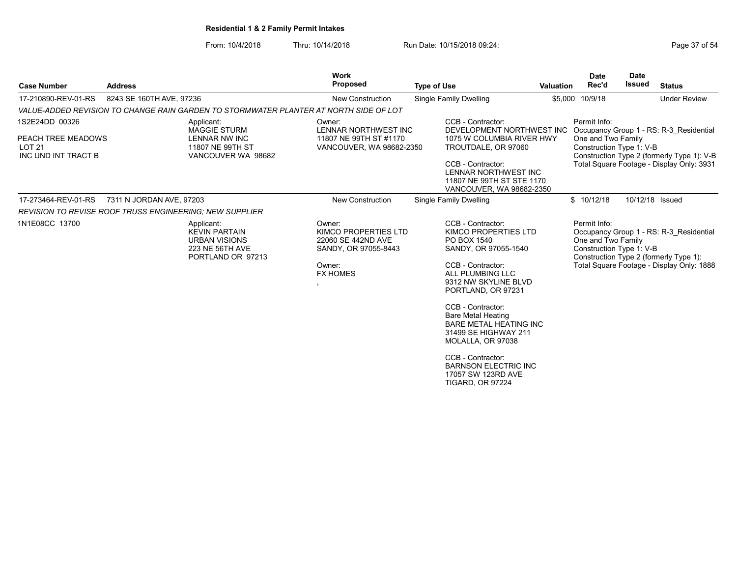From: 10/4/2018 Thru: 10/14/2018 Run Date: 10/15/2018 09:24:<br>From: 10/4/2018 Page 37 of 54

| <b>Case Number</b>                                                           | <b>Address</b>           |                                                                                                     | <b>Work</b><br><b>Proposed</b>                                                                            | <b>Type of Use</b>                                                                                                                                                                                                                                                                                                                                                                                           | <b>Valuation</b>                                       | <b>Date</b><br>Rec'd                                           | <b>Date</b><br>Issued | <b>Status</b>                                                                                                                      |
|------------------------------------------------------------------------------|--------------------------|-----------------------------------------------------------------------------------------------------|-----------------------------------------------------------------------------------------------------------|--------------------------------------------------------------------------------------------------------------------------------------------------------------------------------------------------------------------------------------------------------------------------------------------------------------------------------------------------------------------------------------------------------------|--------------------------------------------------------|----------------------------------------------------------------|-----------------------|------------------------------------------------------------------------------------------------------------------------------------|
| 17-210890-REV-01-RS                                                          | 8243 SE 160TH AVE, 97236 |                                                                                                     | <b>New Construction</b>                                                                                   | <b>Single Family Dwelling</b>                                                                                                                                                                                                                                                                                                                                                                                |                                                        | \$5,000 10/9/18                                                |                       | <b>Under Review</b>                                                                                                                |
|                                                                              |                          | VALUE-ADDED REVISION TO CHANGE RAIN GARDEN TO STORMWATER PLANTER AT NORTH SIDE OF LOT               |                                                                                                           |                                                                                                                                                                                                                                                                                                                                                                                                              |                                                        |                                                                |                       |                                                                                                                                    |
| 1S2E24DD 00326<br>PEACH TREE MEADOWS<br><b>LOT 21</b><br>INC UND INT TRACT B |                          | Applicant:<br><b>MAGGIE STURM</b><br><b>LENNAR NW INC</b><br>11807 NE 99TH ST<br>VANCOUVER WA 98682 | Owner:<br>LENNAR NORTHWEST INC<br>11807 NE 99TH ST #1170<br>VANCOUVER, WA 98682-2350                      | CCB - Contractor:<br>TROUTDALE, OR 97060<br>CCB - Contractor:<br>LENNAR NORTHWEST INC<br>11807 NE 99TH ST STE 1170<br>VANCOUVER, WA 98682-2350                                                                                                                                                                                                                                                               | DEVELOPMENT NORTHWEST INC<br>1075 W COLUMBIA RIVER HWY | Permit Info:<br>One and Two Family<br>Construction Type 1: V-B |                       | Occupancy Group 1 - RS: R-3_Residential<br>Construction Type 2 (formerly Type 1): V-B<br>Total Square Footage - Display Only: 3931 |
| 17-273464-REV-01-RS                                                          | 7311 N JORDAN AVE, 97203 |                                                                                                     | <b>New Construction</b>                                                                                   | Single Family Dwelling                                                                                                                                                                                                                                                                                                                                                                                       |                                                        | \$10/12/18                                                     |                       | 10/12/18 Issued                                                                                                                    |
| <b>REVISION TO REVISE ROOF TRUSS ENGINEERING: NEW SUPPLIER</b>               |                          |                                                                                                     |                                                                                                           |                                                                                                                                                                                                                                                                                                                                                                                                              |                                                        |                                                                |                       |                                                                                                                                    |
| 1N1E08CC 13700                                                               |                          | Applicant:<br><b>KEVIN PARTAIN</b><br><b>URBAN VISIONS</b><br>223 NE 56TH AVE<br>PORTLAND OR 97213  | Owner:<br>KIMCO PROPERTIES LTD<br>22060 SE 442ND AVE<br>SANDY, OR 97055-8443<br>Owner:<br><b>FX HOMES</b> | CCB - Contractor:<br>KIMCO PROPERTIES LTD<br>PO BOX 1540<br>SANDY, OR 97055-1540<br>CCB - Contractor:<br>ALL PLUMBING LLC<br>9312 NW SKYLINE BLVD<br>PORTLAND, OR 97231<br>CCB - Contractor:<br><b>Bare Metal Heating</b><br><b>BARE METAL HEATING INC</b><br>31499 SE HIGHWAY 211<br>MOLALLA, OR 97038<br>CCB - Contractor:<br><b>BARNSON ELECTRIC INC</b><br>17057 SW 123RD AVE<br><b>TIGARD, OR 97224</b> |                                                        | Permit Info:<br>One and Two Family<br>Construction Type 1: V-B |                       | Occupancy Group 1 - RS: R-3 Residential<br>Construction Type 2 (formerly Type 1):<br>Total Square Footage - Display Only: 1888     |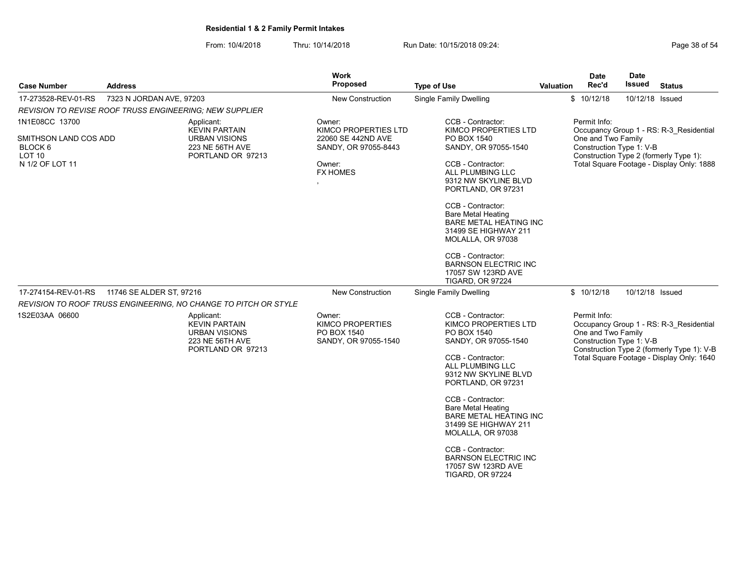From: 10/4/2018 Thru: 10/14/2018 Run Date: 10/15/2018 09:24:<br>From: 10/4/2018 Page 38 of 54

| <b>Case Number</b>                                    | <b>Address</b>                                                 |                                                                                                           | Work<br>Proposed                                                         | <b>Type of Use</b>                                                                                                                                                      | <b>Valuation</b> | Date<br>Rec'd                                                                            | Date<br>Issued  | <b>Status</b>                                                                                                                      |  |  |
|-------------------------------------------------------|----------------------------------------------------------------|-----------------------------------------------------------------------------------------------------------|--------------------------------------------------------------------------|-------------------------------------------------------------------------------------------------------------------------------------------------------------------------|------------------|------------------------------------------------------------------------------------------|-----------------|------------------------------------------------------------------------------------------------------------------------------------|--|--|
| 17-273528-REV-01-RS                                   | 7323 N JORDAN AVE, 97203                                       |                                                                                                           | New Construction                                                         | <b>Single Family Dwelling</b>                                                                                                                                           |                  | \$10/12/18                                                                               | 10/12/18 Issued |                                                                                                                                    |  |  |
|                                                       | <b>REVISION TO REVISE ROOF TRUSS ENGINEERING: NEW SUPPLIER</b> |                                                                                                           |                                                                          |                                                                                                                                                                         |                  |                                                                                          |                 |                                                                                                                                    |  |  |
| 1N1E08CC 13700                                        |                                                                | Applicant:<br><b>KEVIN PARTAIN</b>                                                                        | Owner:<br>KIMCO PROPERTIES LTD                                           | CCB - Contractor:<br>KIMCO PROPERTIES LTD                                                                                                                               |                  | Permit Info:                                                                             |                 | Occupancy Group 1 - RS: R-3 Residential                                                                                            |  |  |
| SMITHSON LAND COS ADD<br>BLOCK 6<br>LOT <sub>10</sub> |                                                                | <b>URBAN VISIONS</b><br>223 NE 56TH AVE<br>PORTLAND OR 97213                                              | 22060 SE 442ND AVE<br>SANDY, OR 97055-8443                               | PO BOX 1540<br>SANDY, OR 97055-1540                                                                                                                                     |                  | One and Two Family<br>Construction Type 1: V-B<br>Construction Type 2 (formerly Type 1): |                 |                                                                                                                                    |  |  |
| N 1/2 OF LOT 11                                       |                                                                |                                                                                                           | Owner:<br><b>FX HOMES</b>                                                | CCB - Contractor:<br>ALL PLUMBING LLC<br>9312 NW SKYLINE BLVD<br>PORTLAND, OR 97231                                                                                     |                  |                                                                                          |                 | Total Square Footage - Display Only: 1888                                                                                          |  |  |
|                                                       |                                                                |                                                                                                           |                                                                          | CCB - Contractor:<br><b>Bare Metal Heating</b><br><b>BARE METAL HEATING INC</b><br>31499 SE HIGHWAY 211<br>MOLALLA, OR 97038                                            |                  |                                                                                          |                 |                                                                                                                                    |  |  |
|                                                       |                                                                |                                                                                                           |                                                                          | CCB - Contractor:<br><b>BARNSON ELECTRIC INC</b><br>17057 SW 123RD AVE<br><b>TIGARD, OR 97224</b>                                                                       |                  |                                                                                          |                 |                                                                                                                                    |  |  |
| 17-274154-REV-01-RS                                   | 11746 SE ALDER ST, 97216                                       |                                                                                                           | New Construction                                                         | <b>Single Family Dwelling</b>                                                                                                                                           |                  | \$10/12/18                                                                               | 10/12/18 Issued |                                                                                                                                    |  |  |
|                                                       |                                                                | REVISION TO ROOF TRUSS ENGINEERING, NO CHANGE TO PITCH OR STYLE                                           |                                                                          |                                                                                                                                                                         |                  |                                                                                          |                 |                                                                                                                                    |  |  |
| 1S2E03AA 06600                                        |                                                                | Applicant:<br><b>KEVIN PARTAIN</b><br><b>URBAN VISIONS</b><br><b>223 NE 56TH AVE</b><br>PORTLAND OR 97213 | Owner:<br><b>KIMCO PROPERTIES</b><br>PO BOX 1540<br>SANDY, OR 97055-1540 | CCB - Contractor:<br>KIMCO PROPERTIES LTD<br>PO BOX 1540<br>SANDY, OR 97055-1540<br>CCB - Contractor:<br>ALL PLUMBING LLC<br>9312 NW SKYLINE BLVD<br>PORTLAND, OR 97231 |                  | Permit Info:<br>One and Two Family<br>Construction Type 1: V-B                           |                 | Occupancy Group 1 - RS: R-3 Residential<br>Construction Type 2 (formerly Type 1): V-B<br>Total Square Footage - Display Only: 1640 |  |  |
|                                                       |                                                                |                                                                                                           |                                                                          | CCB - Contractor:<br><b>Bare Metal Heating</b><br><b>BARE METAL HEATING INC</b><br>31499 SE HIGHWAY 211<br>MOLALLA, OR 97038                                            |                  |                                                                                          |                 |                                                                                                                                    |  |  |
|                                                       |                                                                |                                                                                                           |                                                                          | CCB - Contractor:<br><b>BARNSON ELECTRIC INC</b><br>17057 SW 123RD AVE<br><b>TIGARD, OR 97224</b>                                                                       |                  |                                                                                          |                 |                                                                                                                                    |  |  |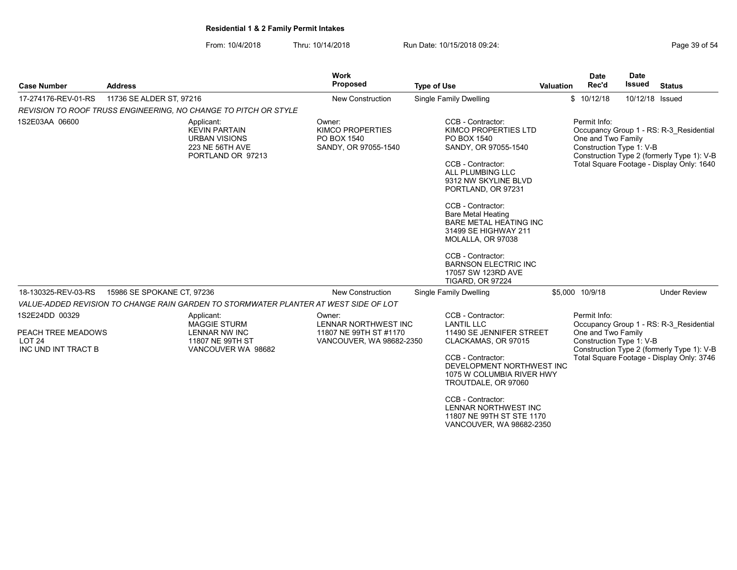From: 10/4/2018 Thru: 10/14/2018 Run Date: 10/15/2018 09:24:<br>From: 10/4/2018 Page 39 of 54

| <b>Case Number</b>                                                               | <b>Address</b>                                                                                            | Work<br><b>Proposed</b>                                                              | <b>Type of Use</b>                                                                                                                                                                                                                                                                                                                                                                                           | Valuation | <b>Date</b><br>Rec'd               | <b>Date</b><br><b>Issued</b> | <b>Status</b>                                                                                                                      |
|----------------------------------------------------------------------------------|-----------------------------------------------------------------------------------------------------------|--------------------------------------------------------------------------------------|--------------------------------------------------------------------------------------------------------------------------------------------------------------------------------------------------------------------------------------------------------------------------------------------------------------------------------------------------------------------------------------------------------------|-----------|------------------------------------|------------------------------|------------------------------------------------------------------------------------------------------------------------------------|
| 17-274176-REV-01-RS                                                              | 11736 SE ALDER ST, 97216                                                                                  | <b>New Construction</b>                                                              | <b>Single Family Dwelling</b>                                                                                                                                                                                                                                                                                                                                                                                |           | \$10/12/18                         | 10/12/18 Issued              |                                                                                                                                    |
|                                                                                  | REVISION TO ROOF TRUSS ENGINEERING, NO CHANGE TO PITCH OR STYLE                                           |                                                                                      |                                                                                                                                                                                                                                                                                                                                                                                                              |           |                                    |                              |                                                                                                                                    |
| 1S2E03AA 06600                                                                   | Applicant:<br><b>KEVIN PARTAIN</b><br><b>URBAN VISIONS</b><br><b>223 NE 56TH AVE</b><br>PORTLAND OR 97213 | Owner:<br><b>KIMCO PROPERTIES</b><br>PO BOX 1540<br>SANDY, OR 97055-1540             | CCB - Contractor:<br>KIMCO PROPERTIES LTD<br>PO BOX 1540<br>SANDY, OR 97055-1540<br>CCB - Contractor:<br>ALL PLUMBING LLC<br>9312 NW SKYLINE BLVD<br>PORTLAND, OR 97231<br>CCB - Contractor:<br><b>Bare Metal Heating</b><br><b>BARE METAL HEATING INC</b><br>31499 SE HIGHWAY 211<br>MOLALLA, OR 97038<br>CCB - Contractor:<br><b>BARNSON ELECTRIC INC</b><br>17057 SW 123RD AVE<br><b>TIGARD, OR 97224</b> |           | Permit Info:<br>One and Two Family | Construction Type 1: V-B     | Occupancy Group 1 - RS: R-3 Residential<br>Construction Type 2 (formerly Type 1): V-B<br>Total Square Footage - Display Only: 1640 |
| 18-130325-REV-03-RS                                                              | 15986 SE SPOKANE CT. 97236                                                                                | <b>New Construction</b>                                                              | Single Family Dwelling                                                                                                                                                                                                                                                                                                                                                                                       |           | \$5,000 10/9/18                    |                              | <b>Under Review</b>                                                                                                                |
|                                                                                  | VALUE-ADDED REVISION TO CHANGE RAIN GARDEN TO STORMWATER PLANTER AT WEST SIDE OF LOT                      |                                                                                      |                                                                                                                                                                                                                                                                                                                                                                                                              |           |                                    |                              |                                                                                                                                    |
| 1S2E24DD 00329<br>PEACH TREE MEADOWS<br>LOT <sub>24</sub><br>INC UND INT TRACT B | Applicant:<br><b>MAGGIE STURM</b><br><b>LENNAR NW INC</b><br>11807 NE 99TH ST<br>VANCOUVER WA 98682       | Owner:<br>LENNAR NORTHWEST INC<br>11807 NE 99TH ST #1170<br>VANCOUVER, WA 98682-2350 | CCB - Contractor:<br><b>LANTIL LLC</b><br>11490 SE JENNIFER STREET<br>CLACKAMAS, OR 97015<br>CCB - Contractor:<br>DEVELOPMENT NORTHWEST INC<br>1075 W COLUMBIA RIVER HWY<br>TROUTDALE, OR 97060<br>CCB - Contractor:                                                                                                                                                                                         |           | Permit Info:<br>One and Two Family | Construction Type 1: V-B     | Occupancy Group 1 - RS: R-3 Residential<br>Construction Type 2 (formerly Type 1): V-B<br>Total Square Footage - Display Only: 3746 |
|                                                                                  |                                                                                                           |                                                                                      | LENNAR NORTHWEST INC                                                                                                                                                                                                                                                                                                                                                                                         |           |                                    |                              |                                                                                                                                    |

11807 NE 99TH ST STE 1170 VANCOUVER, WA 98682-2350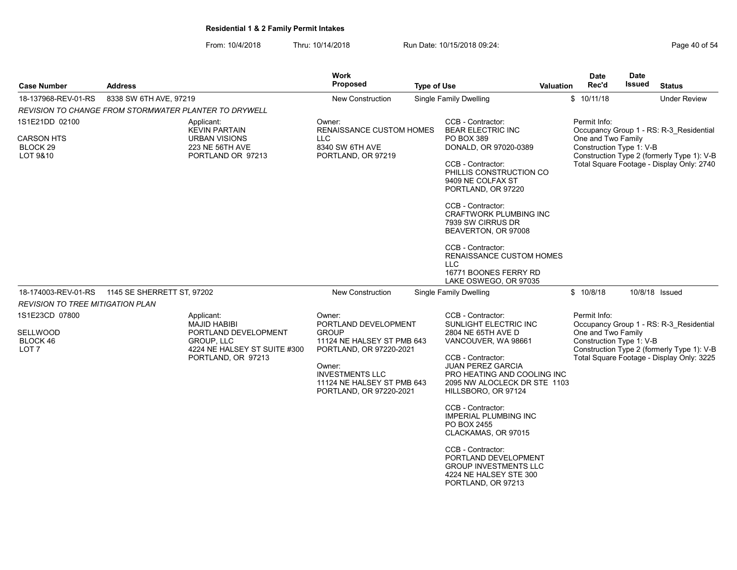From: 10/4/2018 Thru: 10/14/2018 Run Date: 10/15/2018 09:24:<br>From: 10/4/2018 Page 40 of 54

| <b>Case Number</b>                                         | <b>Address</b>             |                                                                                                                               | <b>Work</b><br><b>Proposed</b>                                                                                                                                                                       | <b>Type of Use</b> |                                                                                                                                                                                                                                                                                                                                                                                                                                                        | <b>Valuation</b> | <b>Date</b><br>Rec'd                                           | <b>Date</b><br>Issued | <b>Status</b>                                                                                                                      |
|------------------------------------------------------------|----------------------------|-------------------------------------------------------------------------------------------------------------------------------|------------------------------------------------------------------------------------------------------------------------------------------------------------------------------------------------------|--------------------|--------------------------------------------------------------------------------------------------------------------------------------------------------------------------------------------------------------------------------------------------------------------------------------------------------------------------------------------------------------------------------------------------------------------------------------------------------|------------------|----------------------------------------------------------------|-----------------------|------------------------------------------------------------------------------------------------------------------------------------|
| 18-137968-REV-01-RS                                        | 8338 SW 6TH AVE, 97219     |                                                                                                                               | <b>New Construction</b>                                                                                                                                                                              |                    | <b>Single Family Dwelling</b>                                                                                                                                                                                                                                                                                                                                                                                                                          |                  | \$10/11/18                                                     |                       | <b>Under Review</b>                                                                                                                |
| REVISION TO CHANGE FROM STORMWATER PLANTER TO DRYWELL      |                            |                                                                                                                               |                                                                                                                                                                                                      |                    |                                                                                                                                                                                                                                                                                                                                                                                                                                                        |                  |                                                                |                       |                                                                                                                                    |
| 1S1E21DD 02100                                             |                            | Applicant:<br><b>KEVIN PARTAIN</b>                                                                                            | Owner:<br><b>RENAISSANCE CUSTOM HOMES</b>                                                                                                                                                            |                    | CCB - Contractor:<br><b>BEAR ELECTRIC INC</b>                                                                                                                                                                                                                                                                                                                                                                                                          |                  | Permit Info:                                                   |                       | Occupancy Group 1 - RS: R-3 Residential                                                                                            |
| <b>CARSON HTS</b><br>BLOCK <sub>29</sub><br>LOT 9&10       |                            | <b>URBAN VISIONS</b><br>223 NE 56TH AVE<br>PORTLAND OR 97213                                                                  | <b>LLC</b><br>8340 SW 6TH AVE<br>PORTLAND, OR 97219                                                                                                                                                  |                    | PO BOX 389<br>DONALD, OR 97020-0389<br>CCB - Contractor:<br>PHILLIS CONSTRUCTION CO<br>9409 NE COLFAX ST<br>PORTLAND, OR 97220<br>CCB - Contractor:<br><b>CRAFTWORK PLUMBING INC</b><br>7939 SW CIRRUS DR<br>BEAVERTON, OR 97008<br>CCB - Contractor:<br><b>RENAISSANCE CUSTOM HOMES</b><br><b>LLC</b><br>16771 BOONES FERRY RD<br>LAKE OSWEGO, OR 97035                                                                                               |                  | One and Two Family<br>Construction Type 1: V-B                 |                       | Construction Type 2 (formerly Type 1): V-B<br>Total Square Footage - Display Only: 2740                                            |
| 18-174003-REV-01-RS                                        | 1145 SE SHERRETT ST, 97202 |                                                                                                                               | <b>New Construction</b>                                                                                                                                                                              |                    | <b>Single Family Dwelling</b>                                                                                                                                                                                                                                                                                                                                                                                                                          |                  | \$10/8/18                                                      |                       | 10/8/18 Issued                                                                                                                     |
| <b>REVISION TO TREE MITIGATION PLAN</b>                    |                            |                                                                                                                               |                                                                                                                                                                                                      |                    |                                                                                                                                                                                                                                                                                                                                                                                                                                                        |                  |                                                                |                       |                                                                                                                                    |
| 1S1E23CD 07800<br>SELLWOOD<br>BLOCK 46<br>LOT <sub>7</sub> |                            | Applicant:<br><b>MAJID HABIBI</b><br>PORTLAND DEVELOPMENT<br>GROUP, LLC<br>4224 NE HALSEY ST SUITE #300<br>PORTLAND, OR 97213 | Owner:<br>PORTLAND DEVELOPMENT<br><b>GROUP</b><br>11124 NE HALSEY ST PMB 643<br>PORTLAND, OR 97220-2021<br>Owner:<br><b>INVESTMENTS LLC</b><br>11124 NE HALSEY ST PMB 643<br>PORTLAND, OR 97220-2021 |                    | CCB - Contractor:<br>SUNLIGHT ELECTRIC INC<br>2804 NE 65TH AVE D<br>VANCOUVER, WA 98661<br>CCB - Contractor:<br><b>JUAN PEREZ GARCIA</b><br>PRO HEATING AND COOLING INC<br>2095 NW ALOCLECK DR STE 1103<br>HILLSBORO, OR 97124<br>CCB - Contractor:<br><b>IMPERIAL PLUMBING INC</b><br>PO BOX 2455<br>CLACKAMAS, OR 97015<br>CCB - Contractor:<br>PORTLAND DEVELOPMENT<br><b>GROUP INVESTMENTS LLC</b><br>4224 NE HALSEY STE 300<br>PORTLAND, OR 97213 |                  | Permit Info:<br>One and Two Family<br>Construction Type 1: V-B |                       | Occupancy Group 1 - RS: R-3 Residential<br>Construction Type 2 (formerly Type 1): V-B<br>Total Square Footage - Display Only: 3225 |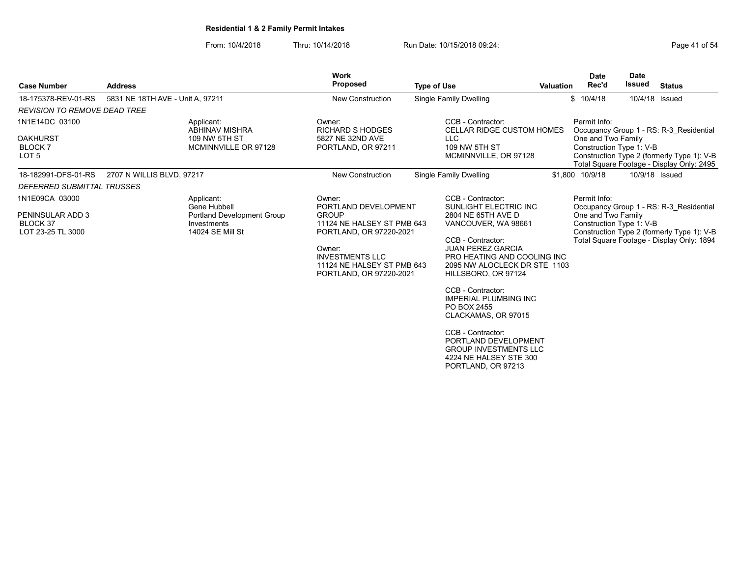From: 10/4/2018 Thru: 10/14/2018 Run Date: 10/15/2018 09:24:<br>From: 10/4/2018 Page 41 of 54

| <b>Case Number</b>                                               | <b>Address</b>                   |                                                                              | <b>Work</b><br><b>Proposed</b>                                                            | <b>Type of Use</b>                                                                                                        | Valuation | <b>Date</b><br>Rec'd                                           | <b>Date</b><br><b>Issued</b> | <b>Status</b>                                                                                                                      |
|------------------------------------------------------------------|----------------------------------|------------------------------------------------------------------------------|-------------------------------------------------------------------------------------------|---------------------------------------------------------------------------------------------------------------------------|-----------|----------------------------------------------------------------|------------------------------|------------------------------------------------------------------------------------------------------------------------------------|
|                                                                  |                                  |                                                                              |                                                                                           |                                                                                                                           |           |                                                                |                              |                                                                                                                                    |
| 18-175378-REV-01-RS                                              | 5831 NE 18TH AVE - Unit A, 97211 |                                                                              | <b>New Construction</b>                                                                   | Single Family Dwelling                                                                                                    |           | \$10/4/18                                                      | 10/4/18 Issued               |                                                                                                                                    |
| <b>REVISION TO REMOVE DEAD TREE</b>                              |                                  |                                                                              |                                                                                           |                                                                                                                           |           |                                                                |                              |                                                                                                                                    |
| 1N1E14DC 03100<br><b>OAKHURST</b><br>BLOCK 7<br>LOT <sub>5</sub> |                                  | Applicant:<br><b>ABHINAV MISHRA</b><br>109 NW 5TH ST<br>MCMINNVILLE OR 97128 | Owner:<br><b>RICHARD S HODGES</b><br>5827 NE 32ND AVE<br>PORTLAND, OR 97211               | CCB - Contractor:<br><b>CELLAR RIDGE CUSTOM HOMES</b><br>LLC<br>109 NW 5TH ST<br>MCMINNVILLE, OR 97128                    |           | Permit Info:<br>One and Two Family<br>Construction Type 1: V-B |                              | Occupancy Group 1 - RS: R-3 Residential<br>Construction Type 2 (formerly Type 1): V-B<br>Total Square Footage - Display Only: 2495 |
| 18-182991-DFS-01-RS                                              | 2707 N WILLIS BLVD, 97217        |                                                                              | <b>New Construction</b>                                                                   | Single Family Dwelling                                                                                                    |           | \$1.800 10/9/18                                                | 10/9/18 Issued               |                                                                                                                                    |
| DEFERRED SUBMITTAL TRUSSES                                       |                                  |                                                                              |                                                                                           |                                                                                                                           |           |                                                                |                              |                                                                                                                                    |
| 1N1E09CA 03000                                                   |                                  | Applicant:<br>Gene Hubbell                                                   | Owner:<br>PORTLAND DEVELOPMENT                                                            | CCB - Contractor:<br>SUNLIGHT ELECTRIC INC                                                                                |           | Permit Info:                                                   |                              | Occupancy Group 1 - RS: R-3 Residential                                                                                            |
| PENINSULAR ADD 3<br>BLOCK 37                                     |                                  | <b>Portland Development Group</b><br>Investments                             | <b>GROUP</b><br>11124 NE HALSEY ST PMB 643                                                | 2804 NE 65TH AVE D<br>VANCOUVER, WA 98661                                                                                 |           | One and Two Family<br>Construction Type 1: V-B                 |                              |                                                                                                                                    |
| LOT 23-25 TL 3000                                                |                                  | 14024 SE Mill St                                                             | PORTLAND, OR 97220-2021                                                                   | CCB - Contractor:                                                                                                         |           |                                                                |                              | Construction Type 2 (formerly Type 1): V-B<br>Total Square Footage - Display Only: 1894                                            |
|                                                                  |                                  |                                                                              | Owner:<br><b>INVESTMENTS LLC</b><br>11124 NE HALSEY ST PMB 643<br>PORTLAND, OR 97220-2021 | <b>JUAN PEREZ GARCIA</b><br>PRO HEATING AND COOLING INC<br>2095 NW ALOCLECK DR STE 1103<br>HILLSBORO, OR 97124            |           |                                                                |                              |                                                                                                                                    |
|                                                                  |                                  |                                                                              |                                                                                           | CCB - Contractor:<br><b>IMPERIAL PLUMBING INC</b><br>PO BOX 2455<br>CLACKAMAS, OR 97015                                   |           |                                                                |                              |                                                                                                                                    |
|                                                                  |                                  |                                                                              |                                                                                           | CCB - Contractor:<br>PORTLAND DEVELOPMENT<br><b>GROUP INVESTMENTS LLC</b><br>4224 NE HALSEY STE 300<br>PORTLAND, OR 97213 |           |                                                                |                              |                                                                                                                                    |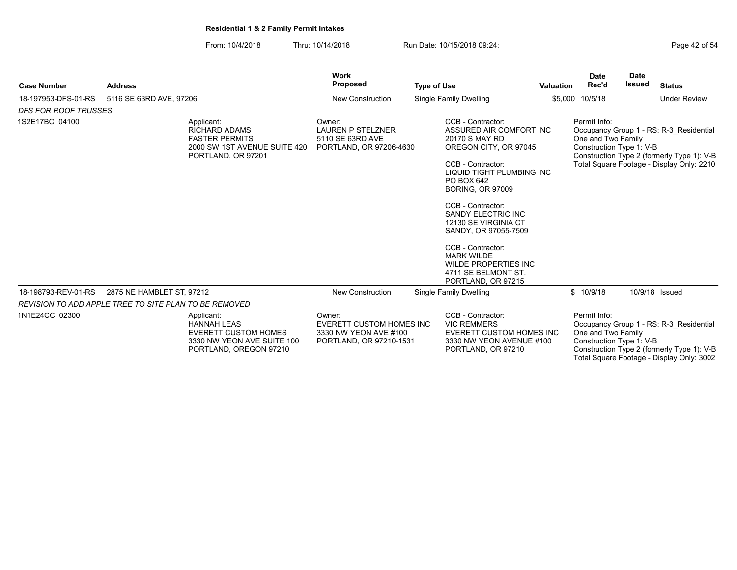From: 10/4/2018 Thru: 10/14/2018 Run Date: 10/15/2018 09:24:<br>From: 10/4/2018 Page 42 of 54

| <b>Case Number</b>          | <b>Address</b>                                               |                                                                                                                         | Work<br>Proposed                                                                              | <b>Type of Use</b>                                                                                                                                                                                                                                                                                                                                                                                  | <b>Valuation</b> | <b>Date</b><br>Rec'd                                           | <b>Date</b><br><b>Issued</b> | <b>Status</b>                                                                                                                      |
|-----------------------------|--------------------------------------------------------------|-------------------------------------------------------------------------------------------------------------------------|-----------------------------------------------------------------------------------------------|-----------------------------------------------------------------------------------------------------------------------------------------------------------------------------------------------------------------------------------------------------------------------------------------------------------------------------------------------------------------------------------------------------|------------------|----------------------------------------------------------------|------------------------------|------------------------------------------------------------------------------------------------------------------------------------|
| 18-197953-DFS-01-RS         | 5116 SE 63RD AVE, 97206                                      |                                                                                                                         | <b>New Construction</b>                                                                       | <b>Single Family Dwelling</b>                                                                                                                                                                                                                                                                                                                                                                       |                  | \$5,000 10/5/18                                                |                              | <b>Under Review</b>                                                                                                                |
| <b>DFS FOR ROOF TRUSSES</b> |                                                              |                                                                                                                         |                                                                                               |                                                                                                                                                                                                                                                                                                                                                                                                     |                  |                                                                |                              |                                                                                                                                    |
| 1S2E17BC 04100              |                                                              | Applicant:<br><b>RICHARD ADAMS</b><br><b>FASTER PERMITS</b><br>2000 SW 1ST AVENUE SUITE 420<br>PORTLAND, OR 97201       | Owner <sup>-</sup><br><b>LAUREN P STELZNER</b><br>5110 SE 63RD AVE<br>PORTLAND, OR 97206-4630 | CCB - Contractor:<br>ASSURED AIR COMFORT INC<br>20170 S MAY RD<br>OREGON CITY, OR 97045<br>CCB - Contractor:<br>LIQUID TIGHT PLUMBING INC<br>PO BOX 642<br><b>BORING, OR 97009</b><br>CCB - Contractor:<br><b>SANDY ELECTRIC INC</b><br>12130 SE VIRGINIA CT<br>SANDY, OR 97055-7509<br>CCB - Contractor:<br><b>MARK WILDE</b><br>WILDE PROPERTIES INC<br>4711 SE BELMONT ST.<br>PORTLAND, OR 97215 |                  | Permit Info:<br>One and Two Family<br>Construction Type 1: V-B |                              | Occupancy Group 1 - RS: R-3 Residential<br>Construction Type 2 (formerly Type 1): V-B<br>Total Square Footage - Display Only: 2210 |
| 18-198793-REV-01-RS         | 2875 NE HAMBLET ST, 97212                                    |                                                                                                                         | <b>New Construction</b>                                                                       | Single Family Dwelling                                                                                                                                                                                                                                                                                                                                                                              |                  | \$10/9/18                                                      |                              | 10/9/18 Issued                                                                                                                     |
|                             | <b>REVISION TO ADD APPLE TREE TO SITE PLAN TO BE REMOVED</b> |                                                                                                                         |                                                                                               |                                                                                                                                                                                                                                                                                                                                                                                                     |                  |                                                                |                              |                                                                                                                                    |
| 1N1E24CC 02300              |                                                              | Applicant:<br><b>HANNAH LEAS</b><br><b>EVERETT CUSTOM HOMES</b><br>3330 NW YEON AVE SUITE 100<br>PORTLAND, OREGON 97210 | Owner:<br><b>EVERETT CUSTOM HOMES INC</b><br>3330 NW YEON AVE #100<br>PORTLAND, OR 97210-1531 | CCB - Contractor:<br><b>VIC REMMERS</b><br><b>EVERETT CUSTOM HOMES INC</b><br>3330 NW YEON AVENUE #100<br>PORTLAND, OR 97210                                                                                                                                                                                                                                                                        |                  | Permit Info:<br>One and Two Family<br>Construction Type 1: V-B |                              | Occupancy Group 1 - RS: R-3 Residential<br>Construction Type 2 (formerly Type 1): V-B<br>Total Square Footage - Display Only: 3002 |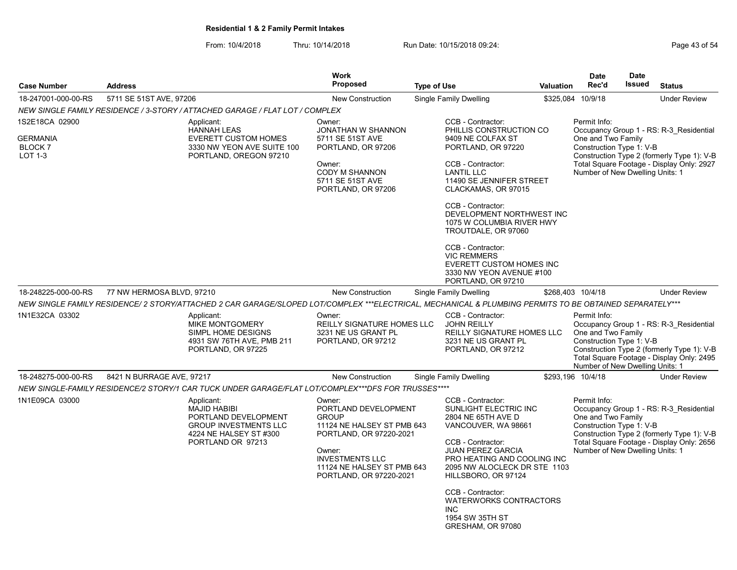From: 10/4/2018 Thru: 10/14/2018 Run Date: 10/15/2018 09:24:<br>From: 10/4/2018 Page 43 of 54

|                |                                                                                                                                          | <b>Work</b>                                                                                                                                  |                                                                                                         |                                                                                                                                                                      |                                                                                                                                                                                                                                                                                                                                                                                                                                                                                                                                                                                                                                                                                                      | <b>Date</b>                                                                                                                                                                                                                                                                                                                                 | <b>Date</b>                                                                              |                                                                                                                                                                                                                                                                                                                                                                                                                                                                                                                                                                                                                                                  |
|----------------|------------------------------------------------------------------------------------------------------------------------------------------|----------------------------------------------------------------------------------------------------------------------------------------------|---------------------------------------------------------------------------------------------------------|----------------------------------------------------------------------------------------------------------------------------------------------------------------------|------------------------------------------------------------------------------------------------------------------------------------------------------------------------------------------------------------------------------------------------------------------------------------------------------------------------------------------------------------------------------------------------------------------------------------------------------------------------------------------------------------------------------------------------------------------------------------------------------------------------------------------------------------------------------------------------------|---------------------------------------------------------------------------------------------------------------------------------------------------------------------------------------------------------------------------------------------------------------------------------------------------------------------------------------------|------------------------------------------------------------------------------------------|--------------------------------------------------------------------------------------------------------------------------------------------------------------------------------------------------------------------------------------------------------------------------------------------------------------------------------------------------------------------------------------------------------------------------------------------------------------------------------------------------------------------------------------------------------------------------------------------------------------------------------------------------|
| <b>Address</b> |                                                                                                                                          | <b>Proposed</b>                                                                                                                              |                                                                                                         |                                                                                                                                                                      |                                                                                                                                                                                                                                                                                                                                                                                                                                                                                                                                                                                                                                                                                                      | Rec'd                                                                                                                                                                                                                                                                                                                                       | <b>Issued</b>                                                                            | <b>Status</b>                                                                                                                                                                                                                                                                                                                                                                                                                                                                                                                                                                                                                                    |
|                |                                                                                                                                          | <b>New Construction</b>                                                                                                                      |                                                                                                         |                                                                                                                                                                      |                                                                                                                                                                                                                                                                                                                                                                                                                                                                                                                                                                                                                                                                                                      |                                                                                                                                                                                                                                                                                                                                             |                                                                                          | <b>Under Review</b>                                                                                                                                                                                                                                                                                                                                                                                                                                                                                                                                                                                                                              |
|                |                                                                                                                                          |                                                                                                                                              |                                                                                                         |                                                                                                                                                                      |                                                                                                                                                                                                                                                                                                                                                                                                                                                                                                                                                                                                                                                                                                      |                                                                                                                                                                                                                                                                                                                                             |                                                                                          |                                                                                                                                                                                                                                                                                                                                                                                                                                                                                                                                                                                                                                                  |
|                | Applicant:<br><b>HANNAH LEAS</b><br><b>EVERETT CUSTOM HOMES</b><br>3330 NW YEON AVE SUITE 100<br>PORTLAND, OREGON 97210                  | Owner:<br>JONATHAN W SHANNON<br>5711 SE 51ST AVE<br>PORTLAND, OR 97206<br>Owner:<br>CODY M SHANNON<br>5711 SE 51ST AVE<br>PORTLAND, OR 97206 |                                                                                                         |                                                                                                                                                                      |                                                                                                                                                                                                                                                                                                                                                                                                                                                                                                                                                                                                                                                                                                      |                                                                                                                                                                                                                                                                                                                                             |                                                                                          |                                                                                                                                                                                                                                                                                                                                                                                                                                                                                                                                                                                                                                                  |
|                |                                                                                                                                          |                                                                                                                                              |                                                                                                         |                                                                                                                                                                      |                                                                                                                                                                                                                                                                                                                                                                                                                                                                                                                                                                                                                                                                                                      |                                                                                                                                                                                                                                                                                                                                             |                                                                                          | <b>Under Review</b>                                                                                                                                                                                                                                                                                                                                                                                                                                                                                                                                                                                                                              |
|                |                                                                                                                                          |                                                                                                                                              |                                                                                                         |                                                                                                                                                                      |                                                                                                                                                                                                                                                                                                                                                                                                                                                                                                                                                                                                                                                                                                      |                                                                                                                                                                                                                                                                                                                                             |                                                                                          |                                                                                                                                                                                                                                                                                                                                                                                                                                                                                                                                                                                                                                                  |
|                | Applicant:<br>MIKE MONTGOMERY<br>SIMPL HOME DESIGNS<br>4931 SW 76TH AVE, PMB 211<br>PORTLAND, OR 97225                                   | Owner:<br>3231 NE US GRANT PL<br>PORTLAND, OR 97212                                                                                          |                                                                                                         |                                                                                                                                                                      | Permit Info:<br>Occupancy Group 1 - RS: R-3 Residential<br>One and Two Family<br>Construction Type 1: V-B<br>Construction Type 2 (formerly Type 1): V-B<br>Total Square Footage - Display Only: 2495                                                                                                                                                                                                                                                                                                                                                                                                                                                                                                 |                                                                                                                                                                                                                                                                                                                                             |                                                                                          |                                                                                                                                                                                                                                                                                                                                                                                                                                                                                                                                                                                                                                                  |
|                |                                                                                                                                          | <b>New Construction</b>                                                                                                                      |                                                                                                         |                                                                                                                                                                      |                                                                                                                                                                                                                                                                                                                                                                                                                                                                                                                                                                                                                                                                                                      |                                                                                                                                                                                                                                                                                                                                             |                                                                                          | <b>Under Review</b>                                                                                                                                                                                                                                                                                                                                                                                                                                                                                                                                                                                                                              |
|                |                                                                                                                                          |                                                                                                                                              |                                                                                                         |                                                                                                                                                                      |                                                                                                                                                                                                                                                                                                                                                                                                                                                                                                                                                                                                                                                                                                      |                                                                                                                                                                                                                                                                                                                                             |                                                                                          |                                                                                                                                                                                                                                                                                                                                                                                                                                                                                                                                                                                                                                                  |
|                | Applicant:<br><b>MAJID HABIBI</b><br>PORTLAND DEVELOPMENT<br><b>GROUP INVESTMENTS LLC</b><br>4224 NE HALSEY ST #300<br>PORTLAND OR 97213 | Owner:<br><b>GROUP</b><br>Owner:<br><b>INVESTMENTS LLC</b>                                                                                   |                                                                                                         |                                                                                                                                                                      |                                                                                                                                                                                                                                                                                                                                                                                                                                                                                                                                                                                                                                                                                                      | Permit Info:                                                                                                                                                                                                                                                                                                                                |                                                                                          |                                                                                                                                                                                                                                                                                                                                                                                                                                                                                                                                                                                                                                                  |
|                |                                                                                                                                          | 5711 SE 51ST AVE, 97206<br>77 NW HERMOSA BLVD, 97210<br>8421 N BURRAGE AVE, 97217                                                            | NEW SINGLE FAMILY RESIDENCE / 3-STORY / ATTACHED GARAGE / FLAT LOT / COMPLEX<br><b>New Construction</b> | REILLY SIGNATURE HOMES LLC<br>PORTLAND DEVELOPMENT<br>11124 NE HALSEY ST PMB 643<br>PORTLAND, OR 97220-2021<br>11124 NE HALSEY ST PMB 643<br>PORTLAND, OR 97220-2021 | <b>Type of Use</b><br>Single Family Dwelling<br>CCB - Contractor:<br>9409 NE COLFAX ST<br>PORTLAND, OR 97220<br>CCB - Contractor:<br><b>LANTIL LLC</b><br>CLACKAMAS, OR 97015<br>CCB - Contractor:<br>TROUTDALE, OR 97060<br>CCB - Contractor:<br><b>VIC REMMERS</b><br>PORTLAND, OR 97210<br>Single Family Dwelling<br>CCB - Contractor:<br><b>JOHN REILLY</b><br>3231 NE US GRANT PL<br>PORTLAND, OR 97212<br>Single Family Dwelling<br>NEW SINGLE-FAMILY RESIDENCE/2 STORY/1 CAR TUCK UNDER GARAGE/FLAT LOT/COMPLEX***DFS FOR TRUSSES****<br>CCB - Contractor:<br>2804 NE 65TH AVE D<br>VANCOUVER, WA 98661<br>CCB - Contractor:<br>JUAN PEREZ GARCIA<br>HILLSBORO, OR 97124<br>CCB - Contractor: | PHILLIS CONSTRUCTION CO<br>11490 SE JENNIFER STREET<br>DEVELOPMENT NORTHWEST INC<br>1075 W COLUMBIA RIVER HWY<br>EVERETT CUSTOM HOMES INC<br>3330 NW YEON AVENUE #100<br><b>REILLY SIGNATURE HOMES LLC</b><br>SUNLIGHT ELECTRIC INC<br>PRO HEATING AND COOLING INC<br>2095 NW ALOCLECK DR STE 1103<br><b>WATERWORKS CONTRACTORS</b><br>INC. | Valuation<br>\$325,084 10/9/18<br>Permit Info:<br>\$268,403 10/4/18<br>\$293,196 10/4/18 | Occupancy Group 1 - RS: R-3_Residential<br>One and Two Family<br>Construction Type 1: V-B<br>Construction Type 2 (formerly Type 1): V-B<br>Total Square Footage - Display Only: 2927<br>Number of New Dwelling Units: 1<br>NEW SINGLE FAMILY RESIDENCE/ 2 STORY/ATTACHED 2 CAR GARAGE/SLOPED LOT/COMPLEX ***ELECTRICAL, MECHANICAL & PLUMBING PERMITS TO BE OBTAINED SEPARATELY***<br>Number of New Dwelling Units: 1<br>Occupancy Group 1 - RS: R-3 Residential<br>One and Two Family<br>Construction Type 1: V-B<br>Construction Type 2 (formerly Type 1): V-B<br>Total Square Footage - Display Only: 2656<br>Number of New Dwelling Units: 1 |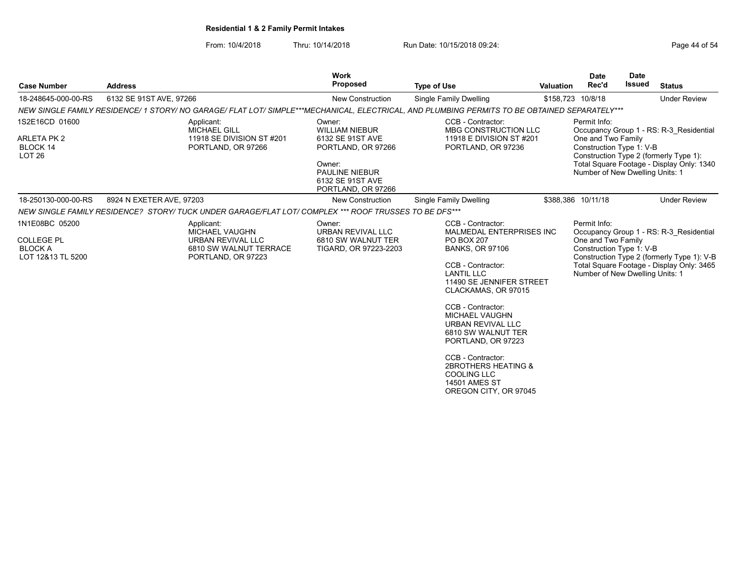From: 10/4/2018 Thru: 10/14/2018 Run Date: 10/15/2018 09:24:<br>From: 10/4/2018 Page 44 of 54

| <b>Case Number</b>                                                         | <b>Address</b>           |                                                                                                          | <b>Work</b><br>Proposed                                                                                                                                | <b>Type of Use</b>                                                                                                                                                                                                                                                                                                                                                                                                   | <b>Valuation</b>  | <b>Date</b><br>Rec'd                                                                              | <b>Date</b><br>Issued | <b>Status</b>                                                                                                                      |
|----------------------------------------------------------------------------|--------------------------|----------------------------------------------------------------------------------------------------------|--------------------------------------------------------------------------------------------------------------------------------------------------------|----------------------------------------------------------------------------------------------------------------------------------------------------------------------------------------------------------------------------------------------------------------------------------------------------------------------------------------------------------------------------------------------------------------------|-------------------|---------------------------------------------------------------------------------------------------|-----------------------|------------------------------------------------------------------------------------------------------------------------------------|
| 18-248645-000-00-RS                                                        | 6132 SE 91ST AVE, 97266  |                                                                                                          | <b>New Construction</b>                                                                                                                                | Single Family Dwelling                                                                                                                                                                                                                                                                                                                                                                                               | \$158,723 10/8/18 |                                                                                                   |                       | <b>Under Review</b>                                                                                                                |
|                                                                            |                          |                                                                                                          |                                                                                                                                                        | NEW SINGLE FAMILY RESIDENCE/ 1 STORY/ NO GARAGE/ FLAT LOT/ SIMPLE***MECHANICAL, ELECTRICAL, AND PLUMBING PERMITS TO BE OBTAINED SEPARATELY***                                                                                                                                                                                                                                                                        |                   |                                                                                                   |                       |                                                                                                                                    |
| 1S2E16CD 01600<br>ARLETA PK 2<br>BLOCK 14<br><b>LOT 26</b>                 |                          | Applicant:<br><b>MICHAEL GILL</b><br>11918 SE DIVISION ST #201<br>PORTLAND, OR 97266                     | Owner:<br><b>WILLIAM NIEBUR</b><br>6132 SE 91ST AVE<br>PORTLAND, OR 97266<br>Owner:<br><b>PAULINE NIEBUR</b><br>6132 SE 91ST AVE<br>PORTLAND, OR 97266 | CCB - Contractor:<br>MBG CONSTRUCTION LLC<br>11918 E DIVISION ST #201<br>PORTLAND, OR 97236                                                                                                                                                                                                                                                                                                                          |                   | Permit Info:<br>One and Two Family<br>Construction Type 1: V-B<br>Number of New Dwelling Units: 1 |                       | Occupancy Group 1 - RS: R-3 Residential<br>Construction Type 2 (formerly Type 1):<br>Total Square Footage - Display Only: 1340     |
| 18-250130-000-00-RS                                                        | 8924 N EXETER AVE, 97203 |                                                                                                          | <b>New Construction</b>                                                                                                                                | Single Family Dwelling                                                                                                                                                                                                                                                                                                                                                                                               |                   | \$388,386 10/11/18                                                                                |                       | <b>Under Review</b>                                                                                                                |
|                                                                            |                          | NEW SINGLE FAMILY RESIDENCE? STORY/ TUCK UNDER GARAGE/FLAT LOT/ COMPLEX *** ROOF TRUSSES TO BE DFS***    |                                                                                                                                                        |                                                                                                                                                                                                                                                                                                                                                                                                                      |                   |                                                                                                   |                       |                                                                                                                                    |
| 1N1E08BC 05200<br><b>COLLEGE PL</b><br><b>BLOCK A</b><br>LOT 12&13 TL 5200 |                          | Applicant:<br><b>MICHAEL VAUGHN</b><br>URBAN REVIVAL LLC<br>6810 SW WALNUT TERRACE<br>PORTLAND, OR 97223 | Owner:<br><b>URBAN REVIVAL LLC</b><br>6810 SW WALNUT TER<br>TIGARD, OR 97223-2203                                                                      | CCB - Contractor:<br>MALMEDAL ENTERPRISES INC<br>PO BOX 207<br><b>BANKS, OR 97106</b><br>CCB - Contractor:<br><b>LANTIL LLC</b><br>11490 SE JENNIFER STREET<br>CLACKAMAS, OR 97015<br>CCB - Contractor:<br><b>MICHAEL VAUGHN</b><br>URBAN REVIVAL LLC<br>6810 SW WALNUT TER<br>PORTLAND, OR 97223<br>CCB - Contractor:<br>2BROTHERS HEATING &<br><b>COOLING LLC</b><br><b>14501 AMES ST</b><br>OREGON CITY, OR 97045 |                   | Permit Info:<br>One and Two Family<br>Construction Type 1: V-B<br>Number of New Dwelling Units: 1 |                       | Occupancy Group 1 - RS: R-3 Residential<br>Construction Type 2 (formerly Type 1): V-B<br>Total Square Footage - Display Only: 3465 |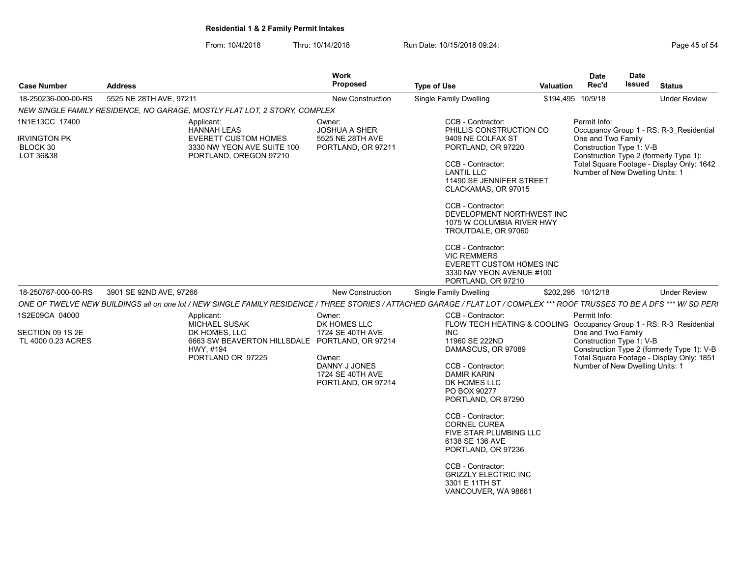From: 10/4/2018 Thru: 10/14/2018 Run Date: 10/15/2018 09:24:<br>From: 10/4/2018 Page 45 of 54

| <b>Case Number</b>                                       | <b>Address</b>                                                                                                                                                              | <b>Work</b><br><b>Proposed</b>                                                                                  | <b>Type of Use</b>                                                                                                                                                                                                                                                                                                                                                                                                                   | Valuation | <b>Date</b><br>Rec'd                                                                              | <b>Date</b><br><b>Issued</b>                                                                                                                                             | <b>Status</b>                                                                           |  |
|----------------------------------------------------------|-----------------------------------------------------------------------------------------------------------------------------------------------------------------------------|-----------------------------------------------------------------------------------------------------------------|--------------------------------------------------------------------------------------------------------------------------------------------------------------------------------------------------------------------------------------------------------------------------------------------------------------------------------------------------------------------------------------------------------------------------------------|-----------|---------------------------------------------------------------------------------------------------|--------------------------------------------------------------------------------------------------------------------------------------------------------------------------|-----------------------------------------------------------------------------------------|--|
| 18-250236-000-00-RS                                      | 5525 NE 28TH AVE, 97211                                                                                                                                                     | <b>New Construction</b>                                                                                         | Single Family Dwelling                                                                                                                                                                                                                                                                                                                                                                                                               |           | \$194,495 10/9/18                                                                                 |                                                                                                                                                                          | <b>Under Review</b>                                                                     |  |
|                                                          | NEW SINGLE FAMILY RESIDENCE. NO GARAGE. MOSTLY FLAT LOT. 2 STORY. COMPLEX                                                                                                   |                                                                                                                 |                                                                                                                                                                                                                                                                                                                                                                                                                                      |           |                                                                                                   |                                                                                                                                                                          |                                                                                         |  |
| 1N1E13CC 17400                                           | Applicant:<br><b>HANNAH LEAS</b>                                                                                                                                            | Owner:<br><b>JOSHUA A SHER</b>                                                                                  | CCB - Contractor:<br>PHILLIS CONSTRUCTION CO                                                                                                                                                                                                                                                                                                                                                                                         |           | Permit Info:                                                                                      |                                                                                                                                                                          | Occupancy Group 1 - RS: R-3 Residential                                                 |  |
| <b>IRVINGTON PK</b><br>BLOCK 30<br>LOT 36&38             | <b>EVERETT CUSTOM HOMES</b><br>3330 NW YEON AVE SUITE 100<br>PORTLAND, OREGON 97210                                                                                         | 5525 NE 28TH AVE<br>PORTLAND, OR 97211                                                                          | 9409 NE COLFAX ST<br>PORTLAND, OR 97220<br>CCB - Contractor:<br><b>LANTIL LLC</b><br>11490 SE JENNIFER STREET<br>CLACKAMAS, OR 97015<br>CCB - Contractor:<br>DEVELOPMENT NORTHWEST INC<br>1075 W COLUMBIA RIVER HWY<br>TROUTDALE, OR 97060<br>CCB - Contractor:<br><b>VIC REMMERS</b><br><b>EVERETT CUSTOM HOMES INC</b><br>3330 NW YEON AVENUE #100<br>PORTLAND, OR 97210                                                           |           |                                                                                                   | One and Two Family<br>Construction Type 1: V-B<br>Construction Type 2 (formerly Type 1):<br>Total Square Footage - Display Only: 1642<br>Number of New Dwelling Units: 1 |                                                                                         |  |
| 18-250767-000-00-RS                                      | 3901 SE 92ND AVE, 97266                                                                                                                                                     | <b>New Construction</b>                                                                                         | Single Family Dwelling                                                                                                                                                                                                                                                                                                                                                                                                               |           | \$202.295 10/12/18                                                                                |                                                                                                                                                                          | <b>Under Review</b>                                                                     |  |
|                                                          | ONE OF TWELVE NEW BUILDINGS all on one lot / NEW SINGLE FAMILY RESIDENCE / THREE STORIES / ATTACHED GARAGE / FLAT LOT / COMPLEX *** ROOF TRUSSES TO BE A DFS *** W/ SD PERI |                                                                                                                 |                                                                                                                                                                                                                                                                                                                                                                                                                                      |           |                                                                                                   |                                                                                                                                                                          |                                                                                         |  |
| 1S2E09CA 04000<br>SECTION 09 1S 2E<br>TL 4000 0.23 ACRES | Applicant:<br><b>MICHAEL SUSAK</b><br>DK HOMES, LLC<br>6663 SW BEAVERTON HILLSDALE PORTLAND, OR 97214<br>HWY, #194<br>PORTLAND OR 97225                                     | Owner:<br>DK HOMES LLC<br>1724 SE 40TH AVE<br>Owner:<br>DANNY J JONES<br>1724 SE 40TH AVE<br>PORTLAND, OR 97214 | CCB - Contractor:<br>FLOW TECH HEATING & COOLING Occupancy Group 1 - RS: R-3 Residential<br><b>INC</b><br>11960 SE 222ND<br>DAMASCUS, OR 97089<br>CCB - Contractor:<br><b>DAMIR KARIN</b><br>DK HOMES LLC<br>PO BOX 90277<br>PORTLAND, OR 97290<br>CCB - Contractor:<br><b>CORNEL CUREA</b><br>FIVE STAR PLUMBING LLC<br>6138 SE 136 AVE<br>PORTLAND, OR 97236<br>CCB - Contractor:<br><b>GRIZZLY ELECTRIC INC</b><br>3301 E 11TH ST |           | Permit Info:<br>One and Two Family<br>Construction Type 1: V-B<br>Number of New Dwelling Units: 1 |                                                                                                                                                                          | Construction Type 2 (formerly Type 1): V-B<br>Total Square Footage - Display Only: 1851 |  |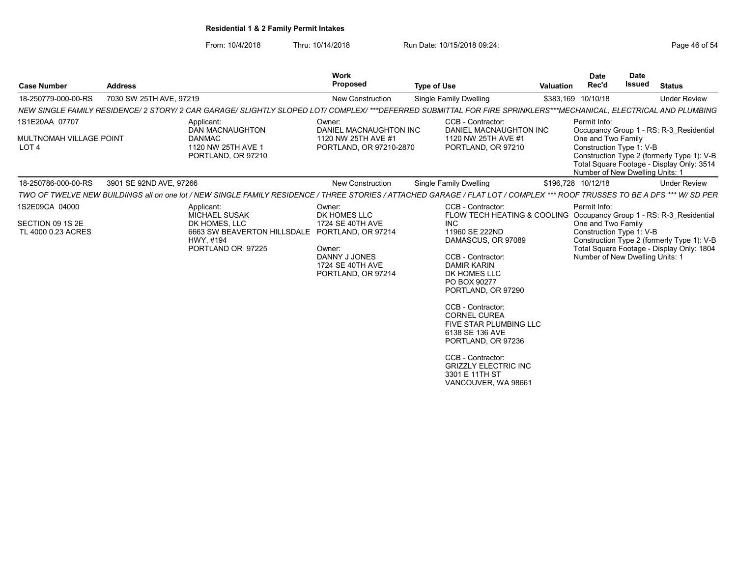From: 10/4/2018 Thru: 10/14/2018 Run Date: 10/15/2018 09:24:<br>From: 10/4/2018 Page 46 of 54

| <b>Case Number</b>                                                   | <b>Address</b>          |                                                                                                                                                                            | Work<br>Proposed                                                                      | <b>Type of Use</b>                                                                                                                                                                                                                                                                                                                                                     | <b>Valuation</b> | <b>Date</b><br>Rec'd                                                                              | Date<br><b>Issued</b> | <b>Status</b>                                                                                                                      |
|----------------------------------------------------------------------|-------------------------|----------------------------------------------------------------------------------------------------------------------------------------------------------------------------|---------------------------------------------------------------------------------------|------------------------------------------------------------------------------------------------------------------------------------------------------------------------------------------------------------------------------------------------------------------------------------------------------------------------------------------------------------------------|------------------|---------------------------------------------------------------------------------------------------|-----------------------|------------------------------------------------------------------------------------------------------------------------------------|
| 18-250779-000-00-RS                                                  | 7030 SW 25TH AVE, 97219 |                                                                                                                                                                            | <b>New Construction</b>                                                               | <b>Single Family Dwelling</b>                                                                                                                                                                                                                                                                                                                                          |                  | \$383,169 10/10/18                                                                                |                       | <b>Under Review</b>                                                                                                                |
|                                                                      |                         | NEW SINGLE FAMILY RESIDENCE/ 2 STORY/ 2 CAR GARAGE/ SLIGHTLY SLOPED LOT/ COMPLEX/ ***DEFERRED SUBMITTAL FOR FIRE SPRINKLERS***MECHANICAL. ELECTRICAL AND PLUMBING          |                                                                                       |                                                                                                                                                                                                                                                                                                                                                                        |                  |                                                                                                   |                       |                                                                                                                                    |
| 1S1E20AA 07707<br><b>MULTNOMAH VILLAGE POINT</b><br>LOT <sub>4</sub> |                         | Applicant:<br>DAN MACNAUGHTON<br><b>DANMAC</b><br>1120 NW 25TH AVE 1<br>PORTLAND, OR 97210                                                                                 | Owner:<br>DANIEL MACNAUGHTON INC<br>1120 NW 25TH AVE #1<br>PORTLAND, OR 97210-2870    | CCB - Contractor:<br>DANIEL MACNAUGHTON INC<br>1120 NW 25TH AVE #1<br>PORTLAND, OR 97210                                                                                                                                                                                                                                                                               |                  | Permit Info:<br>One and Two Family<br>Construction Type 1: V-B<br>Number of New Dwelling Units: 1 |                       | Occupancy Group 1 - RS: R-3_Residential<br>Construction Type 2 (formerly Type 1): V-B<br>Total Square Footage - Display Only: 3514 |
| 18-250786-000-00-RS                                                  | 3901 SE 92ND AVE, 97266 |                                                                                                                                                                            | <b>New Construction</b>                                                               | <b>Single Family Dwelling</b>                                                                                                                                                                                                                                                                                                                                          |                  | \$196,728 10/12/18                                                                                |                       | <b>Under Review</b>                                                                                                                |
|                                                                      |                         | TWO OF TWELVE NEW BUILDINGS all on one lot / NEW SINGLE FAMILY RESIDENCE / THREE STORIES / ATTACHED GARAGE / FLAT LOT / COMPLEX *** ROOF TRUSSES TO BE A DFS *** W/ SD PER |                                                                                       |                                                                                                                                                                                                                                                                                                                                                                        |                  |                                                                                                   |                       |                                                                                                                                    |
| 1S2E09CA 04000                                                       |                         | Applicant:<br><b>MICHAEL SUSAK</b>                                                                                                                                         | Owner:<br>DK HOMES LLC                                                                | CCB - Contractor:<br>FLOW TECH HEATING & COOLING                                                                                                                                                                                                                                                                                                                       |                  | Permit Info:                                                                                      |                       | Occupancy Group 1 - RS: R-3 Residential                                                                                            |
| SECTION 09 1S 2E<br>TL 4000 0.23 ACRES                               |                         | DK HOMES, LLC<br>6663 SW BEAVERTON HILLSDALE PORTLAND, OR 97214<br>HWY, #194<br>PORTLAND OR 97225                                                                          | 1724 SE 40TH AVE<br>Owner:<br>DANNY J JONES<br>1724 SE 40TH AVE<br>PORTLAND, OR 97214 | <b>INC</b><br>11960 SE 222ND<br>DAMASCUS, OR 97089<br>CCB - Contractor:<br><b>DAMIR KARIN</b><br>DK HOMES LLC<br>PO BOX 90277<br>PORTLAND, OR 97290<br>CCB - Contractor:<br><b>CORNEL CUREA</b><br><b>FIVE STAR PLUMBING LLC</b><br>6138 SE 136 AVE<br>PORTLAND, OR 97236<br>CCB - Contractor:<br><b>GRIZZLY ELECTRIC INC</b><br>3301 E 11TH ST<br>VANCOUVER, WA 98661 |                  | One and Two Family<br>Construction Type 1: V-B<br>Number of New Dwelling Units: 1                 |                       | Construction Type 2 (formerly Type 1): V-B<br>Total Square Footage - Display Only: 1804                                            |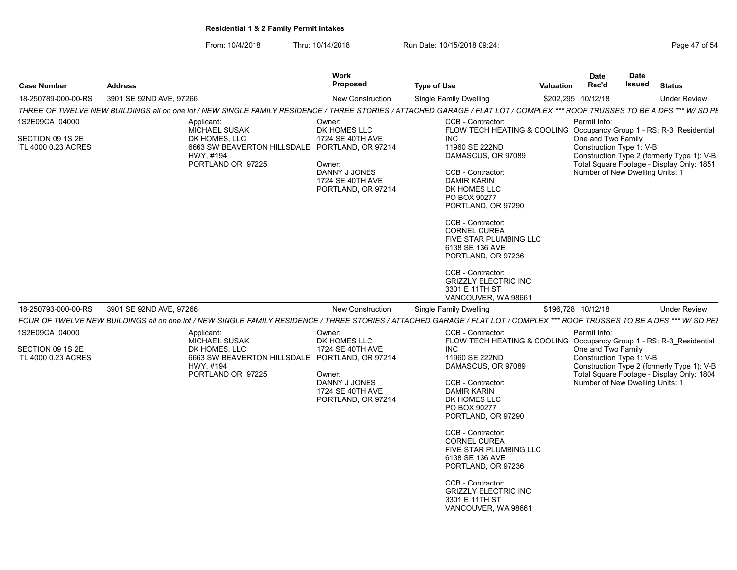| Page 47 of 54 |  |  |  |  |
|---------------|--|--|--|--|
|---------------|--|--|--|--|

| <b>Case Number</b>                                       | <b>Address</b>                                                                                                                                                              | Work<br>Proposed<br><b>Type of Use</b>                                                                          |                                                                                                                                                                                                                                                                                                                                                                                                                                                       | <b>Valuation</b> | <b>Date</b><br>Rec'd                                                                              | <b>Date</b><br>Issued | <b>Status</b>                                                                           |  |
|----------------------------------------------------------|-----------------------------------------------------------------------------------------------------------------------------------------------------------------------------|-----------------------------------------------------------------------------------------------------------------|-------------------------------------------------------------------------------------------------------------------------------------------------------------------------------------------------------------------------------------------------------------------------------------------------------------------------------------------------------------------------------------------------------------------------------------------------------|------------------|---------------------------------------------------------------------------------------------------|-----------------------|-----------------------------------------------------------------------------------------|--|
| 18-250789-000-00-RS                                      | 3901 SE 92ND AVE, 97266                                                                                                                                                     | <b>New Construction</b>                                                                                         | Single Family Dwelling                                                                                                                                                                                                                                                                                                                                                                                                                                |                  | \$202,295 10/12/18                                                                                |                       | <b>Under Review</b>                                                                     |  |
|                                                          | THREE OF TWELVE NEW BUILDINGS all on one lot / NEW SINGLE FAMILY RESIDENCE / THREE STORIES / ATTACHED GARAGE / FLAT LOT / COMPLEX *** ROOF TRUSSES TO BE A DFS *** W/ SD PE |                                                                                                                 |                                                                                                                                                                                                                                                                                                                                                                                                                                                       |                  |                                                                                                   |                       |                                                                                         |  |
| 1S2E09CA 04000<br>SECTION 09 1S 2E<br>TL 4000 0.23 ACRES | Applicant:<br>MICHAEL SUSAK<br>DK HOMES, LLC<br>6663 SW BEAVERTON HILLSDALE PORTLAND, OR 97214<br>HWY. #194<br>PORTLAND OR 97225                                            | Owner:<br>DK HOMES LLC<br>1724 SE 40TH AVE<br>Owner:<br>DANNY J JONES<br>1724 SE 40TH AVE<br>PORTLAND, OR 97214 | CCB - Contractor:<br>FLOW TECH HEATING & COOLING Occupancy Group 1 - RS: R-3_Residential<br><b>INC</b><br>11960 SE 222ND<br>DAMASCUS, OR 97089<br>CCB - Contractor:<br><b>DAMIR KARIN</b><br>DK HOMES LLC<br>PO BOX 90277<br>PORTLAND, OR 97290<br>CCB - Contractor:<br><b>CORNEL CUREA</b><br>FIVE STAR PLUMBING LLC<br>6138 SE 136 AVE<br>PORTLAND, OR 97236<br>CCB - Contractor:<br><b>GRIZZLY ELECTRIC INC</b><br>3301 E 11TH ST                  |                  | Permit Info:<br>One and Two Family<br>Construction Type 1: V-B<br>Number of New Dwelling Units: 1 |                       | Construction Type 2 (formerly Type 1): V-B<br>Total Square Footage - Display Only: 1851 |  |
| 18-250793-000-00-RS                                      | 3901 SE 92ND AVE, 97266                                                                                                                                                     | New Construction                                                                                                | VANCOUVER, WA 98661<br><b>Single Family Dwelling</b>                                                                                                                                                                                                                                                                                                                                                                                                  |                  | \$196,728 10/12/18                                                                                |                       | <b>Under Review</b>                                                                     |  |
|                                                          | FOUR OF TWELVE NEW BUILDINGS all on one lot / NEW SINGLE FAMILY RESIDENCE / THREE STORIES / ATTACHED GARAGE / FLAT LOT / COMPLEX *** ROOF TRUSSES TO BE A DFS *** W/ SD PEI |                                                                                                                 |                                                                                                                                                                                                                                                                                                                                                                                                                                                       |                  |                                                                                                   |                       |                                                                                         |  |
| 1S2E09CA 04000<br>SECTION 09 1S 2E<br>TL 4000 0.23 ACRES | Applicant:<br>MICHAEL SUSAK<br>DK HOMES, LLC<br>6663 SW BEAVERTON HILLSDALE PORTLAND, OR 97214<br>HWY, #194<br>PORTLAND OR 97225                                            | Owner:<br>DK HOMES LLC<br>1724 SE 40TH AVE<br>Owner:<br>DANNY J JONES<br>1724 SE 40TH AVE<br>PORTLAND, OR 97214 | CCB - Contractor:<br>FLOW TECH HEATING & COOLING Occupancy Group 1 - RS: R-3 Residential<br>INC.<br>11960 SE 222ND<br>DAMASCUS, OR 97089<br>CCB - Contractor:<br><b>DAMIR KARIN</b><br>DK HOMES LLC<br>PO BOX 90277<br>PORTLAND, OR 97290<br>CCB - Contractor:<br><b>CORNEL CUREA</b><br>FIVE STAR PLUMBING LLC<br>6138 SE 136 AVE<br>PORTLAND, OR 97236<br>CCB - Contractor:<br><b>GRIZZLY ELECTRIC INC</b><br>3301 E 11TH ST<br>VANCOUVER, WA 98661 |                  | Permit Info:<br>One and Two Family<br>Construction Type 1: V-B<br>Number of New Dwelling Units: 1 |                       | Construction Type 2 (formerly Type 1): V-B<br>Total Square Footage - Display Only: 1804 |  |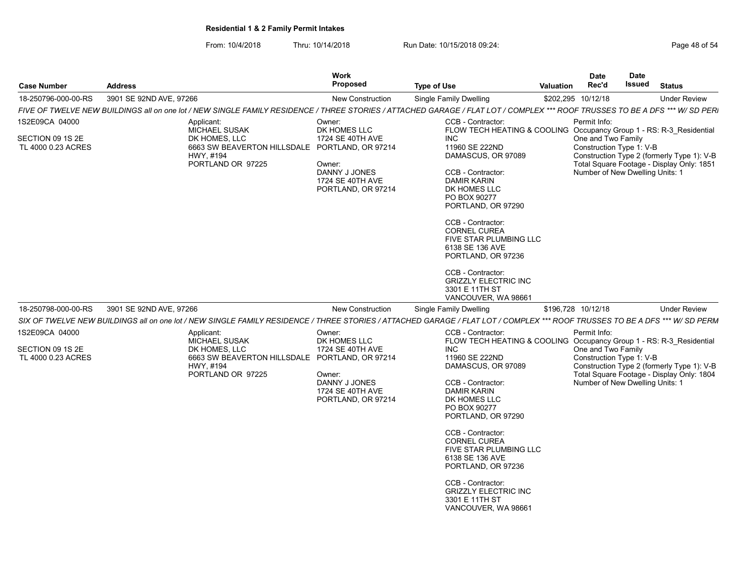| Page 48 of 54 |  |  |  |  |
|---------------|--|--|--|--|
|---------------|--|--|--|--|

| <b>Case Number</b><br><b>Address</b>                     |                                                                                                                                                                              | Work<br>Proposed<br><b>Type of Use</b>                                                                          |                                                                                                                                                                                                                                                                                                                                                                                                                                                                    | <b>Valuation</b> | <b>Date</b><br>Rec'd                                                                              | Date<br>Issued | <b>Status</b>                                                                                                                      |
|----------------------------------------------------------|------------------------------------------------------------------------------------------------------------------------------------------------------------------------------|-----------------------------------------------------------------------------------------------------------------|--------------------------------------------------------------------------------------------------------------------------------------------------------------------------------------------------------------------------------------------------------------------------------------------------------------------------------------------------------------------------------------------------------------------------------------------------------------------|------------------|---------------------------------------------------------------------------------------------------|----------------|------------------------------------------------------------------------------------------------------------------------------------|
| 18-250796-000-00-RS                                      | 3901 SE 92ND AVE, 97266                                                                                                                                                      | <b>New Construction</b>                                                                                         | Single Family Dwelling                                                                                                                                                                                                                                                                                                                                                                                                                                             |                  | \$202,295 10/12/18                                                                                |                | <b>Under Review</b>                                                                                                                |
|                                                          | FIVE OF TWELVE NEW BUILDINGS all on one lot / NEW SINGLE FAMILY RESIDENCE / THREE STORIES / ATTACHED GARAGE / FLAT LOT / COMPLEX *** ROOF TRUSSES TO BE A DFS *** W/ SD PERI |                                                                                                                 |                                                                                                                                                                                                                                                                                                                                                                                                                                                                    |                  |                                                                                                   |                |                                                                                                                                    |
| 1S2E09CA 04000<br>SECTION 09 1S 2E<br>TL 4000 0.23 ACRES | Applicant:<br>MICHAEL SUSAK<br>DK HOMES, LLC<br>6663 SW BEAVERTON HILLSDALE PORTLAND, OR 97214<br>HWY, #194<br>PORTLAND OR 97225                                             | Owner:<br>DK HOMES LLC<br>1724 SE 40TH AVE<br>Owner:<br>DANNY J JONES<br>1724 SE 40TH AVE<br>PORTLAND, OR 97214 | CCB - Contractor:<br>FLOW TECH HEATING & COOLING<br><b>INC</b><br>11960 SE 222ND<br>DAMASCUS, OR 97089<br>CCB - Contractor:<br><b>DAMIR KARIN</b><br>DK HOMES LLC<br>PO BOX 90277<br>PORTLAND, OR 97290<br>CCB - Contractor:<br><b>CORNEL CUREA</b><br>FIVE STAR PLUMBING LLC<br>6138 SE 136 AVE<br>PORTLAND, OR 97236<br>CCB - Contractor:<br><b>GRIZZLY ELECTRIC INC</b><br>3301 E 11TH ST                                                                       |                  | Permit Info:<br>One and Two Family<br>Construction Type 1: V-B<br>Number of New Dwelling Units: 1 |                | Occupancy Group 1 - RS: R-3 Residential<br>Construction Type 2 (formerly Type 1): V-B<br>Total Square Footage - Display Only: 1851 |
|                                                          |                                                                                                                                                                              |                                                                                                                 | VANCOUVER, WA 98661                                                                                                                                                                                                                                                                                                                                                                                                                                                |                  |                                                                                                   |                |                                                                                                                                    |
| 18-250798-000-00-RS                                      | 3901 SE 92ND AVE, 97266                                                                                                                                                      | <b>New Construction</b>                                                                                         | Single Family Dwelling                                                                                                                                                                                                                                                                                                                                                                                                                                             |                  | \$196,728 10/12/18                                                                                |                | <b>Under Review</b>                                                                                                                |
|                                                          | SIX OF TWELVE NEW BUILDINGS all on one lot / NEW SINGLE FAMILY RESIDENCE / THREE STORIES / ATTACHED GARAGE / FLAT LOT / COMPLEX *** ROOF TRUSSES TO BE A DFS *** W/ SD PERM  |                                                                                                                 |                                                                                                                                                                                                                                                                                                                                                                                                                                                                    |                  |                                                                                                   |                |                                                                                                                                    |
| 1S2E09CA 04000<br>SECTION 09 1S 2E<br>TL 4000 0.23 ACRES | Applicant:<br><b>MICHAEL SUSAK</b><br>DK HOMES, LLC<br>6663 SW BEAVERTON HILLSDALE PORTLAND, OR 97214<br>HWY, #194<br>PORTLAND OR 97225                                      | Owner:<br>DK HOMES LLC<br>1724 SE 40TH AVE<br>Owner:<br>DANNY J JONES<br>1724 SE 40TH AVE<br>PORTLAND, OR 97214 | CCB - Contractor:<br>FLOW TECH HEATING & COOLING Occupancy Group 1 - RS: R-3_Residential<br><b>INC</b><br>11960 SE 222ND<br>DAMASCUS, OR 97089<br>CCB - Contractor:<br><b>DAMIR KARIN</b><br>DK HOMES LLC<br>PO BOX 90277<br>PORTLAND, OR 97290<br>CCB - Contractor:<br><b>CORNEL CUREA</b><br><b>FIVE STAR PLUMBING LLC</b><br>6138 SE 136 AVE<br>PORTLAND, OR 97236<br>CCB - Contractor:<br><b>GRIZZLY ELECTRIC INC</b><br>3301 E 11TH ST<br>VANCOUVER, WA 98661 |                  | Permit Info:<br>One and Two Family<br>Construction Type 1: V-B<br>Number of New Dwelling Units: 1 |                | Construction Type 2 (formerly Type 1): V-B<br>Total Square Footage - Display Only: 1804                                            |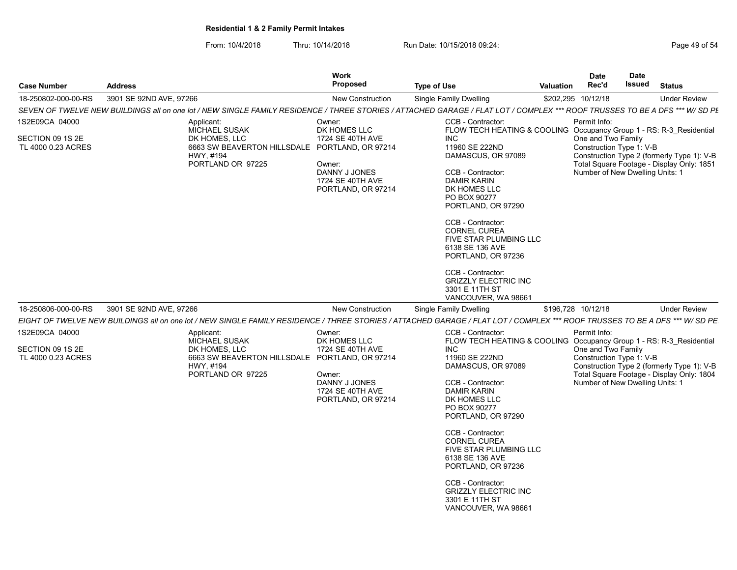| Page 49 of 54 |  |
|---------------|--|
|---------------|--|

| <b>Case Number</b>                                       | <b>Address</b>                                                                                                                                                              | Work<br>Proposed<br><b>Type of Use</b>                                                                          |                                                                                                                                                                                                                                                                                                                                                                                                                                                       |  | <b>Date</b><br>Rec'd                                                                              | <b>Date</b><br>Issued | <b>Status</b>                                                                           |  |
|----------------------------------------------------------|-----------------------------------------------------------------------------------------------------------------------------------------------------------------------------|-----------------------------------------------------------------------------------------------------------------|-------------------------------------------------------------------------------------------------------------------------------------------------------------------------------------------------------------------------------------------------------------------------------------------------------------------------------------------------------------------------------------------------------------------------------------------------------|--|---------------------------------------------------------------------------------------------------|-----------------------|-----------------------------------------------------------------------------------------|--|
| 18-250802-000-00-RS                                      | 3901 SE 92ND AVE, 97266                                                                                                                                                     | <b>New Construction</b>                                                                                         | Single Family Dwelling                                                                                                                                                                                                                                                                                                                                                                                                                                |  | \$202,295 10/12/18                                                                                |                       | <b>Under Review</b>                                                                     |  |
|                                                          | SEVEN OF TWELVE NEW BUILDINGS all on one lot / NEW SINGLE FAMILY RESIDENCE / THREE STORIES / ATTACHED GARAGE / FLAT LOT / COMPLEX *** ROOF TRUSSES TO BE A DFS *** W/ SD PE |                                                                                                                 |                                                                                                                                                                                                                                                                                                                                                                                                                                                       |  |                                                                                                   |                       |                                                                                         |  |
| 1S2E09CA 04000<br>SECTION 09 1S 2E<br>TL 4000 0.23 ACRES | Applicant:<br>MICHAEL SUSAK<br>DK HOMES, LLC<br>6663 SW BEAVERTON HILLSDALE PORTLAND, OR 97214<br>HWY, #194<br>PORTLAND OR 97225                                            | Owner:<br>DK HOMES LLC<br>1724 SE 40TH AVE<br>Owner:<br>DANNY J JONES<br>1724 SE 40TH AVE<br>PORTLAND, OR 97214 | CCB - Contractor:<br>FLOW TECH HEATING & COOLING Occupancy Group 1 - RS: R-3 Residential<br>INC<br>11960 SE 222ND<br>DAMASCUS, OR 97089<br>CCB - Contractor:<br><b>DAMIR KARIN</b><br>DK HOMES LLC<br>PO BOX 90277<br>PORTLAND, OR 97290<br>CCB - Contractor:<br><b>CORNEL CUREA</b><br><b>FIVE STAR PLUMBING LLC</b><br>6138 SE 136 AVE<br>PORTLAND, OR 97236<br>CCB - Contractor:<br><b>GRIZZLY ELECTRIC INC</b><br>3301 E 11TH ST                  |  | Permit Info:<br>One and Two Family<br>Construction Type 1: V-B<br>Number of New Dwelling Units: 1 |                       | Construction Type 2 (formerly Type 1): V-B<br>Total Square Footage - Display Only: 1851 |  |
|                                                          |                                                                                                                                                                             |                                                                                                                 | VANCOUVER, WA 98661                                                                                                                                                                                                                                                                                                                                                                                                                                   |  |                                                                                                   |                       |                                                                                         |  |
| 18-250806-000-00-RS                                      | 3901 SE 92ND AVE, 97266                                                                                                                                                     | <b>New Construction</b>                                                                                         | Single Family Dwelling                                                                                                                                                                                                                                                                                                                                                                                                                                |  | \$196,728 10/12/18                                                                                |                       | <b>Under Review</b>                                                                     |  |
|                                                          | EIGHT OF TWELVE NEW BUILDINGS all on one lot / NEW SINGLE FAMILY RESIDENCE / THREE STORIES / ATTACHED GARAGE / FLAT LOT / COMPLEX *** ROOF TRUSSES TO BE A DFS *** W/ SD PE |                                                                                                                 |                                                                                                                                                                                                                                                                                                                                                                                                                                                       |  |                                                                                                   |                       |                                                                                         |  |
| 1S2E09CA 04000<br>SECTION 09 1S 2E<br>TL 4000 0.23 ACRES | Applicant:<br>MICHAEL SUSAK<br>DK HOMES, LLC<br>6663 SW BEAVERTON HILLSDALE PORTLAND, OR 97214<br>HWY. #194<br>PORTLAND OR 97225                                            | Owner:<br>DK HOMES LLC<br>1724 SE 40TH AVE<br>Owner:<br>DANNY J JONES<br>1724 SE 40TH AVE<br>PORTLAND, OR 97214 | CCB - Contractor:<br>FLOW TECH HEATING & COOLING Occupancy Group 1 - RS: R-3 Residential<br>INC.<br>11960 SE 222ND<br>DAMASCUS, OR 97089<br>CCB - Contractor:<br><b>DAMIR KARIN</b><br>DK HOMES LLC<br>PO BOX 90277<br>PORTLAND, OR 97290<br>CCB - Contractor:<br><b>CORNEL CUREA</b><br>FIVE STAR PLUMBING LLC<br>6138 SE 136 AVE<br>PORTLAND, OR 97236<br>CCB - Contractor:<br><b>GRIZZLY ELECTRIC INC</b><br>3301 E 11TH ST<br>VANCOUVER, WA 98661 |  | Permit Info:<br>One and Two Family<br>Construction Type 1: V-B<br>Number of New Dwelling Units: 1 |                       | Construction Type 2 (formerly Type 1): V-B<br>Total Square Footage - Display Only: 1804 |  |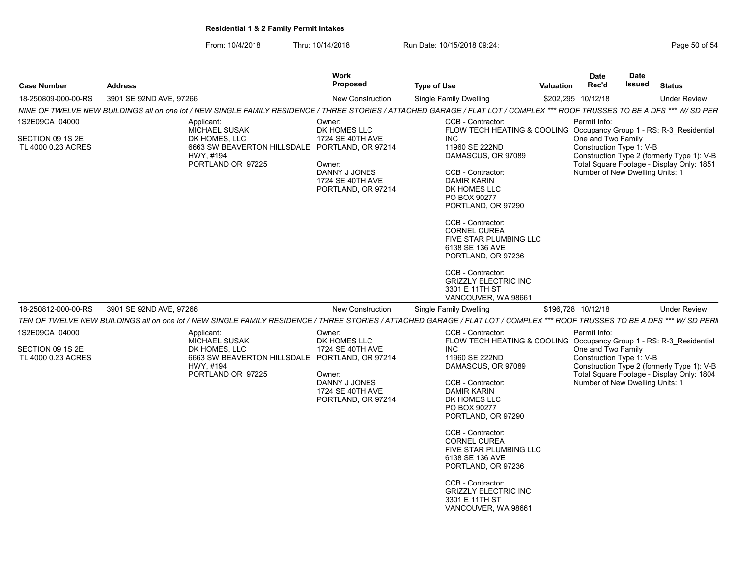From: 10/4/2018 Thru: 10/14/2018 Run Date: 10/15/2018 09:24:<br>From: 10/4/2018 Page 50 of 54

| <b>Case Number</b>                                       | <b>Address</b>                                                                                                                                                              | <b>Work</b><br><b>Proposed</b>                                                                                  | <b>Type of Use</b>                                                                                                                                                                                                                                                                                                                                                                                                                                   | <b>Valuation</b> | <b>Date</b><br>Rec'd               | <b>Date</b><br><b>Issued</b>                                | <b>Status</b>                                                                           |  |
|----------------------------------------------------------|-----------------------------------------------------------------------------------------------------------------------------------------------------------------------------|-----------------------------------------------------------------------------------------------------------------|------------------------------------------------------------------------------------------------------------------------------------------------------------------------------------------------------------------------------------------------------------------------------------------------------------------------------------------------------------------------------------------------------------------------------------------------------|------------------|------------------------------------|-------------------------------------------------------------|-----------------------------------------------------------------------------------------|--|
| 18-250809-000-00-RS                                      | 3901 SE 92ND AVE, 97266                                                                                                                                                     | <b>New Construction</b>                                                                                         | <b>Single Family Dwelling</b>                                                                                                                                                                                                                                                                                                                                                                                                                        |                  | \$202,295 10/12/18                 |                                                             | <b>Under Review</b>                                                                     |  |
|                                                          | NINE OF TWELVE NEW BUILDINGS all on one lot / NEW SINGLE FAMILY RESIDENCE / THREE STORIES / ATTACHED GARAGE / FLAT LOT / COMPLEX *** ROOF TRUSSES TO BE A DFS *** W/ SD PER |                                                                                                                 |                                                                                                                                                                                                                                                                                                                                                                                                                                                      |                  |                                    |                                                             |                                                                                         |  |
| 1S2E09CA 04000<br>SECTION 09 1S 2E<br>TL 4000 0.23 ACRES | Applicant:<br><b>MICHAEL SUSAK</b><br>DK HOMES, LLC<br>6663 SW BEAVERTON HILLSDALE PORTLAND, OR 97214<br>HWY, #194<br>PORTLAND OR 97225                                     | Owner:<br>DK HOMES LLC<br>1724 SE 40TH AVE<br>Owner:<br>DANNY J JONES<br>1724 SE 40TH AVE<br>PORTLAND, OR 97214 | CCB - Contractor:<br>FLOW TECH HEATING & COOLING Occupancy Group 1 - RS: R-3_Residential<br><b>INC</b><br>11960 SE 222ND<br>DAMASCUS, OR 97089<br>CCB - Contractor:<br><b>DAMIR KARIN</b><br>DK HOMES LLC<br>PO BOX 90277<br>PORTLAND, OR 97290<br>CCB - Contractor:<br><b>CORNEL CUREA</b><br>FIVE STAR PLUMBING LLC<br>6138 SE 136 AVE<br>PORTLAND, OR 97236<br>CCB - Contractor:                                                                  |                  | Permit Info:<br>One and Two Family | Construction Type 1: V-B<br>Number of New Dwelling Units: 1 | Construction Type 2 (formerly Type 1): V-B<br>Total Square Footage - Display Only: 1851 |  |
| 18-250812-000-00-RS                                      | 3901 SE 92ND AVE, 97266                                                                                                                                                     | <b>New Construction</b>                                                                                         | <b>GRIZZLY ELECTRIC INC</b><br>3301 E 11TH ST<br>VANCOUVER, WA 98661<br>Single Family Dwelling                                                                                                                                                                                                                                                                                                                                                       |                  | \$196,728 10/12/18                 |                                                             | <b>Under Review</b>                                                                     |  |
|                                                          | TEN OF TWELVE NEW BUILDINGS all on one lot / NEW SINGLE FAMILY RESIDENCE / THREE STORIES / ATTACHED GARAGE / FLAT LOT / COMPLEX *** ROOF TRUSSES TO BE A DFS *** W/ SD PERN |                                                                                                                 |                                                                                                                                                                                                                                                                                                                                                                                                                                                      |                  |                                    |                                                             |                                                                                         |  |
| 1S2E09CA 04000<br>SECTION 09 1S 2E<br>TL 4000 0.23 ACRES | Applicant:<br>MICHAEL SUSAK<br>DK HOMES, LLC<br>6663 SW BEAVERTON HILLSDALE PORTLAND, OR 97214<br>HWY, #194<br>PORTLAND OR 97225                                            | Owner:<br>DK HOMES LLC<br>1724 SE 40TH AVE<br>Owner:<br>DANNY J JONES<br>1724 SE 40TH AVE<br>PORTLAND, OR 97214 | CCB - Contractor:<br>FLOW TECH HEATING & COOLING Occupancy Group 1 - RS: R-3_Residential<br><b>INC</b><br>11960 SE 222ND<br>DAMASCUS, OR 97089<br>CCB - Contractor:<br><b>DAMIR KARIN</b><br>DK HOMES LLC<br>PO BOX 90277<br>PORTLAND, OR 97290<br>CCB - Contractor:<br>CORNEL CUREA<br>FIVE STAR PLUMBING LLC<br>6138 SE 136 AVE<br>PORTLAND, OR 97236<br>CCB - Contractor:<br><b>GRIZZLY ELECTRIC INC</b><br>3301 E 11TH ST<br>VANCOUVER, WA 98661 |                  | Permit Info:<br>One and Two Family | Construction Type 1: V-B<br>Number of New Dwelling Units: 1 | Construction Type 2 (formerly Type 1): V-B<br>Total Square Footage - Display Only: 1804 |  |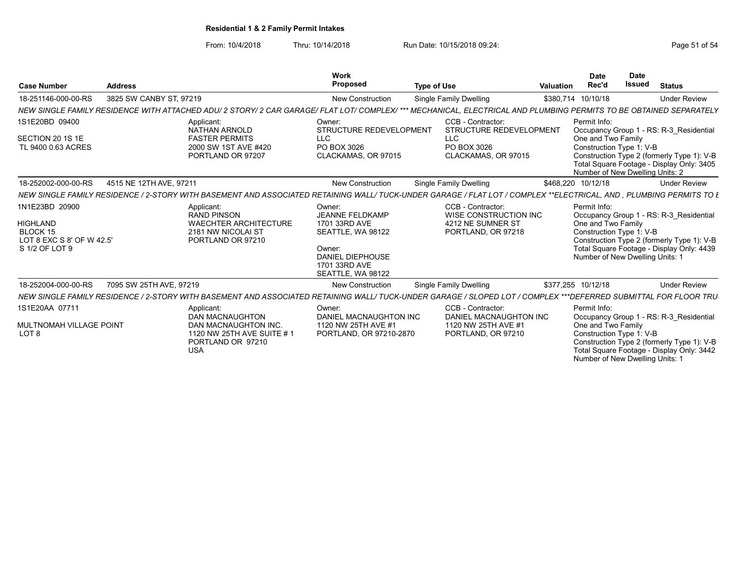From: 10/4/2018 Thru: 10/14/2018 Run Date: 10/15/2018 09:24:<br>From: 10/4/2018 Page 51 of 54

| <b>Case Number</b>                                                                           | <b>Address</b>                                                                                                                                                      | Work<br>Proposed                                                                                                                           | <b>Type of Use</b>                                                                               | Valuation | <b>Date</b><br>Rec'd                                                                              | <b>Date</b><br><b>Issued</b> | <b>Status</b>                                                                                                                      |
|----------------------------------------------------------------------------------------------|---------------------------------------------------------------------------------------------------------------------------------------------------------------------|--------------------------------------------------------------------------------------------------------------------------------------------|--------------------------------------------------------------------------------------------------|-----------|---------------------------------------------------------------------------------------------------|------------------------------|------------------------------------------------------------------------------------------------------------------------------------|
| 18-251146-000-00-RS                                                                          | 3825 SW CANBY ST, 97219                                                                                                                                             | <b>New Construction</b>                                                                                                                    | <b>Single Family Dwelling</b>                                                                    |           | \$380,714 10/10/18                                                                                |                              | <b>Under Review</b>                                                                                                                |
|                                                                                              | NEW SINGLE FAMILY RESIDENCE WITH ATTACHED ADU/ 2 STORY/ 2 CAR GARAGE/ FLAT LOT/ COMPLEX/ *** MECHANICAL. ELECTRICAL AND PLUMBING PERMITS TO BE OBTAINED SEPARATELY  |                                                                                                                                            |                                                                                                  |           |                                                                                                   |                              |                                                                                                                                    |
| 1S1E20BD 09400<br>SECTION 20 1S 1E<br>TL 9400 0.63 ACRES                                     | Applicant:<br><b>NATHAN ARNOLD</b><br><b>FASTER PERMITS</b><br>2000 SW 1ST AVE #420<br>PORTLAND OR 97207                                                            | Owner:<br>STRUCTURE REDEVELOPMENT<br><b>LLC</b><br>PO BOX 3026<br>CLACKAMAS, OR 97015                                                      | CCB - Contractor:<br>STRUCTURE REDEVELOPMENT<br><b>LLC</b><br>PO BOX 3026<br>CLACKAMAS, OR 97015 |           | Permit Info:<br>One and Two Family<br>Construction Type 1: V-B                                    |                              | Occupancy Group 1 - RS: R-3 Residential<br>Construction Type 2 (formerly Type 1): V-B<br>Total Square Footage - Display Only: 3405 |
| 18-252002-000-00-RS                                                                          | 4515 NE 12TH AVE, 97211                                                                                                                                             | <b>New Construction</b>                                                                                                                    | Single Family Dwelling                                                                           |           | Number of New Dwelling Units: 2<br>\$468,220 10/12/18                                             |                              | <b>Under Review</b>                                                                                                                |
|                                                                                              |                                                                                                                                                                     |                                                                                                                                            |                                                                                                  |           |                                                                                                   |                              |                                                                                                                                    |
|                                                                                              | NEW SINGLE FAMILY RESIDENCE / 2-STORY WITH BASEMENT AND ASSOCIATED RETAINING WALL/ TUCK-UNDER GARAGE / FLAT LOT / COMPLEX **ELECTRICAL. AND . PLUMBING PERMITS TO L |                                                                                                                                            |                                                                                                  |           |                                                                                                   |                              |                                                                                                                                    |
| 1N1E23BD 20900<br><b>HIGHLAND</b><br>BLOCK 15<br>LOT 8 EXC S 8' OF W 42.5'<br>S 1/2 OF LOT 9 | Applicant:<br>RAND PINSON<br><b>WAECHTER ARCHITECTURE</b><br>2181 NW NICOLAI ST<br>PORTLAND OR 97210                                                                | Owner:<br>JEANNE FELDKAMP<br>1701 33RD AVE<br>SEATTLE, WA 98122<br>Owner:<br><b>DANIEL DIEPHOUSE</b><br>1701 33RD AVE<br>SEATTLE. WA 98122 | CCB - Contractor:<br>WISE CONSTRUCTION INC<br>4212 NE SUMNER ST<br>PORTLAND, OR 97218            |           | Permit Info:<br>One and Two Family<br>Construction Type 1: V-B<br>Number of New Dwelling Units: 1 |                              | Occupancy Group 1 - RS: R-3 Residential<br>Construction Type 2 (formerly Type 1): V-B<br>Total Square Footage - Display Only: 4439 |
| 18-252004-000-00-RS                                                                          | 7095 SW 25TH AVE, 97219                                                                                                                                             | <b>New Construction</b>                                                                                                                    | <b>Single Family Dwelling</b>                                                                    |           | \$377.255 10/12/18                                                                                |                              | <b>Under Review</b>                                                                                                                |
|                                                                                              | NEW SINGLE FAMILY RESIDENCE / 2-STORY WITH BASEMENT AND ASSOCIATED RETAINING WALL/ TUCK-UNDER GARAGE / SLOPED LOT / COMPLEX ***DEFERRED SUBMITTAL FOR FLOOR TRU.    |                                                                                                                                            |                                                                                                  |           |                                                                                                   |                              |                                                                                                                                    |
| 1S1E20AA 07711<br>MULTNOMAH VILLAGE POINT<br>LOT <sub>8</sub>                                | Applicant:<br><b>DAN MACNAUGHTON</b><br>DAN MACNAUGHTON INC.<br>1120 NW 25TH AVE SUITE #1<br>PORTLAND OR 97210<br><b>USA</b>                                        | Owner:<br>DANIEL MACNAUGHTON INC<br>1120 NW 25TH AVE #1<br>PORTLAND, OR 97210-2870                                                         | CCB - Contractor:<br>DANIEL MACNAUGHTON INC<br>1120 NW 25TH AVE #1<br>PORTLAND, OR 97210         |           | Permit Info:<br>One and Two Family<br>Construction Type 1: V-B<br>Number of New Dwelling Units:   |                              | Occupancy Group 1 - RS: R-3_Residential<br>Construction Type 2 (formerly Type 1): V-B<br>Total Square Footage - Display Only: 3442 |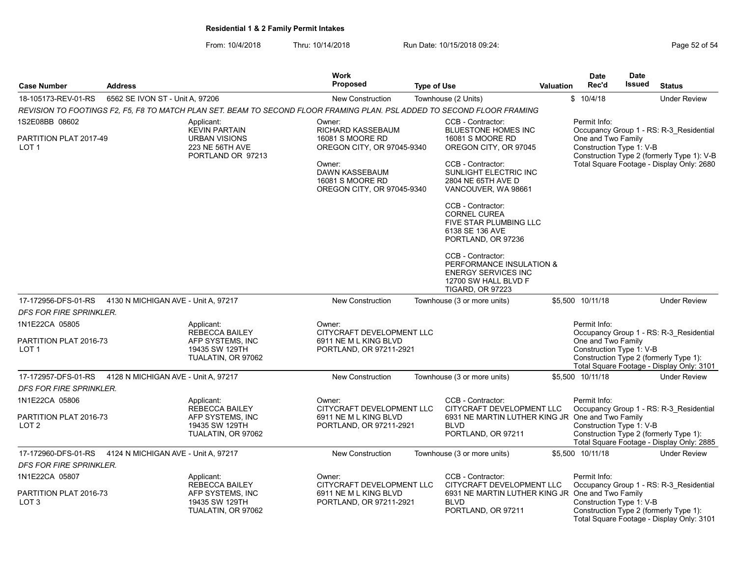|                                                              |                                     |                                                                                                                         | Work                                                                                                                                                               |                    |                                                                                                                                                                                                                                                                                                        |                  | <b>Date</b>                                                    | <b>Date</b>   |                                                                                                                                    |
|--------------------------------------------------------------|-------------------------------------|-------------------------------------------------------------------------------------------------------------------------|--------------------------------------------------------------------------------------------------------------------------------------------------------------------|--------------------|--------------------------------------------------------------------------------------------------------------------------------------------------------------------------------------------------------------------------------------------------------------------------------------------------------|------------------|----------------------------------------------------------------|---------------|------------------------------------------------------------------------------------------------------------------------------------|
| <b>Case Number</b>                                           | <b>Address</b>                      |                                                                                                                         | <b>Proposed</b>                                                                                                                                                    | <b>Type of Use</b> |                                                                                                                                                                                                                                                                                                        | <b>Valuation</b> | Rec'd                                                          | <b>Issued</b> | <b>Status</b>                                                                                                                      |
| 18-105173-REV-01-RS                                          | 6562 SE IVON ST - Unit A, 97206     |                                                                                                                         | <b>New Construction</b>                                                                                                                                            |                    | Townhouse (2 Units)                                                                                                                                                                                                                                                                                    |                  | \$10/4/18                                                      |               | <b>Under Review</b>                                                                                                                |
|                                                              |                                     | REVISION TO FOOTINGS F2, F5, F8 TO MATCH PLAN SET. BEAM TO SECOND FLOOR FRAMING PLAN. PSL ADDED TO SECOND FLOOR FRAMING |                                                                                                                                                                    |                    |                                                                                                                                                                                                                                                                                                        |                  |                                                                |               |                                                                                                                                    |
| 1S2E08BB 08602<br>PARTITION PLAT 2017-49<br>LOT <sub>1</sub> |                                     | Applicant:<br><b>KEVIN PARTAIN</b><br><b>URBAN VISIONS</b><br>223 NE 56TH AVE<br>PORTLAND OR 97213                      | Owner:<br>RICHARD KASSEBAUM<br>16081 S MOORE RD<br>OREGON CITY, OR 97045-9340<br>Owner:<br><b>DAWN KASSEBAUM</b><br>16081 S MOORE RD<br>OREGON CITY, OR 97045-9340 |                    | CCB - Contractor:<br><b>BLUESTONE HOMES INC</b><br>16081 S MOORE RD<br>OREGON CITY, OR 97045<br>CCB - Contractor:<br>SUNLIGHT ELECTRIC INC<br>2804 NE 65TH AVE D<br>VANCOUVER, WA 98661<br>CCB - Contractor:<br><b>CORNEL CUREA</b><br>FIVE STAR PLUMBING LLC<br>6138 SE 136 AVE<br>PORTLAND, OR 97236 |                  | Permit Info:<br>One and Two Family<br>Construction Type 1: V-B |               | Occupancy Group 1 - RS: R-3 Residential<br>Construction Type 2 (formerly Type 1): V-B<br>Total Square Footage - Display Only: 2680 |
|                                                              |                                     |                                                                                                                         |                                                                                                                                                                    |                    | CCB - Contractor:<br>PERFORMANCE INSULATION &<br><b>ENERGY SERVICES INC</b><br>12700 SW HALL BLVD F<br><b>TIGARD, OR 97223</b>                                                                                                                                                                         |                  |                                                                |               |                                                                                                                                    |
| 17-172956-DFS-01-RS                                          | 4130 N MICHIGAN AVE - Unit A, 97217 |                                                                                                                         | <b>New Construction</b>                                                                                                                                            |                    | Townhouse (3 or more units)                                                                                                                                                                                                                                                                            |                  | \$5.500 10/11/18                                               |               | <b>Under Review</b>                                                                                                                |
| DFS FOR FIRE SPRINKLER.                                      |                                     |                                                                                                                         |                                                                                                                                                                    |                    |                                                                                                                                                                                                                                                                                                        |                  |                                                                |               |                                                                                                                                    |
| 1N1E22CA 05805                                               |                                     | Applicant:<br><b>REBECCA BAILEY</b>                                                                                     | Owner:                                                                                                                                                             |                    |                                                                                                                                                                                                                                                                                                        |                  | Permit Info:                                                   |               |                                                                                                                                    |
| PARTITION PLAT 2016-73<br>LOT <sub>1</sub>                   |                                     | AFP SYSTEMS, INC<br>19435 SW 129TH<br>TUALATIN, OR 97062                                                                | CITYCRAFT DEVELOPMENT LLC<br>6911 NE M L KING BLVD<br>PORTLAND, OR 97211-2921                                                                                      |                    | Occupancy Group 1 - RS: R-3_Residential<br>One and Two Family<br>Construction Type 1: V-B<br>Construction Type 2 (formerly Type 1):<br>Total Square Footage - Display Only: 3101                                                                                                                       |                  |                                                                |               |                                                                                                                                    |
| 17-172957-DFS-01-RS                                          | 4128 N MICHIGAN AVE - Unit A, 97217 |                                                                                                                         | <b>New Construction</b>                                                                                                                                            |                    | Townhouse (3 or more units)                                                                                                                                                                                                                                                                            |                  | \$5.500 10/11/18                                               |               | <b>Under Review</b>                                                                                                                |
| <b>DFS FOR FIRE SPRINKLER.</b>                               |                                     |                                                                                                                         |                                                                                                                                                                    |                    |                                                                                                                                                                                                                                                                                                        |                  |                                                                |               |                                                                                                                                    |
| 1N1E22CA 05806<br>PARTITION PLAT 2016-73<br>LOT <sub>2</sub> |                                     | Applicant:<br><b>REBECCA BAILEY</b><br>AFP SYSTEMS, INC<br>19435 SW 129TH<br>TUALATIN, OR 97062                         | Owner:<br>CITYCRAFT DEVELOPMENT LLC<br>6911 NE M L KING BLVD<br>PORTLAND, OR 97211-2921                                                                            |                    | CCB - Contractor:<br>CITYCRAFT DEVELOPMENT LLC<br>6931 NE MARTIN LUTHER KING JR One and Two Family<br><b>BLVD</b><br>PORTLAND, OR 97211                                                                                                                                                                |                  | Permit Info:<br>Construction Type 1: V-B                       |               | Occupancy Group 1 - RS: R-3 Residential<br>Construction Type 2 (formerly Type 1):<br>Total Square Footage - Display Only: 2885     |
| 17-172960-DFS-01-RS                                          | 4124 N MICHIGAN AVE - Unit A, 97217 |                                                                                                                         | <b>New Construction</b>                                                                                                                                            |                    | Townhouse (3 or more units)                                                                                                                                                                                                                                                                            |                  | \$5.500 10/11/18                                               |               | <b>Under Review</b>                                                                                                                |
| <b>DFS FOR FIRE SPRINKLER.</b>                               |                                     |                                                                                                                         |                                                                                                                                                                    |                    |                                                                                                                                                                                                                                                                                                        |                  |                                                                |               |                                                                                                                                    |
| 1N1E22CA 05807<br>PARTITION PLAT 2016-73<br>LOT <sub>3</sub> |                                     | Applicant:<br><b>REBECCA BAILEY</b><br>AFP SYSTEMS, INC<br>19435 SW 129TH<br>TUALATIN, OR 97062                         | Owner:<br>CITYCRAFT DEVELOPMENT LLC<br>6911 NE M L KING BLVD<br>PORTLAND, OR 97211-2921                                                                            |                    | CCB - Contractor:<br>CITYCRAFT DEVELOPMENT LLC<br>6931 NE MARTIN LUTHER KING JR One and Two Family<br><b>BLVD</b><br>PORTLAND, OR 97211                                                                                                                                                                |                  | Permit Info:<br>Construction Type 1: V-B                       |               | Occupancy Group 1 - RS: R-3_Residential<br>Construction Type 2 (formerly Type 1):                                                  |
|                                                              |                                     |                                                                                                                         |                                                                                                                                                                    |                    |                                                                                                                                                                                                                                                                                                        |                  |                                                                |               | Total Square Footage - Display Only: 3101                                                                                          |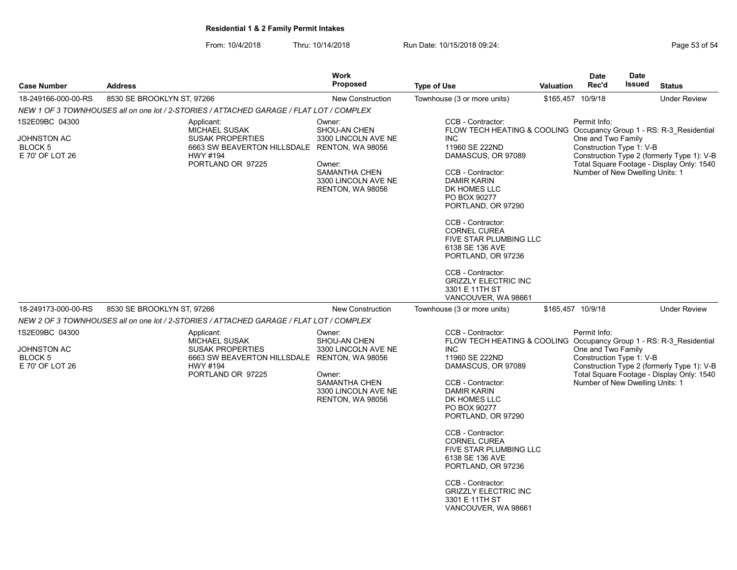From: 10/4/2018 Thru: 10/14/2018 Run Date: 10/15/2018 09:24:<br>From: 10/4/2018 Fage 53 of 54

| <b>Case Number</b>                                                 | <b>Address</b>                                                                                                                                        | Work<br><b>Proposed</b>                                                                                                                        | <b>Type of Use</b>                                                                                                                                                                                                                                                                                                                                                                                                                                          | Valuation | <b>Date</b><br>Rec'd                                                                              | <b>Date</b><br><b>Issued</b> | <b>Status</b>                                                                           |
|--------------------------------------------------------------------|-------------------------------------------------------------------------------------------------------------------------------------------------------|------------------------------------------------------------------------------------------------------------------------------------------------|-------------------------------------------------------------------------------------------------------------------------------------------------------------------------------------------------------------------------------------------------------------------------------------------------------------------------------------------------------------------------------------------------------------------------------------------------------------|-----------|---------------------------------------------------------------------------------------------------|------------------------------|-----------------------------------------------------------------------------------------|
| 18-249166-000-00-RS                                                | 8530 SE BROOKLYN ST, 97266                                                                                                                            | <b>New Construction</b>                                                                                                                        | Townhouse (3 or more units)                                                                                                                                                                                                                                                                                                                                                                                                                                 |           | \$165,457 10/9/18                                                                                 |                              | <b>Under Review</b>                                                                     |
|                                                                    | NEW 1 OF 3 TOWNHOUSES all on one lot / 2-STORIES / ATTACHED GARAGE / FLAT LOT / COMPLEX                                                               |                                                                                                                                                |                                                                                                                                                                                                                                                                                                                                                                                                                                                             |           |                                                                                                   |                              |                                                                                         |
| 1S2E09BC 04300<br>JOHNSTON AC<br><b>BLOCK 5</b><br>E 70' OF LOT 26 | Applicant:<br><b>MICHAEL SUSAK</b><br><b>SUSAK PROPERTIES</b><br>6663 SW BEAVERTON HILLSDALE RENTON, WA 98056<br><b>HWY #194</b><br>PORTLAND OR 97225 | Owner:<br>SHOU-AN CHEN<br>3300 LINCOLN AVE NE<br>Owner:<br><b>SAMANTHA CHEN</b><br>3300 LINCOLN AVE NE<br><b>RENTON, WA 98056</b>              | CCB - Contractor:<br>FLOW TECH HEATING & COOLING Occupancy Group 1 - RS: R-3 Residential<br><b>INC</b><br>11960 SE 222ND<br>DAMASCUS, OR 97089<br>CCB - Contractor:<br><b>DAMIR KARIN</b><br>DK HOMES LLC<br>PO BOX 90277<br>PORTLAND, OR 97290<br>CCB - Contractor:<br><b>CORNEL CUREA</b><br>FIVE STAR PLUMBING LLC<br>6138 SE 136 AVE<br>PORTLAND, OR 97236<br>CCB - Contractor:<br><b>GRIZZLY ELECTRIC INC</b><br>3301 E 11TH ST                        |           | Permit Info:<br>One and Two Family<br>Construction Type 1: V-B<br>Number of New Dwelling Units: 1 |                              | Construction Type 2 (formerly Type 1): V-B<br>Total Square Footage - Display Only: 1540 |
| 18-249173-000-00-RS                                                | 8530 SE BROOKLYN ST, 97266                                                                                                                            | <b>New Construction</b>                                                                                                                        | VANCOUVER, WA 98661<br>Townhouse (3 or more units)                                                                                                                                                                                                                                                                                                                                                                                                          |           | \$165,457 10/9/18                                                                                 |                              | <b>Under Review</b>                                                                     |
|                                                                    | NEW 2 OF 3 TOWNHOUSES all on one lot / 2-STORIES / ATTACHED GARAGE / FLAT LOT / COMPLEX                                                               |                                                                                                                                                |                                                                                                                                                                                                                                                                                                                                                                                                                                                             |           |                                                                                                   |                              |                                                                                         |
| 1S2E09BC 04300<br>JOHNSTON AC<br><b>BLOCK5</b><br>E 70' OF LOT 26  | Applicant:<br><b>MICHAEL SUSAK</b><br><b>SUSAK PROPERTIES</b><br>6663 SW BEAVERTON HILLSDALE<br>HWY #194<br>PORTLAND OR 97225                         | Owner:<br>SHOU-AN CHEN<br>3300 LINCOLN AVE NE<br>RENTON, WA 98056<br>Owner:<br>SAMANTHA CHEN<br>3300 LINCOLN AVE NE<br><b>RENTON, WA 98056</b> | CCB - Contractor:<br>FLOW TECH HEATING & COOLING Occupancy Group 1 - RS: R-3 Residential<br><b>INC</b><br>11960 SE 222ND<br>DAMASCUS, OR 97089<br>CCB - Contractor:<br><b>DAMIR KARIN</b><br>DK HOMES LLC<br>PO BOX 90277<br>PORTLAND, OR 97290<br>CCB - Contractor:<br><b>CORNEL CUREA</b><br>FIVE STAR PLUMBING LLC<br>6138 SE 136 AVE<br>PORTLAND, OR 97236<br>CCB - Contractor:<br><b>GRIZZLY ELECTRIC INC</b><br>3301 E 11TH ST<br>VANCOUVER, WA 98661 |           | Permit Info:<br>One and Two Family<br>Construction Type 1: V-B<br>Number of New Dwelling Units: 1 |                              | Construction Type 2 (formerly Type 1): V-B<br>Total Square Footage - Display Only: 1540 |